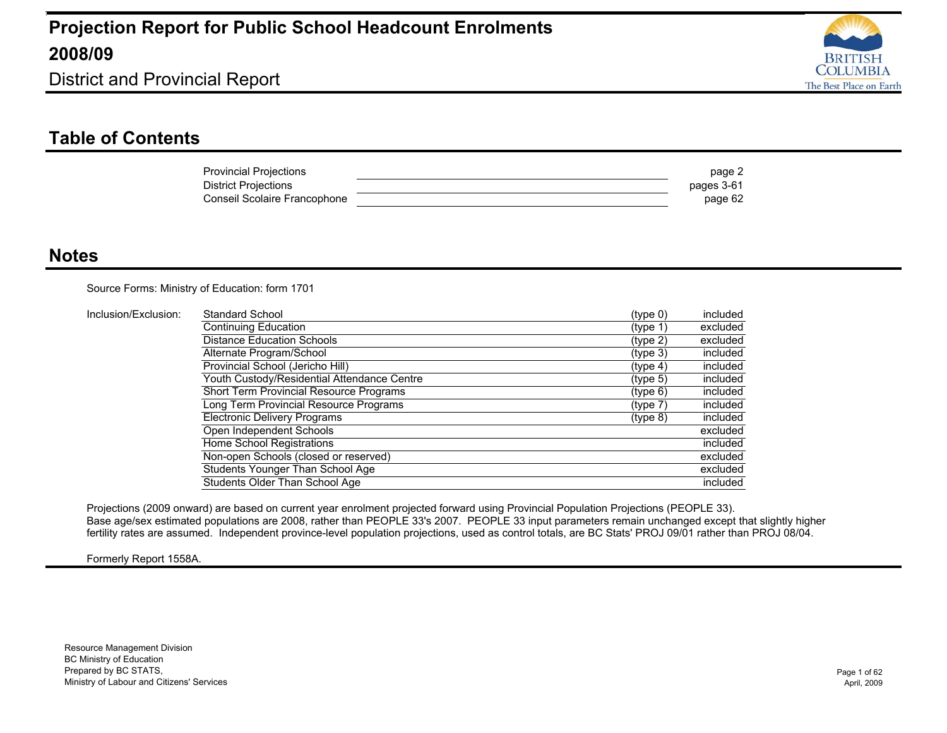

District and Provincial Report

#### **Table of Contents**

| <b>Provincial Projections</b> | page 2     |
|-------------------------------|------------|
| <b>District Projections</b>   | pages 3-61 |
| Conseil Scolaire Francophone  | page 62    |

#### **Notes**

Source Forms: Ministry of Education: form 1701

| Inclusion/Exclusion: | Standard School                             | (type 0) | included |
|----------------------|---------------------------------------------|----------|----------|
|                      | Continuing Education                        | (type 1) | excluded |
|                      | <b>Distance Education Schools</b>           | (type 2) | excluded |
|                      | Alternate Program/School                    | (type 3) | included |
|                      | Provincial School (Jericho Hill)            | (type 4) | included |
|                      | Youth Custody/Residential Attendance Centre | (type 5) | included |
|                      | Short Term Provincial Resource Programs     | (type 6) | included |
|                      | Long Term Provincial Resource Programs      | (type 7) | included |
|                      | <b>Electronic Delivery Programs</b>         | (type 8) | included |
|                      | Open Independent Schools                    |          | excluded |
|                      | Home School Registrations                   |          | included |
|                      | Non-open Schools (closed or reserved)       |          | excluded |
|                      | Students Younger Than School Age            |          | excluded |
|                      | Students Older Than School Age              |          | included |

Projections (2009 onward) are based on current year enrolment projected forward using Provincial Population Projections (PEOPLE 33). Base age/sex estimated populations are 2008, rather than PEOPLE 33's 2007. PEOPLE 33 input parameters remain unchanged except that slightly higher fertility rates are assumed. Independent province-level population projections, used as control totals, are BC Stats' PROJ 09/01 rather than PROJ 08/04.

#### Formerly Report 1558A.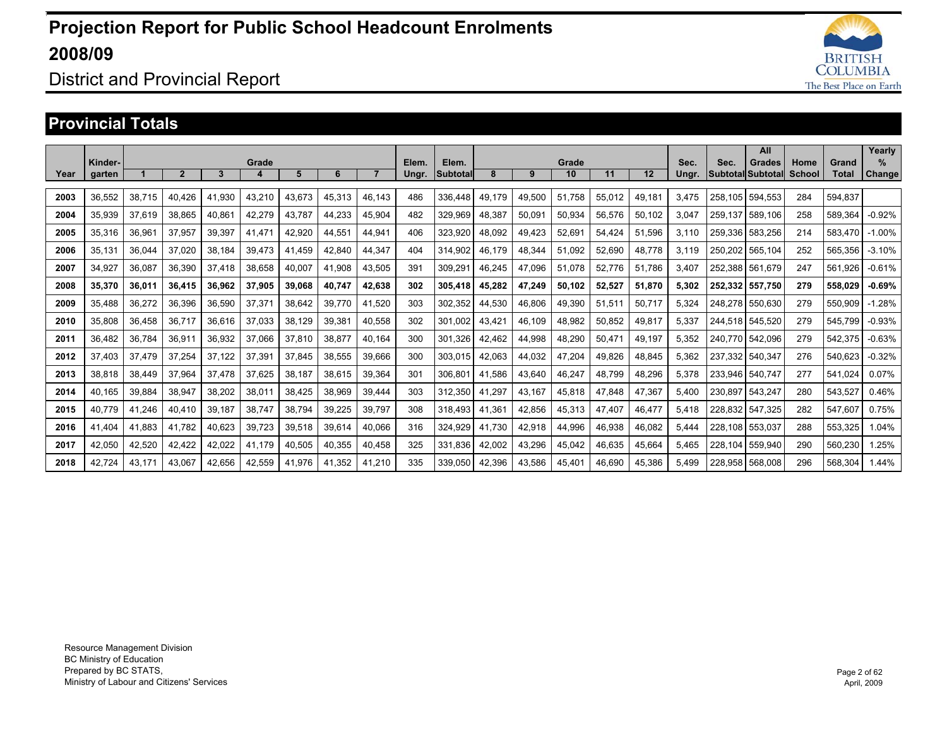

### District and Provincial Report

#### **Provincial Totals**

|      |         |        |                |        |        |        |        |        |       |          |        |        |        |        |        |       |         | All               |               |              | Yearly    |
|------|---------|--------|----------------|--------|--------|--------|--------|--------|-------|----------|--------|--------|--------|--------|--------|-------|---------|-------------------|---------------|--------------|-----------|
|      | Kinder- |        |                |        | Grade  |        |        |        | Elem. | Elem.    |        |        | Grade  |        |        | Sec.  | Sec.    | Grades            | Home          | Grand        | $\%$      |
| Year | garten  |        | $\overline{2}$ | 3      | 4      | 5      | 6      |        | Ungr. | Subtotal | 8      | 9      | 10     | 11     | 12     | Ungr. |         | Subtotal Subtotal | <b>School</b> | <b>Total</b> | Change    |
|      |         |        |                |        |        |        |        |        |       |          |        |        |        |        |        |       |         |                   |               |              |           |
| 2003 | 36,552  | 38.715 | 40.426         | 41.930 | 43,210 | 43.673 | 45.313 | 46,143 | 486   | 336.448  | 49.179 | 49.500 | 51.758 | 55,012 | 49,181 | 3.475 | 258.105 | 594,553           | 284           | 594.837      |           |
| 2004 | 35,939  | 37,619 | 38,865         | 40,861 | 42,279 | 43.787 | 44,233 | 45,904 | 482   | 329,969  | 48,387 | 50,091 | 50,934 | 56,576 | 50,102 | 3,047 | 259.137 | 589,106           | 258           | 589,364      | $-0.92%$  |
| 2005 | 35,316  | 36.961 | 37,957         | 39,397 | 41,471 | 42.920 | 44.551 | 44,941 | 406   | 323.920  | 48.092 | 49.423 | 52,691 | 54.424 | 51.596 | 3.110 | 259.336 | 583,256           | 214           | 583.470      | $-1.00\%$ |
| 2006 | 35.131  | 36.044 | 37.020         | 38,184 | 39,473 | 41.459 | 42.840 | 44.347 | 404   | 314.902  | 46.179 | 48.344 | 51.092 | 52,690 | 48,778 | 3,119 | 250.202 | 565,104           | 252           | 565.356      | $-3.10%$  |
| 2007 | 34,927  | 36.087 | 36,390         | 37.418 | 38,658 | 40,007 | 41.908 | 43,505 | 391   | 309,291  | 46.245 | 47.096 | 51.078 | 52,776 | 51.786 | 3,407 | 252.388 | 561,679           | 247           | 561.926      | $-0.61%$  |
| 2008 | 35,370  | 36.011 | 36.415         | 36.962 | 37,905 | 39.068 | 40.747 | 42.638 | 302   | 305.418  | 45.282 | 47.249 | 50.102 | 52.527 | 51.870 | 5.302 | 252.332 | 557.750           | 279           | 558.029      | $-0.69%$  |
| 2009 | 35.488  | 36,272 | 36,396         | 36,590 | 37,371 | 38.642 | 39.770 | 41.520 | 303   | 302.352  | 44.530 | 46.806 | 49,390 | 51,511 | 50,717 | 5,324 | 248.278 | 550.630           | 279           | 550.909      | $-1.28%$  |
| 2010 | 35.808  | 36,458 | 36.717         | 36.616 | 37,033 | 38,129 | 39,381 | 40,558 | 302   | 301.002  | 43.42' | 46.109 | 48,982 | 50.852 | 49,817 | 5,337 | 244.518 | 545.520           | 279           | 545.799      | $-0.93%$  |
| 2011 | 36.482  | 36.784 | 36,911         | 36,932 | 37.066 | 37.810 | 38.877 | 40.164 | 300   | 301.326  | 42.462 | 44.998 | 48,290 | 50.471 | 49.197 | 5.352 | 240.770 | 542.096           | 279           | 542.375      | $-0.63%$  |
| 2012 | 37.403  | 37.479 | 37,254         | 37.122 | 37,391 | 37,845 | 38,555 | 39,666 | 300   | 303.015  | 42.063 | 44.032 | 47,204 | 49.826 | 48.845 | 5.362 | 237.332 | 540.347           | 276           | 540.623      | $-0.32%$  |
| 2013 | 38,818  | 38.449 | 37,964         | 37.478 | 37,625 | 38.187 | 38,615 | 39,364 | 301   | 306,801  | 41.586 | 43,640 | 46,247 | 48.799 | 48,296 | 5,378 | 233.946 | 540.747           | 277           | 541,024      | 0.07%     |
| 2014 | 40.165  | 39,884 | 38,947         | 38,202 | 38,011 | 38,425 | 38,969 | 39,444 | 303   | 312,350  | 41,297 | 43,167 | 45,818 | 47,848 | 47,367 | 5,400 | 230.897 | 543,247           | 280           | 543,527      | 0.46%     |
| 2015 | 40.779  | 41.246 | 40.410         | 39,187 | 38,747 | 38.794 | 39,225 | 39,797 | 308   | 318.493  | 41.361 | 42.856 | 45,313 | 47.407 | 46,477 | 5,418 | 228.832 | 547.325           | 282           | 547,607      | 0.75%     |
| 2016 | 41.404  | 41,883 | 41,782         | 40,623 | 39,723 | 39,518 | 39,614 | 40,066 | 316   | 324,929  | 41,730 | 42,918 | 44,996 | 46,938 | 46,082 | 5,444 | 228,108 | 553,037           | 288           | 553,325      | 1.04%     |
| 2017 | 42,050  | 42,520 | 42,422         | 42,022 | 41,179 | 40,505 | 40,355 | 40,458 | 325   | 331,836  | 42,002 | 43,296 | 45,042 | 46,635 | 45,664 | 5,465 | 228.104 | 559,940           | 290           | 560,230      | 1.25%     |
| 2018 | 42.724  | 43.171 | 43.067         | 42.656 | 42.559 | 41.976 | 41.352 | 41.210 | 335   | 339,050  | 42.396 | 43.586 | 45.401 | 46.690 | 45.386 | 5.499 | 228.958 | 568.008           | 296           | 568.304      | .44%      |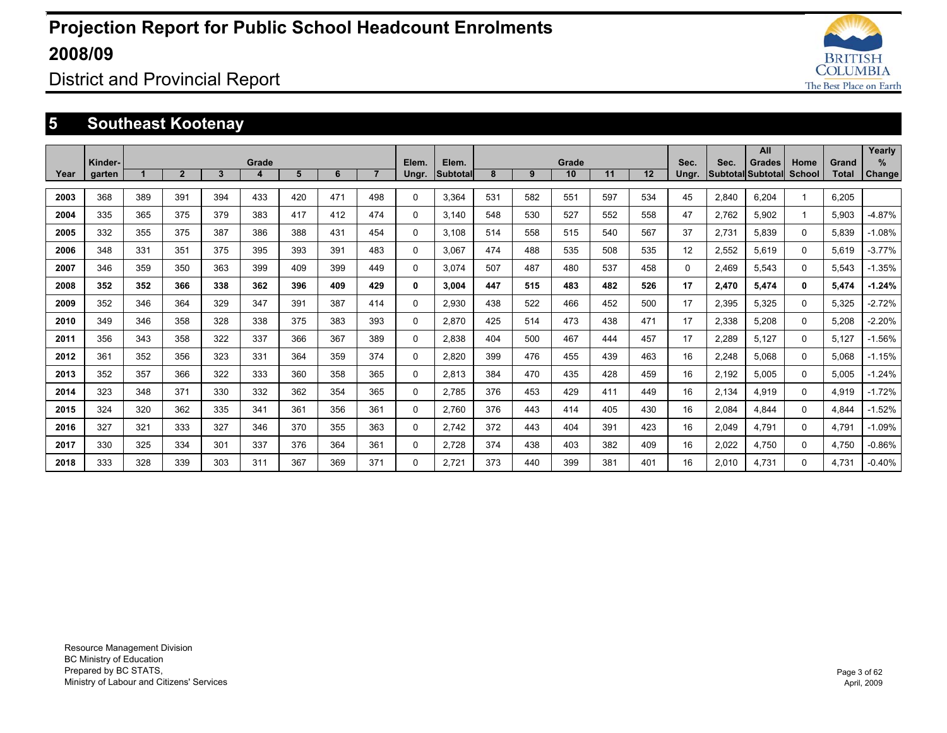

District and Provincial Report

### **5 Southeast Kootenay**

|      |                   |     |                |     |            |     |     |                |                |                          |     |     |             |     |     |                   |       | All                                       |                |                | Yearly             |
|------|-------------------|-----|----------------|-----|------------|-----|-----|----------------|----------------|--------------------------|-----|-----|-------------|-----|-----|-------------------|-------|-------------------------------------------|----------------|----------------|--------------------|
| Year | Kinder-<br>garten |     | $\overline{2}$ | 3   | Grade<br>4 | 5   | 6   | $\overline{7}$ | Elem.<br>Ungr. | Elem.<br><b>Subtotal</b> | 8   | 9   | Grade<br>10 | 11  | 12  | Sec.<br>Ungr.     | Sec.  | <b>Grades</b><br><b>Subtotal Subtotal</b> | Home<br>School | Grand<br>Total | %<br><b>Change</b> |
|      |                   |     |                |     |            |     |     |                |                |                          |     |     |             |     |     |                   |       |                                           |                |                |                    |
| 2003 | 368               | 389 | 391            | 394 | 433        | 420 | 471 | 498            | 0              | 3.364                    | 531 | 582 | 551         | 597 | 534 | 45                | 2,840 | 6.204                                     | 1              | 6.205          |                    |
| 2004 | 335               | 365 | 375            | 379 | 383        | 417 | 412 | 474            | 0              | 3.140                    | 548 | 530 | 527         | 552 | 558 | 47                | 2.762 | 5.902                                     | 1              | 5.903          | $-4.87%$           |
| 2005 | 332               | 355 | 375            | 387 | 386        | 388 | 431 | 454            | $\Omega$       | 3.108                    | 514 | 558 | 515         | 540 | 567 | 37                | 2.731 | 5.839                                     | $\Omega$       | 5.839          | $-1.08%$           |
| 2006 | 348               | 331 | 351            | 375 | 395        | 393 | 391 | 483            | 0              | 3.067                    | 474 | 488 | 535         | 508 | 535 | $12 \overline{ }$ | 2,552 | 5.619                                     | $\Omega$       | 5.619          | $-3.77%$           |
| 2007 | 346               | 359 | 350            | 363 | 399        | 409 | 399 | 449            | 0              | 3.074                    | 507 | 487 | 480         | 537 | 458 | $\Omega$          | 2,469 | 5,543                                     | $\Omega$       | 5,543          | $-1.35%$           |
| 2008 | 352               | 352 | 366            | 338 | 362        | 396 | 409 | 429            | 0              | 3.004                    | 447 | 515 | 483         | 482 | 526 | 17                | 2,470 | 5,474                                     | 0              | 5,474          | $-1.24%$           |
| 2009 | 352               | 346 | 364            | 329 | 347        | 391 | 387 | 414            | 0              | 2,930                    | 438 | 522 | 466         | 452 | 500 | 17                | 2,395 | 5,325                                     | 0              | 5,325          | $-2.72%$           |
| 2010 | 349               | 346 | 358            | 328 | 338        | 375 | 383 | 393            | 0              | 2.870                    | 425 | 514 | 473         | 438 | 471 | 17                | 2,338 | 5,208                                     | $\Omega$       | 5,208          | $-2.20%$           |
| 2011 | 356               | 343 | 358            | 322 | 337        | 366 | 367 | 389            | 0              | 2.838                    | 404 | 500 | 467         | 444 | 457 | 17                | 2,289 | 5.127                                     | $\Omega$       | 5,127          | $-1.56%$           |
| 2012 | 361               | 352 | 356            | 323 | 331        | 364 | 359 | 374            | 0              | 2.820                    | 399 | 476 | 455         | 439 | 463 | 16                | 2,248 | 5.068                                     | 0              | 5.068          | $-1.15%$           |
| 2013 | 352               | 357 | 366            | 322 | 333        | 360 | 358 | 365            | 0              | 2.813                    | 384 | 470 | 435         | 428 | 459 | 16                | 2,192 | 5.005                                     | $\Omega$       | 5.005          | $-1.24%$           |
| 2014 | 323               | 348 | 371            | 330 | 332        | 362 | 354 | 365            | 0              | 2,785                    | 376 | 453 | 429         | 411 | 449 | 16                | 2,134 | 4.919                                     | 0              | 4,919          | $-1.72%$           |
| 2015 | 324               | 320 | 362            | 335 | 341        | 361 | 356 | 361            | 0              | 2.760                    | 376 | 443 | 414         | 405 | 430 | 16                | 2,084 | 4.844                                     | 0              | 4,844          | $-1.52%$           |
| 2016 | 327               | 321 | 333            | 327 | 346        | 370 | 355 | 363            | 0              | 2.742                    | 372 | 443 | 404         | 391 | 423 | 16                | 2,049 | 4.791                                     | $\Omega$       | 4.791          | $-1.09%$           |
| 2017 | 330               | 325 | 334            | 301 | 337        | 376 | 364 | 361            | 0              | 2,728                    | 374 | 438 | 403         | 382 | 409 | 16                | 2,022 | 4.750                                     | 0              | 4,750          | $-0.86%$           |
| 2018 | 333               | 328 | 339            | 303 | 311        | 367 | 369 | 371            | 0              | 2.721                    | 373 | 440 | 399         | 381 | 401 | 16                | 2,010 | 4.731                                     | $\Omega$       | 4.731          | $-0.40%$           |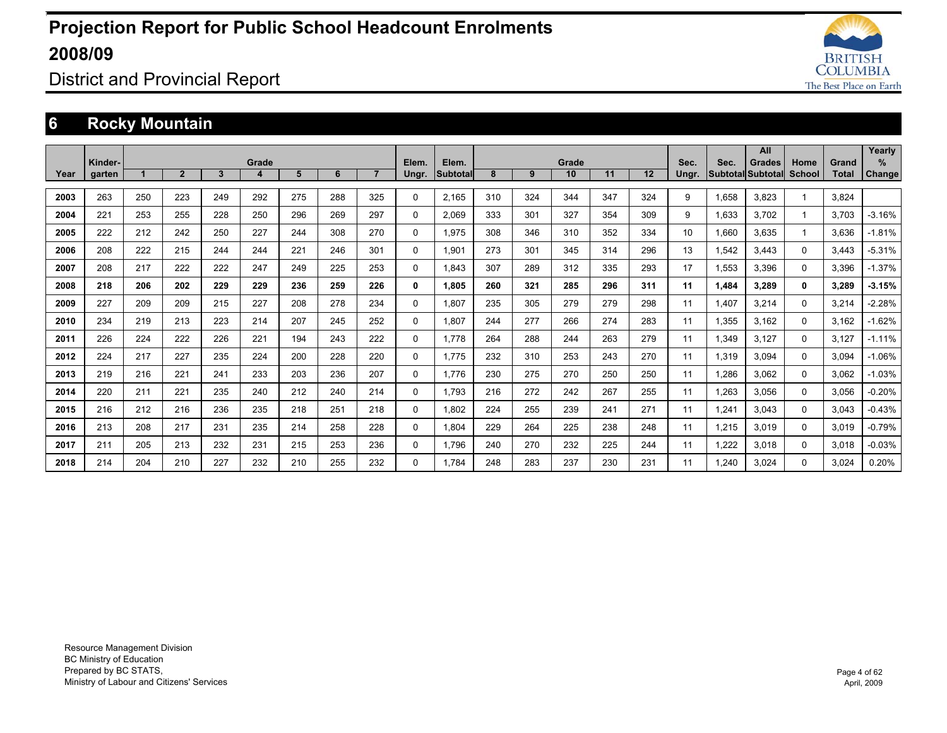

District and Provincial Report

### **6 Rocky Mountain**

|      |         |     |                |              |       |     |     |     |          |          |     |     |       |     |     |       |       | All                      |          |       | Yearly   |
|------|---------|-----|----------------|--------------|-------|-----|-----|-----|----------|----------|-----|-----|-------|-----|-----|-------|-------|--------------------------|----------|-------|----------|
|      | Kinder- |     |                |              | Grade |     |     |     | Elem.    | Elem.    |     |     | Grade |     |     | Sec.  | Sec.  | <b>Grades</b>            | Home     | Grand | %        |
| Year | garten  |     | $\overline{2}$ | $\mathbf{3}$ | 4     | 5   | 6   |     | Ungr.    | Subtotal | 8   | 9   | 10    | 11  | 12  | Ungr. |       | <b>Subtotal Subtotal</b> | School   | Total | Change   |
| 2003 | 263     | 250 | 223            | 249          | 292   | 275 | 288 | 325 | 0        | 2.165    | 310 | 324 | 344   | 347 | 324 | 9     | 1.658 | 3.823                    |          | 3.824 |          |
| 2004 | 221     | 253 | 255            | 228          | 250   | 296 | 269 | 297 | 0        | 2.069    | 333 | 301 | 327   | 354 | 309 | 9     | 1,633 | 3.702                    |          | 3,703 | $-3.16%$ |
| 2005 | 222     | 212 | 242            | 250          | 227   | 244 | 308 | 270 | 0        | 1.975    | 308 | 346 | 310   | 352 | 334 | 10    | 1,660 | 3.635                    |          | 3,636 | $-1.81%$ |
| 2006 | 208     | 222 | 215            | 244          | 244   | 221 | 246 | 301 | 0        | 1,901    | 273 | 301 | 345   | 314 | 296 | 13    | 1,542 | 3.443                    | $\Omega$ | 3,443 | $-5.31%$ |
| 2007 | 208     | 217 | 222            | 222          | 247   | 249 | 225 | 253 | 0        | 1.843    | 307 | 289 | 312   | 335 | 293 | 17    | 1,553 | 3.396                    | $\Omega$ | 3,396 | $-1.37%$ |
| 2008 | 218     | 206 | 202            | 229          | 229   | 236 | 259 | 226 | 0        | 1.805    | 260 | 321 | 285   | 296 | 311 | 11    | 1,484 | 3.289                    | 0        | 3,289 | $-3.15%$ |
| 2009 | 227     | 209 | 209            | 215          | 227   | 208 | 278 | 234 | 0        | 1.807    | 235 | 305 | 279   | 279 | 298 | 11    | 1.407 | 3.214                    | 0        | 3,214 | $-2.28%$ |
| 2010 | 234     | 219 | 213            | 223          | 214   | 207 | 245 | 252 | 0        | 1.807    | 244 | 277 | 266   | 274 | 283 | 11    | 1,355 | 3.162                    | 0        | 3,162 | $-1.62%$ |
| 2011 | 226     | 224 | 222            | 226          | 221   | 194 | 243 | 222 | 0        | 1.778    | 264 | 288 | 244   | 263 | 279 | 11    | 1,349 | 3.127                    | 0        | 3,127 | $-1.11%$ |
| 2012 | 224     | 217 | 227            | 235          | 224   | 200 | 228 | 220 | 0        | 1.775    | 232 | 310 | 253   | 243 | 270 | 11    | 1,319 | 3.094                    | 0        | 3.094 | $-1.06%$ |
| 2013 | 219     | 216 | 221            | 241          | 233   | 203 | 236 | 207 | 0        | 1.776    | 230 | 275 | 270   | 250 | 250 | 11    | 1,286 | 3.062                    | 0        | 3,062 | $-1.03%$ |
| 2014 | 220     | 211 | 221            | 235          | 240   | 212 | 240 | 214 | 0        | 1.793    | 216 | 272 | 242   | 267 | 255 | 11    | 1,263 | 3.056                    | 0        | 3,056 | $-0.20%$ |
| 2015 | 216     | 212 | 216            | 236          | 235   | 218 | 251 | 218 | 0        | 1.802    | 224 | 255 | 239   | 241 | 271 | 11    | 1,241 | 3.043                    | $\Omega$ | 3,043 | $-0.43%$ |
| 2016 | 213     | 208 | 217            | 231          | 235   | 214 | 258 | 228 | 0        | 1.804    | 229 | 264 | 225   | 238 | 248 | 11    | 1,215 | 3.019                    | $\Omega$ | 3,019 | $-0.79%$ |
| 2017 | 211     | 205 | 213            | 232          | 231   | 215 | 253 | 236 | 0        | 1.796    | 240 | 270 | 232   | 225 | 244 | 11    | 1,222 | 3.018                    | $\Omega$ | 3,018 | $-0.03%$ |
| 2018 | 214     | 204 | 210            | 227          | 232   | 210 | 255 | 232 | $\Omega$ | 1.784    | 248 | 283 | 237   | 230 | 231 | 11    | 1.240 | 3.024                    | $\Omega$ | 3,024 | 0.20%    |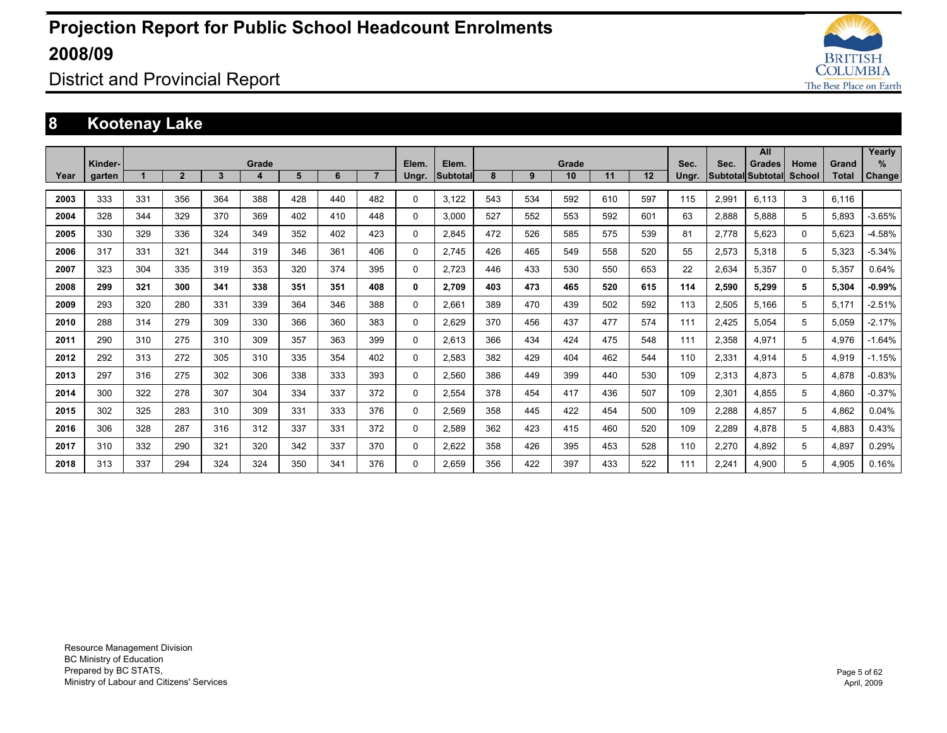

District and Provincial Report

### **8 Kootenay Lake**

|      |                   |     |                |              |            |     |     |                |                |                   |     |     |             |     |     |               |       | <b>All</b>                                |                |                       | Yearly             |
|------|-------------------|-----|----------------|--------------|------------|-----|-----|----------------|----------------|-------------------|-----|-----|-------------|-----|-----|---------------|-------|-------------------------------------------|----------------|-----------------------|--------------------|
| Year | Kinder-<br>garten |     | $\overline{2}$ | $\mathbf{3}$ | Grade<br>4 | 5   | 6   | $\overline{7}$ | Elem.<br>Ungr. | Elem.<br>Subtotal | 8   | 9   | Grade<br>10 | 11  | 12  | Sec.<br>Ungr. | Sec.  | <b>Grades</b><br><b>Subtotal Subtotal</b> | Home<br>School | Grand<br><b>Total</b> | %<br><b>Change</b> |
|      |                   |     |                |              |            |     |     |                |                |                   |     |     |             |     |     |               |       |                                           |                |                       |                    |
| 2003 | 333               | 331 | 356            | 364          | 388        | 428 | 440 | 482            | $\Omega$       | 3.122             | 543 | 534 | 592         | 610 | 597 | 115           | 2,991 | 6.113                                     | 3              | 6,116                 |                    |
| 2004 | 328               | 344 | 329            | 370          | 369        | 402 | 410 | 448            | 0              | 3.000             | 527 | 552 | 553         | 592 | 601 | 63            | 2,888 | 5.888                                     | 5              | 5,893                 | $-3.65%$           |
| 2005 | 330               | 329 | 336            | 324          | 349        | 352 | 402 | 423            | 0              | 2.845             | 472 | 526 | 585         | 575 | 539 | 81            | 2,778 | 5,623                                     | $\Omega$       | 5.623                 | $-4.58%$           |
| 2006 | 317               | 331 | 321            | 344          | 319        | 346 | 361 | 406            | $\Omega$       | 2.745             | 426 | 465 | 549         | 558 | 520 | 55            | 2,573 | 5,318                                     | 5              | 5,323                 | $-5.34%$           |
| 2007 | 323               | 304 | 335            | 319          | 353        | 320 | 374 | 395            | 0              | 2.723             | 446 | 433 | 530         | 550 | 653 | 22            | 2,634 | 5.357                                     | 0              | 5.357                 | 0.64%              |
| 2008 | 299               | 321 | 300            | 341          | 338        | 351 | 351 | 408            | 0              | 2.709             | 403 | 473 | 465         | 520 | 615 | 114           | 2,590 | 5,299                                     | 5              | 5,304                 | $-0.99%$           |
| 2009 | 293               | 320 | 280            | 331          | 339        | 364 | 346 | 388            | 0              | 2.661             | 389 | 470 | 439         | 502 | 592 | 113           | 2,505 | 5.166                                     | 5              | 5.171                 | $-2.51%$           |
| 2010 | 288               | 314 | 279            | 309          | 330        | 366 | 360 | 383            | $\Omega$       | 2.629             | 370 | 456 | 437         | 477 | 574 | 111           | 2,425 | 5.054                                     | 5              | 5.059                 | $-2.17%$           |
| 2011 | 290               | 310 | 275            | 310          | 309        | 357 | 363 | 399            | 0              | 2.613             | 366 | 434 | 424         | 475 | 548 | 111           | 2.358 | 4.971                                     | 5              | 4.976                 | $-1.64%$           |
| 2012 | 292               | 313 | 272            | 305          | 310        | 335 | 354 | 402            | 0              | 2.583             | 382 | 429 | 404         | 462 | 544 | 110           | 2.331 | 4.914                                     | 5              | 4.919                 | $-1.15%$           |
| 2013 | 297               | 316 | 275            | 302          | 306        | 338 | 333 | 393            | 0              | 2.560             | 386 | 449 | 399         | 440 | 530 | 109           | 2,313 | 4.873                                     | 5              | 4.878                 | $-0.83%$           |
| 2014 | 300               | 322 | 278            | 307          | 304        | 334 | 337 | 372            | 0              | 2.554             | 378 | 454 | 417         | 436 | 507 | 109           | 2,301 | 4.855                                     | 5              | 4.860                 | $-0.37%$           |
| 2015 | 302               | 325 | 283            | 310          | 309        | 331 | 333 | 376            | 0              | 2.569             | 358 | 445 | 422         | 454 | 500 | 109           | 2,288 | 4.857                                     | 5              | 4,862                 | 0.04%              |
| 2016 | 306               | 328 | 287            | 316          | 312        | 337 | 331 | 372            | $\Omega$       | 2,589             | 362 | 423 | 415         | 460 | 520 | 109           | 2,289 | 4,878                                     | 5              | 4,883                 | 0.43%              |
| 2017 | 310               | 332 | 290            | 321          | 320        | 342 | 337 | 370            | 0              | 2.622             | 358 | 426 | 395         | 453 | 528 | 110           | 2,270 | 4,892                                     | 5              | 4,897                 | 0.29%              |
| 2018 | 313               | 337 | 294            | 324          | 324        | 350 | 341 | 376            | 0              | 2.659             | 356 | 422 | 397         | 433 | 522 | 111           | 2.241 | 4.900                                     | 5              | 4.905                 | 0.16%              |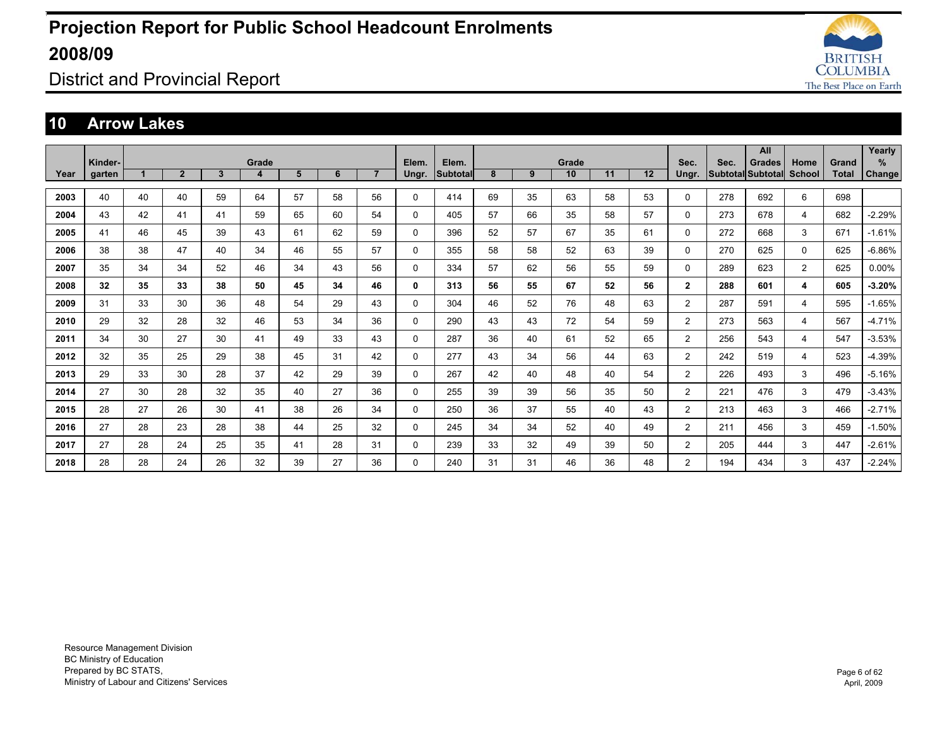

District and Provincial Report

#### **10 Arrow Lakes**

| Year | Kinder-<br>garten |    | $\overline{2}$ | $\mathbf{3}$ | Grade<br>4 | 5  | 6  | $\overline{7}$ | Elem.<br>Ungr. | Elem.<br>Subtotal | 8  | 9  | Grade<br>10 | 11 | 12 | Sec.<br>Ungr.  | Sec. | All<br><b>Grades</b><br>Subtotal Subtotal | Home<br>School | Grand<br><b>Total</b> | Yearly<br>%<br>Change |
|------|-------------------|----|----------------|--------------|------------|----|----|----------------|----------------|-------------------|----|----|-------------|----|----|----------------|------|-------------------------------------------|----------------|-----------------------|-----------------------|
|      |                   |    |                |              |            |    |    |                |                |                   |    |    |             |    |    |                |      |                                           |                |                       |                       |
| 2003 | 40                | 40 | 40             | 59           | 64         | 57 | 58 | 56             | $\Omega$       | 414               | 69 | 35 | 63          | 58 | 53 | 0              | 278  | 692                                       | 6              | 698                   |                       |
| 2004 | 43                | 42 | 41             | 41           | 59         | 65 | 60 | 54             | 0              | 405               | 57 | 66 | 35          | 58 | 57 | 0              | 273  | 678                                       | 4              | 682                   | $-2.29%$              |
| 2005 | 41                | 46 | 45             | 39           | 43         | 61 | 62 | 59             | 0              | 396               | 52 | 57 | 67          | 35 | 61 | 0              | 272  | 668                                       | 3              | 671                   | $-1.61%$              |
| 2006 | 38                | 38 | 47             | 40           | 34         | 46 | 55 | 57             | 0              | 355               | 58 | 58 | 52          | 63 | 39 | 0              | 270  | 625                                       | $\mathbf 0$    | 625                   | $-6.86%$              |
| 2007 | 35                | 34 | 34             | 52           | 46         | 34 | 43 | 56             | $\Omega$       | 334               | 57 | 62 | 56          | 55 | 59 | 0              | 289  | 623                                       | $\overline{2}$ | 625                   | $0.00\%$              |
| 2008 | 32                | 35 | 33             | 38           | 50         | 45 | 34 | 46             | 0              | 313               | 56 | 55 | 67          | 52 | 56 | $\overline{2}$ | 288  | 601                                       | 4              | 605                   | $-3.20%$              |
| 2009 | 31                | 33 | 30             | 36           | 48         | 54 | 29 | 43             | 0              | 304               | 46 | 52 | 76          | 48 | 63 | $\overline{2}$ | 287  | 591                                       | 4              | 595                   | $-1.65%$              |
| 2010 | 29                | 32 | 28             | 32           | 46         | 53 | 34 | 36             | 0              | 290               | 43 | 43 | 72          | 54 | 59 | $\overline{2}$ | 273  | 563                                       | 4              | 567                   | $-4.71%$              |
| 2011 | 34                | 30 | 27             | 30           | 41         | 49 | 33 | 43             | 0              | 287               | 36 | 40 | 61          | 52 | 65 | $\overline{2}$ | 256  | 543                                       | 4              | 547                   | $-3.53%$              |
| 2012 | 32                | 35 | 25             | 29           | 38         | 45 | 31 | 42             | 0              | 277               | 43 | 34 | 56          | 44 | 63 | $\overline{2}$ | 242  | 519                                       | 4              | 523                   | $-4.39%$              |
| 2013 | 29                | 33 | 30             | 28           | 37         | 42 | 29 | 39             | 0              | 267               | 42 | 40 | 48          | 40 | 54 | $\overline{2}$ | 226  | 493                                       | 3              | 496                   | $-5.16%$              |
| 2014 | 27                | 30 | 28             | 32           | 35         | 40 | 27 | 36             | 0              | 255               | 39 | 39 | 56          | 35 | 50 | 2              | 221  | 476                                       | 3              | 479                   | $-3.43%$              |
| 2015 | 28                | 27 | 26             | 30           | 41         | 38 | 26 | 34             | 0              | 250               | 36 | 37 | 55          | 40 | 43 | $\overline{2}$ | 213  | 463                                       | 3              | 466                   | $-2.71%$              |
| 2016 | 27                | 28 | 23             | 28           | 38         | 44 | 25 | 32             | 0              | 245               | 34 | 34 | 52          | 40 | 49 | $\overline{2}$ | 211  | 456                                       | 3              | 459                   | $-1.50%$              |
| 2017 | 27                | 28 | 24             | 25           | 35         | 41 | 28 | 31             | 0              | 239               | 33 | 32 | 49          | 39 | 50 | $\overline{2}$ | 205  | 444                                       | 3              | 447                   | $-2.61%$              |
| 2018 | 28                | 28 | 24             | 26           | 32         | 39 | 27 | 36             | 0              | 240               | 31 | 31 | 46          | 36 | 48 | $\overline{2}$ | 194  | 434                                       | 3              | 437                   | $-2.24%$              |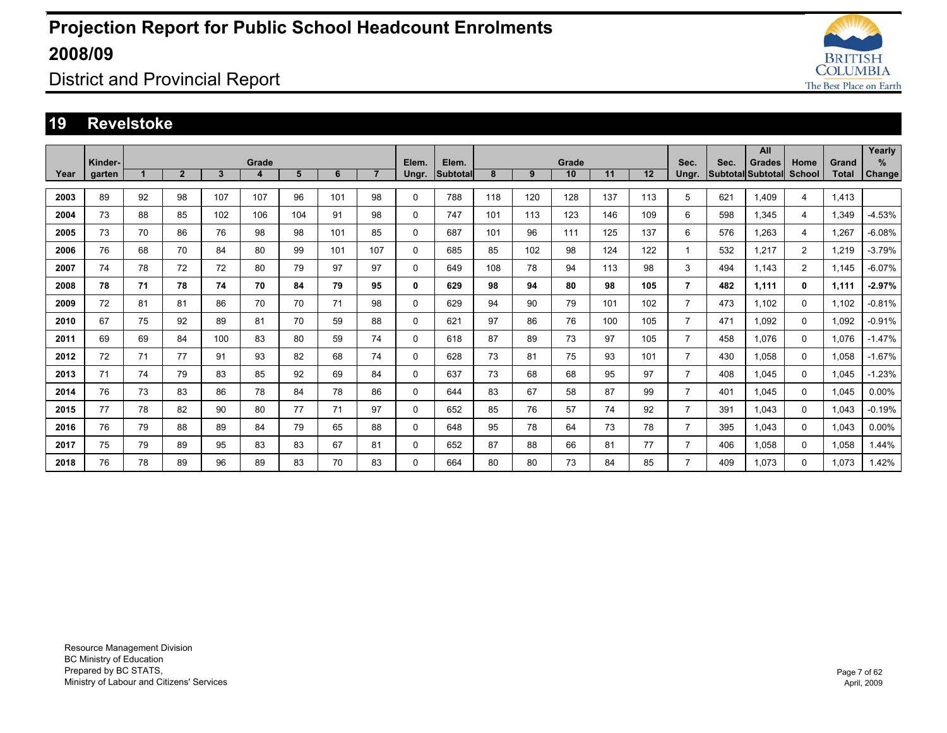

### District and Provincial Report

#### **19 Revelstoke**

|      |         |    |                |     |       |     |     |                |          |                 |     |     |       |     |     |                |      | All                      |                |       | Yearly   |
|------|---------|----|----------------|-----|-------|-----|-----|----------------|----------|-----------------|-----|-----|-------|-----|-----|----------------|------|--------------------------|----------------|-------|----------|
|      | Kinder- |    |                |     | Grade |     |     |                | Elem.    | Elem.           |     |     | Grade |     |     | Sec.           | Sec. | <b>Grades</b>            | Home           | Grand | %        |
| Year | garten  |    | $\overline{2}$ | 3   | 4     | 5   | 6   | $\overline{7}$ | Ungr.    | <b>Subtotal</b> | 8   | 9   | 10    | 11  | 12  | Ungr.          |      | <b>Subtotal Subtotal</b> | <b>School</b>  | Total | Change   |
| 2003 | 89      | 92 | 98             | 107 | 107   | 96  | 101 | 98             | 0        | 788             | 118 | 120 | 128   | 137 | 113 | 5              | 621  | 1.409                    | 4              | 1,413 |          |
|      |         |    |                |     |       |     |     |                |          |                 |     |     |       |     |     |                |      |                          |                |       |          |
| 2004 | 73      | 88 | 85             | 102 | 106   | 104 | 91  | 98             | 0        | 747             | 101 | 113 | 123   | 146 | 109 | 6              | 598  | 1.345                    | 4              | 1,349 | $-4.53%$ |
| 2005 | 73      | 70 | 86             | 76  | 98    | 98  | 101 | 85             | 0        | 687             | 101 | 96  | 111   | 125 | 137 | 6              | 576  | 1,263                    | 4              | .267  | $-6.08%$ |
| 2006 | 76      | 68 | 70             | 84  | 80    | 99  | 101 | 107            | 0        | 685             | 85  | 102 | 98    | 124 | 122 | $\mathbf 1$    | 532  | 1,217                    | $\overline{2}$ | .219  | $-3.79%$ |
| 2007 | 74      | 78 | 72             | 72  | 80    | 79  | 97  | 97             | 0        | 649             | 108 | 78  | 94    | 113 | 98  | 3              | 494  | 1.143                    | $\overline{2}$ | 1.145 | $-6.07%$ |
| 2008 | 78      | 71 | 78             | 74  | 70    | 84  | 79  | 95             | 0        | 629             | 98  | 94  | 80    | 98  | 105 | $\overline{7}$ | 482  | 1.111                    | 0              | 1,111 | $-2.97%$ |
| 2009 | 72      | 81 | 81             | 86  | 70    | 70  | 71  | 98             | 0        | 629             | 94  | 90  | 79    | 101 | 102 | $\overline{7}$ | 473  | 1.102                    | 0              | 1.102 | $-0.81%$ |
| 2010 | 67      | 75 | 92             | 89  | 81    | 70  | 59  | 88             | 0        | 621             | 97  | 86  | 76    | 100 | 105 | $\overline{7}$ | 471  | 1.092                    | $\Omega$       | 1.092 | $-0.91%$ |
| 2011 | 69      | 69 | 84             | 100 | 83    | 80  | 59  | 74             | 0        | 618             | 87  | 89  | 73    | 97  | 105 | $\overline{7}$ | 458  | 1.076                    | $\Omega$       | 1,076 | $-1.47%$ |
| 2012 | 72      | 71 | 77             | 91  | 93    | 82  | 68  | 74             | $\Omega$ | 628             | 73  | 81  | 75    | 93  | 101 | $\overline{7}$ | 430  | 1.058                    | $\Omega$       | 1,058 | $-1.67%$ |
| 2013 | 71      | 74 | 79             | 83  | 85    | 92  | 69  | 84             | 0        | 637             | 73  | 68  | 68    | 95  | 97  | $\overline{7}$ | 408  | 1.045                    | 0              | 1,045 | $-1.23%$ |
| 2014 | 76      | 73 | 83             | 86  | 78    | 84  | 78  | 86             | 0        | 644             | 83  | 67  | 58    | 87  | 99  | $\overline{7}$ | 401  | 1.045                    | 0              | 1,045 | 0.00%    |
| 2015 | 77      | 78 | 82             | 90  | 80    | 77  | 71  | 97             | 0        | 652             | 85  | 76  | 57    | 74  | 92  | $\overline{7}$ | 391  | 1.043                    | 0              | 1.043 | $-0.19%$ |
| 2016 | 76      | 79 | 88             | 89  | 84    | 79  | 65  | 88             | 0        | 648             | 95  | 78  | 64    | 73  | 78  | $\overline{7}$ | 395  | 1.043                    | 0              | 1,043 | $0.00\%$ |
| 2017 | 75      | 79 | 89             | 95  | 83    | 83  | 67  | 81             | 0        | 652             | 87  | 88  | 66    | 81  | 77  | $\overline{7}$ | 406  | 1.058                    | $\Omega$       | 1.058 | 1.44%    |
| 2018 | 76      | 78 | 89             | 96  | 89    | 83  | 70  | 83             | $\Omega$ | 664             | 80  | 80  | 73    | 84  | 85  | $\overline{7}$ | 409  | 1.073                    | 0              | 1.073 | 1.42%    |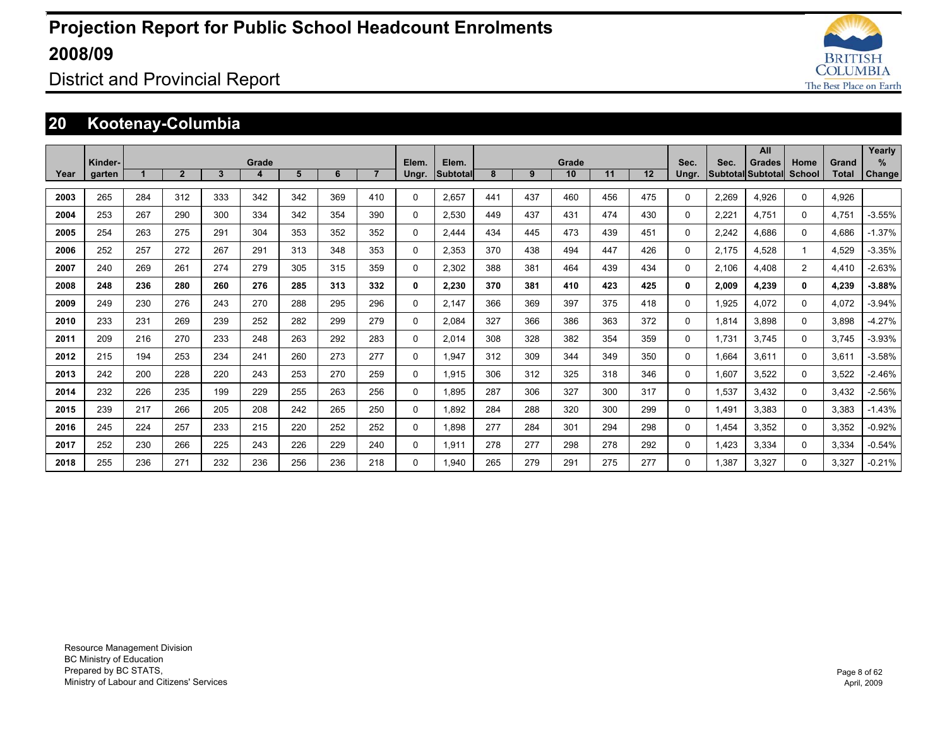

District and Provincial Report

### **20 Kootenay-Columbia**

|      |                   |     |              |     |            |     |     |                |                |                          |     |     |             |     |     |               |       | All                                       |                |                | Yearly             |
|------|-------------------|-----|--------------|-----|------------|-----|-----|----------------|----------------|--------------------------|-----|-----|-------------|-----|-----|---------------|-------|-------------------------------------------|----------------|----------------|--------------------|
| Year | Kinder-<br>garten |     | $\mathbf{2}$ | 3   | Grade<br>4 | 5   | 6   | $\overline{7}$ | Elem.<br>Ungr. | Elem.<br><b>Subtotal</b> | 8   | 9   | Grade<br>10 | 11  | 12  | Sec.<br>Ungr. | Sec.  | <b>Grades</b><br><b>Subtotal Subtotal</b> | Home<br>School | Grand<br>Total | %<br><b>Change</b> |
|      |                   |     |              |     |            |     |     |                |                |                          |     |     |             |     |     |               |       |                                           |                |                |                    |
| 2003 | 265               | 284 | 312          | 333 | 342        | 342 | 369 | 410            | $\Omega$       | 2.657                    | 441 | 437 | 460         | 456 | 475 | 0             | 2.269 | 4.926                                     | 0              | 4.926          |                    |
| 2004 | 253               | 267 | 290          | 300 | 334        | 342 | 354 | 390            | $\Omega$       | 2.530                    | 449 | 437 | 431         | 474 | 430 | 0             | 2.221 | 4.751                                     | $\Omega$       | 4.751          | $-3.55%$           |
| 2005 | 254               | 263 | 275          | 291 | 304        | 353 | 352 | 352            | $\Omega$       | 2.444                    | 434 | 445 | 473         | 439 | 451 | 0             | 2.242 | 4.686                                     | $\Omega$       | 4.686          | $-1.37%$           |
| 2006 | 252               | 257 | 272          | 267 | 291        | 313 | 348 | 353            | $\mathbf{0}$   | 2.353                    | 370 | 438 | 494         | 447 | 426 | $\Omega$      | 2.175 | 4.528                                     |                | 4.529          | $-3.35%$           |
| 2007 | 240               | 269 | 261          | 274 | 279        | 305 | 315 | 359            | $\Omega$       | 2.302                    | 388 | 381 | 464         | 439 | 434 | $\Omega$      | 2,106 | 4,408                                     | 2              | 4,410          | $-2.63%$           |
| 2008 | 248               | 236 | 280          | 260 | 276        | 285 | 313 | 332            | 0              | 2,230                    | 370 | 381 | 410         | 423 | 425 | 0             | 2,009 | 4,239                                     | 0              | 4,239          | $-3.88%$           |
| 2009 | 249               | 230 | 276          | 243 | 270        | 288 | 295 | 296            | 0              | 2.147                    | 366 | 369 | 397         | 375 | 418 | 0             | 1,925 | 4.072                                     | 0              | 4,072          | $-3.94%$           |
| 2010 | 233               | 231 | 269          | 239 | 252        | 282 | 299 | 279            | $\Omega$       | 2.084                    | 327 | 366 | 386         | 363 | 372 | $\Omega$      | 1,814 | 3.898                                     | $\Omega$       | 3.898          | $-4.27%$           |
| 2011 | 209               | 216 | 270          | 233 | 248        | 263 | 292 | 283            | $\Omega$       | 2.014                    | 308 | 328 | 382         | 354 | 359 | 0             | 1.731 | 3.745                                     | $\Omega$       | 3.745          | $-3.93%$           |
| 2012 | 215               | 194 | 253          | 234 | 241        | 260 | 273 | 277            | $\mathbf 0$    | 1,947                    | 312 | 309 | 344         | 349 | 350 | 0             | 1,664 | 3.611                                     | 0              | 3,611          | $-3.58%$           |
| 2013 | 242               | 200 | 228          | 220 | 243        | 253 | 270 | 259            | 0              | 1.915                    | 306 | 312 | 325         | 318 | 346 | 0             | 1,607 | 3.522                                     | 0              | 3,522          | $-2.46%$           |
| 2014 | 232               | 226 | 235          | 199 | 229        | 255 | 263 | 256            | 0              | 1.895                    | 287 | 306 | 327         | 300 | 317 | 0             | 1,537 | 3.432                                     | 0              | 3,432          | $-2.56%$           |
| 2015 | 239               | 217 | 266          | 205 | 208        | 242 | 265 | 250            | 0              | 1.892                    | 284 | 288 | 320         | 300 | 299 | 0             | 1.491 | 3.383                                     | 0              | 3,383          | $-1.43%$           |
| 2016 | 245               | 224 | 257          | 233 | 215        | 220 | 252 | 252            | 0              | 1.898                    | 277 | 284 | 301         | 294 | 298 | 0             | 1.454 | 3.352                                     | 0              | 3,352          | $-0.92%$           |
| 2017 | 252               | 230 | 266          | 225 | 243        | 226 | 229 | 240            | $\Omega$       | 1,911                    | 278 | 277 | 298         | 278 | 292 | 0             | 1.423 | 3.334                                     | 0              | 3,334          | $-0.54%$           |
| 2018 | 255               | 236 | 271          | 232 | 236        | 256 | 236 | 218            | $\Omega$       | 1.940                    | 265 | 279 | 291         | 275 | 277 | 0             | 1.387 | 3,327                                     | 0              | 3,327          | $-0.21%$           |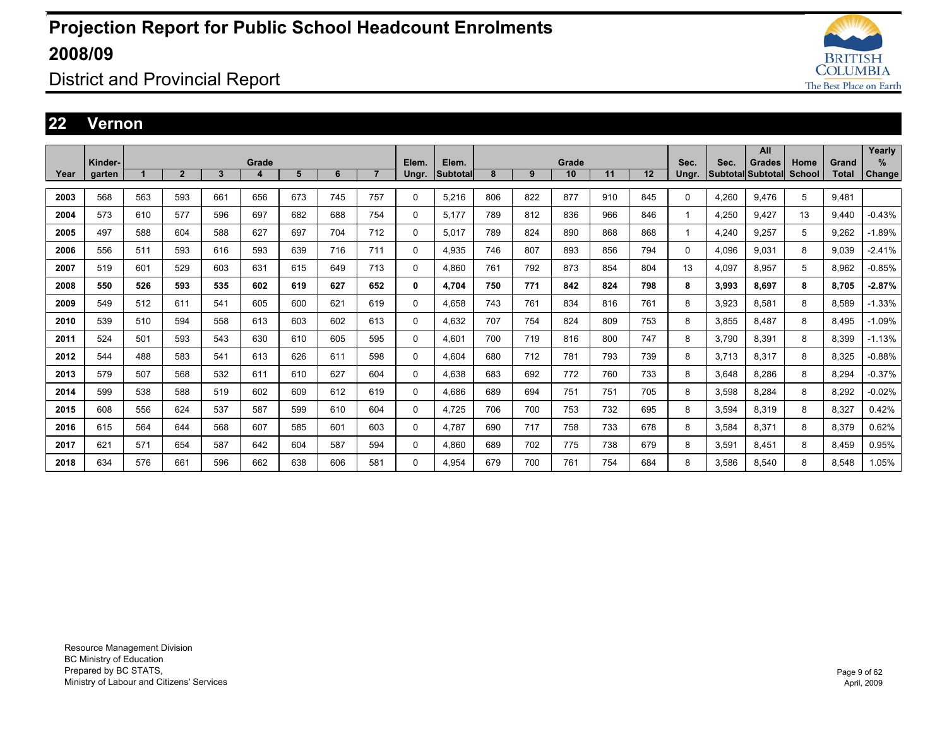

District and Provincial Report

#### **22 Vernon**

|      |         |     |                |     |       |     |     |     |              |                 |     |     |       |     |     |              |       | All               |        |              | Yearly        |
|------|---------|-----|----------------|-----|-------|-----|-----|-----|--------------|-----------------|-----|-----|-------|-----|-----|--------------|-------|-------------------|--------|--------------|---------------|
|      | Kinder- |     |                |     | Grade |     |     |     | Elem.        | Elem.           |     |     | Grade |     |     | Sec.         | Sec.  | Grades            | Home   | Grand        | $\%$          |
| Year | garten  |     | $\overline{2}$ | 3   | 4     | 5   | 6   |     | Ungr.        | <b>Subtotal</b> | 8   | 9   | 10    | 11  | 12  | Ungr.        |       | Subtotal Subtotal | School | <b>Total</b> | <b>Change</b> |
|      |         |     |                |     |       |     |     |     |              |                 |     |     |       |     |     |              |       |                   |        |              |               |
| 2003 | 568     | 563 | 593            | 661 | 656   | 673 | 745 | 757 | 0            | 5,216           | 806 | 822 | 877   | 910 | 845 | 0            | 4,260 | 9,476             | 5      | 9,481        |               |
| 2004 | 573     | 610 | 577            | 596 | 697   | 682 | 688 | 754 | 0            | 5,177           | 789 | 812 | 836   | 966 | 846 | $\mathbf{1}$ | 4,250 | 9.427             | 13     | 9.440        | $-0.43%$      |
| 2005 | 497     | 588 | 604            | 588 | 627   | 697 | 704 | 712 | 0            | 5,017           | 789 | 824 | 890   | 868 | 868 | $\mathbf{1}$ | 4,240 | 9,257             | 5      | 9,262        | $-1.89%$      |
| 2006 | 556     | 511 | 593            | 616 | 593   | 639 | 716 | 711 | 0            | 4,935           | 746 | 807 | 893   | 856 | 794 | 0            | 4,096 | 9,031             | 8      | 9.039        | $-2.41%$      |
| 2007 | 519     | 601 | 529            | 603 | 631   | 615 | 649 | 713 | 0            | 4.860           | 761 | 792 | 873   | 854 | 804 | 13           | 4,097 | 8.957             | 5      | 8,962        | $-0.85%$      |
| 2008 | 550     | 526 | 593            | 535 | 602   | 619 | 627 | 652 | $\mathbf{0}$ | 4.704           | 750 | 771 | 842   | 824 | 798 | 8            | 3,993 | 8.697             | 8      | 8.705        | $-2.87%$      |
| 2009 | 549     | 512 | 611            | 541 | 605   | 600 | 621 | 619 | 0            | 4.658           | 743 | 761 | 834   | 816 | 761 | 8            | 3,923 | 8,581             | 8      | 8.589        | $-1.33%$      |
| 2010 | 539     | 510 | 594            | 558 | 613   | 603 | 602 | 613 | 0            | 4,632           | 707 | 754 | 824   | 809 | 753 | 8            | 3,855 | 8,487             | 8      | 8.495        | $-1.09%$      |
| 2011 | 524     | 501 | 593            | 543 | 630   | 610 | 605 | 595 | 0            | 4.601           | 700 | 719 | 816   | 800 | 747 | 8            | 3.790 | 8,391             | 8      | 8.399        | $-1.13%$      |
| 2012 | 544     | 488 | 583            | 541 | 613   | 626 | 611 | 598 | 0            | 4.604           | 680 | 712 | 781   | 793 | 739 | 8            | 3.713 | 8,317             | 8      | 8.325        | $-0.88%$      |
| 2013 | 579     | 507 | 568            | 532 | 611   | 610 | 627 | 604 | 0            | 4.638           | 683 | 692 | 772   | 760 | 733 | 8            | 3.648 | 8,286             | 8      | 8.294        | $-0.37%$      |
| 2014 | 599     | 538 | 588            | 519 | 602   | 609 | 612 | 619 | 0            | 4.686           | 689 | 694 | 751   | 751 | 705 | 8            | 3.598 | 8.284             | 8      | 8.292        | $-0.02%$      |
| 2015 | 608     | 556 | 624            | 537 | 587   | 599 | 610 | 604 | 0            | 4,725           | 706 | 700 | 753   | 732 | 695 | 8            | 3,594 | 8,319             | 8      | 8,327        | 0.42%         |
| 2016 | 615     | 564 | 644            | 568 | 607   | 585 | 601 | 603 | 0            | 4.787           | 690 | 717 | 758   | 733 | 678 | 8            | 3,584 | 8,371             | 8      | 8,379        | 0.62%         |
| 2017 | 621     | 571 | 654            | 587 | 642   | 604 | 587 | 594 | 0            | 4,860           | 689 | 702 | 775   | 738 | 679 | 8            | 3,591 | 8,451             | 8      | 8.459        | 0.95%         |
| 2018 | 634     | 576 | 661            | 596 | 662   | 638 | 606 | 581 | 0            | 4.954           | 679 | 700 | 761   | 754 | 684 | 8            | 3.586 | 8.540             | 8      | 8.548        | 1.05%         |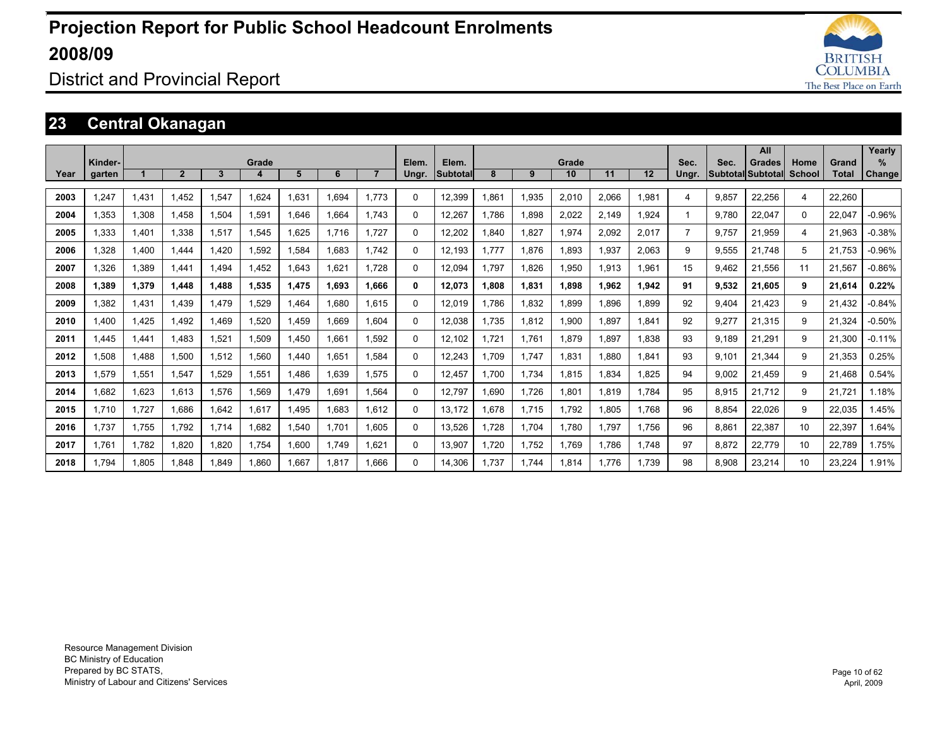

### District and Provincial Report

### **23 Central Okanagan**

|      |         |       |                |       |       |       |       |                |          |                 |       |       |       |       |       |                |                   | All           |          |        | Yearly   |
|------|---------|-------|----------------|-------|-------|-------|-------|----------------|----------|-----------------|-------|-------|-------|-------|-------|----------------|-------------------|---------------|----------|--------|----------|
|      | Kinder- |       |                |       | Grade |       |       |                | Elem.    | Elem.           |       |       | Grade |       |       | Sec.           | Sec.              | <b>Grades</b> | Home     | Grand  | $\%$     |
| Year | garten  |       | $\overline{2}$ | 3     | Δ     | 5     | 6     | $\overline{7}$ | Ungr.    | <b>Subtotal</b> | 8     | 9     | 10    | 11    | 12    | Ungr.          | Subtotal Subtotal |               | School   | Total  | Change   |
| 2003 | 1,247   | 1.431 | 1.452          | 1.547 | 1.624 | 1.631 | 1.694 | 1.773          | $\Omega$ | 12,399          | 1.861 | 1,935 | 2,010 | 2.066 | 1.981 | 4              | 9.857             | 22,256        | 4        | 22.260 |          |
| 2004 | 1.353   | 1,308 | 1.458          | 1,504 | 1,591 | 1.646 | 1.664 | 1.743          | 0        | 12,267          | 1.786 | 1,898 | 2,022 | 2.149 | 1.924 |                | 9.780             | 22,047        | $\Omega$ | 22.047 | $-0.96%$ |
| 2005 | 1.333   | 1.401 | 1.338          | 1,517 | 1.545 | 1.625 | 1.716 | 1.727          | 0        | 12,202          | 1.840 | 1.827 | 1.974 | 2.092 | 2.017 | $\overline{7}$ | 9.757             | 21.959        | 4        | 21.963 | $-0.38%$ |
| 2006 | 1.328   | 1.400 | 1.444          | 1.420 | .592  | 1.584 | 1.683 | 1.742          | $\Omega$ | 12.193          | 1.777 | 1.876 | 1.893 | 1.937 | 2.063 | 9              | 9.555             | 21.748        | 5        | 21.753 | $-0.96%$ |
| 2007 | 1.326   | 1,389 | 1.441          | 1.494 | 1.452 | 1,643 | 1.621 | 1.728          | 0        | 12.094          | 1.797 | 1,826 | 1,950 | 1,913 | 1.961 | 15             | 9.462             | 21.556        | 11       | 21.567 | $-0.86%$ |
| 2008 | 1.389   | 1,379 | 1.448          | 1.488 | 1,535 | 1.475 | 1.693 | 1.666          | 0        | 12.073          | 1.808 | 1,831 | 1.898 | 1.962 | 1.942 | 91             | 9.532             | 21.605        | 9        | 21.614 | 0.22%    |
| 2009 | 1,382   | 1,431 | 1.439          | 1.479 | ,529  | 1,464 | 1.680 | 1.615          | $\Omega$ | 12.019          | 1.786 | 1,832 | 1.899 | 1.896 | 1.899 | 92             | 9.404             | 21.423        | 9        | 21.432 | $-0.84%$ |
| 2010 | 1.400   | 1,425 | 1.492          | 1.469 | ,520  | 1,459 | 1.669 | 1.604          | $\Omega$ | 12,038          | 1.735 | 1,812 | 1,900 | 1.897 | 1,841 | 92             | 9,277             | 21,315        | 9        | 21,324 | $-0.50%$ |
| 2011 | 1.445   | 1,441 | 1.483          | 1,521 | 1,509 | 1.450 | 1.661 | 1.592          | 0        | 12.102          | 1.721 | 1.761 | 1.879 | 1.897 | 1.838 | 93             | 9.189             | 21.291        | 9        | 21,300 | $-0.11%$ |
| 2012 | 1,508   | 1.488 | 1,500          | 1,512 | 1,560 | 1,440 | 1,651 | 1.584          | $\Omega$ | 12,243          | 1.709 | 1,747 | 1,831 | 1.880 | 1,841 | 93             | 9,101             | 21,344        | 9        | 21,353 | 0.25%    |
| 2013 | 1,579   | 1,551 | 1,547          | 1,529 | 1,551 | 1,486 | 1,639 | 1.575          | $\Omega$ | 12,457          | 1.700 | 1,734 | 1,815 | 1,834 | 1.825 | 94             | 9,002             | 21,459        | 9        | 21,468 | 0.54%    |
| 2014 | 1.682   | 1,623 | 1.613          | 1,576 | 1,569 | 1,479 | 1.691 | 1.564          | 0        | 12.797          | 1.690 | 1.726 | 1.801 | 1.819 | 1.784 | 95             | 8,915             | 21.712        | 9        | 21.721 | 1.18%    |
| 2015 | 1.710   | 1.727 | 1,686          | 1,642 | 1,617 | 1,495 | 1,683 | 1.612          | 0        | 13,172          | 1,678 | 1,715 | 1,792 | 1,805 | 1.768 | 96             | 8,854             | 22,026        | 9        | 22,035 | .45%     |
| 2016 | 1.737   | 1,755 | 1,792          | 1.714 | 1,682 | 1,540 | 1.701 | 1,605          | $\Omega$ | 13,526          | 1,728 | 1,704 | 1,780 | 1.797 | 1.756 | 96             | 8,861             | 22,387        | 10       | 22,397 | 1.64%    |
| 2017 | 1.761   | 1.782 | 1,820          | 1.820 | 1.754 | 1,600 | 1.749 | 1.621          | 0        | 13,907          | 1.720 | 1.752 | 1.769 | 1.786 | 1.748 | 97             | 8,872             | 22,779        | 10       | 22.789 | 1.75%    |
| 2018 | 1.794   | 1.805 | 1.848          | 1.849 | 1.860 | 1.667 | 1.817 | 1.666          | $\Omega$ | 14.306          | 1.737 | 1.744 | 1.814 | 1.776 | 1.739 | 98             | 8.908             | 23.214        | 10       | 23.224 | 1.91%    |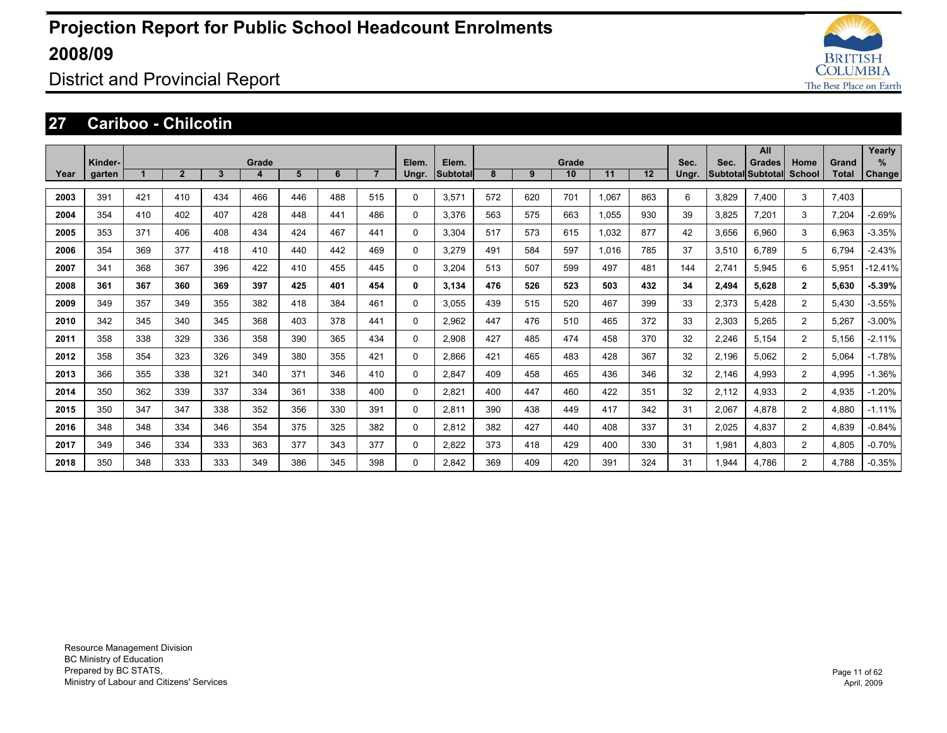

District and Provincial Report

#### **27 Cariboo - Chilcotin**

|      |                   |     |                |              |            |     |     |                |                |                   |     |     |             |       |     |               |       | All                                       |                |                | Yearly             |
|------|-------------------|-----|----------------|--------------|------------|-----|-----|----------------|----------------|-------------------|-----|-----|-------------|-------|-----|---------------|-------|-------------------------------------------|----------------|----------------|--------------------|
| Year | Kinder-<br>garten |     | $\overline{2}$ | $\mathbf{3}$ | Grade<br>4 | 5   | 6   | $\overline{7}$ | Elem.<br>Ungr. | Elem.<br>Subtotal | 8   | 9   | Grade<br>10 | 11    | 12  | Sec.<br>Ungr. | Sec.  | <b>Grades</b><br><b>Subtotal Subtotal</b> | Home<br>School | Grand<br>Total | %<br><b>Change</b> |
| 2003 | 391               | 421 | 410            | 434          | 466        | 446 | 488 | 515            | 0              | 3,571             | 572 | 620 | 701         | 1.067 | 863 | 6             | 3,829 | 7.400                                     | 3              | 7.403          |                    |
| 2004 | 354               | 410 | 402            | 407          | 428        | 448 | 441 | 486            | 0              | 3,376             | 563 | 575 | 663         | 1,055 | 930 | 39            | 3,825 | 7,201                                     | 3              | 7,204          | $-2.69%$           |
| 2005 | 353               | 371 | 406            | 408          | 434        | 424 | 467 | 441            | 0              | 3.304             | 517 | 573 | 615         | 1,032 | 877 | 42            | 3,656 | 6,960                                     | 3              | 6,963          | $-3.35%$           |
| 2006 | 354               | 369 | 377            | 418          | 410        | 440 | 442 | 469            | 0              | 3.279             | 491 | 584 | 597         | 1,016 | 785 | 37            | 3,510 | 6.789                                     | 5              | 6.794          | $-2.43%$           |
| 2007 | 341               | 368 | 367            | 396          | 422        | 410 | 455 | 445            | 0              | 3.204             | 513 | 507 | 599         | 497   | 481 | 144           | 2.741 | 5.945                                     | 6              | 5.951          | $-12.41%$          |
| 2008 | 361               | 367 | 360            | 369          | 397        | 425 | 401 | 454            | 0              | 3.134             | 476 | 526 | 523         | 503   | 432 | 34            | 2.494 | 5.628                                     | $\mathbf{2}$   | 5.630          | $-5.39%$           |
| 2009 | 349               | 357 | 349            | 355          | 382        | 418 | 384 | 461            | 0              | 3.055             | 439 | 515 | 520         | 467   | 399 | 33            | 2,373 | 5.428                                     | $\overline{2}$ | 5.430          | $-3.55%$           |
| 2010 | 342               | 345 | 340            | 345          | 368        | 403 | 378 | 441            | 0              | 2.962             | 447 | 476 | 510         | 465   | 372 | 33            | 2,303 | 5,265                                     | $\overline{2}$ | 5,267          | $-3.00%$           |
| 2011 | 358               | 338 | 329            | 336          | 358        | 390 | 365 | 434            | 0              | 2.908             | 427 | 485 | 474         | 458   | 370 | 32            | 2,246 | 5.154                                     | $\overline{2}$ | 5.156          | $-2.11%$           |
| 2012 | 358               | 354 | 323            | 326          | 349        | 380 | 355 | 421            | 0              | 2.866             | 421 | 465 | 483         | 428   | 367 | 32            | 2,196 | 5.062                                     | $\overline{2}$ | 5.064          | $-1.78%$           |
| 2013 | 366               | 355 | 338            | 321          | 340        | 371 | 346 | 410            | 0              | 2,847             | 409 | 458 | 465         | 436   | 346 | 32            | 2,146 | 4,993                                     | 2              | 4,995          | $-1.36%$           |
| 2014 | 350               | 362 | 339            | 337          | 334        | 361 | 338 | 400            | 0              | 2,821             | 400 | 447 | 460         | 422   | 351 | 32            | 2,112 | 4,933                                     | $\overline{2}$ | 4,935          | $-1.20%$           |
| 2015 | 350               | 347 | 347            | 338          | 352        | 356 | 330 | 391            | 0              | 2.811             | 390 | 438 | 449         | 417   | 342 | 31            | 2,067 | 4.878                                     | $\overline{2}$ | 4.880          | $-1.11%$           |
| 2016 | 348               | 348 | 334            | 346          | 354        | 375 | 325 | 382            | 0              | 2.812             | 382 | 427 | 440         | 408   | 337 | 31            | 2,025 | 4.837                                     | 2              | 4.839          | $-0.84%$           |
| 2017 | 349               | 346 | 334            | 333          | 363        | 377 | 343 | 377            | 0              | 2,822             | 373 | 418 | 429         | 400   | 330 | 31            | 1,981 | 4.803                                     | $\overline{c}$ | 4.805          | $-0.70%$           |
| 2018 | 350               | 348 | 333            | 333          | 349        | 386 | 345 | 398            | 0              | 2.842             | 369 | 409 | 420         | 391   | 324 | 31            | 1.944 | 4.786                                     | $\overline{c}$ | 4.788          | $-0.35%$           |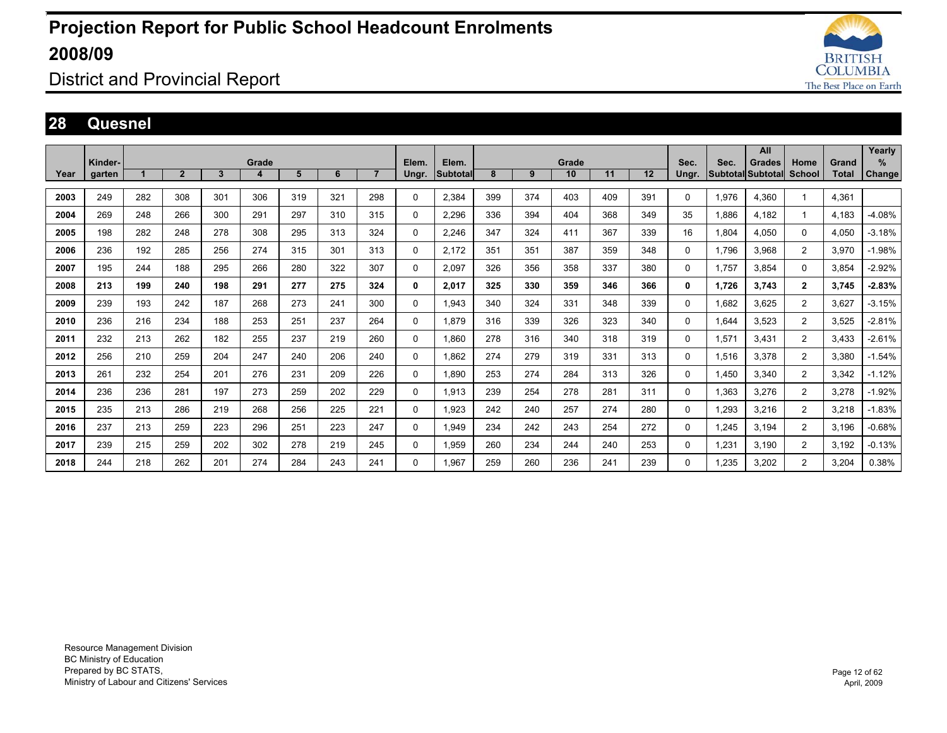

District and Provincial Report

#### **28 Quesnel**

|      |         |     |                |     |       |     |     |                |             |          |     |     |       |     |     |          |       | All                      |                |       | Yearly        |
|------|---------|-----|----------------|-----|-------|-----|-----|----------------|-------------|----------|-----|-----|-------|-----|-----|----------|-------|--------------------------|----------------|-------|---------------|
|      | Kinder- |     |                |     | Grade |     |     |                | Elem.       | Elem.    |     |     | Grade |     |     | Sec.     | Sec.  | <b>Grades</b>            | Home           | Grand | %             |
| Year | garten  |     | $\overline{2}$ | 3   | 4     | 5   | 6   | $\overline{7}$ | Ungr.       | Subtotal | 8   | 9   | 10    | 11  | 12  | Ungr.    |       | <b>Subtotal Subtotal</b> | School         | Total | <b>Change</b> |
|      |         | 282 |                |     | 306   |     |     |                |             |          |     |     |       |     |     |          |       |                          |                |       |               |
| 2003 | 249     |     | 308            | 301 |       | 319 | 321 | 298            | $\mathbf 0$ | 2,384    | 399 | 374 | 403   | 409 | 391 | 0        | 1,976 | 4,360                    |                | 4,361 |               |
| 2004 | 269     | 248 | 266            | 300 | 291   | 297 | 310 | 315            | $\mathbf 0$ | 2,296    | 336 | 394 | 404   | 368 | 349 | 35       | 1,886 | 4,182                    |                | 4,183 | $-4.08%$      |
| 2005 | 198     | 282 | 248            | 278 | 308   | 295 | 313 | 324            | $\mathbf 0$ | 2,246    | 347 | 324 | 411   | 367 | 339 | 16       | 1,804 | 4,050                    | $\Omega$       | 4,050 | $-3.18%$      |
| 2006 | 236     | 192 | 285            | 256 | 274   | 315 | 301 | 313            | $\Omega$    | 2,172    | 351 | 351 | 387   | 359 | 348 | 0        | 1,796 | 3,968                    | $\overline{2}$ | 3,970 | $-1.98%$      |
| 2007 | 195     | 244 | 188            | 295 | 266   | 280 | 322 | 307            | 0           | 2,097    | 326 | 356 | 358   | 337 | 380 | 0        | 1.757 | 3.854                    | 0              | 3,854 | $-2.92%$      |
| 2008 | 213     | 199 | 240            | 198 | 291   | 277 | 275 | 324            | 0           | 2,017    | 325 | 330 | 359   | 346 | 366 | 0        | 1,726 | 3.743                    | $\mathbf{2}$   | 3.745 | $-2.83%$      |
| 2009 | 239     | 193 | 242            | 187 | 268   | 273 | 241 | 300            | $\mathbf 0$ | 1.943    | 340 | 324 | 331   | 348 | 339 | 0        | 1.682 | 3.625                    | 2              | 3.627 | $-3.15%$      |
| 2010 | 236     | 216 | 234            | 188 | 253   | 251 | 237 | 264            | $\Omega$    | 1,879    | 316 | 339 | 326   | 323 | 340 | 0        | 1.644 | 3.523                    | $\overline{2}$ | 3.525 | $-2.81%$      |
| 2011 | 232     | 213 | 262            | 182 | 255   | 237 | 219 | 260            | $\Omega$    | 1.860    | 278 | 316 | 340   | 318 | 319 | 0        | 1.571 | 3.431                    | $\overline{2}$ | 3.433 | $-2.61%$      |
| 2012 | 256     | 210 | 259            | 204 | 247   | 240 | 206 | 240            | $\Omega$    | 1.862    | 274 | 279 | 319   | 331 | 313 | $\Omega$ | 1,516 | 3.378                    | 2              | 3.380 | $-1.54%$      |
| 2013 | 261     | 232 | 254            | 201 | 276   | 231 | 209 | 226            | 0           | 1,890    | 253 | 274 | 284   | 313 | 326 | 0        | 1,450 | 3,340                    | $\overline{2}$ | 3,342 | $-1.12%$      |
| 2014 | 236     | 236 | 281            | 197 | 273   | 259 | 202 | 229            | 0           | 1,913    | 239 | 254 | 278   | 281 | 311 | 0        | 1,363 | 3,276                    | $\overline{2}$ | 3,278 | $-1.92%$      |
| 2015 | 235     | 213 | 286            | 219 | 268   | 256 | 225 | 221            | 0           | 1.923    | 242 | 240 | 257   | 274 | 280 | 0        | 1.293 | 3.216                    | $\overline{2}$ | 3.218 | $-1.83%$      |
| 2016 | 237     | 213 | 259            | 223 | 296   | 251 | 223 | 247            | $\Omega$    | 1.949    | 234 | 242 | 243   | 254 | 272 | 0        | 1.245 | 3.194                    | $\overline{2}$ | 3.196 | $-0.68%$      |
| 2017 | 239     | 215 | 259            | 202 | 302   | 278 | 219 | 245            | $\Omega$    | 1.959    | 260 | 234 | 244   | 240 | 253 | 0        | 1,231 | 3.190                    | 2              | 3.192 | $-0.13%$      |
| 2018 | 244     | 218 | 262            | 201 | 274   | 284 | 243 | 241            | $\Omega$    | 1.967    | 259 | 260 | 236   | 241 | 239 | $\Omega$ | .235  | 3.202                    | 2              | 3,204 | 0.38%         |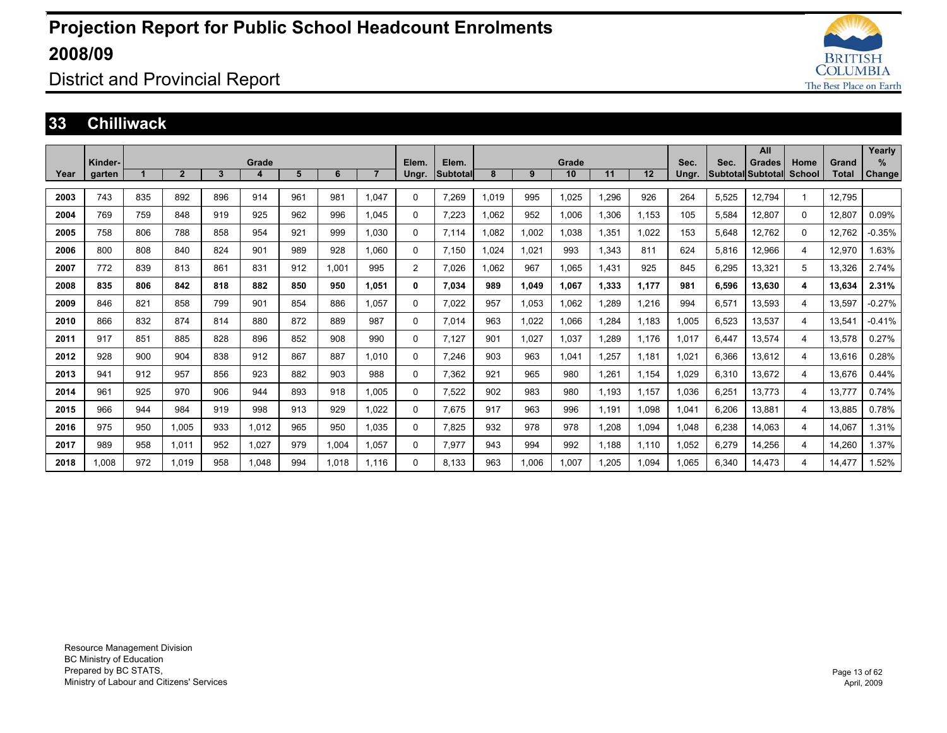

### District and Provincial Report

#### **33 Chilliwack**

|      |         |     |                |              |       |     |       |                |       |                 |       |       |       |       |       |       |       | All               |        |              | Yearly        |
|------|---------|-----|----------------|--------------|-------|-----|-------|----------------|-------|-----------------|-------|-------|-------|-------|-------|-------|-------|-------------------|--------|--------------|---------------|
|      | Kinder- |     |                |              | Grade |     |       |                | Elem. | Elem.           |       |       | Grade |       |       | Sec.  | Sec.  | Grades            | Home   | Grand        | $\%$          |
| Year | garten  |     | $\overline{2}$ | $\mathbf{3}$ | 4     | 5   | 6     | $\overline{7}$ | Ungr. | <b>Subtotal</b> | 8     | 9     | 10    | 11    | 12    | Ungr. |       | Subtotal Subtotal | School | <b>Total</b> | <b>Change</b> |
|      |         |     |                |              |       |     |       |                |       |                 |       |       |       |       |       |       |       |                   |        |              |               |
| 2003 | 743     | 835 | 892            | 896          | 914   | 961 | 981   | 1.047          | 0     | 7,269           | 1,019 | 995   | 1,025 | 1,296 | 926   | 264   | 5,525 | 12,794            | 1      | 12,795       |               |
| 2004 | 769     | 759 | 848            | 919          | 925   | 962 | 996   | 1.045          | 0     | 7,223           | 1,062 | 952   | 1.006 | 1,306 | 1.153 | 105   | 5,584 | 12,807            | 0      | 12,807       | 0.09%         |
| 2005 | 758     | 806 | 788            | 858          | 954   | 921 | 999   | 1.030          | 0     | 7.114           | 1.082 | 1,002 | 1.038 | 1,351 | 1.022 | 153   | 5,648 | 12,762            | 0      | 12.762       | $-0.35%$      |
| 2006 | 800     | 808 | 840            | 824          | 901   | 989 | 928   | 1.060          | 0     | 7.150           | 1.024 | 1.021 | 993   | 1,343 | 811   | 624   | 5,816 | 12,966            | 4      | 12.970       | 1.63%         |
| 2007 | 772     | 839 | 813            | 861          | 831   | 912 | 1,001 | 995            | 2     | 7.026           | 1.062 | 967   | 1.065 | 1,431 | 925   | 845   | 6,295 | 13,321            | 5      | 13.326       | 2.74%         |
| 2008 | 835     | 806 | 842            | 818          | 882   | 850 | 950   | 1,051          | 0     | 7.034           | 989   | 1.049 | 1,067 | 1,333 | 1,177 | 981   | 6,596 | 13,630            | 4      | 13,634       | 2.31%         |
| 2009 | 846     | 821 | 858            | 799          | 901   | 854 | 886   | 1.057          | 0     | 7.022           | 957   | 1,053 | 1.062 | 1,289 | 1.216 | 994   | 6,571 | 13.593            | 4      | 13.597       | $-0.27%$      |
| 2010 | 866     | 832 | 874            | 814          | 880   | 872 | 889   | 987            | 0     | 7.014           | 963   | 1.022 | 1.066 | 1.284 | 1.183 | 1.005 | 6,523 | 13,537            | 4      | 13.541       | $-0.41%$      |
| 2011 | 917     | 851 | 885            | 828          | 896   | 852 | 908   | 990            | 0     | 7.127           | 901   | 1.027 | 1.037 | .289  | 1.176 | 1.017 | 6.447 | 13.574            | 4      | 13.578       | 0.27%         |
| 2012 | 928     | 900 | 904            | 838          | 912   | 867 | 887   | 1.010          | 0     | 7,246           | 903   | 963   | 1.041 | 1,257 | 1,181 | 1,021 | 6,366 | 13,612            | 4      | 13,616       | 0.28%         |
| 2013 | 941     | 912 | 957            | 856          | 923   | 882 | 903   | 988            | 0     | 7,362           | 921   | 965   | 980   | 1.261 | 1.154 | 0.029 | 6,310 | 13,672            | 4      | 13.676       | 0.44%         |
| 2014 | 961     | 925 | 970            | 906          | 944   | 893 | 918   | 1.005          | 0     | 7,522           | 902   | 983   | 980   | 1.193 | 1,157 | 1,036 | 6,251 | 13.773            | 4      | 13.777       | 0.74%         |
| 2015 | 966     | 944 | 984            | 919          | 998   | 913 | 929   | 1,022          | 0     | 7,675           | 917   | 963   | 996   | 1,191 | 1,098 | 1,041 | 6,206 | 13,881            | 4      | 13,885       | 0.78%         |
| 2016 | 975     | 950 | 1,005          | 933          | 1,012 | 965 | 950   | 1.035          | 0     | 7,825           | 932   | 978   | 978   | 1,208 | 1,094 | 1,048 | 6,238 | 14,063            | 4      | 14,067       | 1.31%         |
| 2017 | 989     | 958 | 1.011          | 952          | 1,027 | 979 | 1,004 | 1,057          | 0     | 7,977           | 943   | 994   | 992   | 1,188 | 1.110 | 1,052 | 6,279 | 14,256            | 4      | 14,260       | 1.37%         |
| 2018 | 1.008   | 972 | 1.019          | 958          | 1.048 | 994 | 1.018 | 1.116          | 0     | 8.133           | 963   | 1.006 | 1.007 | .205  | 1.094 | .065  | 6,340 | 14.473            | 4      | 14,477       | .52%          |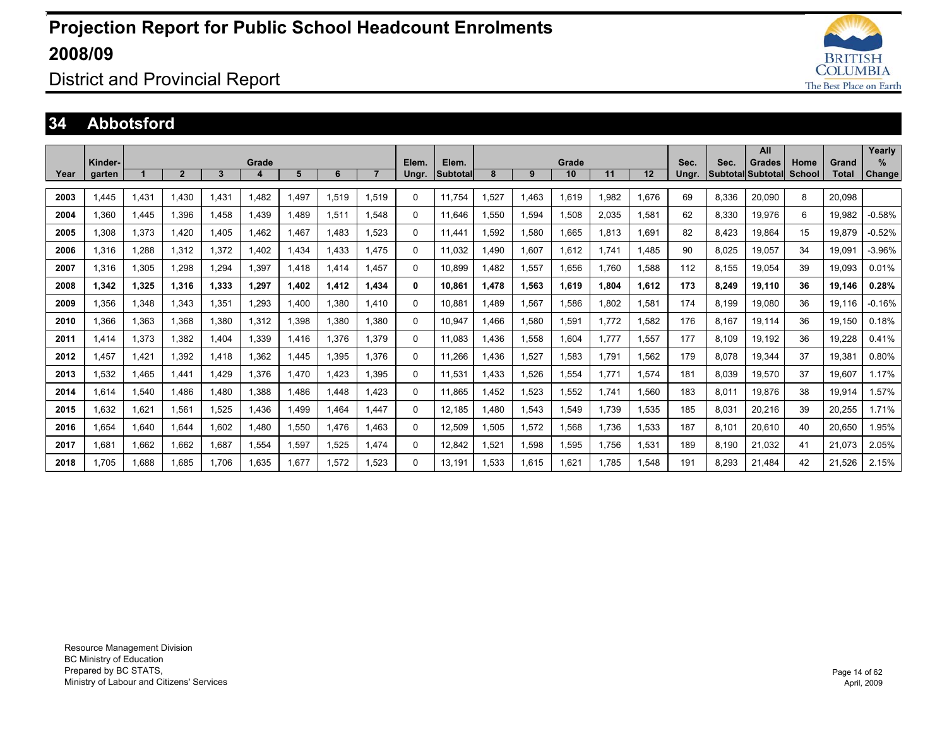

### District and Provincial Report

#### **34 Abbotsford**

|      |         |       |                |       |       |              |       |                |       |          |       |       |       |       |       |       |                          | All           |        |        | Yearly        |
|------|---------|-------|----------------|-------|-------|--------------|-------|----------------|-------|----------|-------|-------|-------|-------|-------|-------|--------------------------|---------------|--------|--------|---------------|
|      | Kinder- |       |                |       | Grade |              |       |                | Elem. | Elem.    |       |       | Grade |       |       | Sec.  | Sec.                     | <b>Grades</b> | Home   | Grand  | $\%$          |
| Year | garten  |       | $\overline{2}$ | 3     | 4     | 5            | 6     | $\overline{7}$ | Ungr. | Subtotal | 8     | 9     | 10    | 11    | 12    | Ungr. | <b>Subtotal Subtotal</b> |               | School | Total  | <b>Change</b> |
| 2003 | 1.445   | 1,431 | 1.430          | .431  | 1.482 | 1,497        | 1,519 | 1.519          | 0     | 11.754   | 1,527 | 1.463 | 1.619 | 1,982 | 1.676 | 69    | 8,336                    | 20,090        | 8      | 20.098 |               |
|      |         |       |                |       |       |              |       |                |       |          |       |       |       |       |       |       |                          |               |        |        |               |
| 2004 | 1.360   | 1.445 | 1.396          | .458  | 1.439 | 1.489        | 1.511 | .548           | 0     | 11.646   | 1.550 | 1,594 | 1.508 | 2,035 | 1.581 | 62    | 8,330                    | 19,976        | 6      | 19.982 | $-0.58%$      |
| 2005 | 1,308   | 1,373 | 1,420          | .405  | 1.462 | 1,467        | 1.483 | .523           | 0     | 11.441   | 1,592 | 1,580 | 1,665 | 1,813 | 1.691 | 82    | 8,423                    | 19.864        | 15     | 19.879 | $-0.52%$      |
| 2006 | 1.316   | 1,288 | 1,312          | 1,372 | 1.402 | 1,434        | 1,433 | 1.475          | 0     | 11.032   | 1,490 | 1,607 | 1.612 | 1.741 | 1.485 | 90    | 8,025                    | 19,057        | 34     | 19,091 | $-3.96%$      |
| 2007 | 1.316   | 1.305 | 1.298          | .294  | 1.397 | 1.418        | 1.414 | 1.457          | 0     | 10.899   | 1.482 | 1,557 | 1.656 | 1.760 | 1.588 | 112   | 8.155                    | 19.054        | 39     | 19.093 | 0.01%         |
| 2008 | 1.342   | 1,325 | 1,316          | 1,333 | 1,297 | 1,402        | 1,412 | 1,434          | 0     | 10,861   | 1,478 | 1,563 | 1,619 | 1,804 | 1,612 | 173   | 8,249                    | 19,110        | 36     | 19,146 | 0.28%         |
| 2009 | 1.356   | 1.348 | 1.343          | 1.351 | 1.293 | 1.400        | 1.380 | 1.410          | 0     | 10.881   | 1.489 | 1.567 | 1.586 | 1.802 | 1.581 | 174   | 8.199                    | 19.080        | 36     | 19.116 | $-0.16%$      |
| 2010 | 1.366   | 1,363 | 1.368          | .380  | 1,312 | 1.398        | 1.380 | 1.380          | 0     | 10.947   | 1.466 | 1.580 | 1.591 | 1.772 | 1,582 | 176   | 8.167                    | 19.114        | 36     | 19.150 | 0.18%         |
| 2011 | 1.414   | 1.373 | 1.382          | .404  | 1.339 | 1.416        | 1.376 | 1.379          | 0     | 11.083   | .436  | 1.558 | 1.604 | 1.777 | 1,557 | 177   | 8.109                    | 19.192        | 36     | 19.228 | 0.41%         |
| 2012 | .457    | 1,421 | 1.392          | 1.418 | 1,362 | .445         | 1.395 | 1.376          | 0     | 11.266   | 1.436 | 1,527 | 1.583 | 1.791 | .562  | 179   | 8,078                    | 19.344        | 37     | 19.381 | 0.80%         |
| 2013 | 1.532   | 1,465 | 1.441          | .429  | 1.376 | <b>1.470</b> | 1.423 | 1.395          | 0     | 11.531   | 1.433 | 1,526 | 1.554 | 1.771 | 1,574 | 181   | 8,039                    | 19,570        | 37     | 19.607 | 1.17%         |
| 2014 | 1.614   | 1.540 | 1.486          | .480  | 1.388 | .486         | .448  | 1.423          | 0     | 11.865   | .452  | 1,523 | 1.552 | 1.741 | .560  | 183   | 8.011                    | 19.876        | 38     | 19.914 | 1.57%         |
| 2015 | .632    | 1,621 | 1.561          | .525  | 1.436 | ,499         | .464  | .447           | 0     | 12.185   | .480  | 1,543 | 1.549 | 1.739 | 1,535 | 185   | 8,031                    | 20,216        | 39     | 20,255 | 1.71%         |
| 2016 | 1.654   | 1.640 | 1.644          | .602  | 1.480 | 1,550        | 1.476 | 1.463          | 0     | 12,509   | 1,505 | 1,572 | 1.568 | 1.736 | 1,533 | 187   | 8.101                    | 20.610        | 40     | 20,650 | 1.95%         |
| 2017 | 1.681   | 1,662 | 1,662          | .687  | 1,554 | 1,597        | 1,525 | 1.474          | 0     | 12,842   | 1,521 | 1,598 | 1,595 | 1.756 | 1,531 | 189   | 8,190                    | 21,032        | 41     | 21,073 | 2.05%         |
| 2018 | 1.705   | 1.688 | 1.685          | 1.706 | 1.635 | 1.677        | 1.572 | .523           | 0     | 13.191   | 1.533 | 1.615 | 1.621 | 1.785 | .548  | 191   | 8.293                    | 21.484        | 42     | 21,526 | 2.15%         |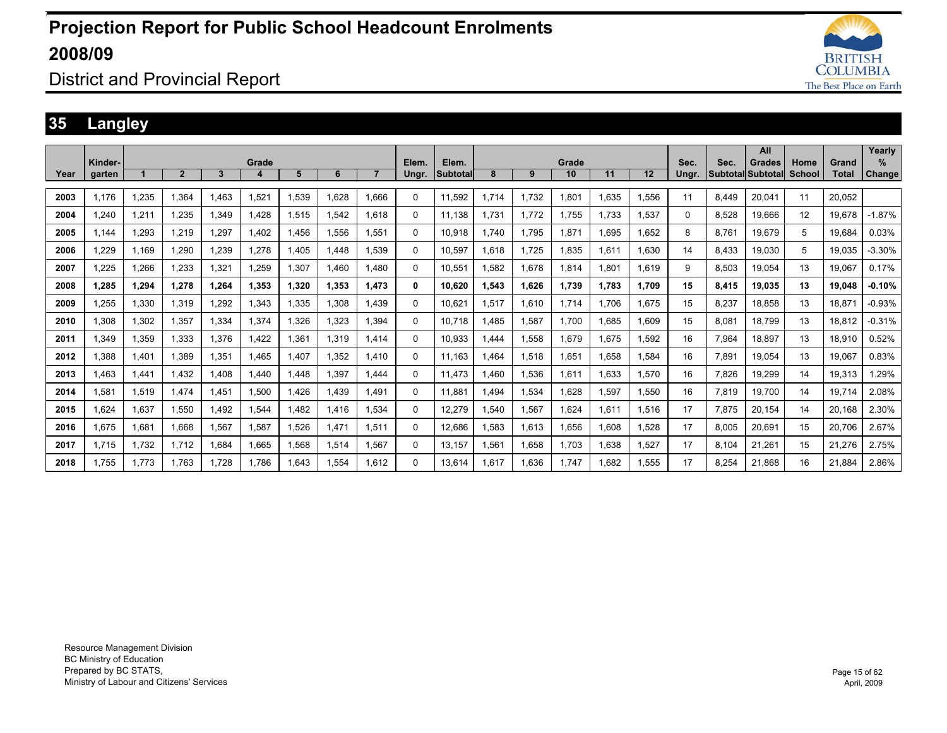

### District and Provincial Report

### **35 Langley**

|      |         |       |                |             |       |       |       |       |       |                 |       |       |       |       |       |       |       | All               |        |              | Yearly   |
|------|---------|-------|----------------|-------------|-------|-------|-------|-------|-------|-----------------|-------|-------|-------|-------|-------|-------|-------|-------------------|--------|--------------|----------|
|      | Kinder- |       |                |             | Grade |       |       |       | Elem. | Elem.           |       |       | Grade |       |       | Sec.  | Sec.  | Grades            | Home   | Grand        | %        |
| Year | garten  |       | $\overline{2}$ | 3           | 4     | 5     | 6     |       | Ungr. | <b>Subtotal</b> | 8     | 9     | 10    | 11    | 12    | Ungr. |       | Subtotal Subtotal | School | <b>Total</b> | Change   |
|      |         |       |                |             |       |       |       |       |       |                 |       |       |       |       |       |       |       |                   |        |              |          |
| 2003 | 1,176   | 1,235 | 1,364          | <b>.463</b> | 1,521 | .539  | 1,628 | 1,666 | 0     | 11,592          | 1,714 | 1,732 | 1,801 | 1,635 | 1,556 | 11    | 8,449 | 20,041            | 11     | 20,052       |          |
| 2004 | 1,240   | 1,211 | 1.235          | 1.349       | 1.428 | 1,515 | 1,542 | 1.618 | 0     | 11.138          | 1.731 | 1.772 | 1.755 | 1,733 | 1.537 | 0     | 8.528 | 19,666            | 12     | 19.678       | $-1.87%$ |
| 2005 | 1.144   | 1.293 | 1.219          | 1.297       | 1.402 | 1.456 | 1.556 | 1,551 | 0     | 10.918          | 1.740 | 1.795 | 1.871 | 1,695 | 1.652 | 8     | 8.761 | 19.679            | 5      | 19.684       | 0.03%    |
| 2006 | 1,229   | 1,169 | 1,290          | 1,239       | 1,278 | .405  | 1.448 | 1,539 | 0     | 10,597          | .618  | 1,725 | 1,835 | 1,611 | 1,630 | 14    | 8.433 | 19,030            | 5      | 19,035       | $-3.30%$ |
| 2007 | 1,225   | 1,266 | 1.233          | 1.321       | 1.259 | .307  | 1.460 | 1.480 | 0     | 10.551          | .582  | 1.678 | 1.814 | 1.801 | 1.619 | 9     | 8.503 | 19.054            | 13     | 19.067       | 0.17%    |
| 2008 | 1,285   | 1,294 | 1,278          | 1,264       | 1,353 | 1,320 | 1,353 | 1,473 | 0     | 10,620          | 1,543 | 1,626 | 1,739 | 1,783 | 1.709 | 15    | 8,415 | 19,035            | 13     | 19.048       | $-0.10%$ |
| 2009 | 1.255   | 1,330 | 1.319          | 1.292       | 1.343 | .335  | 1.308 | 1.439 | 0     | 10.621          | 1.517 | 1.610 | 1,714 | 1.706 | 1.675 | 15    | 8.237 | 18.858            | 13     | 18.871       | $-0.93%$ |
| 2010 | 1,308   | 1,302 | 1,357          | 1,334       | 1,374 | .326  | 1,323 | 1,394 | 0     | 10.718          | .485  | 1,587 | 1,700 | 1,685 | 1,609 | 15    | 8,081 | 18,799            | 13     | 18,812       | $-0.31%$ |
| 2011 | 1,349   | 1,359 | 1,333          | 1.376       | 1,422 | .361  | 1,319 | 1.414 | 0     | 10.933          | .444  | 1,558 | 1,679 | 1,675 | 1,592 | 16    | 7,964 | 18.897            | 13     | 18.910       | 0.52%    |
| 2012 | 1.388   | 1.401 | 1.389          | 1.351       | 1.465 | .407  | 1,352 | 1.410 | 0     | 11.163          | .464  | 1,518 | 1.651 | 1.658 | 1.584 | 16    | 7.891 | 19.054            | 13     | 19.067       | 0.83%    |
| 2013 | 1.463   | 1,441 | 1,432          | .408        | 1,440 | ,448  | 1,397 | 1.444 | 0     | 11.473          | .460  | 1,536 | 1,611 | 1,633 | 1,570 | 16    | 7,826 | 19,299            | 14     | 19,313       | .29%     |
| 2014 | 1.581   | 1,519 | 1.474          | l.451       | 1,500 | ,426  | 1.439 | 1.491 | 0     | 11.881          | .494  | 1,534 | 1,628 | 1,597 | 1.550 | 16    | 7,819 | 19,700            | 14     | 19,714       | 2.08%    |
| 2015 | 1,624   | 1,637 | 1,550          | <b>.492</b> | 1,544 | ,482  | 1.416 | 1,534 | 0     | 12,279          | .540  | 1,567 | 1,624 | 1,611 | 1,516 | 17    | 7,875 | 20,154            | 14     | 20,168       | 2.30%    |
| 2016 | 1,675   | 1,681 | 1,668          | 1,567       | 1,587 | .526  | 1.471 | 1,511 | 0     | 12,686          | .583  | 1,613 | 1,656 | 1,608 | 1,528 | 17    | 8,005 | 20,691            | 15     | 20,706       | 2.67%    |
| 2017 | 1.715   | 1,732 | 1,712          | 1,684       | 1,665 | .568  | 1,514 | 1,567 | 0     | 13,157          | .561  | 1,658 | 1,703 | 1,638 | 1,527 | 17    | 8.104 | 21,261            | 15     | 21,276       | 2.75%    |
| 2018 | 1.755   | 1.773 | 1.763          | 1.728       | 1.786 | .643  | 1,554 | 1,612 | 0     | 13.614          | .617  | 1.636 | 1.747 | 1.682 | 1.555 | 17    | 8.254 | 21.868            | 16     | 21.884       | 2.86%    |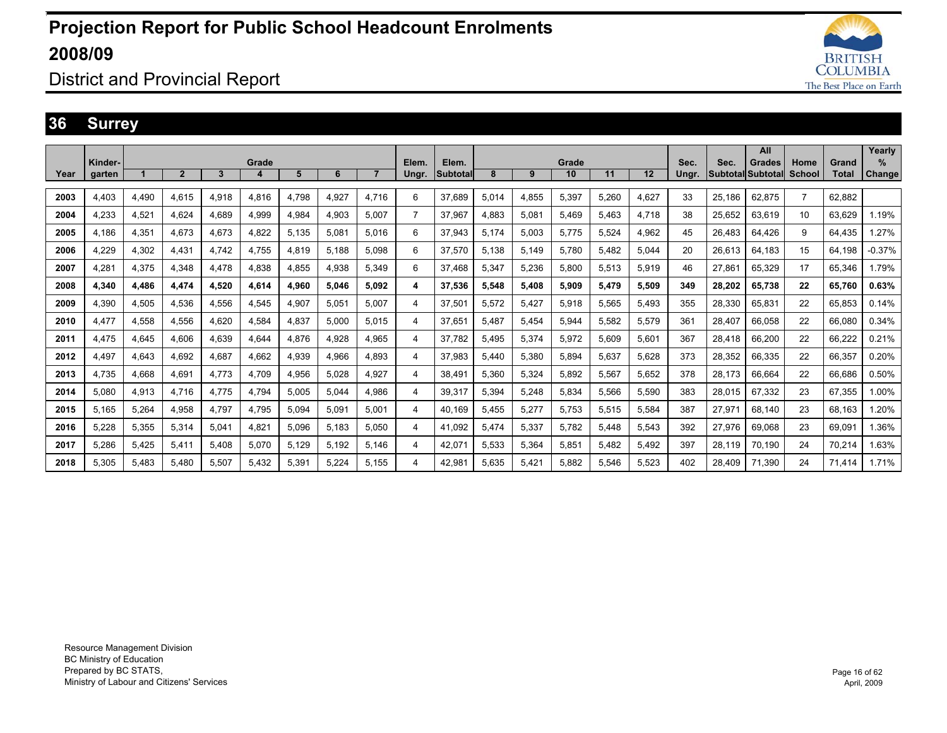

### District and Provincial Report

#### **36 Surrey**

|      |         |       |              |       |       |       |       |                |                |                 |       |       |       |       |       |       |                   | All           |                |        | Yearly   |
|------|---------|-------|--------------|-------|-------|-------|-------|----------------|----------------|-----------------|-------|-------|-------|-------|-------|-------|-------------------|---------------|----------------|--------|----------|
|      | Kinder- |       |              |       | Grade |       |       |                | Elem.          | Elem.           |       |       | Grade |       |       | Sec.  | Sec.              | <b>Grades</b> | Home           | Grand  | $\%$     |
| Year | garten  |       | $\mathbf{2}$ | 3     | 4     | 5     | 6     | $\overline{7}$ | Ungr.          | <b>Subtotal</b> | 8     | 9     | 10    | 11    | 12    | Ungr. | Subtotal Subtotal |               | School         | Total  | Change   |
| 2003 | 4,403   | 4,490 | 4.615        | 4,918 | 4,816 | 4,798 | 4,927 | 4.716          | 6              | 37,689          | 5,014 | 4,855 | 5,397 | 5.260 | 4,627 | 33    | 25,186            | 62,875        | $\overline{7}$ | 62.882 |          |
|      |         |       |              |       |       |       |       |                |                |                 |       |       |       |       |       |       |                   |               |                |        |          |
| 2004 | 4.233   | 4,521 | 4.624        | 4.689 | 4,999 | 4,984 | 4,903 | 5.007          | $\overline{7}$ | 37,967          | 4,883 | 5,081 | 5.469 | 5,463 | 4,718 | 38    | 25.652            | 63,619        | 10             | 63.629 | 1.19%    |
| 2005 | 4.186   | 4,351 | 4.673        | 4.673 | 4,822 | 5.135 | 5,081 | 5.016          | 6              | 37,943          | 5.174 | 5,003 | 5.775 | 5.524 | 4,962 | 45    | 26.483            | 64.426        | 9              | 64.435 | 1.27%    |
| 2006 | 4.229   | 4,302 | 4.431        | 4.742 | 4.755 | 4.819 | 5.188 | 5.098          | 6              | 37.570          | 5.138 | 5,149 | 5.780 | 5.482 | 5.044 | 20    | 26.613            | 64.183        | 15             | 64.198 | $-0.37%$ |
| 2007 | 4.281   | 4.375 | 4,348        | 4.478 | 4,838 | 4,855 | 4,938 | 5,349          | 6              | 37.468          | 5,347 | 5,236 | 5,800 | 5,513 | 5,919 | 46    | 27.861            | 65,329        | 17             | 65.346 | 1.79%    |
| 2008 | 4.340   | 4,486 | 4,474        | 4.520 | 4,614 | 4,960 | 5.046 | 5,092          | 4              | 37,536          | 5,548 | 5,408 | 5,909 | 5,479 | 5,509 | 349   | 28,202            | 65,738        | 22             | 65.760 | 0.63%    |
| 2009 | 4.390   | 4.505 | 4.536        | 4.556 | 4,545 | 4.907 | 5.051 | 5.007          | 4              | 37.501          | 5.572 | 5.427 | 5.918 | 5.565 | 5.493 | 355   | 28.330            | 65.831        | 22             | 65.853 | 0.14%    |
| 2010 | 4.477   | 4.558 | 4.556        | 4.620 | 4.584 | 4.837 | 5.000 | 5.015          | 4              | 37.651          | 5.487 | 5.454 | 5.944 | 5.582 | 5.579 | 361   | 28.407            | 66.058        | 22             | 66.080 | 0.34%    |
| 2011 | 4.475   | 4.645 | 4.606        | 4.639 | 4.644 | 4.876 | 4.928 | 4.965          | 4              | 37.782          | 5.495 | 5,374 | 5.972 | 5.609 | 5.601 | 367   | 28.418            | 66.200        | 22             | 66.222 | 0.21%    |
| 2012 | 4.497   | 4,643 | 4,692        | 4.687 | 4,662 | 4,939 | 4,966 | 4.893          | 4              | 37,983          | 5.440 | 5,380 | 5,894 | 5.637 | 5.628 | 373   | 28,352            | 66,335        | 22             | 66,357 | 0.20%    |
| 2013 | 4.735   | 4,668 | 4.691        | 4.773 | 4.709 | 4,956 | 5.028 | 4.927          | 4              | 38.491          | 5.360 | 5,324 | 5.892 | 5,567 | 5.652 | 378   | 28.173            | 66.664        | 22             | 66.686 | 0.50%    |
| 2014 | 5.080   | 4,913 | 4.716        | 4.775 | 4.794 | 5,005 | 5.044 | 4.986          | 4              | 39,317          | 5.394 | 5,248 | 5.834 | 5,566 | 5,590 | 383   | 28,015            | 67.332        | 23             | 67,355 | 1.00%    |
| 2015 | 5.165   | 5,264 | 4,958        | 4.797 | 4,795 | 5,094 | 5,091 | 5,001          | 4              | 40.169          | 5,455 | 5,277 | 5,753 | 5,515 | 5,584 | 387   | 27,971            | 68,140        | 23             | 68.163 | .20%     |
| 2016 | 5,228   | 5,355 | 5,314        | 5.041 | 4,821 | 5,096 | 5,183 | 5.050          | 4              | 41,092          | 5.474 | 5,337 | 5,782 | 5,448 | 5,543 | 392   | 27,976            | 69,068        | 23             | 69,091 | 1.36%    |
| 2017 | 5.286   | 5,425 | 5.411        | 5.408 | 5,070 | 5,129 | 5,192 | 5.146          | 4              | 42,071          | 5,533 | 5,364 | 5,851 | 5,482 | 5.492 | 397   | 28,119            | 70,190        | 24             | 70,214 | 1.63%    |
| 2018 | 5.305   | 5.483 | 5.480        | 5.507 | 5.432 | 5,391 | 5.224 | 5.155          | 4              | 42.981          | 5.635 | 5.421 | 5.882 | 5.546 | 5.523 | 402   | 28.409            | 71.390        | 24             | 71.414 | 1.71%    |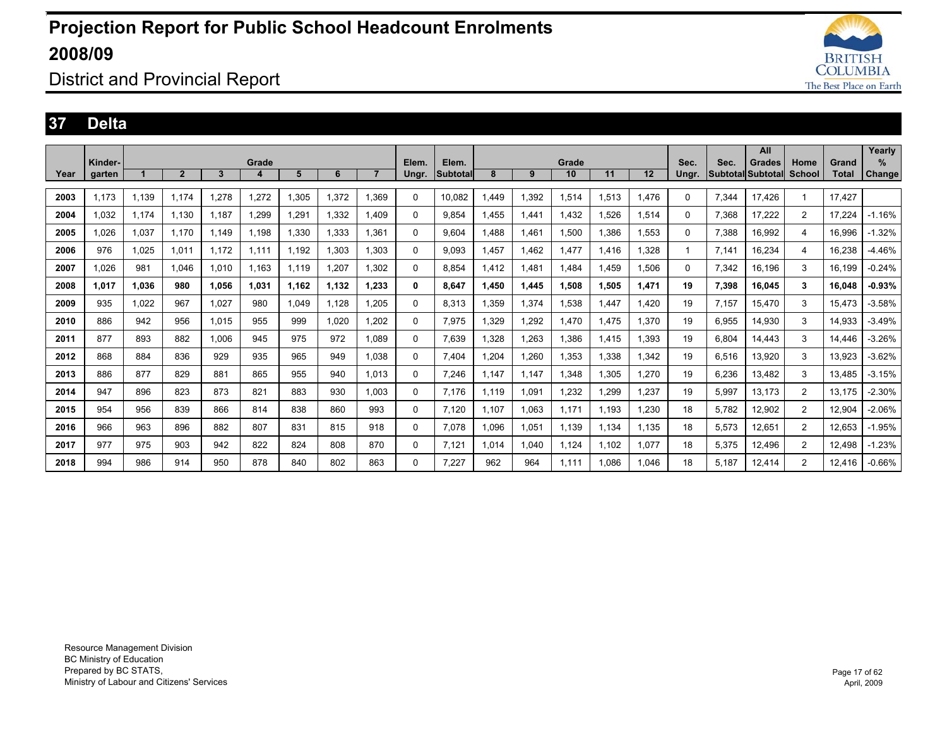

### District and Provincial Report

#### **37 Delta**

|      |         |       |                |       |       |       |       |       |             |          |       |       |       |       |       |       |       | All                      |                |        | Yearly              |
|------|---------|-------|----------------|-------|-------|-------|-------|-------|-------------|----------|-------|-------|-------|-------|-------|-------|-------|--------------------------|----------------|--------|---------------------|
|      | Kinder- |       |                |       | Grade |       |       |       | Elem.       | Elem.    |       |       | Grade |       |       | Sec.  | Sec.  | Grades                   | Home           | Grand  | $\%$                |
| Year | garten  |       | $\overline{2}$ | 3     | 4     | 5     | 6     |       | Ungr.       | Subtotal | 8     | 9     | 10    | 11    | 12    | Ungr. |       | <b>SubtotallSubtotal</b> | School         | Total  | Change <sup>®</sup> |
|      |         |       |                |       |       |       |       |       |             |          |       |       |       |       |       |       |       |                          |                |        |                     |
| 2003 | 1,173   | 1,139 | 1.174          | 1,278 | 1,272 | 1,305 | 1,372 | 1.369 | 0           | 10,082   | 1.449 | 1,392 | 1,514 | 1,513 | .476  | 0     | 7,344 | 17,426                   |                | 17.427 |                     |
| 2004 | 1.032   | 1,174 | 1.130          | 1.187 | .299  | 1.291 | 1,332 | 1.409 | 0           | 9.854    | 1.455 | 1,441 | 1.432 | 1,526 | 1,514 | 0     | 7,368 | 17,222                   | $\overline{2}$ | 17.224 | $-1.16%$            |
| 2005 | 1,026   | 1,037 | 1,170          | 1,149 | 1,198 | 1,330 | 1,333 | 1,361 | $\Omega$    | 9,604    | 1,488 | 1,461 | 1,500 | 1,386 | 1,553 | 0     | 7,388 | 16,992                   | 4              | 16,996 | $-1.32%$            |
| 2006 | 976     | 1,025 | 1,011          | 1,172 | 1.111 | 1.192 | 1,303 | 1,303 | $\mathbf 0$ | 9,093    | .457  | 1,462 | 1,477 | 1,416 | 1,328 |       | 7,141 | 16,234                   | 4              | 16,238 | $-4.46%$            |
| 2007 | 1.026   | 981   | 1.046          | 1,010 | 1.163 | 1.119 | 1.207 | 1.302 | 0           | 8.854    | 1.412 | 1.481 | 1.484 | 1.459 | 1,506 | 0     | 7,342 | 16.196                   | 3              | 16.199 | $-0.24%$            |
| 2008 | 1.017   | 1.036 | 980            | 1,056 | 1.031 | 1.162 | 1,132 | 1.233 | 0           | 8.647    | 1.450 | 1,445 | 1,508 | 1.505 | 1.471 | 19    | 7,398 | 16.045                   | 3              | 16.048 | $-0.93%$            |
| 2009 | 935     | 1,022 | 967            | 1,027 | 980   | 1,049 | 1,128 | 1,205 | $\mathbf 0$ | 8,313    | 1,359 | 1,374 | 1,538 | 1,447 | 1.420 | 19    | 7,157 | 15,470                   | 3              | 15,473 | $-3.58%$            |
| 2010 | 886     | 942   | 956            | 1,015 | 955   | 999   | 1,020 | 1,202 | 0           | 7,975    | 1.329 | 1,292 | 1,470 | 1,475 | 1,370 | 19    | 6,955 | 14,930                   | 3              | 14,933 | $-3.49%$            |
| 2011 | 877     | 893   | 882            | 1,006 | 945   | 975   | 972   | 1.089 | $\Omega$    | 7,639    | 1.328 | 1,263 | 1,386 | 1,415 | 1,393 | 19    | 6.804 | 14.443                   | 3              | 14.446 | $-3.26%$            |
| 2012 | 868     | 884   | 836            | 929   | 935   | 965   | 949   | 1.038 | $\Omega$    | 7.404    | .204  | 1.260 | 1,353 | 1.338 | 1,342 | 19    | 6.516 | 13.920                   | 3              | 13.923 | $-3.62%$            |
| 2013 | 886     | 877   | 829            | 881   | 865   | 955   | 940   | 1.013 | $\Omega$    | 7.246    | .147  | 1.147 | 1.348 | 1.305 | 1,270 | 19    | 6,236 | 13.482                   | 3              | 13.485 | $-3.15%$            |
| 2014 | 947     | 896   | 823            | 873   | 821   | 883   | 930   | 1.003 | $\Omega$    | 7.176    | 1.119 | 1,091 | 1,232 | ,299  | 1,237 | 19    | 5,997 | 13,173                   | $\overline{2}$ | 13.175 | $-2.30%$            |
| 2015 | 954     | 956   | 839            | 866   | 814   | 838   | 860   | 993   | 0           | 7.120    | 1.107 | 1,063 | 1.171 | 1.193 | 1,230 | 18    | 5.782 | 12,902                   | $\overline{2}$ | 12.904 | $-2.06%$            |
| 2016 | 966     | 963   | 896            | 882   | 807   | 831   | 815   | 918   | 0           | 7.078    | 1.096 | 1,051 | 1.139 | 1.134 | 1.135 | 18    | 5,573 | 12,651                   | $\overline{2}$ | 12.653 | $-1.95%$            |
| 2017 | 977     | 975   | 903            | 942   | 822   | 824   | 808   | 870   | 0           | 7.121    | 1.014 | 1,040 | 1,124 | 1.102 | 1.077 | 18    | 5,375 | 12,496                   | 2              | 12.498 | $-1.23%$            |
| 2018 | 994     | 986   | 914            | 950   | 878   | 840   | 802   | 863   | $\Omega$    | 7.227    | 962   | 964   | 1.111 | 1.086 | 1.046 | 18    | 5.187 | 12.414                   | 2              | 12.416 | $-0.66%$            |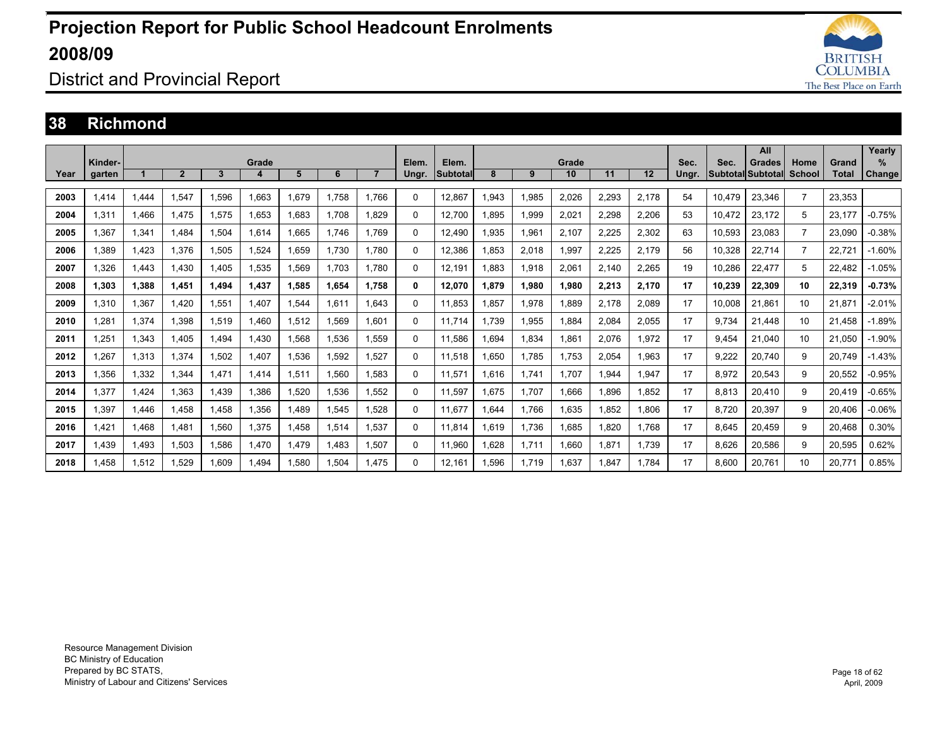

### District and Provincial Report

#### **38 Richmond**

|      |                   |       |                |       |            |       |       |       |                |                   |       |       |             |       |       |               |                                         | All    |      |                       | Yearly      |
|------|-------------------|-------|----------------|-------|------------|-------|-------|-------|----------------|-------------------|-------|-------|-------------|-------|-------|---------------|-----------------------------------------|--------|------|-----------------------|-------------|
| Year | Kinder-<br>garten |       | $\overline{2}$ | 3     | Grade<br>4 | 5     | 6     |       | Elem.<br>Ungr. | Elem.<br>Subtotal | 8     | 9     | Grade<br>10 | 11    | 12    | Sec.<br>Unar. | Sec.<br><b>Subtotal Subtotal School</b> | Grades | Home | Grand<br><b>Total</b> | %<br>Change |
|      |                   |       |                |       |            |       |       |       |                |                   |       |       |             |       |       |               |                                         |        |      |                       |             |
| 2003 | 1.414             | 1.444 | 1.547          | 1.596 | 1.663      | 1.679 | 1.758 | 1.766 | $\Omega$       | 12.867            | 1.943 | 1,985 | 2,026       | 2,293 | 2,178 | 54            | 10.479                                  | 23,346 |      | 23.353                |             |
| 2004 | 1.311             | 1.466 | 1.475          | 1,575 | 1,653      | 1.683 | 1.708 | 1.829 | $\Omega$       | 12.700            | 1.895 | 1,999 | 2,021       | 2,298 | 2,206 | 53            | 10.472                                  | 23,172 | 5    | 23.177                | $-0.75%$    |
| 2005 | 1.367             | 1,341 | 1.484          | 1,504 | 1,614      | .665  | 1.746 | 1.769 | $\Omega$       | 12.490            | 1.935 | 1,961 | 2,107       | 2,225 | 2,302 | 63            | 10,593                                  | 23,083 |      | 23.090                | $-0.38%$    |
| 2006 | 1.389             | 1,423 | 1.376          | 1,505 | 1.524      | .659  | 1.730 | 1.780 | $\mathbf{0}$   | 12,386            | .853  | 2,018 | 1,997       | 2,225 | 2.179 | 56            | 10.328                                  | 22,714 |      | 22.721                | $-1.60%$    |
| 2007 | 1.326             | 1.443 | 1.430          | 1.405 | 1.535      | 1.569 | 1.703 | 1.780 | $\mathbf{0}$   | 12.191            | .883  | 1,918 | 2.061       | 2.140 | 2.265 | 19            | 10.286                                  | 22.477 | 5    | 22.482                | $-1.05%$    |
| 2008 | 1.303             | 1.388 | 1.451          | 1.494 | 1.437      | 1.585 | 1.654 | 1.758 | 0              | 12.070            | 1.879 | 1.980 | 1.980       | 2.213 | 2.170 | 17            | 10.239                                  | 22.309 | 10   | 22.319                | $-0.73%$    |
| 2009 | 1.310             | 1,367 | 1.420          | 1,551 | 1.407      | 1.544 | 1.611 | 1.643 | $\mathbf{0}$   | 11.853            | .857  | 1,978 | 1,889       | 2,178 | 2.089 | 17            | 10,008                                  | 21,861 | 10   | 21.871                | $-2.01%$    |
| 2010 | .281              | 1.374 | 1.398          | 1,519 | 1.460      | 1,512 | 1.569 | 1.601 | $\Omega$       | 11.714            | 1.739 | 1,955 | 1.884       | 2.084 | 2.055 | 17            | 9.734                                   | 21.448 | 10   | 21.458                | $-1.89%$    |
| 2011 | 1,251             | 1,343 | 1.405          | .494  | 1.430      | 1,568 | 1.536 | 1.559 | $\Omega$       | 11.586            | .694  | 1,834 | 1,861       | 2,076 | 1.972 | 17            | 9,454                                   | 21.040 | 10   | 21.050                | $-1.90%$    |
| 2012 | .267              | 1,313 | 1,374          | 1,502 | 1,407      | 1,536 | 1,592 | 1,527 | $\Omega$       | 11,518            | .650  | 1,785 | 1,753       | 2,054 | 1,963 | 17            | 9,222                                   | 20,740 | 9    | 20,749                | $-1.43%$    |
| 2013 | .356              | 1,332 | 1.344          | 1,471 | 1,414      | 1,511 | 1,560 | 1.583 | $\Omega$       | 11,571            | 1,616 | 1,741 | 1.707       | .944  | 1,947 | 17            | 8,972                                   | 20,543 | 9    | 20,552                | $-0.95%$    |
| 2014 | 1,377             | 1,424 | 1,363          | A39.  | 1,386      | 1,520 | 1,536 | 1,552 | $\Omega$       | 11,597            | .675  | 1,707 | 1,666       | .896  | 1,852 | 17            | 8,813                                   | 20,410 | 9    | 20,419                | $-0.65%$    |
| 2015 | .397              | 1.446 | 1.458          | .458  | 1.356      | .489  | 1.545 | 1.528 | $\Omega$       | 11.677            | .644  | 1.766 | 1.635       | .852  | 1.806 | 17            | 8,720                                   | 20,397 | 9    | 20.406                | $-0.06%$    |
| 2016 | .421              | 1.468 | 1.481          | 1.560 | 1.375      | 1.458 | 1.514 | 1.537 | $\Omega$       | 11.814            | .619  | 1.736 | 1.685       | .820  | 1.768 | 17            | 8.645                                   | 20.459 | 9    | 20.468                | 0.30%       |
| 2017 | 1.439             | 1,493 | 1,503          | 1.586 | 1.470      | 1.479 | 1.483 | 1.507 | $\Omega$       | 11,960            | .628  | 1,711 | 1.660       | 1.871 | 1.739 | 17            | 8,626                                   | 20,586 | 9    | 20,595                | 0.62%       |
| 2018 | .458              | 1,512 | 1.529          | 1.609 | 1.494      | .580  | 1.504 | 1.475 | $\Omega$       | 12.161            | .596  | 1.719 | 1.637       | .847  | 1.784 | 17            | 8.600                                   | 20.761 | 10   | 20.771                | 0.85%       |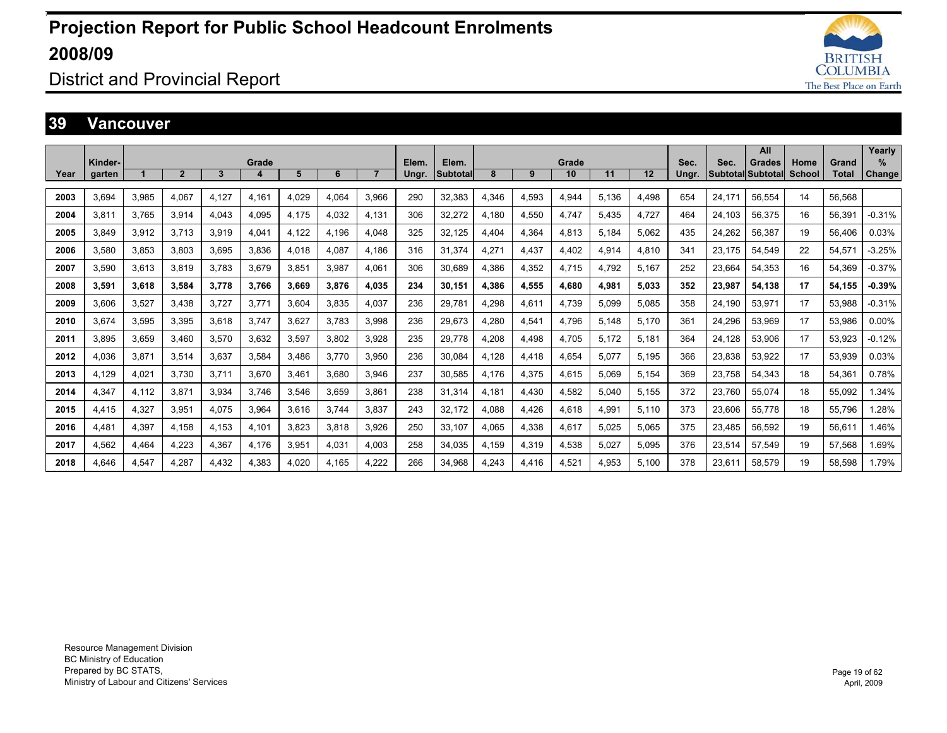

### District and Provincial Report

#### **39 Vancouver**

|      |         |       |                |       |       |       |       |                |       |          |       |       |       |       |       |       |                          | All    |        |        | Yearly   |
|------|---------|-------|----------------|-------|-------|-------|-------|----------------|-------|----------|-------|-------|-------|-------|-------|-------|--------------------------|--------|--------|--------|----------|
|      | Kinder- |       |                |       | Grade |       |       |                | Elem. | Elem.    |       |       | Grade |       |       | Sec.  | Sec.                     | Grades | Home   | Grand  | $\%$     |
| Year | garten  |       | $\overline{2}$ | 3     | 4     | 5     | 6     | $\overline{7}$ | Ungr. | Subtotal | 8     | 9     | 10    | 11    | 12    | Ungr. | <b>Subtotal Subtotal</b> |        | School | Total  | Change   |
| 2003 | 3.694   | 3,985 | 4.067          | 4.127 | 4.161 | 4.029 | 4.064 | 3.966          | 290   | 32,383   | 4,346 | 4,593 | 4.944 | 5.136 | 4.498 | 654   | 24.171                   | 56.554 | 14     | 56.568 |          |
| 2004 | 3.811   | 3,765 | 3,914          | 4.043 | 4,095 | 4,175 | 4,032 | 4.131          | 306   | 32,272   | 4,180 | 4,550 | 4.747 | 5,435 | 4,727 | 464   | 24.103                   | 56,375 | 16     | 56,391 | $-0.31%$ |
| 2005 | 3.849   | 3,912 | 3.713          | 3.919 | 4,041 | 4.122 | 4.196 | 4.048          | 325   | 32,125   | 4,404 | 4,364 | 4.813 | 5.184 | 5.062 | 435   | 24,262                   | 56,387 | 19     | 56.406 | 0.03%    |
| 2006 | 3.580   | 3.853 | 3.803          | 3.695 | 3.836 | 4.018 | 4.087 | 4.186          | 316   | 31.374   | 4.271 | 4.437 | 4.402 | 4.914 | 4.810 | 341   | 23.175                   | 54.549 | 22     | 54.571 | $-3.25%$ |
| 2007 | 3.590   | 3,613 | 3.819          | 3.783 | 3,679 | 3,851 | 3.987 | 4.061          | 306   | 30.689   | 4.386 | 4,352 | 4.715 | 4.792 | 5.167 | 252   | 23.664                   | 54.353 | 16     | 54.369 | $-0.37%$ |
| 2008 | 3.591   | 3.618 | 3.584          | 3.778 | 3.766 | 3.669 | 3.876 | 4.035          | 234   | 30.151   | 4.386 | 4,555 | 4.680 | 4.981 | 5.033 | 352   | 23.987                   | 54.138 | 17     | 54.155 | $-0.39%$ |
| 2009 | 3.606   | 3,527 | 3.438          | 3.727 | 3.771 | 3.604 | 3.835 | 4.037          | 236   | 29.781   | 4.298 | 4,611 | 4.739 | 5.099 | 5.085 | 358   | 24.190                   | 53.971 | 17     | 53.988 | $-0.31%$ |
| 2010 | 3.674   | 3,595 | 3,395          | 3.618 | 3.747 | 3,627 | 3.783 | 3.998          | 236   | 29.673   | 4,280 | 4,541 | 4.796 | 5.148 | 5.170 | 361   | 24,296                   | 53.969 | 17     | 53,986 | $0.00\%$ |
| 2011 | 3.895   | 3.659 | 3.460          | 3.570 | 3.632 | 3.597 | 3.802 | 3.928          | 235   | 29.778   | 4.208 | 4,498 | 4.705 | 5.172 | 5.181 | 364   | 24.128                   | 53.906 | 17     | 53.923 | $-0.12%$ |
| 2012 | 4.036   | 3,871 | 3.514          | 3.637 | 3.584 | 3.486 | 3.770 | 3.950          | 236   | 30.084   | 4.128 | 4,418 | 4.654 | 5.077 | 5.195 | 366   | 23,838                   | 53.922 | 17     | 53.939 | 0.03%    |
| 2013 | 4.129   | 4,021 | 3.730          | 3.711 | 3,670 | 3,461 | 3.680 | 3.946          | 237   | 30,585   | 4,176 | 4,375 | 4.615 | 5.069 | 5.154 | 369   | 23.758                   | 54.343 | 18     | 54,361 | 0.78%    |
| 2014 | 4,347   | 4,112 | 3,871          | 3,934 | 3,746 | 3,546 | 3,659 | 3.861          | 238   | 31,314   | 4,181 | 4,430 | 4,582 | 5,040 | 5,155 | 372   | 23,760                   | 55,074 | 18     | 55,092 | 1.34%    |
| 2015 | 4.415   | 4,327 | 3.951          | 4.075 | 3,964 | 3.616 | 3.744 | 3.837          | 243   | 32.172   | 4,088 | 4,426 | 4.618 | 4.991 | 5.110 | 373   | 23,606                   | 55.778 | 18     | 55.796 | .28%     |
| 2016 | 4.481   | 4,397 | 4,158          | 4,153 | 4,101 | 3,823 | 3,818 | 3,926          | 250   | 33,107   | 4,065 | 4,338 | 4,617 | 5,025 | 5,065 | 375   | 23,485                   | 56,592 | 19     | 56,611 | 1.46%    |
| 2017 | 4.562   | 4,464 | 4,223          | 4,367 | 4,176 | 3,951 | 4,031 | 4.003          | 258   | 34,035   | 4,159 | 4,319 | 4,538 | 5,027 | 5.095 | 376   | 23,514                   | 57,549 | 19     | 57,568 | 1.69%    |
| 2018 | 4.646   | 4.547 | 4.287          | 4.432 | 4.383 | 4.020 | 4.165 | 4.222          | 266   | 34.968   | 4.243 | 4.416 | 4.521 | 4.953 | 5.100 | 378   | 23.611                   | 58.579 | 19     | 58.598 | 1.79%    |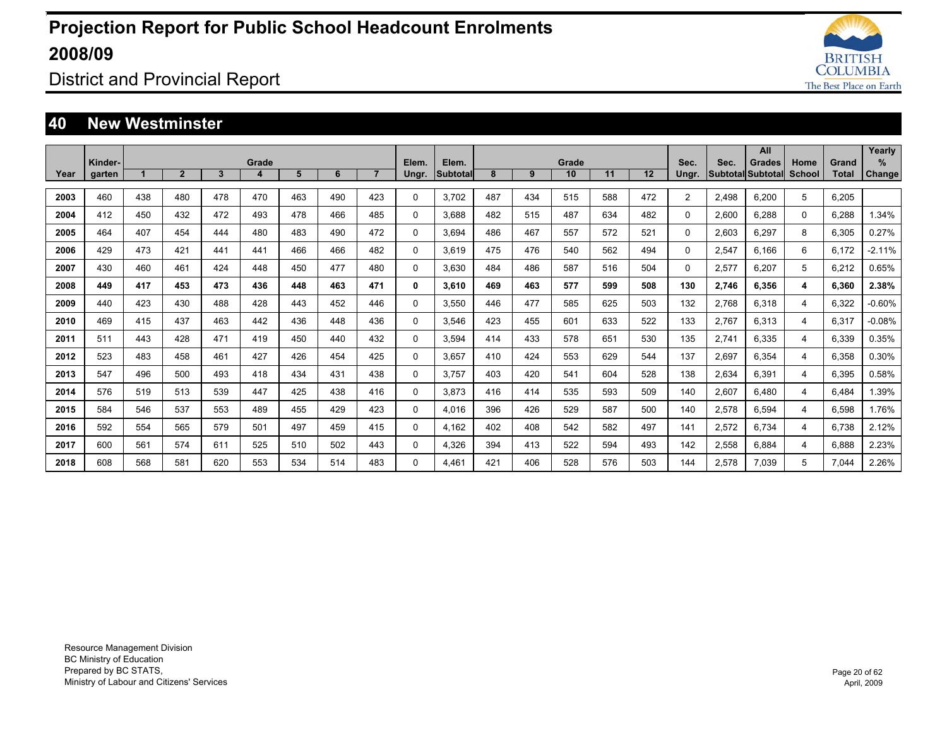

District and Provincial Report

#### **40 New Westminster**

|      | Kinder- |     |              |              | Grade |     |     |                | Elem. | Elem.           |     |     | Grade |     |     | Sec.           | Sec.  | All<br>Grades     | Home          | Grand        | Yearly<br>$\%$ |
|------|---------|-----|--------------|--------------|-------|-----|-----|----------------|-------|-----------------|-----|-----|-------|-----|-----|----------------|-------|-------------------|---------------|--------------|----------------|
| Year | garten  |     | $\mathbf{2}$ | $\mathbf{3}$ | 4     | 5   | 6   | $\overline{7}$ | Ungr. | <b>Subtotal</b> | 8   | 9   | 10    | 11  | 12  | Ungr.          |       | Subtotal Subtotal | <b>School</b> | <b>Total</b> | <b>Change</b>  |
| 2003 | 460     | 438 | 480          | 478          | 470   | 463 | 490 | 423            | 0     | 3.702           | 487 | 434 | 515   | 588 | 472 | $\overline{2}$ | 2.498 | 6.200             | 5             | 6,205        |                |
| 2004 | 412     | 450 | 432          | 472          | 493   | 478 | 466 | 485            | 0     | 3.688           | 482 | 515 | 487   | 634 | 482 | $\Omega$       | 2.600 | 6.288             | 0             | 6.288        | 1.34%          |
| 2005 | 464     | 407 | 454          | 444          | 480   | 483 | 490 | 472            | 0     | 3.694           | 486 | 467 | 557   | 572 | 521 | 0              | 2,603 | 6,297             | 8             | 6,305        | 0.27%          |
| 2006 | 429     | 473 | 421          | 441          | 441   | 466 | 466 | 482            | 0     | 3.619           | 475 | 476 | 540   | 562 | 494 | 0              | 2,547 | 6.166             | 6             | 6.172        | $-2.11%$       |
| 2007 | 430     | 460 | 461          | 424          | 448   | 450 | 477 | 480            | 0     | 3.630           | 484 | 486 | 587   | 516 | 504 | $\Omega$       | 2,577 | 6.207             | 5             | 6.212        | 0.65%          |
| 2008 | 449     | 417 | 453          | 473          | 436   | 448 | 463 | 471            | 0     | 3.610           | 469 | 463 | 577   | 599 | 508 | 130            | 2,746 | 6.356             | 4             | 6.360        | 2.38%          |
| 2009 | 440     | 423 | 430          | 488          | 428   | 443 | 452 | 446            | 0     | 3,550           | 446 | 477 | 585   | 625 | 503 | 132            | 2,768 | 6,318             | 4             | 6,322        | $-0.60%$       |
| 2010 | 469     | 415 | 437          | 463          | 442   | 436 | 448 | 436            | 0     | 3,546           | 423 | 455 | 601   | 633 | 522 | 133            | 2,767 | 6,313             | 4             | 6,317        | $-0.08%$       |
| 2011 | 511     | 443 | 428          | 471          | 419   | 450 | 440 | 432            | 0     | 3,594           | 414 | 433 | 578   | 651 | 530 | 135            | 2,741 | 6.335             | 4             | 6,339        | 0.35%          |
| 2012 | 523     | 483 | 458          | 461          | 427   | 426 | 454 | 425            | 0     | 3.657           | 410 | 424 | 553   | 629 | 544 | 137            | 2,697 | 6.354             | 4             | 6,358        | 0.30%          |
| 2013 | 547     | 496 | 500          | 493          | 418   | 434 | 431 | 438            | 0     | 3,757           | 403 | 420 | 541   | 604 | 528 | 138            | 2,634 | 6.391             | 4             | 6,395        | 0.58%          |
| 2014 | 576     | 519 | 513          | 539          | 447   | 425 | 438 | 416            | 0     | 3.873           | 416 | 414 | 535   | 593 | 509 | 140            | 2,607 | 6.480             | 4             | 6.484        | 1.39%          |
| 2015 | 584     | 546 | 537          | 553          | 489   | 455 | 429 | 423            | 0     | 4,016           | 396 | 426 | 529   | 587 | 500 | 140            | 2,578 | 6,594             | 4             | 6,598        | 1.76%          |
| 2016 | 592     | 554 | 565          | 579          | 501   | 497 | 459 | 415            | 0     | 4,162           | 402 | 408 | 542   | 582 | 497 | 141            | 2,572 | 6,734             | 4             | 6,738        | 2.12%          |
| 2017 | 600     | 561 | 574          | 611          | 525   | 510 | 502 | 443            | 0     | 4,326           | 394 | 413 | 522   | 594 | 493 | 142            | 2,558 | 6,884             | 4             | 6,888        | 2.23%          |
| 2018 | 608     | 568 | 581          | 620          | 553   | 534 | 514 | 483            | 0     | 4.461           | 421 | 406 | 528   | 576 | 503 | 144            | 2,578 | 7.039             | 5             | 7.044        | 2.26%          |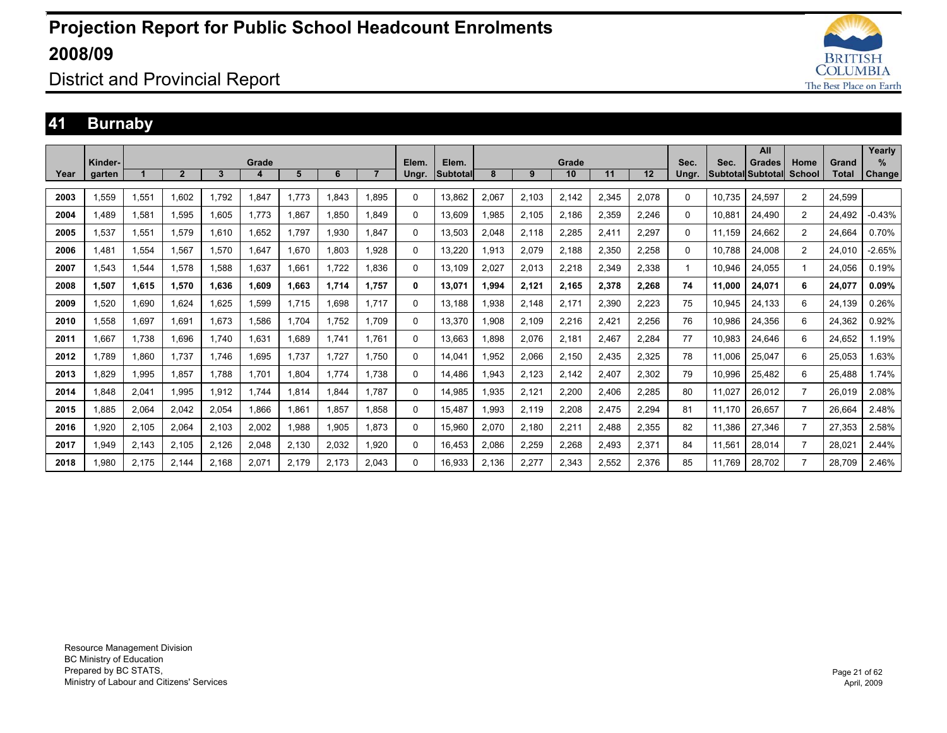

### District and Provincial Report

### **41 Burnaby**

|      |         |       |                |       |       |       |       |       |              |          |       |       |       |       |       |          |        | All               |                |              | Yearly   |
|------|---------|-------|----------------|-------|-------|-------|-------|-------|--------------|----------|-------|-------|-------|-------|-------|----------|--------|-------------------|----------------|--------------|----------|
|      | Kinder- |       |                |       | Grade |       |       |       | Elem.        | Elem.    |       |       | Grade |       |       | Sec.     | Sec.   | Grades            | Home           | Grand        | %        |
| Year | garten  |       | $\overline{2}$ | 3     | 4     | 5     | 6     |       | Ungr.        | Subtotal | 8     | 9     | 10    | 11    | 12    | Ungr.    |        | Subtotal Subtotal | School         | <b>Total</b> | Change   |
| 2003 | 1,559   | 1,551 | 1,602          | 1,792 | 1,847 | 1,773 | 1,843 | 1.895 | $\Omega$     | 13,862   | 2,067 | 2,103 | 2,142 | 2,345 | 2,078 | $\Omega$ | 10,735 | 24,597            | 2              | 24,599       |          |
| 2004 | 1.489   | 1.581 | 1.595          | 1,605 | 1.773 | 1,867 | 1.850 | 849.  | 0            | 13.609   | .985  | 2.105 | 2,186 | 2,359 | 2.246 | 0        | 10.881 | 24,490            | $\overline{2}$ | 24.492       | $-0.43%$ |
| 2005 | 1.537   | 1.551 | 1.579          | 1.610 | 1.652 | 1.797 | 1,930 | 1.847 | $\Omega$     | 13.503   | 2,048 | 2,118 | 2,285 | 2,411 | 2,297 | 0        | 11.159 | 24.662            | $\overline{2}$ | 24.664       | 0.70%    |
| 2006 | 1.481   | 1,554 | 1,567          | 1,570 | 1,647 | 1,670 | 1,803 | 1,928 | $\Omega$     | 13,220   | .913  | 2,079 | 2,188 | 2,350 | 2,258 | 0        | 10.788 | 24,008            | 2              | 24.010       | $-2.65%$ |
| 2007 | 1.543   | 1,544 | 1.578          | 1.588 | 1.637 | 1.661 | 1.722 | 1.836 | 0            | 13,109   | 2.027 | 2,013 | 2,218 | 2,349 | 2,338 |          | 10.946 | 24,055            |                | 24.056       | 0.19%    |
| 2008 | 1,507   | 1.615 | 1,570          | 1.636 | 1,609 | 1,663 | 1,714 | 1.757 | $\mathbf{0}$ | 13.071   | ,994  | 2,121 | 2,165 | 2,378 | 2,268 | 74       | 11.000 | 24,071            | 6              | 24,077       | 0.09%    |
| 2009 | 1.520   | 1.690 | 1.624          | 1.625 | 1,599 | 1.715 | 1.698 | 1.717 | $\Omega$     | 13.188   | .938  | 2.148 | 2.171 | 2,390 | 2,223 | 75       | 10.945 | 24,133            | 6              | 24.139       | 0.26%    |
| 2010 | 1,558   | 1,697 | 1,691          | 1,673 | 1,586 | 1.704 | 1,752 | 1.709 | $\Omega$     | 13,370   | .908  | 2,109 | 2,216 | 2,421 | 2,256 | 76       | 10,986 | 24,356            | 6              | 24,362       | 0.92%    |
| 2011 | .667    | 1.738 | 1.696          | 1.740 | 1,631 | 1,689 | 1.741 | 1.761 | $\Omega$     | 13.663   | .898  | 2,076 | 2,181 | 2.467 | 2,284 | 77       | 10.983 | 24,646            | 6              | 24.652       | 1.19%    |
| 2012 | 1.789   | 1.860 | 1.737          | 1.746 | .695  | 1.737 | 1.727 | 1.750 | $\Omega$     | 14.041   | .952  | 2,066 | 2.150 | 2.435 | 2,325 | 78       | 11.006 | 25.047            | 6              | 25.053       | 1.63%    |
| 2013 | .829    | 1,995 | 1,857          | 1.788 | 1,701 | 1,804 | 1.774 | 1.738 | $\Omega$     | 14.486   | .943  | 2,123 | 2,142 | 2,407 | 2,302 | 79       | 10,996 | 25,482            | 6              | 25.488       | 1.74%    |
| 2014 | .848    | 2,041 | 1,995          | 1,912 | 1.744 | 1,814 | 1.844 | 1.787 | 0            | 14.985   | .935  | 2,121 | 2,200 | 2,406 | 2,285 | 80       | 11,027 | 26,012            | $\overline{7}$ | 26.019       | 2.08%    |
| 2015 | .885    | 2,064 | 2,042          | 2,054 | 1,866 | 1,861 | 1,857 | 1.858 | $\Omega$     | 15,487   | .993  | 2,119 | 2,208 | 2,475 | 2,294 | 81       | 11,170 | 26,657            | $\overline{7}$ | 26,664       | 2.48%    |
| 2016 | 1.920   | 2,105 | 2,064          | 2,103 | 2,002 | 1,988 | 1,905 | 1.873 | 0            | 15,960   | 2,070 | 2,180 | 2,211 | 2,488 | 2,355 | 82       | 11,386 | 27,346            | $\overline{7}$ | 27,353       | 2.58%    |
| 2017 | 949. ا  | 2,143 | 2,105          | 2,126 | 2,048 | 2,130 | 2,032 | 1.920 | 0            | 16.453   | 2,086 | 2,259 | 2,268 | 2,493 | 2,371 | 84       | 11,561 | 28,014            | $\overline{7}$ | 28,021       | 2.44%    |
| 2018 | .980    | 2.175 | 2.144          | 2.168 | 2,071 | 2.179 | 2.173 | 2.043 | $\Omega$     | 16.933   | 2.136 | 2,277 | 2,343 | 2,552 | 2.376 | 85       | 11,769 | 28.702            | 7              | 28.709       | 2.46%    |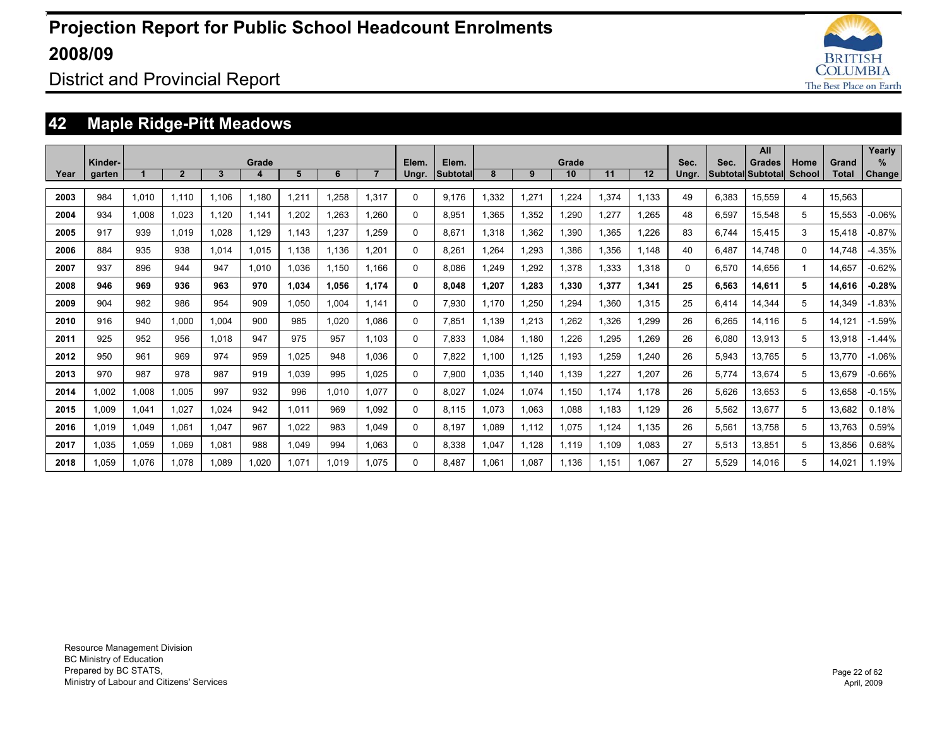

District and Provincial Report

### **42 Maple Ridge-Pitt Meadows**

|      |                   |       |                |       |            |       |       |       |                |                   |       |       |             |       |       |               |                                  | All    |                |                | Yearly                |
|------|-------------------|-------|----------------|-------|------------|-------|-------|-------|----------------|-------------------|-------|-------|-------------|-------|-------|---------------|----------------------------------|--------|----------------|----------------|-----------------------|
| Year | Kinder-<br>garten |       | $\overline{2}$ | 3     | Grade<br>4 | 5     | 6     |       | Elem.<br>Ungr. | Elem.<br>Subtotal | 8     | 9     | Grade<br>10 | 11    | 12    | Sec.<br>Ungr. | Sec.<br><b>Subtotal Subtotal</b> | Grades | Home<br>School | Grand<br>Total | $\%$<br><b>Change</b> |
|      |                   |       |                |       |            |       |       |       |                |                   |       |       |             |       |       |               |                                  |        |                |                |                       |
| 2003 | 984               | 1,010 | 1.110          | 1.106 | 1.180      | 1,211 | .258  | 1,317 | 0              | 9.176             | 1,332 | 1,271 | 1,224       | 1,374 | 1.133 | 49            | 6,383                            | 15,559 | 4              | 15.563         |                       |
| 2004 | 934               | 1.008 | 1.023          | 1.120 | 1.141      | 1,202 | 1.263 | 1.260 | 0              | 8.951             | 1.365 | 1,352 | 1.290       | 1.277 | .265  | 48            | 6,597                            | 15.548 | 5              | 15.553         | $-0.06%$              |
| 2005 | 917               | 939   | 1.019          | 1.028 | 1.129      | 1.143 | 1.237 | 1.259 | 0              | 8.671             | 1,318 | 1.362 | 1.390       | 1.365 | .226  | 83            | 6.744                            | 15.415 | 3              | 15.418         | $-0.87%$              |
| 2006 | 884               | 935   | 938            | 1.014 | 1.015      | 1.138 | 1.136 | 1.201 | 0              | 8.261             | 1.264 | 1.293 | 1.386       | 1.356 | 1.148 | 40            | 6.487                            | 14.748 | $\Omega$       | 14,748         | $-4.35%$              |
| 2007 | 937               | 896   | 944            | 947   | 1.010      | 1.036 | 1,150 | 1.166 | 0              | 8.086             | 1.249 | 1,292 | 1,378       | 1,333 | 1,318 | $\Omega$      | 6,570                            | 14.656 |                | 14.657         | $-0.62%$              |
| 2008 | 946               | 969   | 936            | 963   | 970        | 1,034 | 1.056 | 1.174 | 0              | 8.048             | 1.207 | 1.283 | 1,330       | 1,377 | 1,341 | 25            | 6,563                            | 14,611 | 5              | 14.616         | $-0.28%$              |
| 2009 | 904               | 982   | 986            | 954   | 909        | 1.050 | 1.004 | 1.141 | 0              | 7.930             | 1.170 | 1.250 | 1.294       | 1.360 | 1.315 | 25            | 6.414                            | 14.344 | 5              | 14.349         | $-1.83%$              |
| 2010 | 916               | 940   | 1.000          | 1.004 | 900        | 985   | 1.020 | 1.086 | 0              | 7.851             | 1.139 | 1,213 | 1.262       | 1.326 | .299  | 26            | 6.265                            | 14.116 | 5              | 14.121         | $-1.59%$              |
| 2011 | 925               | 952   | 956            | 1.018 | 947        | 975   | 957   | 1.103 | 0              | 7.833             | 1.084 | 1.180 | 1.226       | 1.295 | .269  | 26            | 6.080                            | 13.913 | 5              | 13.918         | $-1.44%$              |
| 2012 | 950               | 961   | 969            | 974   | 959        | 1.025 | 948   | 1.036 | 0              | 7.822             | 1.100 | 1.125 | 1.193       | 1.259 | .240  | 26            | 5,943                            | 13.765 | 5              | 13.770         | $-1.06%$              |
| 2013 | 970               | 987   | 978            | 987   | 919        | 1,039 | 995   | 1,025 | 0              | 7,900             | 1.035 | 1.140 | 1,139       | 1,227 | ,207  | 26            | 5,774                            | 13,674 | 5              | 13,679         | $-0.66%$              |
| 2014 | .002              | 1,008 | 1,005          | 997   | 932        | 996   | 1.010 | 1.077 | 0              | 8,027             | 1,024 | 1,074 | 1,150       | 1,174 | 1.178 | 26            | 5,626                            | 13,653 | 5              | 13,658         | $-0.15%$              |
| 2015 | 1.009             | 1,041 | 1,027          | .024  | 942        | 1,011 | 969   | 1.092 | 0              | 8.115             | 1.073 | 1,063 | 1,088       | 1.183 | 1.129 | 26            | 5,562                            | 13,677 | 5              | 13,682         | 0.18%                 |
| 2016 | 1.019             | 1,049 | 1.061          | 1.047 | 967        | 1,022 | 983   | 1.049 | 0              | 8.197             | 1.089 | 1,112 | 1.075       | 1,124 | 1.135 | 26            | 5,561                            | 13.758 | 5              | 13.763         | 0.59%                 |
| 2017 | 1.035             | 1,059 | 1,069          | 1,081 | 988        | 1,049 | 994   | 1.063 | 0              | 8.338             | 1.047 | 1.128 | 1,119       | 1,109 | 1.083 | 27            | 5,513                            | 13,851 | 5              | 13,856         | 0.68%                 |
| 2018 | 1.059             | 1.076 | 1.078          | .089  | 1.020      | 1.071 | 1.019 | 1.075 | 0              | 8.487             | 1.061 | 1.087 | 1.136       | 1.151 | 1.067 | 27            | 5.529                            | 14.016 | 5              | 14.021         | 1.19%                 |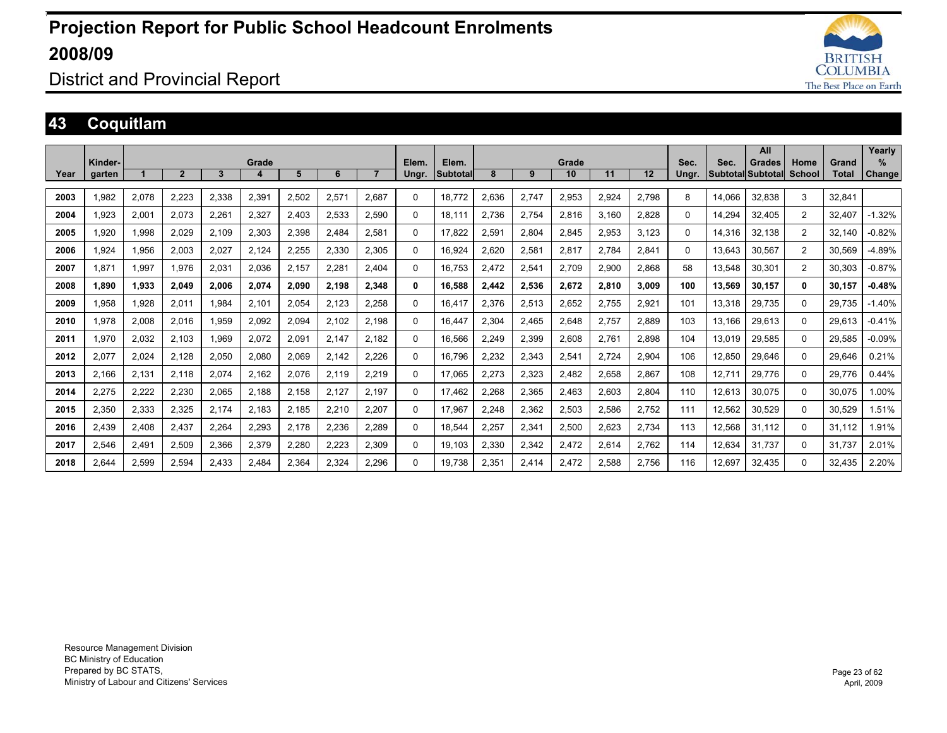

### District and Provincial Report

### **43 Coquitlam**

|      |         |       |                |       |       |       |       |                |          |          |       |       |       |       |       |          |        | All               |          |        | Yearly   |
|------|---------|-------|----------------|-------|-------|-------|-------|----------------|----------|----------|-------|-------|-------|-------|-------|----------|--------|-------------------|----------|--------|----------|
|      | Kinder- |       |                |       | Grade |       |       |                | Elem.    | Elem.    |       |       | Grade |       |       | Sec.     | Sec.   | <b>Grades</b>     | Home     | Grand  | %        |
| Year | garten  |       | $\overline{2}$ | 3     | 4     | 5     | 6     | $\overline{7}$ | Ungr.    | Subtotal | 8     | 9     | 10    | 11    | 12    | Ungr.    |        | Subtotal Subtotal | School   | Total  | Change   |
|      |         |       |                |       |       |       |       |                |          |          |       |       |       |       |       |          |        |                   |          |        |          |
| 2003 | 1,982   | 2,078 | 2,223          | 2,338 | 2,391 | 2,502 | 2,571 | 2,687          | $\Omega$ | 18,772   | 2,636 | 2,747 | 2,953 | 2,924 | 2,798 | 8        | 14,066 | 32,838            | 3        | 32,841 |          |
| 2004 | 1.923   | 2,001 | 2,073          | 2,261 | 2,327 | 2.403 | 2,533 | 2,590          | 0        | 18.111   | 2,736 | 2,754 | 2,816 | 3.160 | 2.828 | $\Omega$ | 14.294 | 32,405            | 2        | 32.407 | $-1.32%$ |
| 2005 | 1.920   | 1,998 | 2,029          | 2,109 | 2,303 | 2.398 | 2,484 | 2,581          | 0        | 17.822   | 2,591 | 2,804 | 2,845 | 2.953 | 3.123 | $\Omega$ | 14,316 | 32,138            | 2        | 32.140 | $-0.82%$ |
| 2006 | 1,924   | 1,956 | 2,003          | 2,027 | 2,124 | 2,255 | 2,330 | 2,305          | $\Omega$ | 16.924   | 2,620 | 2,581 | 2,817 | 2,784 | 2,841 | $\Omega$ | 13.643 | 30,567            | 2        | 30.569 | $-4.89%$ |
| 2007 | 1.871   | 1.997 | 1.976          | 2,031 | 2.036 | 2.157 | 2.281 | 2.404          | 0        | 16.753   | 2,472 | 2,541 | 2.709 | 2.900 | 2.868 | 58       | 13.548 | 30.301            | 2        | 30.303 | $-0.87%$ |
| 2008 | 1,890   | 1,933 | 2,049          | 2,006 | 2,074 | 2,090 | 2,198 | 2,348          | $\bf{0}$ | 16,588   | 2,442 | 2,536 | 2,672 | 2,810 | 3,009 | 100      | 13,569 | 30,157            | $\bf{0}$ | 30,157 | $-0.48%$ |
| 2009 | 1.958   | 1.928 | 2,011          | 1.984 | 2,101 | 2.054 | 2,123 | 2,258          | $\Omega$ | 16.417   | 2.376 | 2,513 | 2,652 | 2.755 | 2,921 | 101      | 13,318 | 29,735            | $\Omega$ | 29.735 | $-1.40%$ |
| 2010 | 1,978   | 2,008 | 2,016          | 1,959 | 2,092 | 2,094 | 2,102 | 2,198          | $\Omega$ | 16.447   | 2,304 | 2,465 | 2,648 | 2.757 | 2,889 | 103      | 13.166 | 29,613            | $\Omega$ | 29.613 | $-0.41%$ |
| 2011 | 1,970   | 2,032 | 2.103          | 1.969 | 2,072 | 2,091 | 2,147 | 2.182          | $\Omega$ | 16,566   | 2,249 | 2,399 | 2,608 | 2.761 | 2.898 | 104      | 13.019 | 29,585            | $\Omega$ | 29.585 | $-0.09%$ |
| 2012 | 2.077   | 2,024 | 2.128          | 2.050 | 2.080 | 2.069 | 2.142 | 2.226          | $\Omega$ | 16.796   | 2.232 | 2,343 | 2,541 | 2.724 | 2.904 | 106      | 12.850 | 29.646            | $\Omega$ | 29.646 | 0.21%    |
| 2013 | 2,166   | 2,131 | 2.118          | 2,074 | 2,162 | 2.076 | 2,119 | 2,219          | $\Omega$ | 17.065   | 2,273 | 2,323 | 2,482 | 2,658 | 2,867 | 108      | 12,711 | 29,776            | $\Omega$ | 29.776 | 0.44%    |
| 2014 | 2,275   | 2,222 | 2,230          | 2,065 | 2,188 | 2,158 | 2,127 | 2.197          | 0        | 17.462   | 2,268 | 2,365 | 2,463 | 2,603 | 2,804 | 110      | 12,613 | 30.075            | $\Omega$ | 30,075 | 1.00%    |
| 2015 | 2,350   | 2,333 | 2,325          | 2,174 | 2,183 | 2,185 | 2,210 | 2,207          | $\Omega$ | 17,967   | 2,248 | 2,362 | 2,503 | 2,586 | 2,752 | 111      | 12,562 | 30,529            | $\Omega$ | 30,529 | 1.51%    |
| 2016 | 2,439   | 2,408 | 2,437          | 2,264 | 2,293 | 2.178 | 2,236 | 2,289          | 0        | 18,544   | 2,257 | 2,341 | 2,500 | 2,623 | 2,734 | 113      | 12,568 | 31.112            | $\Omega$ | 31,112 | 1.91%    |
| 2017 | 2,546   | 2,491 | 2,509          | 2,366 | 2,379 | 2,280 | 2,223 | 2,309          | 0        | 19.103   | 2,330 | 2,342 | 2,472 | 2,614 | 2,762 | 114      | 12,634 | 31.737            | $\Omega$ | 31.737 | 2.01%    |
| 2018 | 2.644   | 2,599 | 2.594          | 2.433 | 2.484 | 2,364 | 2,324 | 2.296          | $\Omega$ | 19.738   | 2.351 | 2,414 | 2.472 | 2.588 | 2.756 | 116      | 12.697 | 32,435            | $\Omega$ | 32.435 | 2.20%    |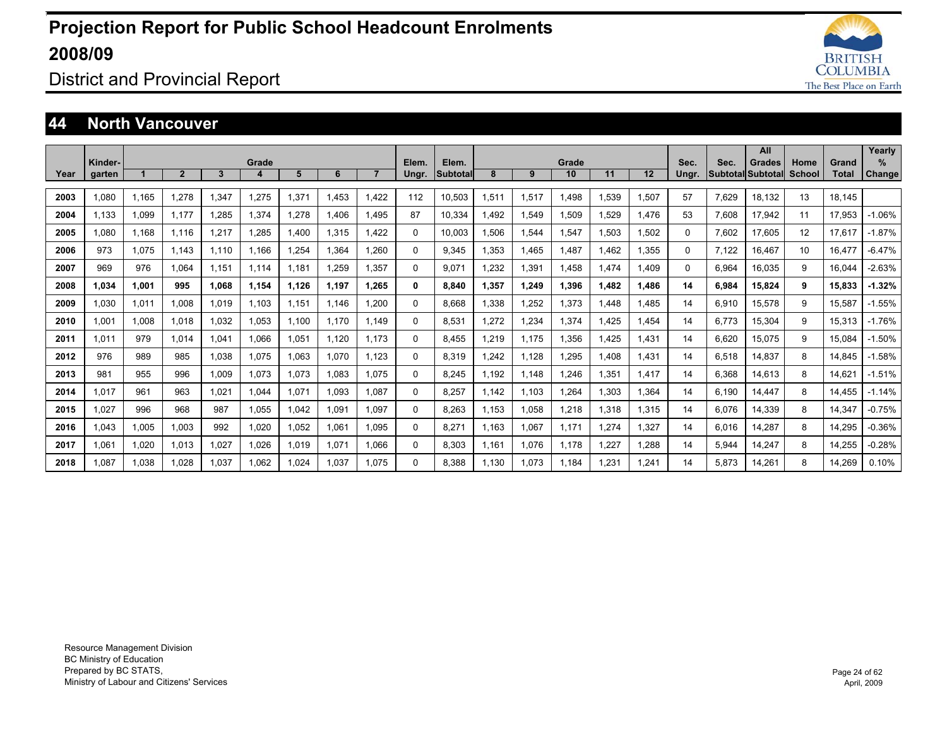

### District and Provincial Report

#### **44 North Vancouver**

|      |                   |       |                |       |            |       |       |       |                |                   |       |       |             |       |       |               |       | All                                       |                |                | Yearly                |
|------|-------------------|-------|----------------|-------|------------|-------|-------|-------|----------------|-------------------|-------|-------|-------------|-------|-------|---------------|-------|-------------------------------------------|----------------|----------------|-----------------------|
| Year | Kinder-<br>garten |       | $\overline{2}$ | 3     | Grade<br>4 | 5     | 6     |       | Elem.<br>Ungr. | Elem.<br>Subtotal | 8     | 9     | Grade<br>10 | 11    | 12    | Sec.<br>Ungr. | Sec.  | <b>Grades</b><br><b>Subtotal Subtotal</b> | Home<br>School | Grand<br>Total | $\%$<br><b>Change</b> |
|      |                   |       |                |       |            |       |       |       |                |                   |       |       |             |       |       |               |       |                                           |                |                |                       |
| 2003 | 1.080             | 1.165 | 1.278          | ,347  | 1,275      | 1,371 | 1.453 | 1.422 | 112            | 10,503            | 1,511 | 1,517 | 1.498       | 1,539 | 1,507 | 57            | 7,629 | 18.132                                    | 13             | 18.145         |                       |
| 2004 | 1.133             | 1,099 | 1.177          | ,285  | 1,374      | 1,278 | 1.406 | 1.495 | 87             | 10,334            | 1.492 | 1,549 | 1,509       | 1,529 | 1.476 | 53            | 7,608 | 17,942                                    | 11             | 17.953         | $-1.06%$              |
| 2005 | 1.080             | 1.168 | 1.116          | 1.217 | 1,285      | 1.400 | 1.315 | 1.422 | 0              | 10,003            | 1,506 | 1,544 | 1,547       | 1,503 | 1,502 | $\Omega$      | 7,602 | 17,605                                    | 12             | 17.617         | $-1.87%$              |
| 2006 | 973               | 1.075 | 1.143          | 1.110 | 1.166      | .254  | 1.364 | 1.260 | 0              | 9.345             | 1.353 | 1.465 | 1.487       | 1.462 | 1.355 | $\Omega$      | 7,122 | 16.467                                    | 10             | 16.477         | $-6.47%$              |
| 2007 | 969               | 976   | 1.064          | 1.151 | 1.114      | 1.181 | 1.259 | 1.357 | 0              | 9.071             | 1.232 | 1.391 | 1.458       | 1.474 | 1.409 | 0             | 6.964 | 16.035                                    | 9              | 16.044         | $-2.63%$              |
| 2008 | 1.034             | 1.001 | 995            | 1.068 | 1.154      | 1.126 | 1.197 | 1.265 | 0              | 8.840             | 1.357 | 1.249 | 1.396       | 1.482 | 1.486 | 14            | 6.984 | 15.824                                    | 9              | 15.833         | $-1.32%$              |
| 2009 | 1.030             | 1,011 | 1.008          | 1.019 | 1.103      | 1,151 | 1.146 | 1.200 | 0              | 8.668             | 1.338 | 1.252 | 1.373       | 1.448 | .485  | 14            | 6,910 | 15.578                                    | 9              | 15.587         | $-1.55%$              |
| 2010 | 1.001             | 1,008 | 1.018          | 1,032 | 1,053      | 1.100 | 1.170 | 1.149 | 0              | 8,531             | 1,272 | 1,234 | 1.374       | 1.425 | .454  | 14            | 6.773 | 15,304                                    | 9              | 15,313         | $-1.76%$              |
| 2011 | 1.011             | 979   | 1.014          | .041  | 1.066      | 1,051 | 1,120 | 1.173 | 0              | 8.455             | 1,219 | 1.175 | 1.356       | 1.425 | 1.431 | 14            | 6,620 | 15.075                                    | 9              | 15.084         | $-1.50%$              |
| 2012 | 976               | 989   | 985            | 038   | 1,075      | 1,063 | 1.070 | 1.123 | 0              | 8.319             | 1,242 | 1,128 | 1,295       | 1.408 | 1.431 | 14            | 6,518 | 14,837                                    | 8              | 14.845         | $-1.58%$              |
| 2013 | 981               | 955   | 996            | 1,009 | 1,073      | 1,073 | 1,083 | 1.075 | 0              | 8.245             | 1,192 | 1.148 | 1.246       | 1,351 | 1.417 | 14            | 6,368 | 14,613                                    | 8              | 14,621         | $-1.51%$              |
| 2014 | 1.017             | 961   | 963            | 1,021 | 1,044      | 1,071 | 1,093 | 1.087 | 0              | 8,257             | 1.142 | 1,103 | 1,264       | 1,303 | .364  | 14            | 6,190 | 14,447                                    | 8              | 14,455         | $-1.14%$              |
| 2015 | 1.027             | 996   | 968            | 987   | 1.055      | 1.042 | 1.091 | 1.097 | 0              | 8.263             | 1.153 | 1,058 | 1.218       | 1,318 | 1.315 | 14            | 6.076 | 14.339                                    | 8              | 14.347         | $-0.75%$              |
| 2016 | 1.043             | 1,005 | 1.003          | 992   | 1.020      | 1,052 | 1.061 | 1.095 | 0              | 8.271             | 1.163 | 1,067 | 1.171       | 1.274 | .327  | 14            | 6,016 | 14.287                                    | 8              | 14.295         | $-0.36%$              |
| 2017 | 1.061             | 1,020 | 1.013          | 1.027 | 1.026      | 1,019 | 1.071 | 1.066 | 0              | 8.303             | 1.161 | 1,076 | 1.178       | 1.227 | .288  | 14            | 5,944 | 14.247                                    | 8              | 14.255         | $-0.28%$              |
| 2018 | .087              | 1.038 | 1.028          | 1.037 | 1.062      | .024  | 1.037 | 1.075 | 0              | 8.388             | 1.130 | 1,073 | 1.184       | 1.231 | .241  | 14            | 5.873 | 14.261                                    | 8              | 14,269         | 0.10%                 |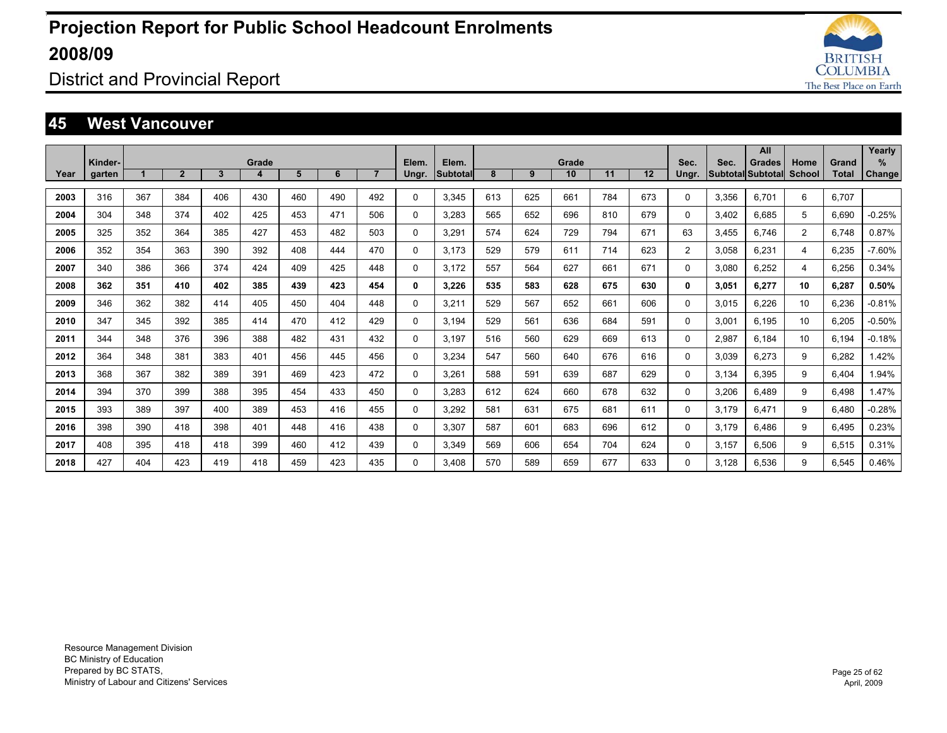

District and Provincial Report

#### **45 West Vancouver**

|      |         |     |                |     |       |     |     |                |          |                 |     |     |       |     |     |                |       | All                      |                |              | Yearly        |
|------|---------|-----|----------------|-----|-------|-----|-----|----------------|----------|-----------------|-----|-----|-------|-----|-----|----------------|-------|--------------------------|----------------|--------------|---------------|
|      | Kinder- |     |                |     | Grade |     |     |                | Elem.    | Elem.           |     |     | Grade |     |     | Sec.           | Sec.  | <b>Grades</b>            | Home           | Grand        | %             |
| Year | garten  |     | $\overline{2}$ | 3   | 4     | 5   | 6   | $\overline{7}$ | Ungr.    | <b>Subtotal</b> | 8   | 9   | 10    | 11  | 12  | Ungr.          |       | <b>Subtotal Subtotal</b> | <b>School</b>  | <b>Total</b> | <b>Change</b> |
| 2003 | 316     | 367 | 384            | 406 | 430   | 460 | 490 | 492            | $\Omega$ | 3.345           | 613 | 625 | 661   | 784 | 673 | $\Omega$       | 3.356 | 6.701                    | 6              | 6.707        |               |
| 2004 | 304     | 348 | 374            | 402 | 425   | 453 | 471 | 506            | 0        | 3.283           | 565 | 652 | 696   | 810 | 679 | 0              | 3,402 | 6.685                    | 5              | 6,690        | $-0.25%$      |
| 2005 | 325     | 352 | 364            | 385 | 427   | 453 | 482 | 503            | 0        | 3,291           | 574 | 624 | 729   | 794 | 671 | 63             | 3,455 | 6.746                    | $\overline{2}$ | 6.748        | 0.87%         |
| 2006 | 352     | 354 | 363            | 390 | 392   | 408 | 444 | 470            | 0        | 3.173           | 529 | 579 | 611   | 714 | 623 | $\overline{2}$ | 3.058 | 6.231                    | 4              | 6.235        | $-7.60%$      |
| 2007 | 340     | 386 | 366            | 374 | 424   | 409 | 425 | 448            | 0        | 3,172           | 557 | 564 | 627   | 661 | 671 | 0              | 3,080 | 6,252                    | 4              | 6,256        | 0.34%         |
| 2008 | 362     | 351 | 410            | 402 | 385   | 439 | 423 | 454            | 0        | 3.226           | 535 | 583 | 628   | 675 | 630 | 0              | 3.051 | 6.277                    | 10             | 6.287        | 0.50%         |
| 2009 | 346     | 362 | 382            | 414 | 405   | 450 | 404 | 448            | $\Omega$ | 3,211           | 529 | 567 | 652   | 661 | 606 | $\Omega$       | 3,015 | 6,226                    | 10             | 6,236        | $-0.81%$      |
| 2010 | 347     | 345 | 392            | 385 | 414   | 470 | 412 | 429            | $\Omega$ | 3.194           | 529 | 561 | 636   | 684 | 591 | $\Omega$       | 3,001 | 6.195                    | 10             | 6,205        | $-0.50%$      |
| 2011 | 344     | 348 | 376            | 396 | 388   | 482 | 431 | 432            | 0        | 3.197           | 516 | 560 | 629   | 669 | 613 | 0              | 2,987 | 6.184                    | 10             | 6.194        | $-0.18%$      |
| 2012 | 364     | 348 | 381            | 383 | 401   | 456 | 445 | 456            | 0        | 3,234           | 547 | 560 | 640   | 676 | 616 | 0              | 3,039 | 6,273                    | 9              | 6,282        | 1.42%         |
| 2013 | 368     | 367 | 382            | 389 | 391   | 469 | 423 | 472            | 0        | 3.261           | 588 | 591 | 639   | 687 | 629 | 0              | 3.134 | 6.395                    | 9              | 6.404        | 1.94%         |
| 2014 | 394     | 370 | 399            | 388 | 395   | 454 | 433 | 450            | 0        | 3.283           | 612 | 624 | 660   | 678 | 632 | 0              | 3,206 | 6.489                    | 9              | 6.498        | 1.47%         |
| 2015 | 393     | 389 | 397            | 400 | 389   | 453 | 416 | 455            | 0        | 3,292           | 581 | 631 | 675   | 681 | 611 | 0              | 3,179 | 6.471                    | 9              | 6,480        | $-0.28%$      |
| 2016 | 398     | 390 | 418            | 398 | 401   | 448 | 416 | 438            | $\Omega$ | 3.307           | 587 | 601 | 683   | 696 | 612 | 0              | 3.179 | 6.486                    | 9              | 6.495        | 0.23%         |
| 2017 | 408     | 395 | 418            | 418 | 399   | 460 | 412 | 439            | $\Omega$ | 3.349           | 569 | 606 | 654   | 704 | 624 | 0              | 3,157 | 6.506                    | 9              | 6,515        | 0.31%         |
| 2018 | 427     | 404 | 423            | 419 | 418   | 459 | 423 | 435            | $\Omega$ | 3.408           | 570 | 589 | 659   | 677 | 633 | $\Omega$       | 3.128 | 6.536                    | 9              | 6.545        | 0.46%         |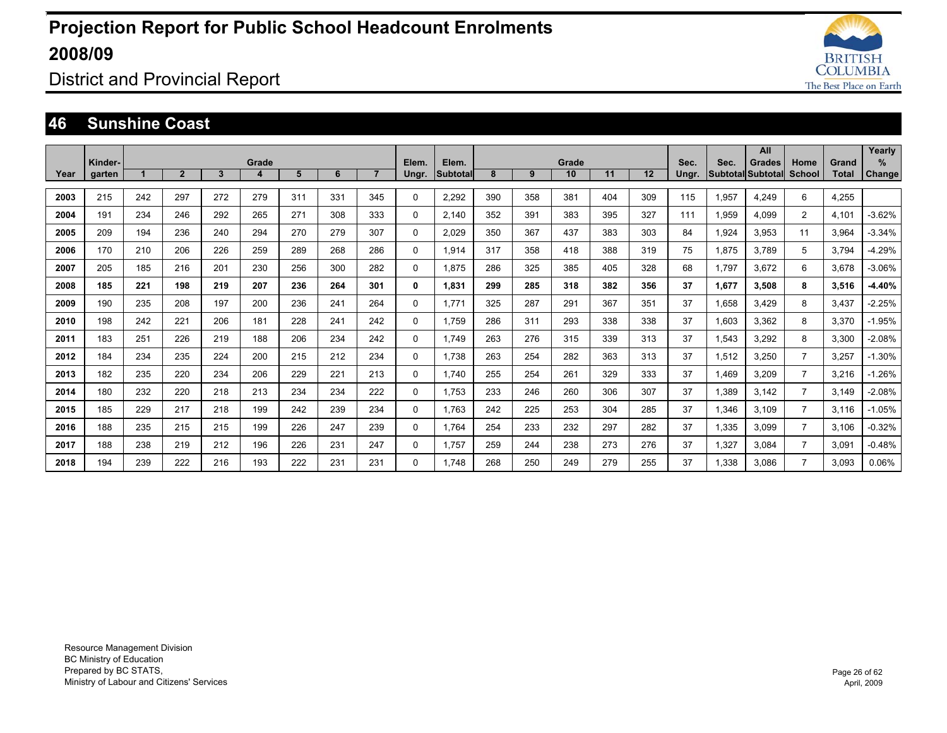

District and Provincial Report

#### **46 Sunshine Coast**

|      |                   |     |              |     |            |     |     |                |                |                          |     |     |             |     |     |               |       | All                                |                |                       | Yearly                |
|------|-------------------|-----|--------------|-----|------------|-----|-----|----------------|----------------|--------------------------|-----|-----|-------------|-----|-----|---------------|-------|------------------------------------|----------------|-----------------------|-----------------------|
| Year | Kinder-<br>garten |     | $\mathbf{2}$ | 3   | Grade<br>4 | 5   | 6   | $\overline{7}$ | Elem.<br>Ungr. | Elem.<br><b>Subtotal</b> | 8   | 9   | Grade<br>10 | 11  | 12  | Sec.<br>Ungr. | Sec.  | Grades<br><b>Subtotal Subtotal</b> | Home<br>School | Grand<br><b>Total</b> | $\%$<br><b>Change</b> |
|      |                   |     |              |     |            |     |     |                |                |                          |     |     |             |     |     |               |       |                                    |                |                       |                       |
| 2003 | 215               | 242 | 297          | 272 | 279        | 311 | 331 | 345            | 0              | 2.292                    | 390 | 358 | 381         | 404 | 309 | 115           | 1,957 | 4,249                              | 6              | 4,255                 |                       |
| 2004 | 191               | 234 | 246          | 292 | 265        | 271 | 308 | 333            | 0              | 2.140                    | 352 | 391 | 383         | 395 | 327 | 111           | 1.959 | 4.099                              | $\overline{2}$ | 4.101                 | $-3.62%$              |
| 2005 | 209               | 194 | 236          | 240 | 294        | 270 | 279 | 307            | 0              | 2.029                    | 350 | 367 | 437         | 383 | 303 | 84            | 1.924 | 3.953                              | 11             | 3.964                 | $-3.34%$              |
| 2006 | 170               | 210 | 206          | 226 | 259        | 289 | 268 | 286            | 0              | 1.914                    | 317 | 358 | 418         | 388 | 319 | 75            | 1.875 | 3.789                              | 5              | 3.794                 | $-4.29%$              |
| 2007 | 205               | 185 | 216          | 201 | 230        | 256 | 300 | 282            | 0              | 1.875                    | 286 | 325 | 385         | 405 | 328 | 68            | 1.797 | 3.672                              | 6              | 3.678                 | $-3.06%$              |
| 2008 | 185               | 221 | 198          | 219 | 207        | 236 | 264 | 301            | 0              | 1,831                    | 299 | 285 | 318         | 382 | 356 | 37            | 1,677 | 3.508                              | 8              | 3,516                 | $-4.40%$              |
| 2009 | 190               | 235 | 208          | 197 | 200        | 236 | 241 | 264            | 0              | 1,771                    | 325 | 287 | 291         | 367 | 351 | 37            | 1,658 | 3,429                              | 8              | 3,437                 | $-2.25%$              |
| 2010 | 198               | 242 | 221          | 206 | 181        | 228 | 241 | 242            | 0              | 1,759                    | 286 | 311 | 293         | 338 | 338 | 37            | 1,603 | 3,362                              | 8              | 3,370                 | $-1.95%$              |
| 2011 | 183               | 251 | 226          | 219 | 188        | 206 | 234 | 242            | 0              | 1,749                    | 263 | 276 | 315         | 339 | 313 | 37            | 1,543 | 3,292                              | 8              | 3,300                 | $-2.08%$              |
| 2012 | 184               | 234 | 235          | 224 | 200        | 215 | 212 | 234            | 0              | 1,738                    | 263 | 254 | 282         | 363 | 313 | 37            | 1,512 | 3,250                              | $\overline{7}$ | 3,257                 | $-1.30%$              |
| 2013 | 182               | 235 | 220          | 234 | 206        | 229 | 221 | 213            | 0              | 1.740                    | 255 | 254 | 261         | 329 | 333 | 37            | 1.469 | 3.209                              | $\overline{7}$ | 3,216                 | $-1.26%$              |
| 2014 | 180               | 232 | 220          | 218 | 213        | 234 | 234 | 222            | 0              | 1.753                    | 233 | 246 | 260         | 306 | 307 | 37            | 1,389 | 3.142                              | $\overline{7}$ | 3.149                 | $-2.08%$              |
| 2015 | 185               | 229 | 217          | 218 | 199        | 242 | 239 | 234            | 0              | 1,763                    | 242 | 225 | 253         | 304 | 285 | 37            | 1,346 | 3,109                              | 7              | 3.116                 | $-1.05%$              |
| 2016 | 188               | 235 | 215          | 215 | 199        | 226 | 247 | 239            | 0              | 1,764                    | 254 | 233 | 232         | 297 | 282 | 37            | 1,335 | 3,099                              | $\overline{7}$ | 3,106                 | $-0.32%$              |
| 2017 | 188               | 238 | 219          | 212 | 196        | 226 | 231 | 247            | 0              | 1,757                    | 259 | 244 | 238         | 273 | 276 | 37            | 1,327 | 3.084                              | $\overline{7}$ | 3,091                 | $-0.48%$              |
| 2018 | 194               | 239 | 222          | 216 | 193        | 222 | 231 | 231            | 0              | 1,748                    | 268 | 250 | 249         | 279 | 255 | 37            | 1,338 | 3.086                              | $\overline{7}$ | 3,093                 | 0.06%                 |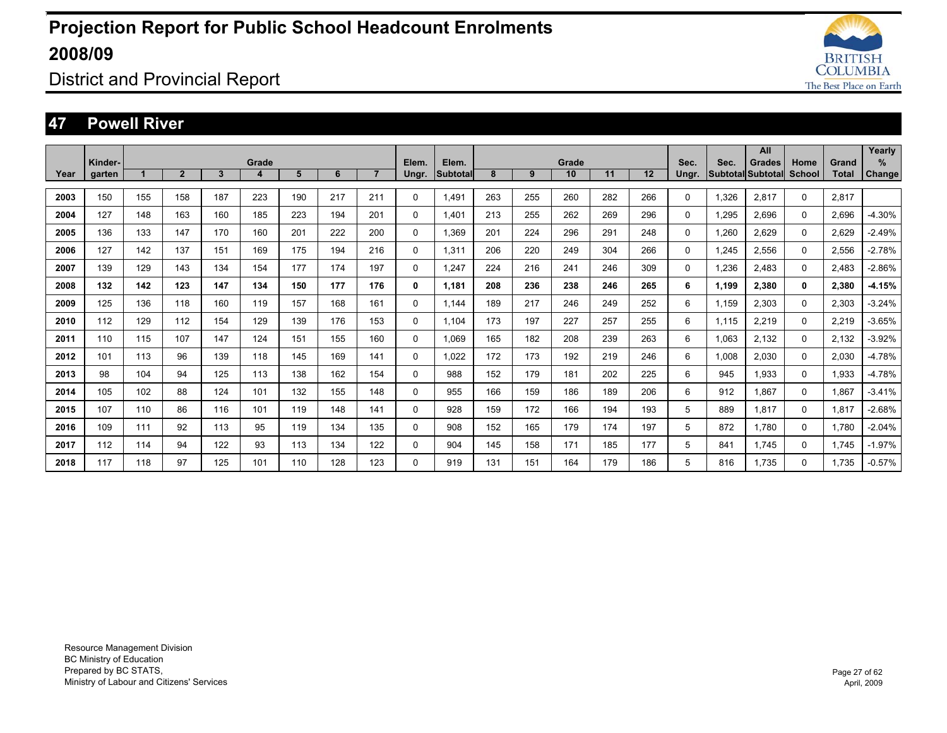

District and Provincial Report

#### **47 Powell River**

|      |                   |     |                |              |            |     |     |                |                |                          |     |     |             |     |     |               |       | All                                       |                |                | Yearly             |
|------|-------------------|-----|----------------|--------------|------------|-----|-----|----------------|----------------|--------------------------|-----|-----|-------------|-----|-----|---------------|-------|-------------------------------------------|----------------|----------------|--------------------|
| Year | Kinder-<br>garten |     | $\overline{2}$ | $\mathbf{3}$ | Grade<br>4 | 5   | 6   | $\overline{7}$ | Elem.<br>Ungr. | Elem.<br><b>Subtotal</b> | 8   | 9   | Grade<br>10 | 11  | 12  | Sec.<br>Ungr. | Sec.  | <b>Grades</b><br><b>Subtotal Subtotal</b> | Home<br>School | Grand<br>Total | %<br><b>Change</b> |
|      |                   |     |                |              |            |     |     |                |                |                          |     |     |             |     |     |               |       |                                           |                |                |                    |
| 2003 | 150               | 155 | 158            | 187          | 223        | 190 | 217 | 211            | 0              | 1.491                    | 263 | 255 | 260         | 282 | 266 | 0             | 1.326 | 2,817                                     | 0              | 2.817          |                    |
| 2004 | 127               | 148 | 163            | 160          | 185        | 223 | 194 | 201            | $\Omega$       | 1.401                    | 213 | 255 | 262         | 269 | 296 | 0             | 1.295 | 2.696                                     | $\Omega$       | 2.696          | $-4.30%$           |
| 2005 | 136               | 133 | 147            | 170          | 160        | 201 | 222 | 200            | 0              | 1.369                    | 201 | 224 | 296         | 291 | 248 | 0             | 1.260 | 2.629                                     | 0              | 2.629          | $-2.49%$           |
| 2006 | 127               | 142 | 137            | 151          | 169        | 175 | 194 | 216            | 0              | 1.311                    | 206 | 220 | 249         | 304 | 266 | 0             | 1.245 | 2.556                                     | $\Omega$       | 2.556          | $-2.78%$           |
| 2007 | 139               | 129 | 143            | 134          | 154        | 177 | 174 | 197            | 0              | 1.247                    | 224 | 216 | 241         | 246 | 309 | 0             | 1,236 | 2.483                                     | $\Omega$       | 2,483          | $-2.86%$           |
| 2008 | 132               | 142 | 123            | 147          | 134        | 150 | 177 | 176            | 0              | 1.181                    | 208 | 236 | 238         | 246 | 265 | 6             | 1,199 | 2,380                                     | 0              | 2,380          | $-4.15%$           |
| 2009 | 125               | 136 | 118            | 160          | 119        | 157 | 168 | 161            | 0              | 1.144                    | 189 | 217 | 246         | 249 | 252 | 6             | 1,159 | 2,303                                     | 0              | 2,303          | $-3.24%$           |
| 2010 | 112               | 129 | 112            | 154          | 129        | 139 | 176 | 153            | 0              | 1.104                    | 173 | 197 | 227         | 257 | 255 | 6             | 1.115 | 2,219                                     | $\Omega$       | 2,219          | $-3.65%$           |
| 2011 | 110               | 115 | 107            | 147          | 124        | 151 | 155 | 160            | 0              | 1.069                    | 165 | 182 | 208         | 239 | 263 | 6             | 1,063 | 2.132                                     | 0              | 2,132          | $-3.92%$           |
| 2012 | 101               | 113 | 96             | 139          | 118        | 145 | 169 | 141            | 0              | 1.022                    | 172 | 173 | 192         | 219 | 246 | 6             | 1,008 | 2.030                                     | 0              | 2,030          | $-4.78%$           |
| 2013 | 98                | 104 | 94             | 125          | 113        | 138 | 162 | 154            | 0              | 988                      | 152 | 179 | 181         | 202 | 225 | 6             | 945   | 1.933                                     | 0              | 1,933          | $-4.78%$           |
| 2014 | 105               | 102 | 88             | 124          | 101        | 132 | 155 | 148            | 0              | 955                      | 166 | 159 | 186         | 189 | 206 | 6             | 912   | 1.867                                     | 0              | 1,867          | $-3.41%$           |
| 2015 | 107               | 110 | 86             | 116          | 101        | 119 | 148 | 141            | 0              | 928                      | 159 | 172 | 166         | 194 | 193 | 5             | 889   | 1.817                                     | 0              | 1,817          | $-2.68%$           |
| 2016 | 109               | 111 | 92             | 113          | 95         | 119 | 134 | 135            | 0              | 908                      | 152 | 165 | 179         | 174 | 197 | 5             | 872   | 1.780                                     | 0              | 1,780          | $-2.04%$           |
| 2017 | 112               | 114 | 94             | 122          | 93         | 113 | 134 | 122            | 0              | 904                      | 145 | 158 | 171         | 185 | 177 | 5             | 841   | 1.745                                     | 0              | 1.745          | $-1.97%$           |
| 2018 | 117               | 118 | 97             | 125          | 101        | 110 | 128 | 123            | $\Omega$       | 919                      | 131 | 151 | 164         | 179 | 186 | 5             | 816   | 1.735                                     | 0              | 1.735          | $-0.57%$           |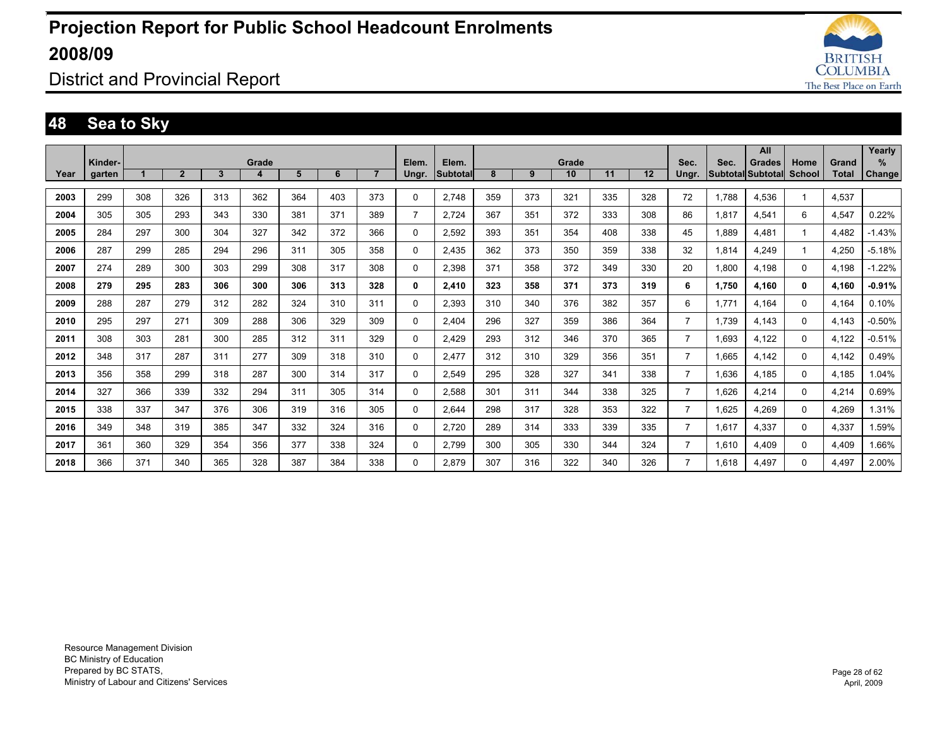

### District and Provincial Report

### **48 Sea to Sky**

|      | Kinder- |     |                |     | Grade |     |     |                | Elem.          | Elem.           |     |     | Grade |     |     | Sec.           | Sec.  | All<br><b>Grades</b>     | Home          | Grand        | Yearly<br>%   |
|------|---------|-----|----------------|-----|-------|-----|-----|----------------|----------------|-----------------|-----|-----|-------|-----|-----|----------------|-------|--------------------------|---------------|--------------|---------------|
| Year | garten  |     | $\overline{2}$ | 3   | 4     | 5   | 6   | $\overline{7}$ | Ungr.          | <b>Subtotal</b> | 8   | 9   | 10    | 11  | 12  | Ungr.          |       | <b>Subtotal Subtotal</b> | <b>School</b> | <b>Total</b> | <b>Change</b> |
| 2003 | 299     | 308 | 326            | 313 | 362   | 364 | 403 | 373            | 0              | 2,748           | 359 | 373 | 321   | 335 | 328 | 72             | 1,788 | 4,536                    |               | 4,537        |               |
| 2004 | 305     | 305 | 293            | 343 | 330   | 381 | 371 | 389            | $\overline{7}$ | 2,724           | 367 | 351 | 372   | 333 | 308 | 86             | 1.817 | 4.541                    | 6             | 4,547        | 0.22%         |
| 2005 | 284     | 297 | 300            | 304 | 327   | 342 | 372 | 366            | 0              | 2,592           | 393 | 351 | 354   | 408 | 338 | 45             | 1.889 | 4.481                    |               | 4.482        | $-1.43%$      |
| 2006 | 287     | 299 | 285            | 294 | 296   | 311 | 305 | 358            | 0              | 2.435           | 362 | 373 | 350   | 359 | 338 | 32             | 1.814 | 4.249                    |               | 4.250        | $-5.18%$      |
| 2007 | 274     | 289 | 300            | 303 | 299   | 308 | 317 | 308            | 0              | 2,398           | 371 | 358 | 372   | 349 | 330 | 20             | 1,800 | 4.198                    | $\Omega$      | 4,198        | $-1.22%$      |
| 2008 | 279     | 295 | 283            | 306 | 300   | 306 | 313 | 328            | 0              | 2,410           | 323 | 358 | 371   | 373 | 319 | 6              | 1,750 | 4,160                    | $\mathbf{0}$  | 4,160        | $-0.91%$      |
| 2009 | 288     | 287 | 279            | 312 | 282   | 324 | 310 | 311            | 0              | 2.393           | 310 | 340 | 376   | 382 | 357 | 6              | 1.771 | 4.164                    | 0             | 4.164        | 0.10%         |
| 2010 | 295     | 297 | 271            | 309 | 288   | 306 | 329 | 309            | 0              | 2.404           | 296 | 327 | 359   | 386 | 364 | $\overline{7}$ | 1.739 | 4.143                    | 0             | 4.143        | $-0.50%$      |
| 2011 | 308     | 303 | 281            | 300 | 285   | 312 | 311 | 329            | 0              | 2.429           | 293 | 312 | 346   | 370 | 365 | $\overline{7}$ | 1.693 | 4.122                    | 0             | 4.122        | $-0.51%$      |
| 2012 | 348     | 317 | 287            | 311 | 277   | 309 | 318 | 310            | 0              | 2.477           | 312 | 310 | 329   | 356 | 351 | $\overline{7}$ | 1.665 | 4.142                    | $\Omega$      | 4.142        | 0.49%         |
| 2013 | 356     | 358 | 299            | 318 | 287   | 300 | 314 | 317            | $\Omega$       | 2.549           | 295 | 328 | 327   | 341 | 338 | $\overline{7}$ | 1,636 | 4.185                    | $\Omega$      | 4,185        | 1.04%         |
| 2014 | 327     | 366 | 339            | 332 | 294   | 311 | 305 | 314            | 0              | 2,588           | 301 | 311 | 344   | 338 | 325 | $\overline{7}$ | 1,626 | 4,214                    | $\Omega$      | 4,214        | 0.69%         |
| 2015 | 338     | 337 | 347            | 376 | 306   | 319 | 316 | 305            | 0              | 2.644           | 298 | 317 | 328   | 353 | 322 | $\overline{7}$ | 1,625 | 4,269                    | 0             | 4,269        | 1.31%         |
| 2016 | 349     | 348 | 319            | 385 | 347   | 332 | 324 | 316            | 0              | 2,720           | 289 | 314 | 333   | 339 | 335 | $\overline{7}$ | 1.617 | 4.337                    | 0             | 4,337        | 1.59%         |
| 2017 | 361     | 360 | 329            | 354 | 356   | 377 | 338 | 324            | 0              | 2,799           | 300 | 305 | 330   | 344 | 324 | $\overline{7}$ | 1,610 | 4.409                    | 0             | 4,409        | 1.66%         |
| 2018 | 366     | 371 | 340            | 365 | 328   | 387 | 384 | 338            | $\Omega$       | 2.879           | 307 | 316 | 322   | 340 | 326 | $\overline{7}$ | 1.618 | 4.497                    | 0             | 4,497        | 2.00%         |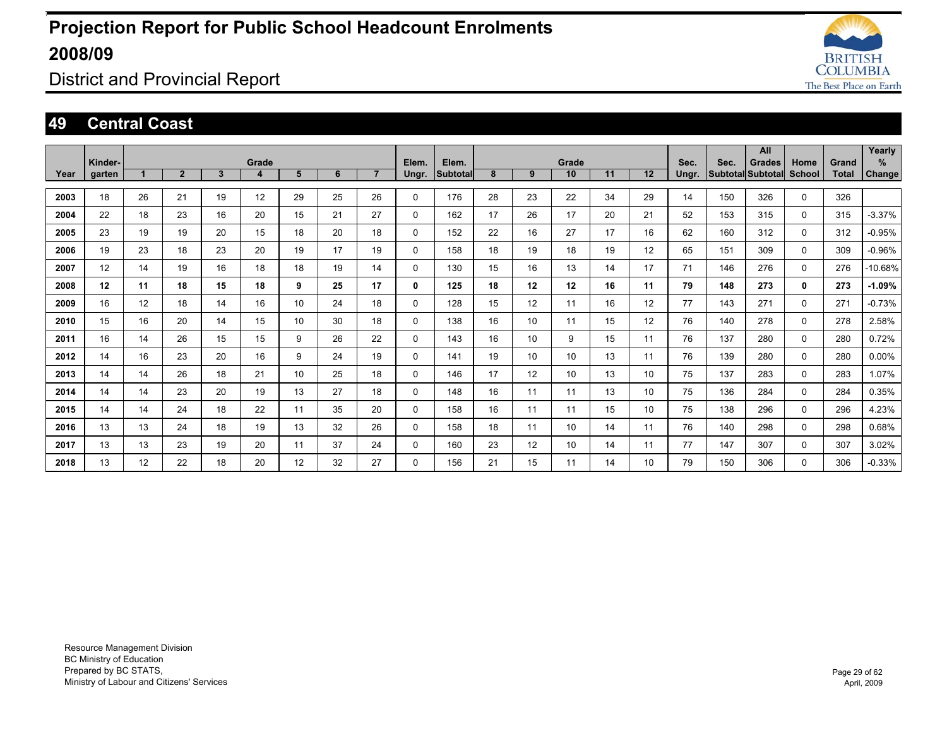

District and Provincial Report

#### **49 Central Coast**

| Year | Kinder-<br>garten |    | $\overline{2}$ | $\mathbf{3}$ | Grade<br>4 | 5  | 6  | $\overline{7}$ | Elem.<br>Ungr. | Elem.<br>Subtotal | 8  | 9  | Grade<br>10     | 11 | 12              | Sec.<br>Ungr. | Sec. | All<br><b>Grades</b><br>Subtotal Subtotal | Home<br>School | Grand<br><b>Total</b> | Yearly<br>%<br>Change |
|------|-------------------|----|----------------|--------------|------------|----|----|----------------|----------------|-------------------|----|----|-----------------|----|-----------------|---------------|------|-------------------------------------------|----------------|-----------------------|-----------------------|
|      |                   |    |                |              |            |    |    |                |                |                   |    |    |                 |    |                 |               |      |                                           |                |                       |                       |
| 2003 | 18                | 26 | 21             | 19           | 12         | 29 | 25 | 26             | 0              | 176               | 28 | 23 | 22              | 34 | 29              | 14            | 150  | 326                                       | $\Omega$       | 326                   |                       |
| 2004 | 22                | 18 | 23             | 16           | 20         | 15 | 21 | 27             | 0              | 162               | 17 | 26 | 17              | 20 | 21              | 52            | 153  | 315                                       | $\mathbf 0$    | 315                   | $-3.37%$              |
| 2005 | 23                | 19 | 19             | 20           | 15         | 18 | 20 | 18             | 0              | 152               | 22 | 16 | 27              | 17 | 16              | 62            | 160  | 312                                       | $\mathbf 0$    | 312                   | $-0.95%$              |
| 2006 | 19                | 23 | 18             | 23           | 20         | 19 | 17 | 19             | 0              | 158               | 18 | 19 | 18              | 19 | 12              | 65            | 151  | 309                                       | $\mathbf 0$    | 309                   | $-0.96%$              |
| 2007 | 12                | 14 | 19             | 16           | 18         | 18 | 19 | 14             | $\Omega$       | 130               | 15 | 16 | 13              | 14 | 17              | 71            | 146  | 276                                       | $\Omega$       | 276                   | $-10.68%$             |
| 2008 | 12                | 11 | 18             | 15           | 18         | 9  | 25 | 17             | 0              | 125               | 18 | 12 | 12              | 16 | 11              | 79            | 148  | 273                                       | 0              | 273                   | $-1.09%$              |
| 2009 | 16                | 12 | 18             | 14           | 16         | 10 | 24 | 18             | 0              | 128               | 15 | 12 | 11              | 16 | 12              | 77            | 143  | 271                                       | $\mathbf 0$    | 271                   | $-0.73%$              |
| 2010 | 15                | 16 | 20             | 14           | 15         | 10 | 30 | 18             | 0              | 138               | 16 | 10 | 11              | 15 | 12              | 76            | 140  | 278                                       | $\mathbf 0$    | 278                   | 2.58%                 |
| 2011 | 16                | 14 | 26             | 15           | 15         | 9  | 26 | 22             | 0              | 143               | 16 | 10 | 9               | 15 | 11              | 76            | 137  | 280                                       | $\mathbf 0$    | 280                   | 0.72%                 |
| 2012 | 14                | 16 | 23             | 20           | 16         | 9  | 24 | 19             | 0              | 141               | 19 | 10 | 10 <sup>°</sup> | 13 | 11              | 76            | 139  | 280                                       | $\mathbf 0$    | 280                   | $0.00\%$              |
| 2013 | 14                | 14 | 26             | 18           | 21         | 10 | 25 | 18             | 0              | 146               | 17 | 12 | 10 <sup>°</sup> | 13 | 10              | 75            | 137  | 283                                       | $\mathbf 0$    | 283                   | 1.07%                 |
| 2014 | 14                | 14 | 23             | 20           | 19         | 13 | 27 | 18             | 0              | 148               | 16 | 11 | 11              | 13 | 10              | 75            | 136  | 284                                       | $\mathbf 0$    | 284                   | 0.35%                 |
| 2015 | 14                | 14 | 24             | 18           | 22         | 11 | 35 | 20             | 0              | 158               | 16 | 11 | 11              | 15 | 10 <sup>°</sup> | 75            | 138  | 296                                       | $\mathbf 0$    | 296                   | 4.23%                 |
| 2016 | 13                | 13 | 24             | 18           | 19         | 13 | 32 | 26             | 0              | 158               | 18 | 11 | 10 <sup>1</sup> | 14 | 11              | 76            | 140  | 298                                       | $\mathbf 0$    | 298                   | 0.68%                 |
| 2017 | 13                | 13 | 23             | 19           | 20         | 11 | 37 | 24             | 0              | 160               | 23 | 12 | 10 <sup>1</sup> | 14 | 11              | 77            | 147  | 307                                       | $\mathbf 0$    | 307                   | 3.02%                 |
| 2018 | 13                | 12 | 22             | 18           | 20         | 12 | 32 | 27             | 0              | 156               | 21 | 15 | 11              | 14 | 10              | 79            | 150  | 306                                       | 0              | 306                   | $-0.33%$              |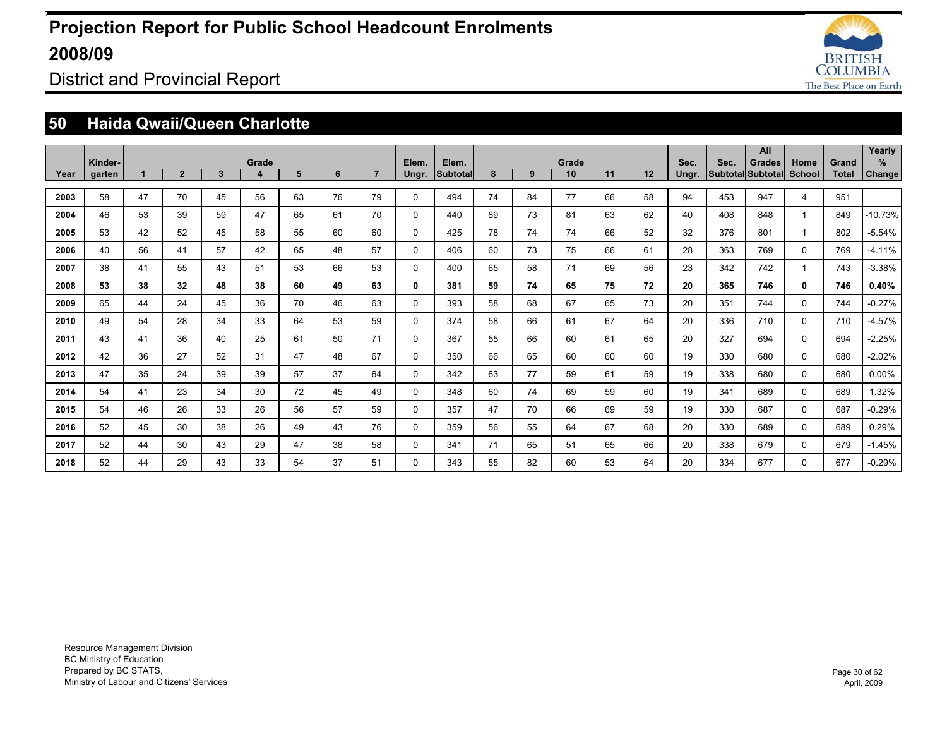

District and Provincial Report

### **50 Haida Qwaii/Queen Charlotte**

|      |                   |    |                |    |            |    |    |                |          |                          |    |    |                          |    |    |       |      | All                                |                |                       | Yearly      |
|------|-------------------|----|----------------|----|------------|----|----|----------------|----------|--------------------------|----|----|--------------------------|----|----|-------|------|------------------------------------|----------------|-----------------------|-------------|
| Year | Kinder-<br>garten |    | $\overline{2}$ | 3  | Grade<br>4 | 5  | 6  | $\overline{7}$ | Elem.    | Elem.<br><b>Subtotal</b> | 8  | 9  | Grade<br>10 <sup>°</sup> | 11 | 12 | Sec.  | Sec. | <b>Grades</b><br>Subtotal Subtotal | Home<br>School | Grand<br><b>Total</b> | %<br>Change |
|      |                   |    |                |    |            |    |    |                | Ungr.    |                          |    |    |                          |    |    | Ungr. |      |                                    |                |                       |             |
| 2003 | 58                | 47 | 70             | 45 | 56         | 63 | 76 | 79             | 0        | 494                      | 74 | 84 | 77                       | 66 | 58 | 94    | 453  | 947                                | 4              | 951                   |             |
| 2004 | 46                | 53 | 39             | 59 | 47         | 65 | 61 | 70             | 0        | 440                      | 89 | 73 | 81                       | 63 | 62 | 40    | 408  | 848                                |                | 849                   | $-10.73%$   |
| 2005 | 53                | 42 | 52             | 45 | 58         | 55 | 60 | 60             | 0        | 425                      | 78 | 74 | 74                       | 66 | 52 | 32    | 376  | 801                                |                | 802                   | $-5.54%$    |
| 2006 | 40                | 56 | 41             | 57 | 42         | 65 | 48 | 57             | $\Omega$ | 406                      | 60 | 73 | 75                       | 66 | 61 | 28    | 363  | 769                                | $\Omega$       | 769                   | $-4.11%$    |
| 2007 | 38                | 41 | 55             | 43 | 51         | 53 | 66 | 53             | 0        | 400                      | 65 | 58 | 71                       | 69 | 56 | 23    | 342  | 742                                |                | 743                   | $-3.38%$    |
| 2008 | 53                | 38 | 32             | 48 | 38         | 60 | 49 | 63             | 0        | 381                      | 59 | 74 | 65                       | 75 | 72 | 20    | 365  | 746                                | 0              | 746                   | 0.40%       |
| 2009 | 65                | 44 | 24             | 45 | 36         | 70 | 46 | 63             | 0        | 393                      | 58 | 68 | 67                       | 65 | 73 | 20    | 351  | 744                                | $\Omega$       | 744                   | $-0.27%$    |
| 2010 | 49                | 54 | 28             | 34 | 33         | 64 | 53 | 59             | 0        | 374                      | 58 | 66 | 61                       | 67 | 64 | 20    | 336  | 710                                | $\Omega$       | 710                   | $-4.57%$    |
| 2011 | 43                | 41 | 36             | 40 | 25         | 61 | 50 | 71             | $\Omega$ | 367                      | 55 | 66 | 60                       | 61 | 65 | 20    | 327  | 694                                | $\Omega$       | 694                   | $-2.25%$    |
| 2012 | 42                | 36 | 27             | 52 | 31         | 47 | 48 | 67             | 0        | 350                      | 66 | 65 | 60                       | 60 | 60 | 19    | 330  | 680                                | $\Omega$       | 680                   | $-2.02%$    |
| 2013 | 47                | 35 | 24             | 39 | 39         | 57 | 37 | 64             | 0        | 342                      | 63 | 77 | 59                       | 61 | 59 | 19    | 338  | 680                                | 0              | 680                   | $0.00\%$    |
| 2014 | 54                | 41 | 23             | 34 | 30         | 72 | 45 | 49             | 0        | 348                      | 60 | 74 | 69                       | 59 | 60 | 19    | 341  | 689                                | $\Omega$       | 689                   | 1.32%       |
| 2015 | 54                | 46 | 26             | 33 | 26         | 56 | 57 | 59             | 0        | 357                      | 47 | 70 | 66                       | 69 | 59 | 19    | 330  | 687                                | $\Omega$       | 687                   | $-0.29%$    |
| 2016 | 52                | 45 | 30             | 38 | 26         | 49 | 43 | 76             | 0        | 359                      | 56 | 55 | 64                       | 67 | 68 | 20    | 330  | 689                                | $\Omega$       | 689                   | 0.29%       |
| 2017 | 52                | 44 | 30             | 43 | 29         | 47 | 38 | 58             | 0        | 341                      | 71 | 65 | 51                       | 65 | 66 | 20    | 338  | 679                                | 0              | 679                   | $-1.45%$    |
| 2018 | 52                | 44 | 29             | 43 | 33         | 54 | 37 | 51             | 0        | 343                      | 55 | 82 | 60                       | 53 | 64 | 20    | 334  | 677                                | 0              | 677                   | $-0.29%$    |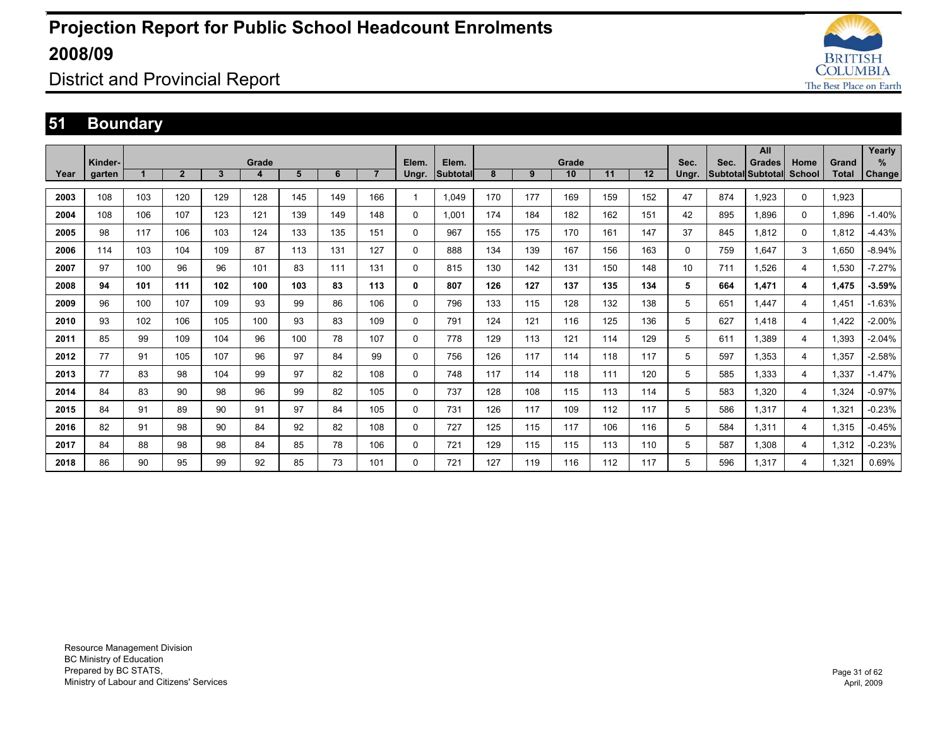

District and Provincial Report

### **51 Boundary**

|      |         |     |                |     |       |     |     |                |              |          |     |     |       |     |     |       |      | All                      |        |       | Yearly   |
|------|---------|-----|----------------|-----|-------|-----|-----|----------------|--------------|----------|-----|-----|-------|-----|-----|-------|------|--------------------------|--------|-------|----------|
|      | Kinder- |     |                |     | Grade |     |     |                | Elem.        | Elem.    |     |     | Grade |     |     | Sec.  | Sec. | <b>Grades</b>            | Home   | Grand | %        |
| Year | garten  |     | $\overline{2}$ | 3   | 4     | 5   | 6   | $\overline{7}$ | Ungr.        | Subtotal | 8   | 9   | 10    | 11  | 12  | Ungr. |      | <b>Subtotal Subtotal</b> | School | Total | Change   |
| 2003 | 108     | 103 | 120            | 129 | 128   | 145 | 149 | 166            |              | 1,049    | 170 | 177 | 169   | 159 | 152 | 47    | 874  | 1,923                    | 0      | 1,923 |          |
| 2004 | 108     | 106 | 107            | 123 | 121   | 139 | 149 | 148            | $\mathbf 0$  | 1,001    | 174 | 184 | 182   | 162 | 151 | 42    | 895  | 1.896                    | 0      | 1.896 | $-1.40%$ |
| 2005 | 98      | 117 | 106            | 103 | 124   | 133 | 135 | 151            | $\mathbf 0$  | 967      | 155 | 175 | 170   | 161 | 147 | 37    | 845  | 1.812                    | 0      | 1.812 | $-4.43%$ |
| 2006 | 114     | 103 | 104            | 109 | 87    | 113 | 131 | 127            | 0            | 888      | 134 | 139 | 167   | 156 | 163 | 0     | 759  | 1.647                    | 3      | 1.650 | $-8.94%$ |
| 2007 | 97      | 100 | 96             | 96  | 101   | 83  | 111 | 131            | $\Omega$     | 815      | 130 | 142 | 131   | 150 | 148 | 10    | 711  | 1.526                    | 4      | 1,530 | $-7.27%$ |
| 2008 | 94      | 101 | 111            | 102 | 100   | 103 | 83  | 113            | 0            | 807      | 126 | 127 | 137   | 135 | 134 | 5     | 664  | 1,471                    | 4      | 1,475 | $-3.59%$ |
| 2009 | 96      | 100 | 107            | 109 | 93    | 99  | 86  | 106            | 0            | 796      | 133 | 115 | 128   | 132 | 138 | 5     | 651  | 1.447                    | 4      | 1.451 | $-1.63%$ |
| 2010 | 93      | 102 | 106            | 105 | 100   | 93  | 83  | 109            | $\mathbf{0}$ | 791      | 124 | 121 | 116   | 125 | 136 | 5     | 627  | 1.418                    | 4      | 1.422 | $-2.00%$ |
| 2011 | 85      | 99  | 109            | 104 | 96    | 100 | 78  | 107            | $\Omega$     | 778      | 129 | 113 | 121   | 114 | 129 | 5     | 611  | 1.389                    | 4      | 1.393 | $-2.04%$ |
| 2012 | 77      | 91  | 105            | 107 | 96    | 97  | 84  | 99             | $\mathbf 0$  | 756      | 126 | 117 | 114   | 118 | 117 | 5     | 597  | 1.353                    | 4      | 1,357 | $-2.58%$ |
| 2013 | 77      | 83  | 98             | 104 | 99    | 97  | 82  | 108            | 0            | 748      | 117 | 114 | 118   | 111 | 120 | 5     | 585  | 1.333                    | 4      | 1,337 | $-1.47%$ |
| 2014 | 84      | 83  | 90             | 98  | 96    | 99  | 82  | 105            | 0            | 737      | 128 | 108 | 115   | 113 | 114 | 5     | 583  | 1.320                    | 4      | 1,324 | $-0.97%$ |
| 2015 | 84      | 91  | 89             | 90  | 91    | 97  | 84  | 105            | $\Omega$     | 731      | 126 | 117 | 109   | 112 | 117 | 5     | 586  | 1,317                    | 4      | 1,321 | $-0.23%$ |
| 2016 | 82      | 91  | 98             | 90  | 84    | 92  | 82  | 108            | $\mathbf{0}$ | 727      | 125 | 115 | 117   | 106 | 116 | 5     | 584  | 1.311                    | 4      | 1,315 | $-0.45%$ |
| 2017 | 84      | 88  | 98             | 98  | 84    | 85  | 78  | 106            | $\mathbf{0}$ | 721      | 129 | 115 | 115   | 113 | 110 | 5     | 587  | 1,308                    | 4      | 1,312 | $-0.23%$ |
| 2018 | 86      | 90  | 95             | 99  | 92    | 85  | 73  | 101            | $\Omega$     | 721      | 127 | 119 | 116   | 112 | 117 | 5     | 596  | 1.317                    | 4      | 1,321 | 0.69%    |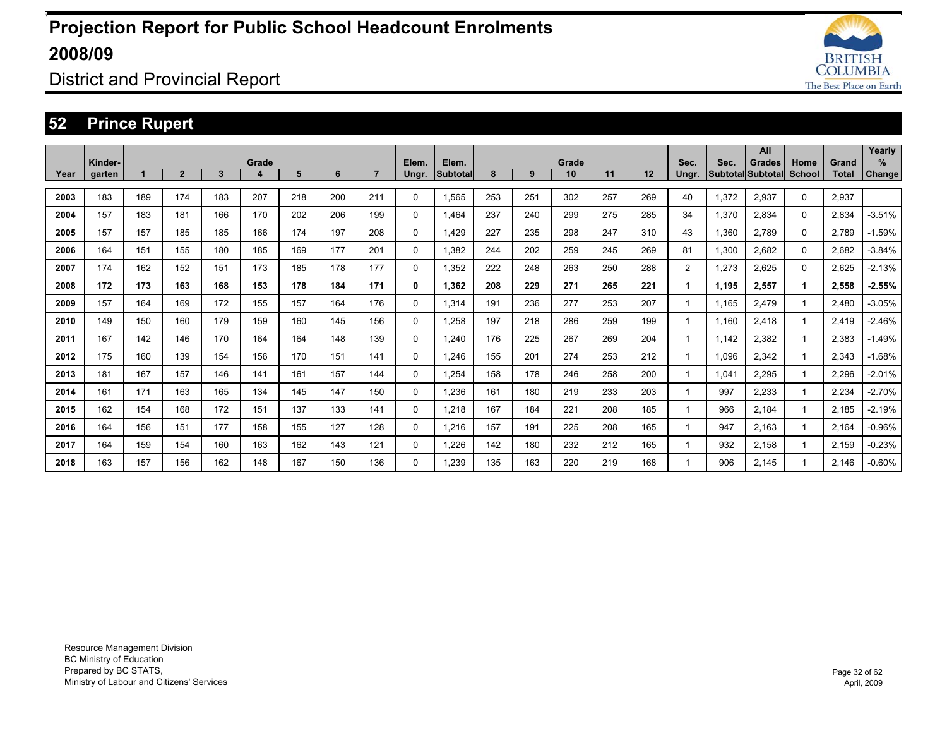

District and Provincial Report

### **52 Prince Rupert**

|      | Kinder- |     |              |              | Grade |     |     |                | Elem.        | Elem.           |     |     | Grade |     |     | Sec.           | Sec.  | All<br><b>Grades</b>     | Home     | Grand        | Yearly<br>% |
|------|---------|-----|--------------|--------------|-------|-----|-----|----------------|--------------|-----------------|-----|-----|-------|-----|-----|----------------|-------|--------------------------|----------|--------------|-------------|
| Year | garten  |     | $\mathbf{2}$ | $\mathbf{3}$ | 4     | 5   | 6   | $\overline{7}$ | Ungr.        | <b>Subtotal</b> | 8   | 9   | 10    | 11  | 12  | Ungr.          |       | <b>Subtotal Subtotal</b> | School   | <b>Total</b> | Change      |
| 2003 | 183     | 189 | 174          | 183          | 207   | 218 | 200 | 211            | $\mathbf{0}$ | 1.565           | 253 | 251 | 302   | 257 | 269 | 40             | 1,372 | 2.937                    | $\Omega$ | 2,937        |             |
| 2004 | 157     | 183 | 181          | 166          | 170   | 202 | 206 | 199            | $\mathbf{0}$ | 1.464           | 237 | 240 | 299   | 275 | 285 | 34             | 1.370 | 2,834                    | $\Omega$ | 2,834        | $-3.51%$    |
| 2005 | 157     | 157 | 185          | 185          | 166   | 174 | 197 | 208            | $\mathbf{0}$ | 1,429           | 227 | 235 | 298   | 247 | 310 | 43             | 1,360 | 2.789                    | $\Omega$ | 2.789        | $-1.59%$    |
| 2006 | 164     | 151 | 155          | 180          | 185   | 169 | 177 | 201            | 0            | 1,382           | 244 | 202 | 259   | 245 | 269 | 81             | 1.300 | 2.682                    | 0        | 2,682        | $-3.84%$    |
| 2007 | 174     | 162 | 152          | 151          | 173   | 185 | 178 | 177            | 0            | 1.352           | 222 | 248 | 263   | 250 | 288 | $\overline{2}$ | 1.273 | 2.625                    | $\Omega$ | 2.625        | $-2.13%$    |
| 2008 | 172     | 173 | 163          | 168          | 153   | 178 | 184 | 171            | 0            | 1.362           | 208 | 229 | 271   | 265 | 221 | 1              | 1.195 | 2,557                    | 1        | 2,558        | $-2.55%$    |
| 2009 | 157     | 164 | 169          | 172          | 155   | 157 | 164 | 176            | $\mathbf{0}$ | 1,314           | 191 | 236 | 277   | 253 | 207 | 1              | 1,165 | 2.479                    |          | 2,480        | $-3.05%$    |
| 2010 | 149     | 150 | 160          | 179          | 159   | 160 | 145 | 156            | $\mathbf{0}$ | 1,258           | 197 | 218 | 286   | 259 | 199 | 1              | 1.160 | 2.418                    |          | 2.419        | $-2.46%$    |
| 2011 | 167     | 142 | 146          | 170          | 164   | 164 | 148 | 139            | $\Omega$     | 1,240           | 176 | 225 | 267   | 269 | 204 |                | 1,142 | 2,382                    |          | 2,383        | $-1.49%$    |
| 2012 | 175     | 160 | 139          | 154          | 156   | 170 | 151 | 141            | 0            | 1.246           | 155 | 201 | 274   | 253 | 212 | 1              | 1,096 | 2.342                    |          | 2,343        | $-1.68%$    |
| 2013 | 181     | 167 | 157          | 146          | 141   | 161 | 157 | 144            | 0            | 1,254           | 158 | 178 | 246   | 258 | 200 |                | 1,041 | 2.295                    |          | 2,296        | $-2.01%$    |
| 2014 | 161     | 171 | 163          | 165          | 134   | 145 | 147 | 150            | $\mathbf 0$  | 1,236           | 161 | 180 | 219   | 233 | 203 |                | 997   | 2,233                    |          | 2,234        | $-2.70%$    |
| 2015 | 162     | 154 | 168          | 172          | 151   | 137 | 133 | 141            | $\Omega$     | 1,218           | 167 | 184 | 221   | 208 | 185 |                | 966   | 2,184                    |          | 2,185        | $-2.19%$    |
| 2016 | 164     | 156 | 151          | 177          | 158   | 155 | 127 | 128            | $\Omega$     | 1,216           | 157 | 191 | 225   | 208 | 165 |                | 947   | 2.163                    |          | 2,164        | $-0.96%$    |
| 2017 | 164     | 159 | 154          | 160          | 163   | 162 | 143 | 121            | $\Omega$     | 1,226           | 142 | 180 | 232   | 212 | 165 |                | 932   | 2,158                    |          | 2,159        | $-0.23%$    |
| 2018 | 163     | 157 | 156          | 162          | 148   | 167 | 150 | 136            | $\Omega$     | 1.239           | 135 | 163 | 220   | 219 | 168 |                | 906   | 2.145                    |          | 2.146        | $-0.60%$    |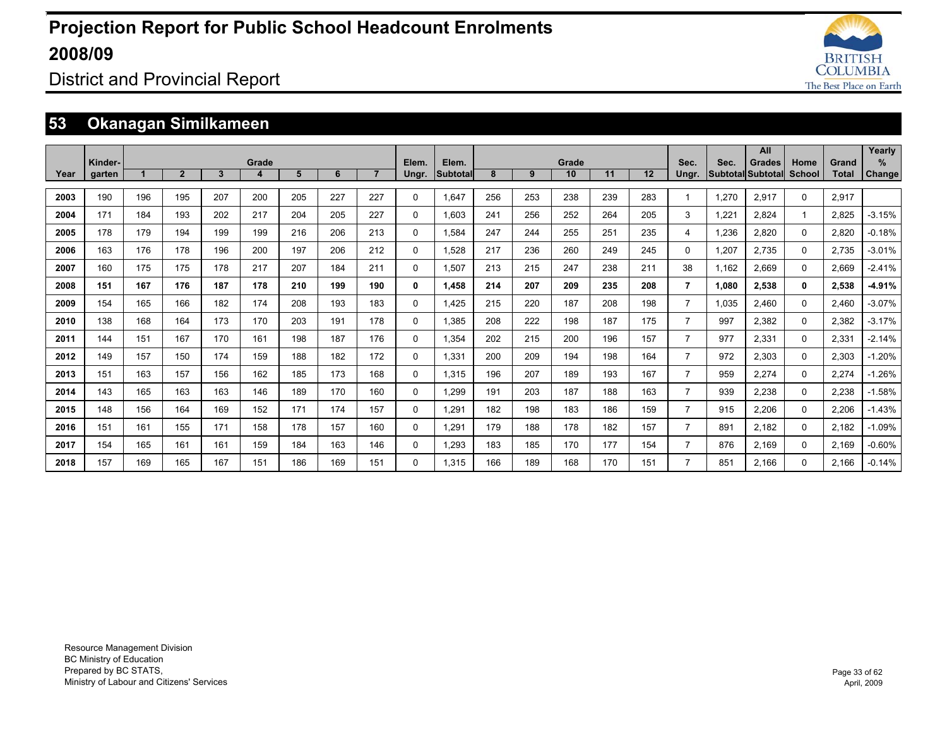

### District and Provincial Report

### **53 Okanagan Similkameen**

|      |         |     |                |     |       |     |     |                |       |                 |     |     |       |     |     |                |       | All               |              |              | Yearly        |
|------|---------|-----|----------------|-----|-------|-----|-----|----------------|-------|-----------------|-----|-----|-------|-----|-----|----------------|-------|-------------------|--------------|--------------|---------------|
|      | Kinder- |     |                |     | Grade |     |     |                | Elem. | Elem.           |     |     | Grade |     |     | Sec.           | Sec.  | <b>Grades</b>     | Home         | Grand        | %             |
| Year | garten  |     | $\overline{2}$ | 3   |       | 5   | 6   | $\overline{7}$ | Ungr. | <b>Subtotal</b> | 8   | 9   | 10    | 11  | 12  | Ungr.          |       | Subtotal Subtotal | School       | <b>Total</b> | <b>Change</b> |
| 2003 | 190     | 196 | 195            | 207 | 200   | 205 | 227 | 227            | 0     | 1.647           | 256 | 253 | 238   | 239 | 283 | -1             | 1.270 | 2,917             | $\Omega$     | 2.917        |               |
| 2004 | 171     | 184 | 193            | 202 | 217   | 204 | 205 | 227            | 0     | 1.603           | 241 | 256 | 252   | 264 | 205 | 3              | 1.221 | 2.824             | 1            | 2.825        | $-3.15%$      |
| 2005 | 178     | 179 | 194            | 199 | 199   | 216 | 206 | 213            | 0     | 1.584           | 247 | 244 | 255   | 251 | 235 | 4              | 1.236 | 2.820             | $\Omega$     | 2.820        | $-0.18%$      |
| 2006 | 163     | 176 | 178            | 196 | 200   | 197 | 206 | 212            | 0     | 1,528           | 217 | 236 | 260   | 249 | 245 | $\Omega$       | 1.207 | 2.735             | $\Omega$     | 2,735        | $-3.01%$      |
| 2007 | 160     | 175 | 175            | 178 | 217   | 207 | 184 | 211            | 0     | 1,507           | 213 | 215 | 247   | 238 | 211 | 38             | 1,162 | 2,669             | 0            | 2,669        | $-2.41%$      |
| 2008 | 151     | 167 | 176            | 187 | 178   | 210 | 199 | 190            | 0     | 1.458           | 214 | 207 | 209   | 235 | 208 | $\overline{7}$ | 1.080 | 2,538             | $\mathbf{0}$ | 2,538        | $-4.91%$      |
| 2009 | 154     | 165 | 166            | 182 | 174   | 208 | 193 | 183            | 0     | 1.425           | 215 | 220 | 187   | 208 | 198 | $\overline{7}$ | 1,035 | 2.460             | 0            | 2.460        | $-3.07%$      |
| 2010 | 138     | 168 | 164            | 173 | 170   | 203 | 191 | 178            | 0     | 1,385           | 208 | 222 | 198   | 187 | 175 | $\overline{7}$ | 997   | 2,382             | $\Omega$     | 2,382        | $-3.17%$      |
| 2011 | 144     | 151 | 167            | 170 | 161   | 198 | 187 | 176            | 0     | 1.354           | 202 | 215 | 200   | 196 | 157 | $\overline{7}$ | 977   | 2.331             | 0            | 2.331        | $-2.14%$      |
| 2012 | 149     | 157 | 150            | 174 | 159   | 188 | 182 | 172            | 0     | 1,331           | 200 | 209 | 194   | 198 | 164 | $\overline{7}$ | 972   | 2,303             | $\Omega$     | 2,303        | $-1.20%$      |
| 2013 | 151     | 163 | 157            | 156 | 162   | 185 | 173 | 168            | 0     | 1.315           | 196 | 207 | 189   | 193 | 167 | $\overline{7}$ | 959   | 2,274             | 0            | 2,274        | $-1.26%$      |
| 2014 | 143     | 165 | 163            | 163 | 146   | 189 | 170 | 160            | 0     | 1.299           | 191 | 203 | 187   | 188 | 163 | $\overline{7}$ | 939   | 2,238             | 0            | 2,238        | $-1.58%$      |
| 2015 | 148     | 156 | 164            | 169 | 152   | 171 | 174 | 157            | 0     | 1.291           | 182 | 198 | 183   | 186 | 159 | $\overline{7}$ | 915   | 2.206             | 0            | 2.206        | $-1.43%$      |
| 2016 | 151     | 161 | 155            | 171 | 158   | 178 | 157 | 160            | 0     | 1,291           | 179 | 188 | 178   | 182 | 157 | $\overline{7}$ | 891   | 2.182             | 0            | 2,182        | $-1.09%$      |
| 2017 | 154     | 165 | 161            | 161 | 159   | 184 | 163 | 146            | 0     | 1,293           | 183 | 185 | 170   | 177 | 154 | $\overline{7}$ | 876   | 2.169             | $\Omega$     | 2,169        | $-0.60%$      |
| 2018 | 157     | 169 | 165            | 167 | 151   | 186 | 169 | 151            | 0     | 1.315           | 166 | 189 | 168   | 170 | 151 | $\overline{7}$ | 851   | 2.166             | $\Omega$     | 2.166        | $-0.14%$      |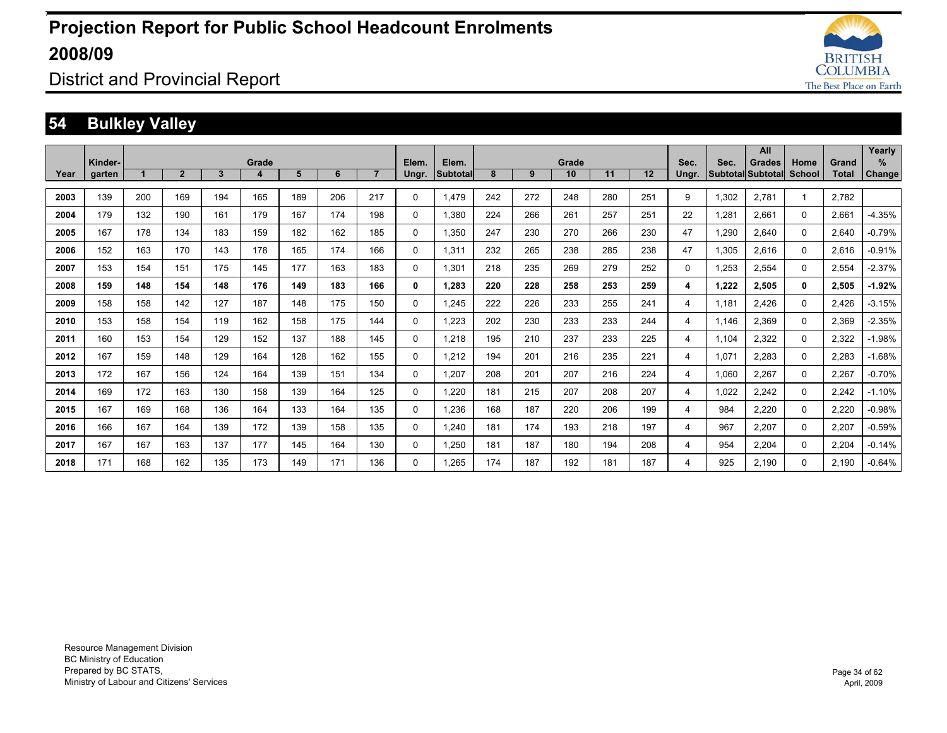

District and Provincial Report

### **54 Bulkley Valley**

|      |                   |     |              |              |            |     |     |                |                |                          |     |     |             |     |     |               |       | All                         |                |                       | Yearly             |
|------|-------------------|-----|--------------|--------------|------------|-----|-----|----------------|----------------|--------------------------|-----|-----|-------------|-----|-----|---------------|-------|-----------------------------|----------------|-----------------------|--------------------|
| Year | Kinder-<br>garten |     | $\mathbf{2}$ | $\mathbf{3}$ | Grade<br>4 | 5   | 6   | $\overline{7}$ | Elem.<br>Ungr. | Elem.<br><b>Subtotal</b> | 8   | 9   | Grade<br>10 | 11  | 12  | Sec.<br>Ungr. | Sec.  | Grades<br>Subtotal Subtotal | Home<br>School | Grand<br><b>Total</b> | %<br><b>Change</b> |
|      |                   |     |              |              |            |     |     |                |                |                          |     |     |             |     |     |               |       |                             |                |                       |                    |
| 2003 | 139               | 200 | 169          | 194          | 165        | 189 | 206 | 217            | 0              | 1.479                    | 242 | 272 | 248         | 280 | 251 | 9             | 1,302 | 2.781                       | $\mathbf{1}$   | 2.782                 |                    |
| 2004 | 179               | 132 | 190          | 161          | 179        | 167 | 174 | 198            | 0              | 1.380                    | 224 | 266 | 261         | 257 | 251 | 22            | 1.281 | 2.661                       | 0              | 2.661                 | $-4.35%$           |
| 2005 | 167               | 178 | 134          | 183          | 159        | 182 | 162 | 185            | 0              | 1.350                    | 247 | 230 | 270         | 266 | 230 | 47            | 1,290 | 2.640                       | 0              | 2.640                 | $-0.79%$           |
| 2006 | 152               | 163 | 170          | 143          | 178        | 165 | 174 | 166            | 0              | 1.311                    | 232 | 265 | 238         | 285 | 238 | 47            | 1.305 | 2.616                       | 0              | 2.616                 | $-0.91%$           |
| 2007 | 153               | 154 | 151          | 175          | 145        | 177 | 163 | 183            | 0              | 1,301                    | 218 | 235 | 269         | 279 | 252 | $\Omega$      | 1,253 | 2,554                       | 0              | 2,554                 | $-2.37%$           |
| 2008 | 159               | 148 | 154          | 148          | 176        | 149 | 183 | 166            | 0              | 1,283                    | 220 | 228 | 258         | 253 | 259 | 4             | 1,222 | 2,505                       | 0              | 2,505                 | $-1.92%$           |
| 2009 | 158               | 158 | 142          | 127          | 187        | 148 | 175 | 150            | 0              | 1,245                    | 222 | 226 | 233         | 255 | 241 | 4             | 1.181 | 2,426                       | 0              | 2,426                 | $-3.15%$           |
| 2010 | 153               | 158 | 154          | 119          | 162        | 158 | 175 | 144            | 0              | 1,223                    | 202 | 230 | 233         | 233 | 244 | 4             | 1.146 | 2,369                       | 0              | 2,369                 | $-2.35%$           |
| 2011 | 160               | 153 | 154          | 129          | 152        | 137 | 188 | 145            | 0              | 1,218                    | 195 | 210 | 237         | 233 | 225 | 4             | 1.104 | 2,322                       | 0              | 2,322                 | $-1.98%$           |
| 2012 | 167               | 159 | 148          | 129          | 164        | 128 | 162 | 155            | 0              | 1,212                    | 194 | 201 | 216         | 235 | 221 | 4             | 1,071 | 2,283                       | 0              | 2,283                 | $-1.68%$           |
| 2013 | 172               | 167 | 156          | 124          | 164        | 139 | 151 | 134            | 0              | 1,207                    | 208 | 201 | 207         | 216 | 224 | 4             | 1.060 | 2,267                       | 0              | 2,267                 | $-0.70%$           |
| 2014 | 169               | 172 | 163          | 130          | 158        | 139 | 164 | 125            | 0              | 1,220                    | 181 | 215 | 207         | 208 | 207 | 4             | 1,022 | 2,242                       | 0              | 2,242                 | $-1.10%$           |
| 2015 | 167               | 169 | 168          | 136          | 164        | 133 | 164 | 135            | 0              | 1,236                    | 168 | 187 | 220         | 206 | 199 | 4             | 984   | 2,220                       | 0              | 2,220                 | $-0.98%$           |
| 2016 | 166               | 167 | 164          | 139          | 172        | 139 | 158 | 135            | 0              | 1.240                    | 181 | 174 | 193         | 218 | 197 | 4             | 967   | 2.207                       | 0              | 2,207                 | $-0.59%$           |
| 2017 | 167               | 167 | 163          | 137          | 177        | 145 | 164 | 130            | 0              | 1,250                    | 181 | 187 | 180         | 194 | 208 | 4             | 954   | 2,204                       | 0              | 2,204                 | $-0.14%$           |
| 2018 | 171               | 168 | 162          | 135          | 173        | 149 | 171 | 136            | 0              | 1.265                    | 174 | 187 | 192         | 181 | 187 | 4             | 925   | 2.190                       | 0              | 2.190                 | $-0.64%$           |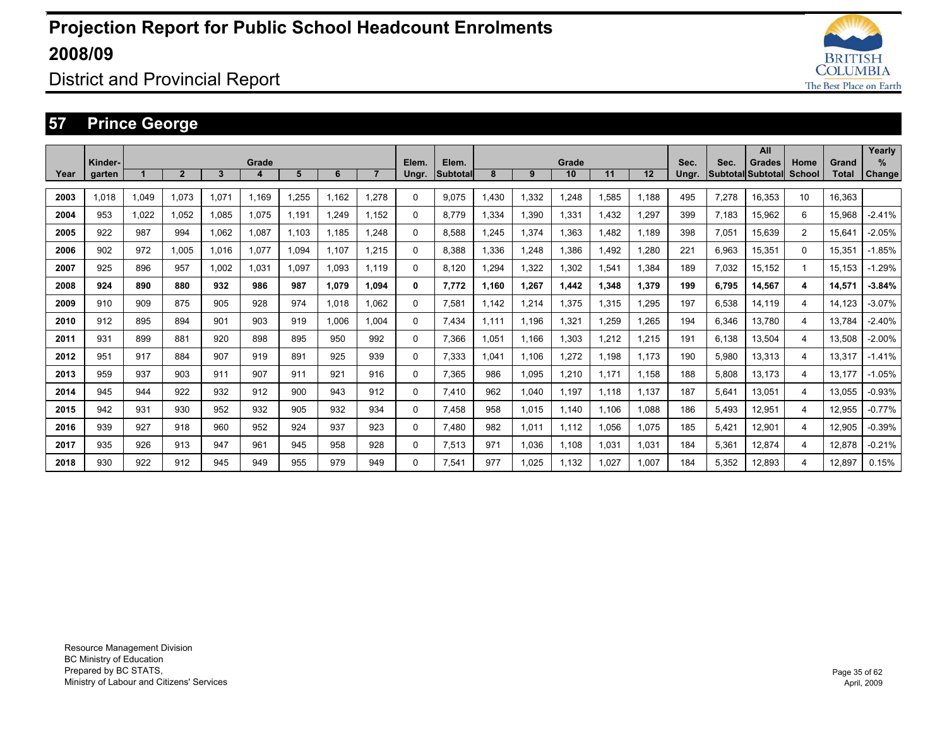

### District and Provincial Report

### **57 Prince George**

|      |                   |       |                |       |            |       |       |                |                |                          |       |       |             |       |       |               |       | All                                |      |                       | Yearly      |
|------|-------------------|-------|----------------|-------|------------|-------|-------|----------------|----------------|--------------------------|-------|-------|-------------|-------|-------|---------------|-------|------------------------------------|------|-----------------------|-------------|
| Year | Kinder-<br>garten |       | $\overline{2}$ | 3     | Grade<br>4 | 5     | 6     | $\overline{7}$ | Elem.<br>Ungr. | Elem.<br><b>Subtotal</b> | 8     | 9     | Grade<br>10 | 11    | 12    | Sec.<br>Ungr. | Sec.  | Grades<br>Subtotal Subtotal School | Home | Grand<br><b>Total</b> | %<br>Change |
|      |                   |       |                |       |            |       |       |                |                |                          |       |       |             |       |       |               |       |                                    |      |                       |             |
| 2003 | 1.018             | 1.049 | 1.073          | 1.071 | 1.169      | 1.255 | 1.162 | 1.278          | 0              | 9.075                    | 1.430 | 1,332 | 1.248       | 1.585 | 1.188 | 495           | 7.278 | 16.353                             | 10   | 16.363                |             |
| 2004 | 953               | 1.022 | 1.052          | 1.085 | 1.075      | 1.191 | 1.249 | 1.152          | $\Omega$       | 8.779                    | 1.334 | 1,390 | 1.331       | 1.432 | 1.297 | 399           | 7.183 | 15.962                             | 6    | 15.968                | $-2.41%$    |
| 2005 | 922               | 987   | 994            | 1.062 | 1.087      | 1.103 | 1.185 | 1.248          | 0              | 8.588                    | .245  | 1,374 | 1.363       | 1.482 | 1.189 | 398           | 7.051 | 15.639                             | 2    | 15.641                | $-2.05%$    |
| 2006 | 902               | 972   | 1.005          | 1.016 | 1.077      | 1.094 | 1.107 | 1.215          | $\Omega$       | 8.388                    | 1.336 | 1.248 | 1.386       | 1.492 | 1.280 | 221           | 6.963 | 15.351                             | 0    | 15.351                | $-1.85%$    |
| 2007 | 925               | 896   | 957            | 1.002 | 1.031      | 1,097 | 1.093 | 1.119          | $\Omega$       | 8.120                    | .294  | 1,322 | 1,302       | 1,541 | 1.384 | 189           | 7,032 | 15,152                             |      | 15.153                | $-1.29%$    |
| 2008 | 924               | 890   | 880            | 932   | 986        | 987   | 1.079 | 1,094          | 0              | 7.772                    | 1.160 | 1,267 | 1,442       | 1,348 | 1,379 | 199           | 6,795 | 14,567                             | 4    | 14,571                | $-3.84%$    |
| 2009 | 910               | 909   | 875            | 905   | 928        | 974   | 1,018 | 1.062          | 0              | 7,581                    | 1.142 | 1,214 | 1,375       | 1,315 | 1,295 | 197           | 6,538 | 14,119                             | 4    | 14.123                | $-3.07%$    |
| 2010 | 912               | 895   | 894            | 901   | 903        | 919   | 1.006 | 1.004          | $\Omega$       | 7.434                    | 1.111 | 1,196 | 1,321       | 1,259 | 1,265 | 194           | 6,346 | 13.780                             | 4    | 13.784                | $-2.40%$    |
| 2011 | 931               | 899   | 881            | 920   | 898        | 895   | 950   | 992            | 0              | 7,366                    | 1.051 | 1,166 | 1,303       | 1,212 | 1,215 | 191           | 6,138 | 13,504                             | 4    | 13,508                | $-2.00%$    |
| 2012 | 951               | 917   | 884            | 907   | 919        | 891   | 925   | 939            | 0              | 7,333                    | 1.041 | 1,106 | 1,272       | 1.198 | 1.173 | 190           | 5,980 | 13,313                             | 4    | 13,317                | $-1.41%$    |
| 2013 | 959               | 937   | 903            | 911   | 907        | 911   | 921   | 916            | 0              | 7.365                    | 986   | 1,095 | 1,210       | 1.171 | 1.158 | 188           | 5,808 | 13.173                             | 4    | 13.177                | $-1.05%$    |
| 2014 | 945               | 944   | 922            | 932   | 912        | 900   | 943   | 912            | 0              | 7.410                    | 962   | 1,040 | 1,197       | 1.118 | 1.137 | 187           | 5,641 | 13,051                             | 4    | 13,055                | $-0.93%$    |
| 2015 | 942               | 931   | 930            | 952   | 932        | 905   | 932   | 934            | 0              | 7.458                    | 958   | 1,015 | 1.140       | 1.106 | 1.088 | 186           | 5,493 | 12,951                             | 4    | 12,955                | $-0.77%$    |
| 2016 | 939               | 927   | 918            | 960   | 952        | 924   | 937   | 923            | 0              | 7.480                    | 982   | 1,011 | 1,112       | 1.056 | 1.075 | 185           | 5,421 | 12.901                             | 4    | 12,905                | $-0.39%$    |
| 2017 | 935               | 926   | 913            | 947   | 961        | 945   | 958   | 928            | $\Omega$       | 7,513                    | 971   | 1,036 | 1,108       | 1,031 | 1,031 | 184           | 5,361 | 12,874                             | 4    | 12,878                | $-0.21%$    |
| 2018 | 930               | 922   | 912            | 945   | 949        | 955   | 979   | 949            | 0              | 7.541                    | 977   | 1.025 | 1.132       | 1.027 | 1.007 | 184           | 5.352 | 12.893                             | 4    | 12.897                | 0.15%       |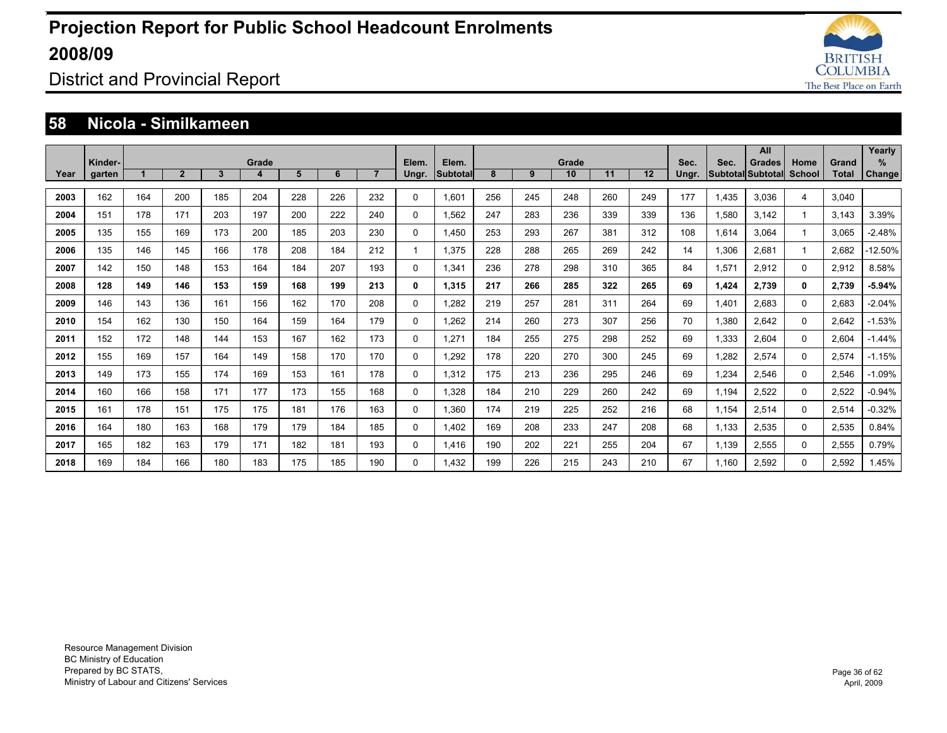

### District and Provincial Report

#### **58 Nicola - Similkameen**

|      | Kinder- |     |                |              | Grade |     |     |                | Elem.       | Elem.    |     |     | Grade |     |     | Sec.  | Sec.  | All<br><b>Grades</b>     | Home     | Grand        | Yearly<br>%   |
|------|---------|-----|----------------|--------------|-------|-----|-----|----------------|-------------|----------|-----|-----|-------|-----|-----|-------|-------|--------------------------|----------|--------------|---------------|
| Year | garten  |     | $\overline{2}$ | $\mathbf{3}$ | 4     | 5   | 6   | $\overline{7}$ | Ungr.       | Subtotal | 8   | 9   | 10    | 11  | 12  | Ungr. |       | <b>Subtotal Subtotal</b> | School   | <b>Total</b> | <b>Change</b> |
| 2003 | 162     | 164 | 200            | 185          | 204   | 228 | 226 | 232            | $\Omega$    | 1,601    | 256 | 245 | 248   | 260 | 249 | 177   | 1,435 | 3,036                    | 4        | 3,040        |               |
| 2004 | 151     | 178 | 171            | 203          | 197   | 200 | 222 | 240            | $\mathbf 0$ | 1,562    | 247 | 283 | 236   | 339 | 339 | 136   | 1,580 | 3.142                    |          | 3.143        | 3.39%         |
| 2005 | 135     | 155 | 169            | 173          | 200   | 185 | 203 | 230            | 0           | 1.450    | 253 | 293 | 267   | 381 | 312 | 108   | 1.614 | 3.064                    |          | 3.065        | $-2.48%$      |
| 2006 | 135     | 146 | 145            | 166          | 178   | 208 | 184 | 212            |             | 1.375    | 228 | 288 | 265   | 269 | 242 | 14    | 1,306 | 2.681                    |          | 2.682        | $-12.50%$     |
| 2007 | 142     | 150 | 148            | 153          | 164   | 184 | 207 | 193            | $\Omega$    | 1,341    | 236 | 278 | 298   | 310 | 365 | 84    | 1,571 | 2,912                    | $\Omega$ | 2,912        | 8.58%         |
| 2008 | 128     | 149 | 146            | 153          | 159   | 168 | 199 | 213            | 0           | 1,315    | 217 | 266 | 285   | 322 | 265 | 69    | 1,424 | 2.739                    | 0        | 2.739        | $-5.94%$      |
| 2009 | 146     | 143 | 136            | 161          | 156   | 162 | 170 | 208            | 0           | 1.282    | 219 | 257 | 281   | 311 | 264 | 69    | 1.401 | 2.683                    | 0        | 2,683        | $-2.04%$      |
| 2010 | 154     | 162 | 130            | 150          | 164   | 159 | 164 | 179            | 0           | 1.262    | 214 | 260 | 273   | 307 | 256 | 70    | 1.380 | 2.642                    | 0        | 2.642        | $-1.53%$      |
| 2011 | 152     | 172 | 148            | 144          | 153   | 167 | 162 | 173            | 0           | 1.271    | 184 | 255 | 275   | 298 | 252 | 69    | 1,333 | 2.604                    | 0        | 2.604        | $-1.44%$      |
| 2012 | 155     | 169 | 157            | 164          | 149   | 158 | 170 | 170            | 0           | 1.292    | 178 | 220 | 270   | 300 | 245 | 69    | 1.282 | 2.574                    | $\Omega$ | 2.574        | $-1.15%$      |
| 2013 | 149     | 173 | 155            | 174          | 169   | 153 | 161 | 178            | $\Omega$    | 1,312    | 175 | 213 | 236   | 295 | 246 | 69    | 1,234 | 2,546                    | 0        | 2,546        | $-1.09%$      |
| 2014 | 160     | 166 | 158            | 171          | 177   | 173 | 155 | 168            | $\mathbf 0$ | 1,328    | 184 | 210 | 229   | 260 | 242 | 69    | 1,194 | 2,522                    | $\Omega$ | 2,522        | $-0.94%$      |
| 2015 | 161     | 178 | 151            | 175          | 175   | 181 | 176 | 163            | 0           | 1.360    | 174 | 219 | 225   | 252 | 216 | 68    | 1,154 | 2,514                    | 0        | 2,514        | $-0.32%$      |
| 2016 | 164     | 180 | 163            | 168          | 179   | 179 | 184 | 185            | 0           | 1,402    | 169 | 208 | 233   | 247 | 208 | 68    | 1,133 | 2.535                    | 0        | 2,535        | 0.84%         |
| 2017 | 165     | 182 | 163            | 179          | 171   | 182 | 181 | 193            | $\Omega$    | 1,416    | 190 | 202 | 221   | 255 | 204 | 67    | 1,139 | 2,555                    | 0        | 2,555        | 0.79%         |
| 2018 | 169     | 184 | 166            | 180          | 183   | 175 | 185 | 190            | $\Omega$    | 1.432    | 199 | 226 | 215   | 243 | 210 | 67    | 1.160 | 2.592                    | 0        | 2.592        | 1.45%         |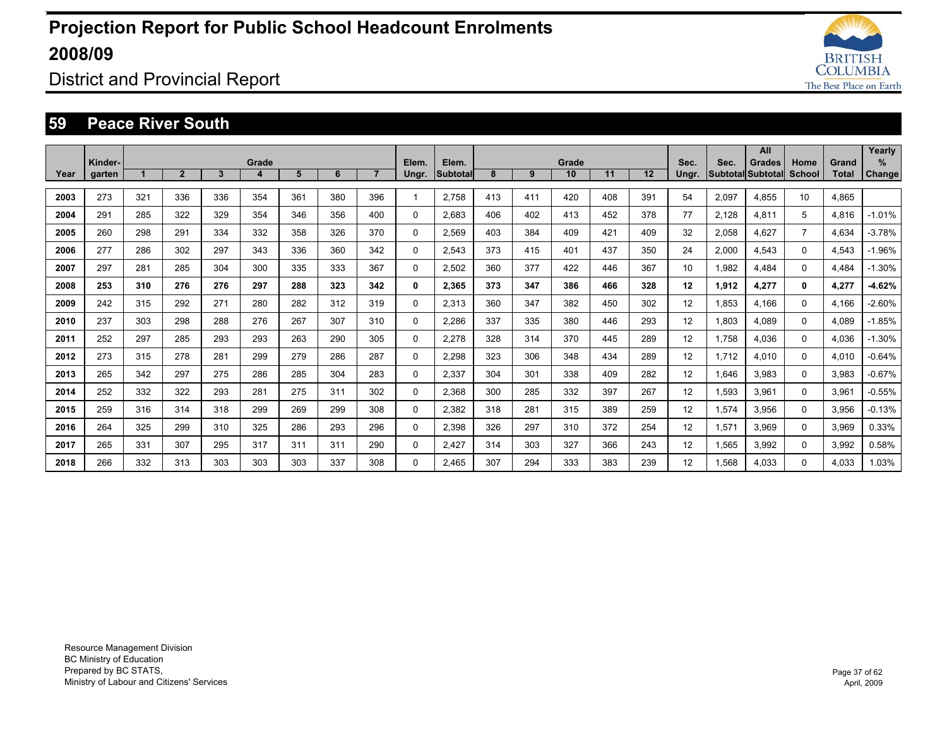

District and Provincial Report

#### **59 Peace River South**

|      | Kinder- |     |                |     | Grade |     |     |                | Elem.    | Elem.           |     |     | Grade |     |     | Sec.            | Sec.  | All<br><b>Grades</b>     | Home           | Grand        | Yearly<br>%   |
|------|---------|-----|----------------|-----|-------|-----|-----|----------------|----------|-----------------|-----|-----|-------|-----|-----|-----------------|-------|--------------------------|----------------|--------------|---------------|
| Year | garten  |     | $\overline{2}$ | 3   | 4     | 5   | 6   | $\overline{7}$ | Ungr.    | <b>Subtotal</b> | 8   | 9   | 10    | 11  | 12  | Ungr.           |       | <b>Subtotal Subtotal</b> | <b>School</b>  | <b>Total</b> | <b>Change</b> |
| 2003 | 273     | 321 | 336            | 336 | 354   | 361 | 380 | 396            |          | 2,758           | 413 | 411 | 420   | 408 | 391 | 54              | 2,097 | 4.855                    | 10             | 4,865        |               |
| 2004 | 291     | 285 | 322            | 329 | 354   | 346 | 356 | 400            | 0        | 2,683           | 406 | 402 | 413   | 452 | 378 | 77              | 2,128 | 4.811                    | 5              | 4,816        | $-1.01%$      |
| 2005 | 260     | 298 | 291            | 334 | 332   | 358 | 326 | 370            | 0        | 2,569           | 403 | 384 | 409   | 421 | 409 | 32              | 2,058 | 4.627                    | $\overline{7}$ | 4.634        | $-3.78%$      |
| 2006 | 277     | 286 | 302            | 297 | 343   | 336 | 360 | 342            | 0        | 2.543           | 373 | 415 | 401   | 437 | 350 | 24              | 2,000 | 4.543                    | 0              | 4,543        | $-1.96%$      |
| 2007 | 297     | 281 | 285            | 304 | 300   | 335 | 333 | 367            | 0        | 2,502           | 360 | 377 | 422   | 446 | 367 | 10              | 1,982 | 4.484                    | $\Omega$       | 4.484        | $-1.30%$      |
| 2008 | 253     | 310 | 276            | 276 | 297   | 288 | 323 | 342            | 0        | 2.365           | 373 | 347 | 386   | 466 | 328 | 12              | 1,912 | 4,277                    | 0              | 4,277        | $-4.62%$      |
| 2009 | 242     | 315 | 292            | 271 | 280   | 282 | 312 | 319            | 0        | 2.313           | 360 | 347 | 382   | 450 | 302 | 12              | 1.853 | 4.166                    | 0              | 4.166        | $-2.60%$      |
| 2010 | 237     | 303 | 298            | 288 | 276   | 267 | 307 | 310            | 0        | 2.286           | 337 | 335 | 380   | 446 | 293 | 12              | 1.803 | 4.089                    | 0              | 4.089        | $-1.85%$      |
| 2011 | 252     | 297 | 285            | 293 | 293   | 263 | 290 | 305            | 0        | 2.278           | 328 | 314 | 370   | 445 | 289 | 12 <sup>2</sup> | 1.758 | 4.036                    | 0              | 4,036        | $-1.30%$      |
| 2012 | 273     | 315 | 278            | 281 | 299   | 279 | 286 | 287            | 0        | 2.298           | 323 | 306 | 348   | 434 | 289 | 12              | 1.712 | 4.010                    | $\Omega$       | 4.010        | $-0.64%$      |
| 2013 | 265     | 342 | 297            | 275 | 286   | 285 | 304 | 283            | 0        | 2,337           | 304 | 301 | 338   | 409 | 282 | 12 <sup>2</sup> | 1,646 | 3,983                    | $\Omega$       | 3,983        | $-0.67%$      |
| 2014 | 252     | 332 | 322            | 293 | 281   | 275 | 311 | 302            | 0        | 2,368           | 300 | 285 | 332   | 397 | 267 | 12              | 1,593 | 3,961                    | 0              | 3,961        | $-0.55%$      |
| 2015 | 259     | 316 | 314            | 318 | 299   | 269 | 299 | 308            | 0        | 2,382           | 318 | 281 | 315   | 389 | 259 | 12              | 1,574 | 3,956                    | 0              | 3,956        | $-0.13%$      |
| 2016 | 264     | 325 | 299            | 310 | 325   | 286 | 293 | 296            | 0        | 2.398           | 326 | 297 | 310   | 372 | 254 | 12              | 1,571 | 3.969                    | 0              | 3,969        | 0.33%         |
| 2017 | 265     | 331 | 307            | 295 | 317   | 311 | 311 | 290            | 0        | 2,427           | 314 | 303 | 327   | 366 | 243 | 12              | 1,565 | 3,992                    | 0              | 3,992        | 0.58%         |
| 2018 | 266     | 332 | 313            | 303 | 303   | 303 | 337 | 308            | $\Omega$ | 2.465           | 307 | 294 | 333   | 383 | 239 | 12              | 1.568 | 4.033                    | 0              | 4.033        | 1.03%         |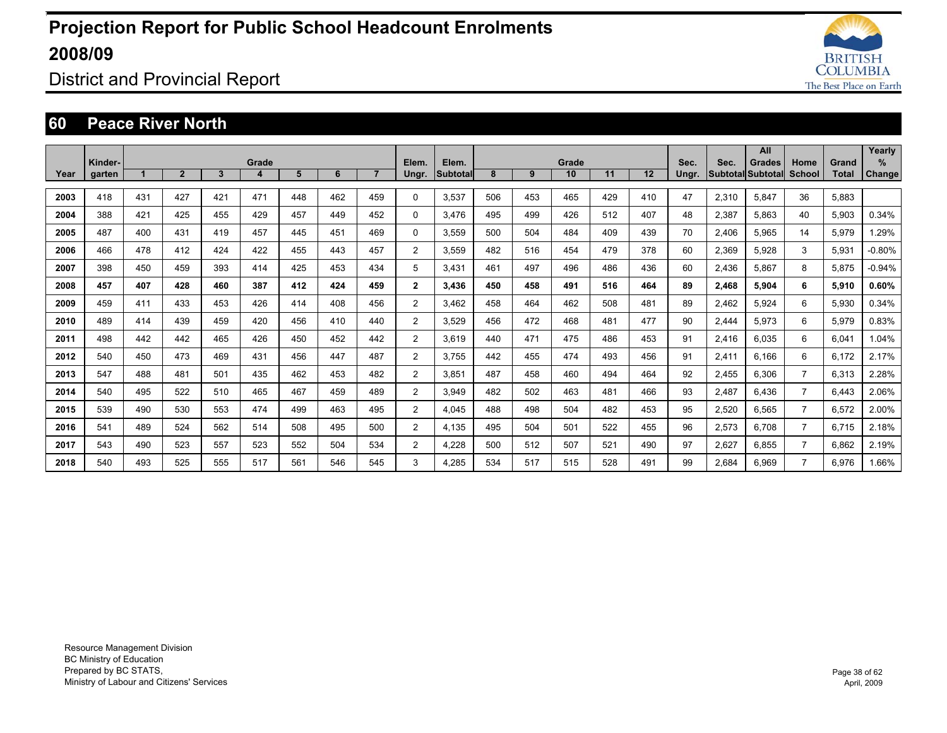

### District and Provincial Report

#### **60 Peace River North**

|      |                   |     |                |     |            |     |     |                |                |                          |     |     |             |     |     |               |       | All                                |                |                | Yearly             |
|------|-------------------|-----|----------------|-----|------------|-----|-----|----------------|----------------|--------------------------|-----|-----|-------------|-----|-----|---------------|-------|------------------------------------|----------------|----------------|--------------------|
| Year | Kinder-<br>garten |     | $\overline{2}$ | 3   | Grade<br>4 | 5   | 6   | 7 <sup>2</sup> | Elem.<br>Ungr. | Elem.<br><b>Subtotal</b> | 8   | 9   | Grade<br>10 | 11  | 12  | Sec.<br>Ungr. | Sec.  | <b>Grades</b><br>Subtotal Subtotal | Home<br>School | Grand<br>Total | %<br><b>Change</b> |
|      |                   |     |                |     |            |     |     |                |                |                          |     |     |             |     |     |               |       |                                    |                |                |                    |
| 2003 | 418               | 431 | 427            | 421 | 471        | 448 | 462 | 459            | $\Omega$       | 3.537                    | 506 | 453 | 465         | 429 | 410 | 47            | 2,310 | 5.847                              | 36             | 5.883          |                    |
| 2004 | 388               | 421 | 425            | 455 | 429        | 457 | 449 | 452            | $\Omega$       | 3.476                    | 495 | 499 | 426         | 512 | 407 | 48            | 2.387 | 5.863                              | 40             | 5.903          | 0.34%              |
| 2005 | 487               | 400 | 431            | 419 | 457        | 445 | 451 | 469            | $\Omega$       | 3.559                    | 500 | 504 | 484         | 409 | 439 | 70            | 2.406 | 5.965                              | 14             | 5.979          | 1.29%              |
| 2006 | 466               | 478 | 412            | 424 | 422        | 455 | 443 | 457            | $\overline{2}$ | 3.559                    | 482 | 516 | 454         | 479 | 378 | 60            | 2.369 | 5.928                              | 3              | 5.931          | $-0.80%$           |
| 2007 | 398               | 450 | 459            | 393 | 414        | 425 | 453 | 434            | 5              | 3.431                    | 461 | 497 | 496         | 486 | 436 | 60            | 2,436 | 5.867                              | 8              | 5,875          | $-0.94%$           |
| 2008 | 457               | 407 | 428            | 460 | 387        | 412 | 424 | 459            | $\overline{2}$ | 3.436                    | 450 | 458 | 491         | 516 | 464 | 89            | 2,468 | 5,904                              | 6              | 5,910          | 0.60%              |
| 2009 | 459               | 411 | 433            | 453 | 426        | 414 | 408 | 456            | $\overline{2}$ | 3.462                    | 458 | 464 | 462         | 508 | 481 | 89            | 2,462 | 5,924                              | 6              | 5,930          | 0.34%              |
| 2010 | 489               | 414 | 439            | 459 | 420        | 456 | 410 | 440            | $\overline{2}$ | 3.529                    | 456 | 472 | 468         | 481 | 477 | 90            | 2,444 | 5,973                              | 6              | 5,979          | 0.83%              |
| 2011 | 498               | 442 | 442            | 465 | 426        | 450 | 452 | 442            | $\overline{2}$ | 3.619                    | 440 | 471 | 475         | 486 | 453 | 91            | 2,416 | 6.035                              | 6              | 6,041          | 1.04%              |
| 2012 | 540               | 450 | 473            | 469 | 431        | 456 | 447 | 487            | $\overline{2}$ | 3.755                    | 442 | 455 | 474         | 493 | 456 | 91            | 2,411 | 6.166                              | 6              | 6.172          | 2.17%              |
| 2013 | 547               | 488 | 481            | 501 | 435        | 462 | 453 | 482            | $\overline{2}$ | 3.851                    | 487 | 458 | 460         | 494 | 464 | 92            | 2,455 | 6.306                              | $\overline{7}$ | 6,313          | 2.28%              |
| 2014 | 540               | 495 | 522            | 510 | 465        | 467 | 459 | 489            | 2              | 3.949                    | 482 | 502 | 463         | 481 | 466 | 93            | 2,487 | 6.436                              | $\overline{7}$ | 6.443          | 2.06%              |
| 2015 | 539               | 490 | 530            | 553 | 474        | 499 | 463 | 495            | $\overline{2}$ | 4.045                    | 488 | 498 | 504         | 482 | 453 | 95            | 2,520 | 6.565                              | 7              | 6,572          | 2.00%              |
| 2016 | 541               | 489 | 524            | 562 | 514        | 508 | 495 | 500            | $\overline{2}$ | 4.135                    | 495 | 504 | 501         | 522 | 455 | 96            | 2,573 | 6.708                              | $\overline{7}$ | 6.715          | 2.18%              |
| 2017 | 543               | 490 | 523            | 557 | 523        | 552 | 504 | 534            | $\overline{2}$ | 4,228                    | 500 | 512 | 507         | 521 | 490 | 97            | 2,627 | 6.855                              | $\overline{7}$ | 6.862          | 2.19%              |
| 2018 | 540               | 493 | 525            | 555 | 517        | 561 | 546 | 545            | 3              | 4.285                    | 534 | 517 | 515         | 528 | 491 | 99            | 2.684 | 6.969                              |                | 6.976          | 1.66%              |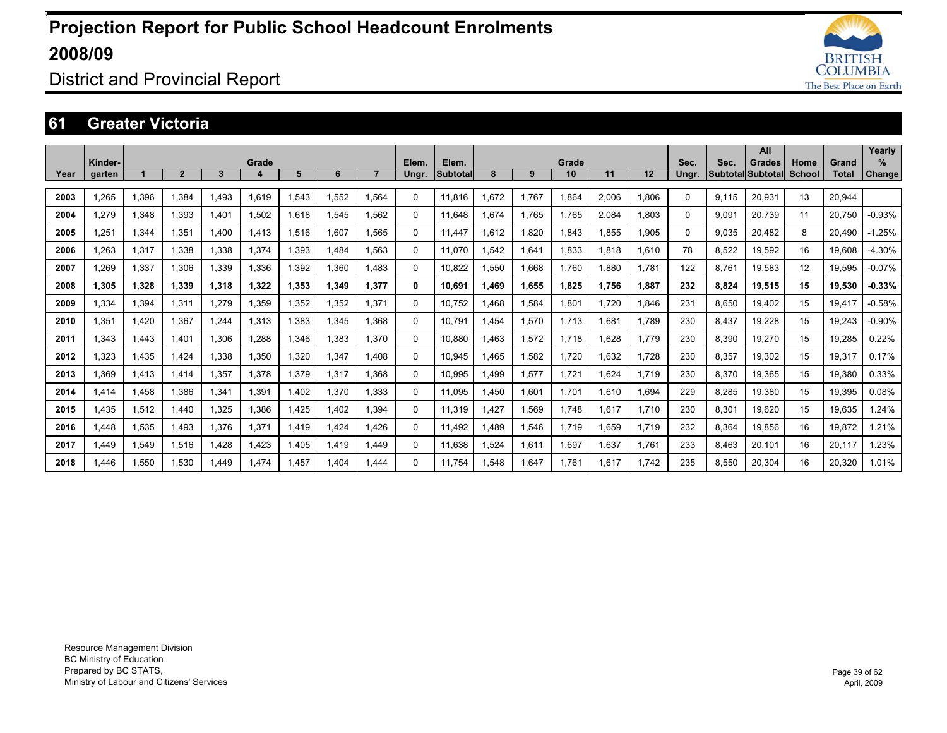

### District and Provincial Report

#### **61 Greater Victoria**

|      |         |       |                |       |       |       |       |                |          |                 |        |       |       |       |       |          |                   | All           |        |        | Yearly   |
|------|---------|-------|----------------|-------|-------|-------|-------|----------------|----------|-----------------|--------|-------|-------|-------|-------|----------|-------------------|---------------|--------|--------|----------|
|      | Kinder- |       |                |       | Grade |       |       |                | Elem.    | Elem.           |        |       | Grade |       |       | Sec.     | Sec.              | <b>Grades</b> | Home   | Grand  | $\%$     |
| Year | garten  |       | $\overline{2}$ | 3     | Δ     | 5     | 6     | $\overline{7}$ | Ungr.    | <b>Subtotal</b> | 8      | 9     | 10    | 11    | 12    | Ungr.    | Subtotal Subtotal |               | School | Total  | Change   |
| 2003 | 1,265   | 1,396 | 1.384          | 1.493 | 1.619 | 1.543 | 1.552 | 1.564          | $\Omega$ | 11.816          | 1.672  | 1.767 | 1.864 | 2.006 | 1,806 | $\Omega$ | 9.115             | 20.931        | 13     | 20.944 |          |
| 2004 | 1,279   | 1,348 | 1,393          | 1.401 | 1,502 | 1.618 | 1,545 | 1.562          | 0        | 11.648          | 1.674  | 1.765 | 1.765 | 2,084 | 1.803 | 0        | 9.091             | 20,739        | 11     | 20.750 | $-0.93%$ |
| 2005 | 1.251   | 1,344 | 1.351          | 1.400 | 1.413 | 1,516 | 1.607 | 1.565          | 0        | 11.447          | 1.612  | 1.820 | 1.843 | 1.855 | 1.905 | 0        | 9.035             | 20.482        | 8      | 20.490 | $-1.25%$ |
| 2006 | 1.263   | 1,317 | 1.338          | 1.338 | 1.374 | 1.393 | 1.484 | 1.563          | $\Omega$ | 11.070          | 1.542  | 1.641 | 1.833 | 1.818 | 1.610 | 78       | 8.522             | 19.592        | 16     | 19.608 | $-4.30%$ |
| 2007 | 1,269   | 1,337 | 1.306          | 1.339 | .336  | 1,392 | 1.360 | 1.483          | 0        | 10,822          | 1,550  | 1,668 | 1.760 | 1.880 | 1.781 | 122      | 8.761             | 19.583        | 12     | 19.595 | $-0.07%$ |
| 2008 | 1.305   | 1,328 | 1.339          | 1.318 | 1.322 | 1.353 | 1.349 | 1.377          | 0        | 10.691          | 1.469  | 1,655 | 1.825 | 1.756 | 1.887 | 232      | 8.824             | 19.515        | 15     | 19.530 | $-0.33%$ |
| 2009 | 1,334   | 1,394 | 1,311          | 1.279 | .359  | 1,352 | 1.352 | 1.371          | $\Omega$ | 10.752          | .468   | 1,584 | 1.801 | 1.720 | 1.846 | 231      | 8,650             | 19,402        | 15     | 19.417 | $-0.58%$ |
| 2010 | 1,351   | 1,420 | 1.367          | 1.244 | 1,313 | 1,383 | 1.345 | 1.368          | $\Omega$ | 10.791          | .454   | 1,570 | 1.713 | 1.681 | 1.789 | 230      | 8,437             | 19,228        | 15     | 19,243 | $-0.90%$ |
| 2011 | 1.343   | 1,443 | 1.401          | 1.306 | .288  | 1.346 | 1.383 | 1.370          | 0        | 10.880          | 1.463  | 1,572 | 1.718 | 1.628 | 1.779 | 230      | 8,390             | 19.270        | 15     | 19,285 | 0.22%    |
| 2012 | 1,323   | 1,435 | 1.424          | 1,338 | 1,350 | 1,320 | 1.347 | 1.408          | 0        | 10,945          | .465   | 1,582 | 1,720 | 1,632 | 1.728 | 230      | 8,357             | 19,302        | 15     | 19,317 | 0.17%    |
| 2013 | 1,369   | 1,413 | 1.414          | 1,357 | 1,378 | 1,379 | 1,317 | .368           | $\Omega$ | 10,995          | 499. ا | 1,577 | 1,721 | 1,624 | 1.719 | 230      | 8,370             | 19,365        | 15     | 19,380 | 0.33%    |
| 2014 | 1.414   | 1.458 | 1.386          | 1,341 | 1,391 | 1,402 | 1,370 | 1.333          | 0        | 11,095          | 1.450  | 1,601 | 1.701 | 1.610 | 1.694 | 229      | 8,285             | 19.380        | 15     | 19,395 | 0.08%    |
| 2015 | 1,435   | 1,512 | 1.440          | 1,325 | 1,386 | 1,425 | 1,402 | .394           | 0        | 11,319          | 1,427  | 1,569 | 1,748 | 1,617 | 1.710 | 230      | 8,301             | 19,620        | 15     | 19,635 | 1.24%    |
| 2016 | 1,448   | 1,535 | 1,493          | 1,376 | 1,371 | 1,419 | 1,424 | .426           | $\Omega$ | 11,492          | 489. ا | 1,546 | 1,719 | 1,659 | 1.719 | 232      | 8,364             | 19,856        | 16     | 19,872 | 1.21%    |
| 2017 | 1.449   | 1,549 | 1,516          | 1.428 | 1.423 | 1,405 | 1.419 | 1.449          | 0        | 11,638          | 1,524  | 1,611 | 1,697 | 1.637 | 1.761 | 233      | 8.463             | 20.101        | 16     | 20.117 | 1.23%    |
| 2018 | 1.446   | 1.550 | 1.530          | 1.449 | 1.474 | 1.457 | .404  | 1.444          | $\Omega$ | 11.754          | 1.548  | 1.647 | 1.761 | 1.617 | 1.742 | 235      | 8.550             | 20.304        | 16     | 20.320 | 1.01%    |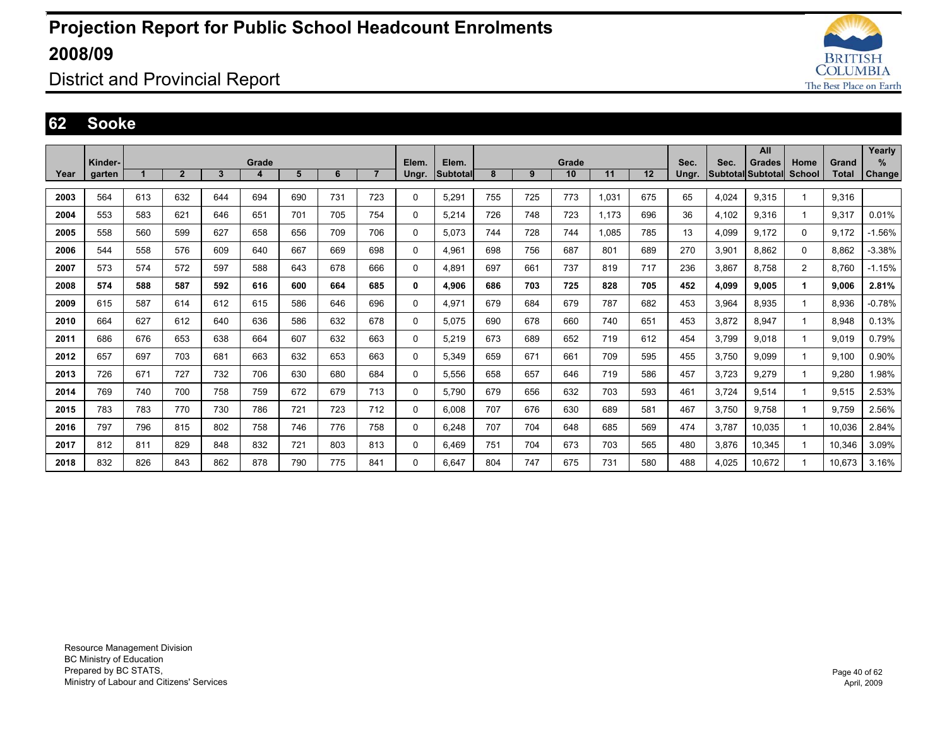

### District and Provincial Report

#### **62 Sooke**

|      |         |     |                |     |       |     |     |                |          |                 |     |     |       |       |     |       |       | All               |                |              | Yearly        |
|------|---------|-----|----------------|-----|-------|-----|-----|----------------|----------|-----------------|-----|-----|-------|-------|-----|-------|-------|-------------------|----------------|--------------|---------------|
|      | Kinder- |     |                |     | Grade |     |     |                | Elem.    | Elem.           |     |     | Grade |       |     | Sec.  | Sec.  | Grades            | Home           | Grand        | ℅             |
| Year | garten  |     | $\overline{2}$ | 3   | 4     | 5   | 6   | $\overline{7}$ | Ungr.    | <b>Subtotal</b> | 8   | 9   | 10    | 11    | 12  | Ungr. |       | Subtotal Subtotal | School         | <b>Total</b> | <b>Change</b> |
| 2003 | 564     | 613 | 632            | 644 | 694   | 690 | 731 | 723            | 0        | 5,291           | 755 | 725 | 773   | 1.031 | 675 | 65    | 4,024 | 9.315             |                | 9,316        |               |
| 2004 | 553     | 583 | 621            | 646 | 651   | 701 | 705 | 754            | 0        | 5,214           | 726 | 748 | 723   | 1.173 | 696 | 36    | 4,102 | 9,316             | 1              | 9,317        | 0.01%         |
| 2005 | 558     | 560 | 599            | 627 | 658   | 656 | 709 | 706            | 0        | 5.073           | 744 | 728 | 744   | 1.085 | 785 | 13    | 4,099 | 9,172             | 0              | 9.172        | $-1.56%$      |
| 2006 | 544     | 558 | 576            | 609 | 640   | 667 | 669 | 698            | 0        | 4,961           | 698 | 756 | 687   | 801   | 689 | 270   | 3,901 | 8.862             | 0              | 8.862        | $-3.38%$      |
| 2007 | 573     | 574 | 572            | 597 | 588   | 643 | 678 | 666            | 0        | 4,891           | 697 | 661 | 737   | 819   | 717 | 236   | 3,867 | 8,758             | $\overline{2}$ | 8.760        | $-1.15%$      |
| 2008 | 574     | 588 | 587            | 592 | 616   | 600 | 664 | 685            | 0        | 4,906           | 686 | 703 | 725   | 828   | 705 | 452   | 4,099 | 9,005             |                | 9,006        | 2.81%         |
| 2009 | 615     | 587 | 614            | 612 | 615   | 586 | 646 | 696            | 0        | 4.971           | 679 | 684 | 679   | 787   | 682 | 453   | 3,964 | 8.935             | 1              | 8.936        | $-0.78%$      |
| 2010 | 664     | 627 | 612            | 640 | 636   | 586 | 632 | 678            | 0        | 5.075           | 690 | 678 | 660   | 740   | 651 | 453   | 3,872 | 8,947             | 1              | 8,948        | 0.13%         |
| 2011 | 686     | 676 | 653            | 638 | 664   | 607 | 632 | 663            | 0        | 5,219           | 673 | 689 | 652   | 719   | 612 | 454   | 3.799 | 9.018             | 1              | 9.019        | 0.79%         |
| 2012 | 657     | 697 | 703            | 681 | 663   | 632 | 653 | 663            | 0        | 5.349           | 659 | 671 | 661   | 709   | 595 | 455   | 3.750 | 9.099             | 1              | 9.100        | 0.90%         |
| 2013 | 726     | 671 | 727            | 732 | 706   | 630 | 680 | 684            | 0        | 5,556           | 658 | 657 | 646   | 719   | 586 | 457   | 3,723 | 9,279             | 1              | 9,280        | .98%          |
| 2014 | 769     | 740 | 700            | 758 | 759   | 672 | 679 | 713            | 0        | 5,790           | 679 | 656 | 632   | 703   | 593 | 461   | 3,724 | 9,514             |                | 9,515        | 2.53%         |
| 2015 | 783     | 783 | 770            | 730 | 786   | 721 | 723 | 712            | 0        | 6.008           | 707 | 676 | 630   | 689   | 581 | 467   | 3.750 | 9.758             |                | 9.759        | 2.56%         |
| 2016 | 797     | 796 | 815            | 802 | 758   | 746 | 776 | 758            | 0        | 6,248           | 707 | 704 | 648   | 685   | 569 | 474   | 3,787 | 10,035            | 1              | 10,036       | 2.84%         |
| 2017 | 812     | 811 | 829            | 848 | 832   | 721 | 803 | 813            | $\Omega$ | 6,469           | 751 | 704 | 673   | 703   | 565 | 480   | 3,876 | 10,345            |                | 10,346       | 3.09%         |
| 2018 | 832     | 826 | 843            | 862 | 878   | 790 | 775 | 841            | 0        | 6.647           | 804 | 747 | 675   | 731   | 580 | 488   | 4.025 | 10.672            |                | 10.673       | 3.16%         |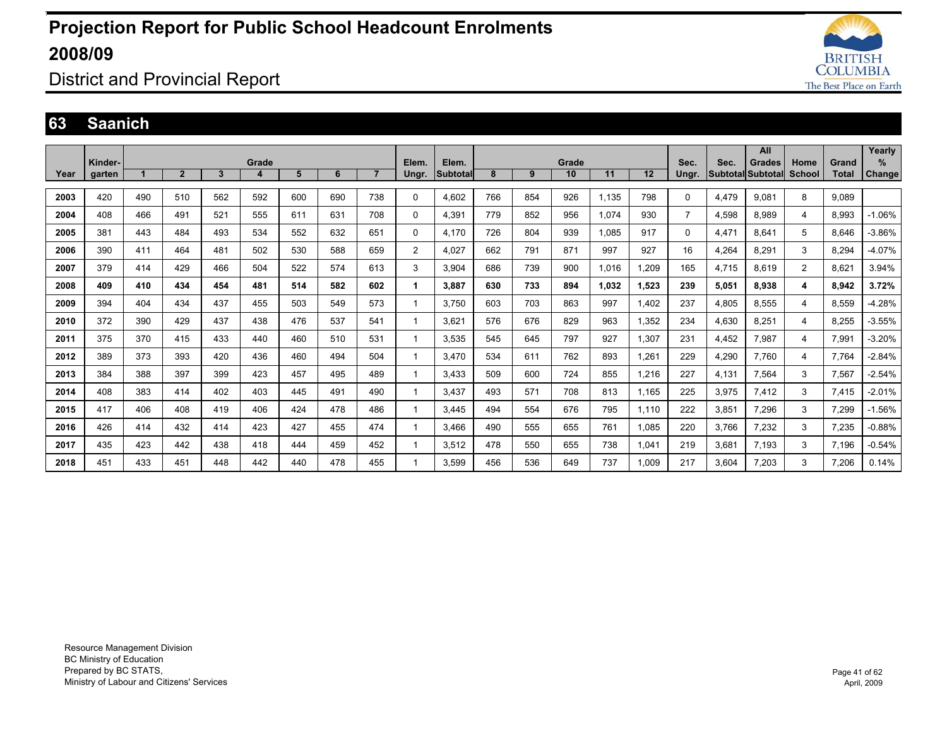

District and Provincial Report

#### **63 Saanich**

|      |         |     |                |     |       |     |     |                |                |          |     |     |       |       |       |                |       | All               |               |       | Yearly   |
|------|---------|-----|----------------|-----|-------|-----|-----|----------------|----------------|----------|-----|-----|-------|-------|-------|----------------|-------|-------------------|---------------|-------|----------|
|      | Kinder- |     |                |     | Grade |     |     |                | Elem.          | Elem.    |     |     | Grade |       |       | Sec.           | Sec.  | <b>Grades</b>     | Home          | Grand | $\%$     |
| Year | garten  |     | $\overline{2}$ | 3   | 4     | 5   | 6   | $\overline{7}$ | Ungr.          | Subtotal | 8   | 9   | 10    | 11    | 12    | Ungr.          |       | Subtotal Subtotal | <b>School</b> | Total | Change   |
|      |         |     |                |     |       |     |     |                |                |          |     |     |       |       |       |                |       |                   |               |       |          |
| 2003 | 420     | 490 | 510            | 562 | 592   | 600 | 690 | 738            | $\mathbf 0$    | 4.602    | 766 | 854 | 926   | 1,135 | 798   | 0              | 4,479 | 9.081             | 8             | 9.089 |          |
| 2004 | 408     | 466 | 491            | 521 | 555   | 611 | 631 | 708            | $\Omega$       | 4,391    | 779 | 852 | 956   | 1,074 | 930   | $\overline{7}$ | 4,598 | 8,989             | 4             | 8,993 | $-1.06%$ |
| 2005 | 381     | 443 | 484            | 493 | 534   | 552 | 632 | 651            | $\mathbf 0$    | 4,170    | 726 | 804 | 939   | 1,085 | 917   | 0              | 4,471 | 8.641             | 5             | 8,646 | $-3.86%$ |
| 2006 | 390     | 411 | 464            | 481 | 502   | 530 | 588 | 659            | $\overline{2}$ | 4.027    | 662 | 791 | 871   | 997   | 927   | 16             | 4,264 | 8.291             | 3             | 8.294 | $-4.07%$ |
| 2007 | 379     | 414 | 429            | 466 | 504   | 522 | 574 | 613            | 3              | 3,904    | 686 | 739 | 900   | 1,016 | 1,209 | 165            | 4,715 | 8.619             | 2             | 8.621 | 3.94%    |
| 2008 | 409     | 410 | 434            | 454 | 481   | 514 | 582 | 602            |                | 3.887    | 630 | 733 | 894   | 1.032 | 1,523 | 239            | 5,051 | 8,938             | 4             | 8,942 | 3.72%    |
| 2009 | 394     | 404 | 434            | 437 | 455   | 503 | 549 | 573            |                | 3.750    | 603 | 703 | 863   | 997   | 1.402 | 237            | 4,805 | 8.555             | 4             | 8.559 | $-4.28%$ |
| 2010 | 372     | 390 | 429            | 437 | 438   | 476 | 537 | 541            |                | 3.621    | 576 | 676 | 829   | 963   | 1,352 | 234            | 4,630 | 8,251             | 4             | 8,255 | $-3.55%$ |
| 2011 | 375     | 370 | 415            | 433 | 440   | 460 | 510 | 531            |                | 3,535    | 545 | 645 | 797   | 927   | 1,307 | 231            | 4,452 | 7,987             | 4             | 7,991 | $-3.20%$ |
| 2012 | 389     | 373 | 393            | 420 | 436   | 460 | 494 | 504            |                | 3.470    | 534 | 611 | 762   | 893   | 1,261 | 229            | 4,290 | 7.760             | 4             | 7.764 | $-2.84%$ |
| 2013 | 384     | 388 | 397            | 399 | 423   | 457 | 495 | 489            |                | 3,433    | 509 | 600 | 724   | 855   | 1,216 | 227            | 4,131 | 7,564             | 3             | 7,567 | $-2.54%$ |
| 2014 | 408     | 383 | 414            | 402 | 403   | 445 | 491 | 490            |                | 3.437    | 493 | 571 | 708   | 813   | 1.165 | 225            | 3,975 | 7,412             | 3             | 7.415 | $-2.01%$ |
| 2015 | 417     | 406 | 408            | 419 | 406   | 424 | 478 | 486            |                | 3.445    | 494 | 554 | 676   | 795   | 1.110 | 222            | 3,851 | 7.296             | 3             | 7,299 | $-1.56%$ |
| 2016 | 426     | 414 | 432            | 414 | 423   | 427 | 455 | 474            |                | 3,466    | 490 | 555 | 655   | 761   | 1,085 | 220            | 3,766 | 7,232             | 3             | 7,235 | $-0.88%$ |
| 2017 | 435     | 423 | 442            | 438 | 418   | 444 | 459 | 452            |                | 3,512    | 478 | 550 | 655   | 738   | 1,041 | 219            | 3,681 | 7,193             | 3             | 7,196 | $-0.54%$ |
| 2018 | 451     | 433 | 451            | 448 | 442   | 440 | 478 | 455            |                | 3.599    | 456 | 536 | 649   | 737   | 1.009 | 217            | 3.604 | 7.203             | 3             | 7.206 | 0.14%    |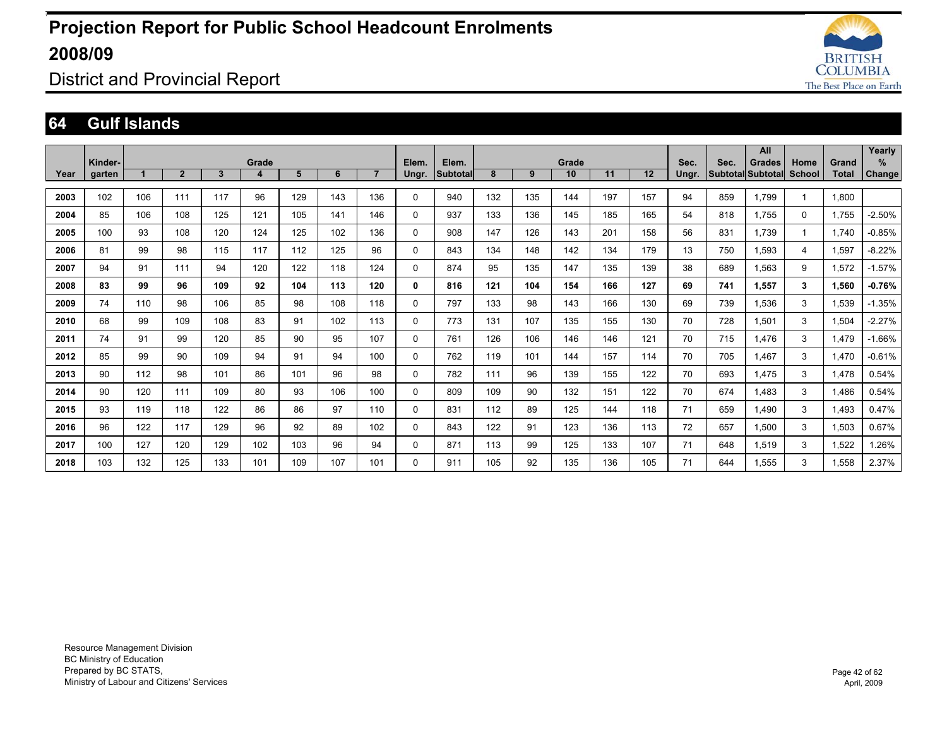

District and Provincial Report

#### **64 Gulf Islands**

|      |         |     |                |     |       |     |     |                |              |          |     |     |       |     |     |       |      | All               |        |              | Yearly        |
|------|---------|-----|----------------|-----|-------|-----|-----|----------------|--------------|----------|-----|-----|-------|-----|-----|-------|------|-------------------|--------|--------------|---------------|
|      | Kinder- |     |                |     | Grade |     |     |                | Elem.        | Elem.    |     |     | Grade |     |     | Sec.  | Sec. | Grades            | Home   | Grand        | ℅             |
| Year | garten  |     | $\overline{2}$ | 3   | 4     | 5   | 6   | $\overline{7}$ | Ungr.        | Subtotal | 8   | 9   | 10    | 11  | 12  | Ungr. |      | Subtotal Subtotal | School | <b>Total</b> | <b>Change</b> |
|      |         |     |                |     |       |     |     |                |              |          |     |     |       |     |     |       |      |                   |        |              |               |
| 2003 | 102     | 106 | 111            | 117 | 96    | 129 | 143 | 136            | $\mathbf 0$  | 940      | 132 | 135 | 144   | 197 | 157 | 94    | 859  | 1.799             | 1      | 1,800        |               |
| 2004 | 85      | 106 | 108            | 125 | 121   | 105 | 141 | 146            | $\mathbf 0$  | 937      | 133 | 136 | 145   | 185 | 165 | 54    | 818  | 1.755             | 0      | 1,755        | $-2.50%$      |
| 2005 | 100     | 93  | 108            | 120 | 124   | 125 | 102 | 136            | $\mathbf 0$  | 908      | 147 | 126 | 143   | 201 | 158 | 56    | 831  | 1.739             | 1      | 1.740        | $-0.85%$      |
| 2006 | 81      | 99  | 98             | 115 | 117   | 112 | 125 | 96             | $\mathbf 0$  | 843      | 134 | 148 | 142   | 134 | 179 | 13    | 750  | 1,593             | 4      | 1,597        | $-8.22%$      |
| 2007 | 94      | 91  | 111            | 94  | 120   | 122 | 118 | 124            | $\mathbf 0$  | 874      | 95  | 135 | 147   | 135 | 139 | 38    | 689  | 1,563             | 9      | 1,572        | $-1.57%$      |
| 2008 | 83      | 99  | 96             | 109 | 92    | 104 | 113 | 120            | 0            | 816      | 121 | 104 | 154   | 166 | 127 | 69    | 741  | 1,557             | 3      | 1.560        | $-0.76%$      |
| 2009 | 74      | 110 | 98             | 106 | 85    | 98  | 108 | 118            | 0            | 797      | 133 | 98  | 143   | 166 | 130 | 69    | 739  | 1.536             | 3      | 1.539        | $-1.35%$      |
| 2010 | 68      | 99  | 109            | 108 | 83    | 91  | 102 | 113            | $\Omega$     | 773      | 131 | 107 | 135   | 155 | 130 | 70    | 728  | 1,501             | 3      | 1,504        | $-2.27%$      |
| 2011 | 74      | 91  | 99             | 120 | 85    | 90  | 95  | 107            | $\mathbf{0}$ | 761      | 126 | 106 | 146   | 146 | 121 | 70    | 715  | 1,476             | 3      | 1.479        | $-1.66%$      |
| 2012 | 85      | 99  | 90             | 109 | 94    | 91  | 94  | 100            | $\mathbf 0$  | 762      | 119 | 101 | 144   | 157 | 114 | 70    | 705  | 1.467             | 3      | 1.470        | $-0.61%$      |
| 2013 | 90      | 112 | 98             | 101 | 86    | 101 | 96  | 98             | $\mathbf 0$  | 782      | 111 | 96  | 139   | 155 | 122 | 70    | 693  | 1,475             | 3      | 1,478        | 0.54%         |
| 2014 | 90      | 120 | 111            | 109 | 80    | 93  | 106 | 100            | $\Omega$     | 809      | 109 | 90  | 132   | 151 | 122 | 70    | 674  | 1.483             | 3      | 1,486        | 0.54%         |
| 2015 | 93      | 119 | 118            | 122 | 86    | 86  | 97  | 110            | 0            | 831      | 112 | 89  | 125   | 144 | 118 | 71    | 659  | 1.490             | 3      | 1.493        | 0.47%         |
| 2016 | 96      | 122 | 117            | 129 | 96    | 92  | 89  | 102            | 0            | 843      | 122 | 91  | 123   | 136 | 113 | 72    | 657  | 1,500             | 3      | 1,503        | 0.67%         |
| 2017 | 100     | 127 | 120            | 129 | 102   | 103 | 96  | 94             | $\Omega$     | 871      | 113 | 99  | 125   | 133 | 107 | 71    | 648  | 1,519             | 3      | 1,522        | 1.26%         |
| 2018 | 103     | 132 | 125            | 133 | 101   | 109 | 107 | 101            | $\Omega$     | 911      | 105 | 92  | 135   | 136 | 105 | 71    | 644  | 1.555             | 3      | 1.558        | 2.37%         |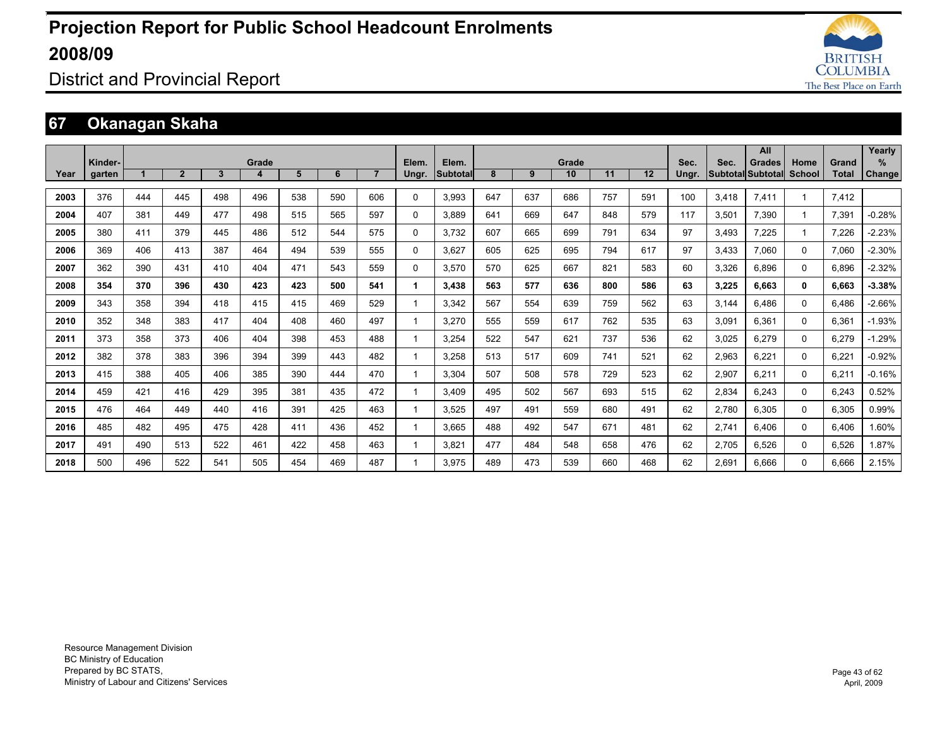

### District and Provincial Report

### **67 Okanagan Skaha**

|      | Kinder- |     |                |              | Grade |     |     |                | Elem.    | Elem.           |     |     | Grade |     |     | Sec.  | Sec.  | All<br><b>Grades</b>     | Home          | Grand        | Yearly<br>%   |
|------|---------|-----|----------------|--------------|-------|-----|-----|----------------|----------|-----------------|-----|-----|-------|-----|-----|-------|-------|--------------------------|---------------|--------------|---------------|
| Year | garten  |     | $\overline{2}$ | $\mathbf{3}$ | 4     | 5   | 6   | $\overline{7}$ | Ungr.    | <b>Subtotal</b> | 8   | 9   | 10    | 11  | 12  | Ungr. |       | <b>Subtotal Subtotal</b> | <b>School</b> | <b>Total</b> | <b>Change</b> |
| 2003 | 376     | 444 | 445            | 498          | 496   | 538 | 590 | 606            | $\Omega$ | 3.993           | 647 | 637 | 686   | 757 | 591 | 100   | 3.418 | 7,411                    |               | 7.412        |               |
| 2004 | 407     | 381 | 449            | 477          | 498   | 515 | 565 | 597            | 0        | 3.889           | 641 | 669 | 647   | 848 | 579 | 117   | 3,501 | 7.390                    |               | 7,391        | $-0.28%$      |
| 2005 | 380     | 411 | 379            | 445          | 486   | 512 | 544 | 575            | 0        | 3.732           | 607 | 665 | 699   | 791 | 634 | 97    | 3.493 | 7.225                    |               | 7.226        | $-2.23%$      |
| 2006 | 369     | 406 | 413            | 387          | 464   | 494 | 539 | 555            | 0        | 3.627           | 605 | 625 | 695   | 794 | 617 | 97    | 3.433 | 7.060                    | $\Omega$      | 7.060        | $-2.30%$      |
| 2007 | 362     | 390 | 431            | 410          | 404   | 471 | 543 | 559            | $\Omega$ | 3.570           | 570 | 625 | 667   | 821 | 583 | 60    | 3,326 | 6.896                    | $\Omega$      | 6,896        | $-2.32%$      |
| 2008 | 354     | 370 | 396            | 430          | 423   | 423 | 500 | 541            |          | 3,438           | 563 | 577 | 636   | 800 | 586 | 63    | 3,225 | 6.663                    | $\mathbf{0}$  | 6,663        | $-3.38%$      |
| 2009 | 343     | 358 | 394            | 418          | 415   | 415 | 469 | 529            |          | 3.342           | 567 | 554 | 639   | 759 | 562 | 63    | 3.144 | 6.486                    | 0             | 6.486        | $-2.66%$      |
| 2010 | 352     | 348 | 383            | 417          | 404   | 408 | 460 | 497            |          | 3.270           | 555 | 559 | 617   | 762 | 535 | 63    | 3.091 | 6.361                    | 0             | 6.361        | $-1.93%$      |
| 2011 | 373     | 358 | 373            | 406          | 404   | 398 | 453 | 488            |          | 3.254           | 522 | 547 | 621   | 737 | 536 | 62    | 3,025 | 6,279                    | 0             | 6.279        | $-1.29%$      |
| 2012 | 382     | 378 | 383            | 396          | 394   | 399 | 443 | 482            |          | 3.258           | 513 | 517 | 609   | 741 | 521 | 62    | 2,963 | 6.221                    | $\Omega$      | 6.221        | $-0.92%$      |
| 2013 | 415     | 388 | 405            | 406          | 385   | 390 | 444 | 470            |          | 3.304           | 507 | 508 | 578   | 729 | 523 | 62    | 2,907 | 6,211                    | $\Omega$      | 6,211        | $-0.16%$      |
| 2014 | 459     | 421 | 416            | 429          | 395   | 381 | 435 | 472            |          | 3,409           | 495 | 502 | 567   | 693 | 515 | 62    | 2,834 | 6,243                    | $\Omega$      | 6,243        | 0.52%         |
| 2015 | 476     | 464 | 449            | 440          | 416   | 391 | 425 | 463            |          | 3,525           | 497 | 491 | 559   | 680 | 491 | 62    | 2,780 | 6,305                    | 0             | 6,305        | 0.99%         |
| 2016 | 485     | 482 | 495            | 475          | 428   | 411 | 436 | 452            |          | 3.665           | 488 | 492 | 547   | 671 | 481 | 62    | 2,741 | 6.406                    | 0             | 6.406        | 1.60%         |
| 2017 | 491     | 490 | 513            | 522          | 461   | 422 | 458 | 463            |          | 3,821           | 477 | 484 | 548   | 658 | 476 | 62    | 2,705 | 6.526                    | 0             | 6,526        | 1.87%         |
| 2018 | 500     | 496 | 522            | 541          | 505   | 454 | 469 | 487            |          | 3.975           | 489 | 473 | 539   | 660 | 468 | 62    | 2.691 | 6.666                    | 0             | 6.666        | 2.15%         |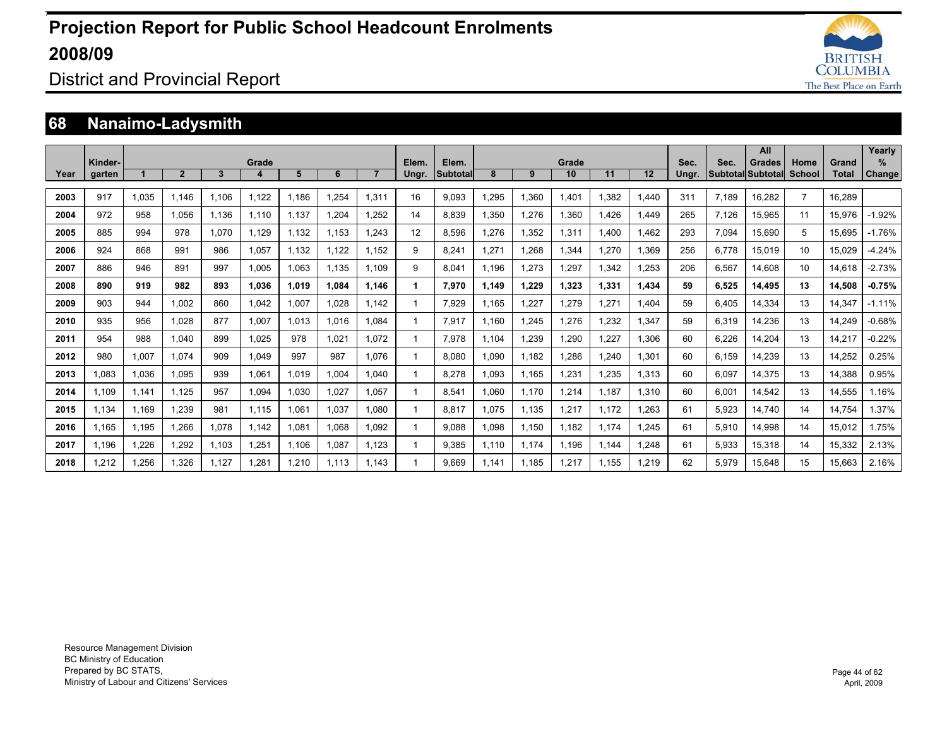

### District and Provincial Report

### **68 Nanaimo-Ladysmith**

|      | Kinder- |       |                |       | Grade |       |       |                | Elem. | Elem.           |       |       | Grade |       |       | Sec.  | Sec.  | All<br><b>Grades</b>     | Home           | Grand  | Yearly<br>%   |
|------|---------|-------|----------------|-------|-------|-------|-------|----------------|-------|-----------------|-------|-------|-------|-------|-------|-------|-------|--------------------------|----------------|--------|---------------|
| Year | garten  |       | $\overline{2}$ | 3     | 4     | 5     | 6     | $\overline{7}$ | Ungr. | <b>Subtotal</b> | 8     | 9     | 10    | 11    | 12    | Ungr. |       | <b>Subtotal Subtotal</b> | School         | Total  | <b>Change</b> |
| 2003 | 917     | 1.035 | 1.146          | 1.106 | 1.122 | 1.186 | 1.254 | 1.311          | 16    | 9.093           | 1.295 | 1.360 | 1.401 | 1.382 | .440  | 311   | 7.189 | 16.282                   | $\overline{7}$ | 16.289 |               |
| 2004 | 972     | 958   | 1.056          | 1.136 | 1.110 | 1.137 | 1.204 | 1.252          | 14    | 8.839           | 1.350 | 1.276 | 1,360 | 1.426 | 1.449 | 265   | 7.126 | 15.965                   | 11             | 15.976 | $-1.92%$      |
| 2005 | 885     | 994   | 978            | 1.070 | 1.129 | 1,132 | 1.153 | 1.243          | 12    | 8.596           | 1.276 | 1,352 | 1,311 | 1.400 | .462  | 293   | 7,094 | 15.690                   | 5              | 15.695 | $-1.76%$      |
| 2006 | 924     | 868   | 991            | 986   | 1,057 | 1.132 | 1.122 | 1.152          | 9     | 8.241           | 1.271 | 1.268 | 1.344 | 1.270 | .369  | 256   | 6.778 | 15.019                   | 10             | 15.029 | $-4.24%$      |
| 2007 | 886     | 946   | 891            | 997   | 1.005 | 1.063 | 1.135 | 1.109          | 9     | 8.041           | 1.196 | 1.273 | 1.297 | 1.342 | .253  | 206   | 6.567 | 14.608                   | 10             | 14.618 | $-2.73%$      |
| 2008 | 890     | 919   | 982            | 893   | 1.036 | 1.019 | 1.084 | 1.146          |       | 7.970           | 1.149 | 1,229 | 1.323 | 1.331 | 1.434 | 59    | 6,525 | 14.495                   | 13             | 14.508 | $-0.75%$      |
| 2009 | 903     | 944   | 1.002          | 860   | 1,042 | 1,007 | 1.028 | 1.142          |       | 7.929           | 1.165 | 1,227 | 1,279 | 1,271 | .404  | 59    | 6,405 | 14,334                   | 13             | 14,347 | $-1.11%$      |
| 2010 | 935     | 956   | 1.028          | 877   | 1.007 | 1,013 | 1.016 | 1.084          |       | 7,917           | 1.160 | 1,245 | 1,276 | 1,232 | 1,347 | 59    | 6,319 | 14,236                   | 13             | 14,249 | $-0.68%$      |
| 2011 | 954     | 988   | 1.040          | 899   | 1.025 | 978   | 1,021 | 1.072          |       | 7.978           | 1.104 | 1,239 | 1,290 | .227  | .306  | 60    | 6,226 | 14,204                   | 13             | 14,217 | $-0.22%$      |
| 2012 | 980     | 1,007 | 1.074          | 909   | 1.049 | 997   | 987   | 1.076          |       | 8.080           | 090.  | 1.182 | 1,286 | .240  | 1.301 | 60    | 6,159 | 14,239                   | 13             | 14,252 | 0.25%         |
| 2013 | 1.083   | 1,036 | 1.095          | 939   | 1.061 | 1.019 | 1.004 | 1.040          |       | 8.278           | 1.093 | 1.165 | 1,231 | .235  | 1.313 | 60    | 6.097 | 14.375                   | 13             | 14.388 | 0.95%         |
| 2014 | 1.109   | 1,141 | 1,125          | 957   | 1,094 | 1,030 | 1,027 | 1.057          |       | 8,541           | 1.060 | 1.170 | 1,214 | 1.187 | 1.310 | 60    | 6,001 | 14,542                   | 13             | 14,555 | 1.16%         |
| 2015 | 1,134   | 1,169 | 1,239          | 981   | 1,115 | 1,061 | 1,037 | 1,080          |       | 8,817           | 1.075 | 1,135 | 1,217 | 1,172 | .263  | 61    | 5,923 | 14,740                   | 14             | 14,754 | 1.37%         |
| 2016 | 1.165   | 1,195 | 1,266          | 1,078 | 1.142 | 1,081 | 1,068 | 1,092          |       | 9.088           | 1,098 | 1,150 | 1,182 | 1.174 | .245  | 61    | 5,910 | 14,998                   | 14             | 15,012 | 1.75%         |
| 2017 | 1,196   | 1,226 | 1,292          | 1,103 | 1,251 | 1,106 | 1,087 | 1,123          |       | 9,385           | 1.110 | 1,174 | 1,196 | 1,144 | ,248  | 61    | 5,933 | 15,318                   | 14             | 15,332 | 2.13%         |
| 2018 | .212    | 1,256 | 1.326          | 1.127 | 1.281 | 1,210 | 1.113 | 1.143          |       | 9.669           | 1.141 | 1.185 | 1.217 | 1.155 | .219  | 62    | 5.979 | 15.648                   | 15             | 15.663 | 2.16%         |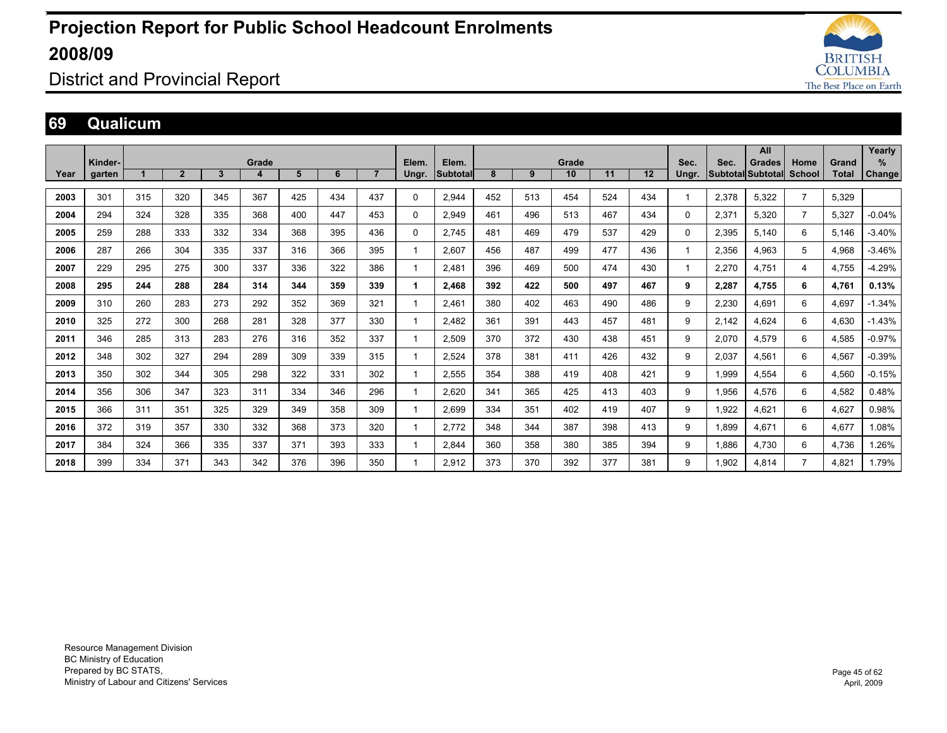

### District and Provincial Report

#### **69 Qualicum**

|      |         |     |              |     |       |     |     |                |       |                 |     |     |       |     |     |       |       | All                      |                |       | Yearly   |
|------|---------|-----|--------------|-----|-------|-----|-----|----------------|-------|-----------------|-----|-----|-------|-----|-----|-------|-------|--------------------------|----------------|-------|----------|
|      | Kinder- |     |              |     | Grade |     |     |                | Elem. | Elem.           |     |     | Grade |     |     | Sec.  | Sec.  | Grades                   | Home           | Grand | $\%$     |
| Year | garten  |     | $\mathbf{2}$ | 3   | 4     | 5   | 6   | $\overline{7}$ | Ungr. | <b>Subtotal</b> | 8   | 9   | 10    | 11  | 12  | Ungr. |       | <b>Subtotal Subtotal</b> | School         | Total | Change   |
|      |         |     |              |     |       |     |     |                |       |                 |     |     |       |     |     |       |       |                          |                |       |          |
| 2003 | 301     | 315 | 320          | 345 | 367   | 425 | 434 | 437            | 0     | 2,944           | 452 | 513 | 454   | 524 | 434 |       | 2,378 | 5,322                    | $\overline{7}$ | 5,329 |          |
| 2004 | 294     | 324 | 328          | 335 | 368   | 400 | 447 | 453            | 0     | 2,949           | 461 | 496 | 513   | 467 | 434 | 0     | 2,371 | 5,320                    | $\overline{7}$ | 5,327 | $-0.04%$ |
| 2005 | 259     | 288 | 333          | 332 | 334   | 368 | 395 | 436            | 0     | 2.745           | 481 | 469 | 479   | 537 | 429 | 0     | 2,395 | 5.140                    | 6              | 5,146 | $-3.40%$ |
| 2006 | 287     | 266 | 304          | 335 | 337   | 316 | 366 | 395            |       | 2,607           | 456 | 487 | 499   | 477 | 436 |       | 2,356 | 4.963                    | 5              | 4,968 | $-3.46%$ |
| 2007 | 229     | 295 | 275          | 300 | 337   | 336 | 322 | 386            |       | 2.481           | 396 | 469 | 500   | 474 | 430 |       | 2,270 | 4.751                    | 4              | 4.755 | -4.29%   |
| 2008 | 295     | 244 | 288          | 284 | 314   | 344 | 359 | 339            |       | 2.468           | 392 | 422 | 500   | 497 | 467 | 9     | 2,287 | 4.755                    | 6              | 4.761 | 0.13%    |
| 2009 | 310     | 260 | 283          | 273 | 292   | 352 | 369 | 321            |       | 2.461           | 380 | 402 | 463   | 490 | 486 | 9     | 2,230 | 4.691                    | 6              | 4.697 | $-1.34%$ |
| 2010 | 325     | 272 | 300          | 268 | 281   | 328 | 377 | 330            |       | 2,482           | 361 | 391 | 443   | 457 | 481 | 9     | 2,142 | 4.624                    | 6              | 4,630 | $-1.43%$ |
| 2011 | 346     | 285 | 313          | 283 | 276   | 316 | 352 | 337            |       | 2,509           | 370 | 372 | 430   | 438 | 451 | 9     | 2,070 | 4,579                    | 6              | 4,585 | $-0.97%$ |
| 2012 | 348     | 302 | 327          | 294 | 289   | 309 | 339 | 315            |       | 2.524           | 378 | 381 | 411   | 426 | 432 | 9     | 2,037 | 4.561                    | 6              | 4,567 | $-0.39%$ |
| 2013 | 350     | 302 | 344          | 305 | 298   | 322 | 331 | 302            |       | 2,555           | 354 | 388 | 419   | 408 | 421 | 9     | 1.999 | 4.554                    | 6              | 4,560 | $-0.15%$ |
| 2014 | 356     | 306 | 347          | 323 | 311   | 334 | 346 | 296            |       | 2.620           | 341 | 365 | 425   | 413 | 403 | 9     | 1.956 | 4.576                    | 6              | 4,582 | 0.48%    |
| 2015 | 366     | 311 | 351          | 325 | 329   | 349 | 358 | 309            |       | 2,699           | 334 | 351 | 402   | 419 | 407 | 9     | 1,922 | 4,621                    | 6              | 4,627 | 0.98%    |
| 2016 | 372     | 319 | 357          | 330 | 332   | 368 | 373 | 320            |       | 2,772           | 348 | 344 | 387   | 398 | 413 | 9     | 1,899 | 4,671                    | 6              | 4,677 | 1.08%    |
| 2017 | 384     | 324 | 366          | 335 | 337   | 371 | 393 | 333            |       | 2.844           | 360 | 358 | 380   | 385 | 394 | 9     | 1.886 | 4.730                    | 6              | 4,736 | 1.26%    |
| 2018 | 399     | 334 | 371          | 343 | 342   | 376 | 396 | 350            |       | 2.912           | 373 | 370 | 392   | 377 | 381 | 9     | 1.902 | 4.814                    |                | 4.821 | 1.79%    |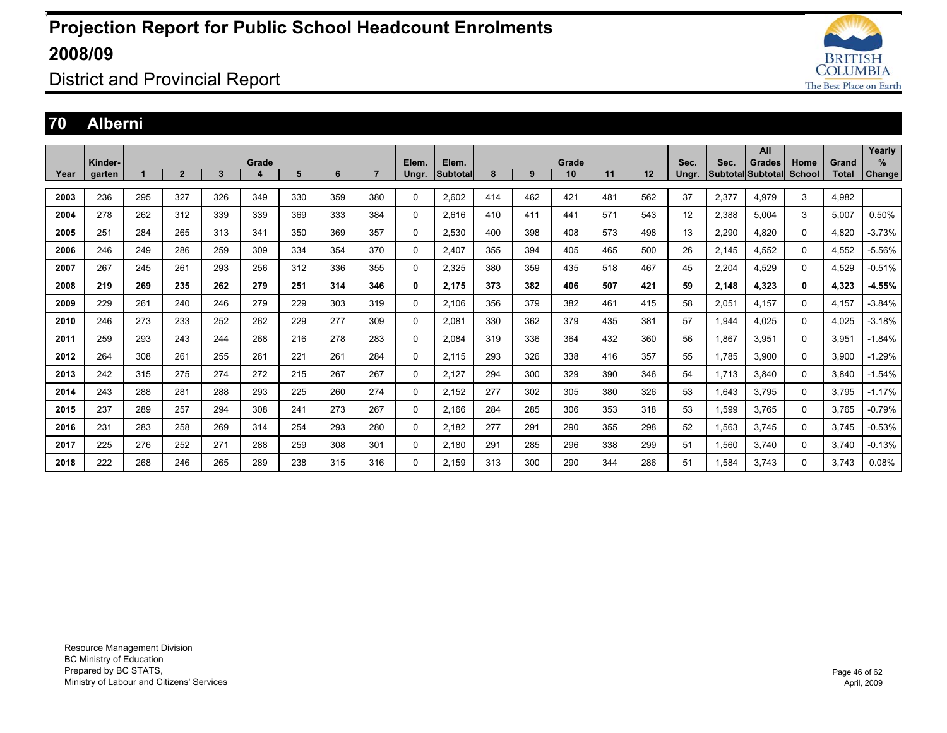

District and Provincial Report

#### **70 Alberni**

|      |         |     |                |     |       |     |     |                |              |          |     |     |       |     |     |       |       | All                      |               |       | Yearly   |
|------|---------|-----|----------------|-----|-------|-----|-----|----------------|--------------|----------|-----|-----|-------|-----|-----|-------|-------|--------------------------|---------------|-------|----------|
|      | Kinder- |     |                |     | Grade |     |     |                | Elem.        | Elem.    |     |     | Grade |     |     | Sec.  | Sec.  | <b>Grades</b>            | Home          | Grand | %        |
| Year | garten  |     | $\overline{2}$ | 3   | 4     | 5   | 6   | $\overline{7}$ | Ungr.        | Subtotal | 8   | 9   | 10    | 11  | 12  | Ungr. |       | <b>Subtotal Subtotal</b> | <b>School</b> | Total | Change   |
|      |         |     |                |     |       |     |     |                |              |          |     |     |       |     |     |       |       |                          |               |       |          |
| 2003 | 236     | 295 | 327            | 326 | 349   | 330 | 359 | 380            | $\mathbf 0$  | 2.602    | 414 | 462 | 421   | 481 | 562 | 37    | 2,377 | 4,979                    | 3             | 4,982 |          |
| 2004 | 278     | 262 | 312            | 339 | 339   | 369 | 333 | 384            | $\Omega$     | 2,616    | 410 | 411 | 441   | 571 | 543 | 12    | 2,388 | 5.004                    | 3             | 5,007 | 0.50%    |
| 2005 | 251     | 284 | 265            | 313 | 341   | 350 | 369 | 357            | $\mathbf 0$  | 2,530    | 400 | 398 | 408   | 573 | 498 | 13    | 2,290 | 4,820                    | 0             | 4,820 | $-3.73%$ |
| 2006 | 246     | 249 | 286            | 259 | 309   | 334 | 354 | 370            | 0            | 2.407    | 355 | 394 | 405   | 465 | 500 | 26    | 2,145 | 4,552                    | 0             | 4,552 | $-5.56%$ |
| 2007 | 267     | 245 | 261            | 293 | 256   | 312 | 336 | 355            | $\mathbf 0$  | 2,325    | 380 | 359 | 435   | 518 | 467 | 45    | 2,204 | 4,529                    | 0             | 4,529 | $-0.51%$ |
| 2008 | 219     | 269 | 235            | 262 | 279   | 251 | 314 | 346            | 0            | 2,175    | 373 | 382 | 406   | 507 | 421 | 59    | 2,148 | 4,323                    | 0             | 4,323 | $-4.55%$ |
| 2009 | 229     | 261 | 240            | 246 | 279   | 229 | 303 | 319            | $\mathbf 0$  | 2,106    | 356 | 379 | 382   | 461 | 415 | 58    | 2,051 | 4.157                    | 0             | 4.157 | $-3.84%$ |
| 2010 | 246     | 273 | 233            | 252 | 262   | 229 | 277 | 309            | $\mathbf{0}$ | 2,081    | 330 | 362 | 379   | 435 | 381 | 57    | 1,944 | 4.025                    | $\Omega$      | 4,025 | $-3.18%$ |
| 2011 | 259     | 293 | 243            | 244 | 268   | 216 | 278 | 283            | $\mathbf{0}$ | 2.084    | 319 | 336 | 364   | 432 | 360 | 56    | 1.867 | 3,951                    | $\Omega$      | 3,951 | $-1.84%$ |
| 2012 | 264     | 308 | 261            | 255 | 261   | 221 | 261 | 284            | $\Omega$     | 2.115    | 293 | 326 | 338   | 416 | 357 | 55    | 1.785 | 3,900                    | 0             | 3.900 | $-1.29%$ |
| 2013 | 242     | 315 | 275            | 274 | 272   | 215 | 267 | 267            | $\Omega$     | 2,127    | 294 | 300 | 329   | 390 | 346 | 54    | 1,713 | 3.840                    | $\Omega$      | 3,840 | $-1.54%$ |
| 2014 | 243     | 288 | 281            | 288 | 293   | 225 | 260 | 274            | $\Omega$     | 2,152    | 277 | 302 | 305   | 380 | 326 | 53    | 1,643 | 3.795                    | $\Omega$      | 3,795 | $-1.17%$ |
| 2015 | 237     | 289 | 257            | 294 | 308   | 241 | 273 | 267            | $\Omega$     | 2.166    | 284 | 285 | 306   | 353 | 318 | 53    | 1,599 | 3.765                    | 0             | 3.765 | $-0.79%$ |
| 2016 | 231     | 283 | 258            | 269 | 314   | 254 | 293 | 280            | $\Omega$     | 2,182    | 277 | 291 | 290   | 355 | 298 | 52    | 1,563 | 3.745                    | $\Omega$      | 3,745 | $-0.53%$ |
| 2017 | 225     | 276 | 252            | 271 | 288   | 259 | 308 | 301            | $\Omega$     | 2,180    | 291 | 285 | 296   | 338 | 299 | 51    | 1,560 | 3.740                    | $\Omega$      | 3,740 | $-0.13%$ |
| 2018 | 222     | 268 | 246            | 265 | 289   | 238 | 315 | 316            | $\Omega$     | 2.159    | 313 | 300 | 290   | 344 | 286 | 51    | 1.584 | 3.743                    | 0             | 3.743 | 0.08%    |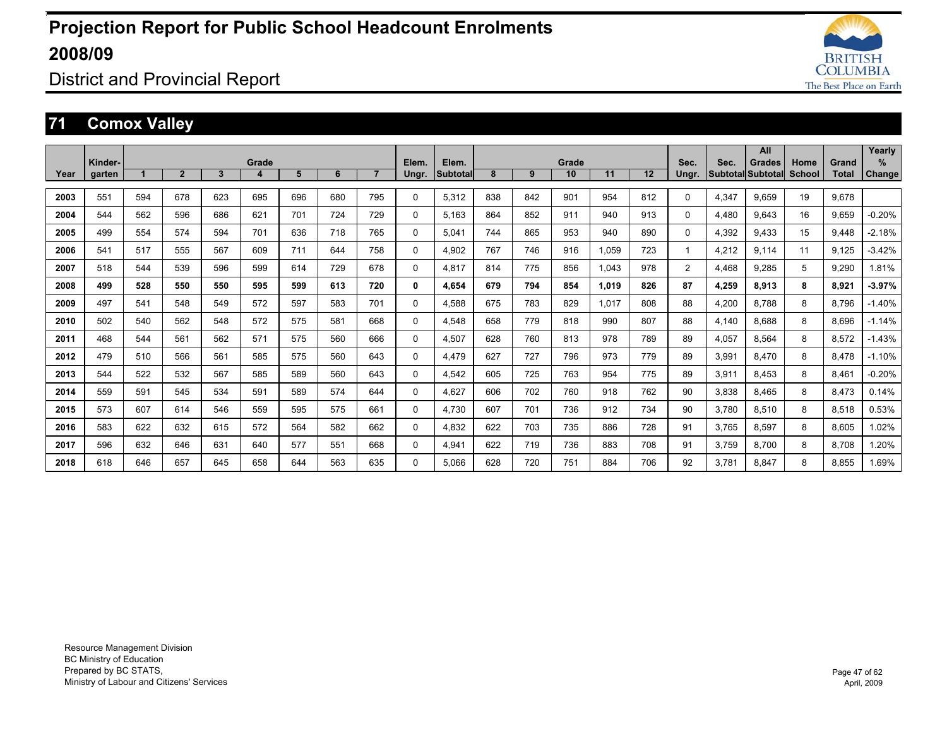

District and Provincial Report

### **71 Comox Valley**

|      |                   |     |              |              |            |     |     |                |                |                          |     |     |             |       |     |               |       | All                                       |                |                | Yearly             |
|------|-------------------|-----|--------------|--------------|------------|-----|-----|----------------|----------------|--------------------------|-----|-----|-------------|-------|-----|---------------|-------|-------------------------------------------|----------------|----------------|--------------------|
| Year | Kinder-<br>garten |     | $\mathbf{2}$ | $\mathbf{3}$ | Grade<br>4 | 5   | 6   | 7 <sup>2</sup> | Elem.<br>Ungr. | Elem.<br><b>Subtotal</b> | 8   | 9   | Grade<br>10 | 11    | 12  | Sec.<br>Ungr. | Sec.  | <b>Grades</b><br><b>Subtotal Subtotal</b> | Home<br>School | Grand<br>Total | %<br><b>Change</b> |
|      |                   |     |              |              |            |     |     |                |                |                          |     |     |             |       |     |               |       |                                           |                |                |                    |
| 2003 | 551               | 594 | 678          | 623          | 695        | 696 | 680 | 795            | $\mathbf{0}$   | 5.312                    | 838 | 842 | 901         | 954   | 812 | 0             | 4,347 | 9.659                                     | 19             | 9.678          |                    |
| 2004 | 544               | 562 | 596          | 686          | 621        | 701 | 724 | 729            | $\Omega$       | 5.163                    | 864 | 852 | 911         | 940   | 913 | $\Omega$      | 4.480 | 9.643                                     | 16             | 9.659          | $-0.20%$           |
| 2005 | 499               | 554 | 574          | 594          | 701        | 636 | 718 | 765            | $\Omega$       | 5.041                    | 744 | 865 | 953         | 940   | 890 | 0             | 4,392 | 9.433                                     | 15             | 9.448          | $-2.18%$           |
| 2006 | 541               | 517 | 555          | 567          | 609        | 711 | 644 | 758            | $\Omega$       | 4.902                    | 767 | 746 | 916         | 1.059 | 723 | 1             | 4.212 | 9.114                                     | 11             | 9.125          | $-3.42%$           |
| 2007 | 518               | 544 | 539          | 596          | 599        | 614 | 729 | 678            | $\mathbf{0}$   | 4,817                    | 814 | 775 | 856         | 1,043 | 978 | 2             | 4,468 | 9,285                                     | 5              | 9.290          | 1.81%              |
| 2008 | 499               | 528 | 550          | 550          | 595        | 599 | 613 | 720            | 0              | 4.654                    | 679 | 794 | 854         | 1,019 | 826 | 87            | 4,259 | 8,913                                     | 8              | 8,921          | $-3.97%$           |
| 2009 | 497               | 541 | 548          | 549          | 572        | 597 | 583 | 701            | 0              | 4,588                    | 675 | 783 | 829         | 1,017 | 808 | 88            | 4,200 | 8.788                                     | 8              | 8.796          | $-1.40%$           |
| 2010 | 502               | 540 | 562          | 548          | 572        | 575 | 581 | 668            | $\mathbf{0}$   | 4,548                    | 658 | 779 | 818         | 990   | 807 | 88            | 4,140 | 8.688                                     | 8              | 8.696          | $-1.14%$           |
| 2011 | 468               | 544 | 561          | 562          | 571        | 575 | 560 | 666            | $\Omega$       | 4,507                    | 628 | 760 | 813         | 978   | 789 | 89            | 4,057 | 8.564                                     | 8              | 8,572          | $-1.43%$           |
| 2012 | 479               | 510 | 566          | 561          | 585        | 575 | 560 | 643            | 0              | 4.479                    | 627 | 727 | 796         | 973   | 779 | 89            | 3,991 | 8.470                                     | 8              | 8.478          | $-1.10%$           |
| 2013 | 544               | 522 | 532          | 567          | 585        | 589 | 560 | 643            | $\Omega$       | 4.542                    | 605 | 725 | 763         | 954   | 775 | 89            | 3,911 | 8.453                                     | 8              | 8.461          | $-0.20%$           |
| 2014 | 559               | 591 | 545          | 534          | 591        | 589 | 574 | 644            | 0              | 4,627                    | 606 | 702 | 760         | 918   | 762 | 90            | 3,838 | 8.465                                     | 8              | 8,473          | 0.14%              |
| 2015 | 573               | 607 | 614          | 546          | 559        | 595 | 575 | 661            | 0              | 4.730                    | 607 | 701 | 736         | 912   | 734 | 90            | 3,780 | 8.510                                     | 8              | 8,518          | 0.53%              |
| 2016 | 583               | 622 | 632          | 615          | 572        | 564 | 582 | 662            | $\Omega$       | 4.832                    | 622 | 703 | 735         | 886   | 728 | 91            | 3.765 | 8.597                                     | 8              | 8.605          | 1.02%              |
| 2017 | 596               | 632 | 646          | 631          | 640        | 577 | 551 | 668            | $\Omega$       | 4,941                    | 622 | 719 | 736         | 883   | 708 | 91            | 3,759 | 8.700                                     | 8              | 8.708          | 1.20%              |
| 2018 | 618               | 646 | 657          | 645          | 658        | 644 | 563 | 635            | $\Omega$       | 5.066                    | 628 | 720 | 751         | 884   | 706 | 92            | 3.781 | 8.847                                     | 8              | 8.855          | 1.69%              |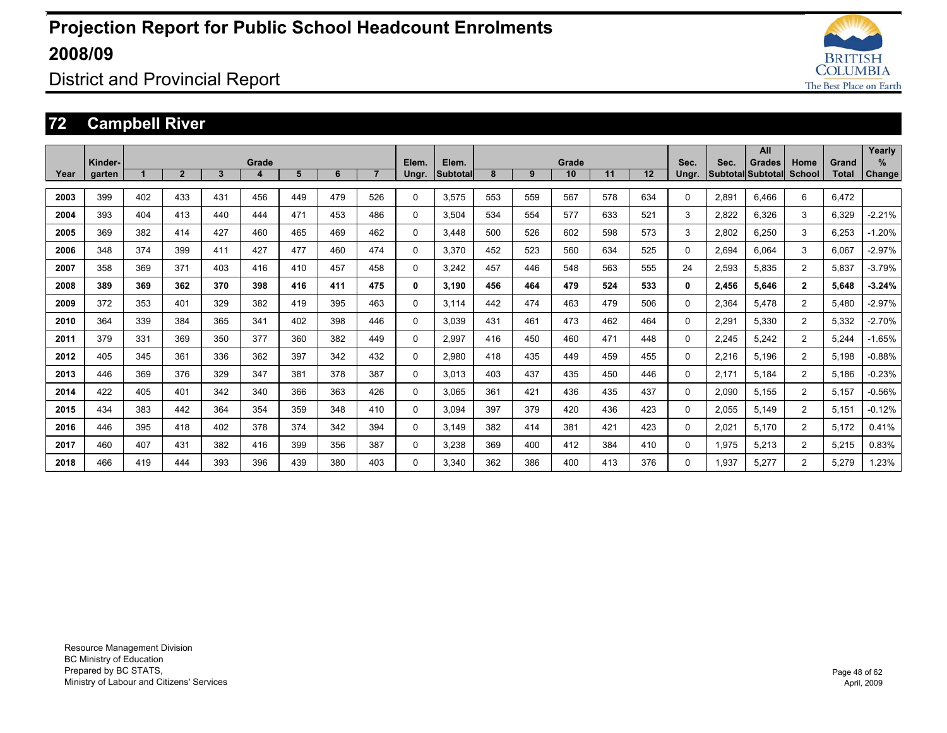

District and Provincial Report

### **72 Campbell River**

|      |         |     |                |     |       |     |     |                |          |                 |     |     |       |     |     |          |       | All                      |                |              | Yearly        |
|------|---------|-----|----------------|-----|-------|-----|-----|----------------|----------|-----------------|-----|-----|-------|-----|-----|----------|-------|--------------------------|----------------|--------------|---------------|
|      | Kinder- |     |                |     | Grade |     |     |                | Elem.    | Elem.           |     |     | Grade |     |     | Sec.     | Sec.  | <b>Grades</b>            | Home           | Grand        | %             |
| Year | garten  |     | $\overline{2}$ | 3   | 4     | 5   | 6   | $\overline{7}$ | Ungr.    | <b>Subtotal</b> | 8   | 9   | 10    | 11  | 12  | Ungr.    |       | <b>Subtotal Subtotal</b> | School         | <b>Total</b> | <b>Change</b> |
| 2003 | 399     | 402 | 433            | 431 | 456   | 449 | 479 | 526            | $\Omega$ | 3.575           | 553 | 559 | 567   | 578 | 634 | $\Omega$ | 2.891 | 6.466                    | 6              | 6.472        |               |
| 2004 | 393     | 404 | 413            | 440 | 444   | 471 | 453 | 486            | $\Omega$ | 3.504           | 534 | 554 | 577   | 633 | 521 | 3        | 2,822 | 6,326                    | 3              | 6,329        | $-2.21%$      |
| 2005 | 369     | 382 | 414            | 427 | 460   | 465 | 469 | 462            | $\Omega$ | 3.448           | 500 | 526 | 602   | 598 | 573 | 3        | 2,802 | 6,250                    | 3              | 6,253        | $-1.20%$      |
| 2006 | 348     | 374 | 399            | 411 | 427   | 477 | 460 | 474            | 0        | 3.370           | 452 | 523 | 560   | 634 | 525 | 0        | 2.694 | 6.064                    | 3              | 6.067        | $-2.97%$      |
| 2007 | 358     | 369 | 371            | 403 | 416   | 410 | 457 | 458            | 0        | 3.242           | 457 | 446 | 548   | 563 | 555 | 24       | 2,593 | 5.835                    | $\overline{2}$ | 5,837        | $-3.79%$      |
| 2008 | 389     | 369 | 362            | 370 | 398   | 416 | 411 | 475            | 0        | 3.190           | 456 | 464 | 479   | 524 | 533 | 0        | 2.456 | 5.646                    | $\overline{2}$ | 5.648        | $-3.24%$      |
| 2009 | 372     | 353 | 401            | 329 | 382   | 419 | 395 | 463            | $\Omega$ | 3.114           | 442 | 474 | 463   | 479 | 506 | $\Omega$ | 2,364 | 5.478                    | $\overline{2}$ | 5.480        | $-2.97%$      |
| 2010 | 364     | 339 | 384            | 365 | 341   | 402 | 398 | 446            | $\Omega$ | 3.039           | 431 | 461 | 473   | 462 | 464 | $\Omega$ | 2,291 | 5.330                    | $\overline{2}$ | 5,332        | $-2.70%$      |
| 2011 | 379     | 331 | 369            | 350 | 377   | 360 | 382 | 449            | 0        | 2.997           | 416 | 450 | 460   | 471 | 448 | 0        | 2,245 | 5.242                    | $\overline{2}$ | 5,244        | $-1.65%$      |
| 2012 | 405     | 345 | 361            | 336 | 362   | 397 | 342 | 432            | 0        | 2,980           | 418 | 435 | 449   | 459 | 455 | 0        | 2,216 | 5.196                    | $\overline{2}$ | 5,198        | $-0.88%$      |
| 2013 | 446     | 369 | 376            | 329 | 347   | 381 | 378 | 387            | 0        | 3.013           | 403 | 437 | 435   | 450 | 446 | $\Omega$ | 2.171 | 5.184                    | $\overline{2}$ | 5.186        | $-0.23%$      |
| 2014 | 422     | 405 | 401            | 342 | 340   | 366 | 363 | 426            | 0        | 3.065           | 361 | 421 | 436   | 435 | 437 | 0        | 2,090 | 5.155                    | $\overline{2}$ | 5,157        | $-0.56%$      |
| 2015 | 434     | 383 | 442            | 364 | 354   | 359 | 348 | 410            | 0        | 3,094           | 397 | 379 | 420   | 436 | 423 | 0        | 2,055 | 5.149                    | 2              | 5,151        | $-0.12%$      |
| 2016 | 446     | 395 | 418            | 402 | 378   | 374 | 342 | 394            | $\Omega$ | 3.149           | 382 | 414 | 381   | 421 | 423 | 0        | 2,021 | 5.170                    | $\overline{2}$ | 5.172        | 0.41%         |
| 2017 | 460     | 407 | 431            | 382 | 416   | 399 | 356 | 387            | $\Omega$ | 3,238           | 369 | 400 | 412   | 384 | 410 | 0        | 1,975 | 5.213                    | $\overline{2}$ | 5,215        | 0.83%         |
| 2018 | 466     | 419 | 444            | 393 | 396   | 439 | 380 | 403            | $\Omega$ | 3.340           | 362 | 386 | 400   | 413 | 376 | $\Omega$ | 1.937 | 5.277                    | 2              | 5.279        | 1.23%         |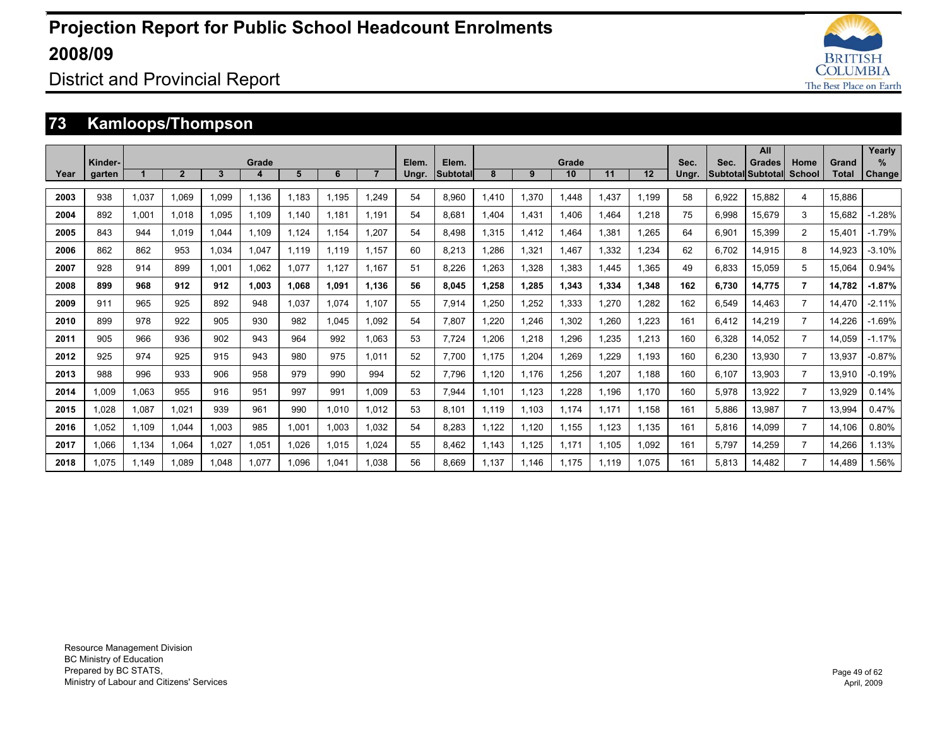

### District and Provincial Report

### **73 Kamloops/Thompson**

|      |                   |       |                |       |            |       |       |                |                |                   |       |       |             |       |       |               |       | All                                       |                |                       | Yearly             |
|------|-------------------|-------|----------------|-------|------------|-------|-------|----------------|----------------|-------------------|-------|-------|-------------|-------|-------|---------------|-------|-------------------------------------------|----------------|-----------------------|--------------------|
| Year | Kinder-<br>garten |       | $\overline{2}$ | 3     | Grade<br>4 | 5     | 6     | $\overline{7}$ | Elem.<br>Ungr. | Elem.<br>Subtotal | 8     | 9     | Grade<br>10 | 11    | 12    | Sec.<br>Ungr. | Sec.  | <b>Grades</b><br><b>Subtotal Subtotal</b> | Home<br>School | Grand<br><b>Total</b> | %<br><b>Change</b> |
|      |                   |       |                |       |            |       |       |                |                |                   |       |       |             |       |       |               |       |                                           |                |                       |                    |
| 2003 | 938               | 1.037 | 1.069          | 1.099 | 1.136      | 1,183 | 1.195 | 1.249          | 54             | 8.960             | 1.410 | 1,370 | 1.448       | 1.437 | 1.199 | 58            | 6,922 | 15.882                                    | 4              | 15.886                |                    |
| 2004 | 892               | 1.001 | 1.018          | 1.095 | 1.109      | 1.140 | 1.181 | 1.191          | 54             | 8.681             | 1.404 | 1.431 | 1.406       | 1.464 | 1.218 | 75            | 6.998 | 15.679                                    | 3              | 15.682                | $-1.28%$           |
| 2005 | 843               | 944   | 1.019          | .044  | 1,109      | 1.124 | 1.154 | 1.207          | 54             | 8.498             | 1.315 | 1,412 | 1.464       | 1.381 | .265  | 64            | 6.901 | 15.399                                    | $\overline{2}$ | 15.401                | $-1.79%$           |
| 2006 | 862               | 862   | 953            | .034  | 1.047      | 1.119 | 1.119 | 1.157          | 60             | 8.213             | .286  | 1,321 | 1.467       | 1.332 | .234  | 62            | 6.702 | 14.915                                    | 8              | 14.923                | $-3.10%$           |
| 2007 | 928               | 914   | 899            | 1.001 | 1.062      | 1.077 | 1.127 | 1.167          | 51             | 8.226             | .263  | 1,328 | 1.383       | 1.445 | .365  | 49            | 6,833 | 15,059                                    | 5              | 15.064                | 0.94%              |
| 2008 | 899               | 968   | 912            | 912   | 1.003      | 1.068 | 1.091 | 1.136          | 56             | 8.045             | 1,258 | 1,285 | 1,343       | 1,334 | 1,348 | 162           | 6,730 | 14.775                                    | 7              | 14,782                | $-1.87%$           |
| 2009 | 911               | 965   | 925            | 892   | 948        | 1,037 | 1,074 | 1.107          | 55             | 7,914             | 1,250 | 1,252 | 1,333       | 1,270 | .282  | 162           | 6,549 | 14,463                                    |                | 14.470                | $-2.11%$           |
| 2010 | 899               | 978   | 922            | 905   | 930        | 982   | 1,045 | 1,092          | 54             | 7,807             | 1,220 | 1,246 | 1,302       | 1,260 | ,223  | 161           | 6,412 | 14,219                                    | $\overline{7}$ | 14,226                | $-1.69%$           |
| 2011 | 905               | 966   | 936            | 902   | 943        | 964   | 992   | 1.063          | 53             | 7,724             | 1,206 | 1,218 | 1,296       | 1,235 | 1,213 | 160           | 6,328 | 14,052                                    | 7              | 14,059                | $-1.17%$           |
| 2012 | 925               | 974   | 925            | 915   | 943        | 980   | 975   | 1.011          | 52             | 7.700             | 1.175 | 1.204 | 1,269       | ,229  | 1.193 | 160           | 6,230 | 13,930                                    | $\overline{7}$ | 13,937                | $-0.87%$           |
| 2013 | 988               | 996   | 933            | 906   | 958        | 979   | 990   | 994            | 52             | 7.796             | 1.120 | 1.176 | 1,256       | 1,207 | 1.188 | 160           | 6,107 | 13.903                                    |                | 13.910                | $-0.19%$           |
| 2014 | 1.009             | 1,063 | 955            | 916   | 951        | 997   | 991   | 1.009          | 53             | 7.944             | 1.101 | 1.123 | 1.228       | 1.196 | 1.170 | 160           | 5,978 | 13.922                                    | $\overline{7}$ | 13,929                | 0.14%              |
| 2015 | 1,028             | 1,087 | 1,021          | 939   | 961        | 990   | 1,010 | 1.012          | 53             | 8.101             | 1.119 | 1.103 | 1.174       | 1,171 | 1.158 | 161           | 5,886 | 13,987                                    | 7              | 13,994                | 0.47%              |
| 2016 | 1,052             | 1.109 | 1,044          | 1,003 | 985        | 1,001 | 1,003 | 1,032          | 54             | 8,283             | 1,122 | 1,120 | 1,155       | 1,123 | 1,135 | 161           | 5,816 | 14,099                                    |                | 14,106                | 0.80%              |
| 2017 | 1.066             | 1,134 | 1.064          | 1.027 | 1,051      | 1,026 | 1,015 | 1.024          | 55             | 8.462             | 1.143 | 1.125 | 1.171       | 1.105 | 1.092 | 161           | 5,797 | 14,259                                    | 7              | 14,266                | 1.13%              |
| 2018 | 1.075             | 1.149 | 1.089          | 1.048 | 1,077      | 1.096 | 1.041 | 1.038          | 56             | 8.669             | 1.137 | 1.146 | 1.175       | 1,119 | 1.075 | 161           | 5.813 | 14.482                                    | $\overline{7}$ | 14,489                | 1.56%              |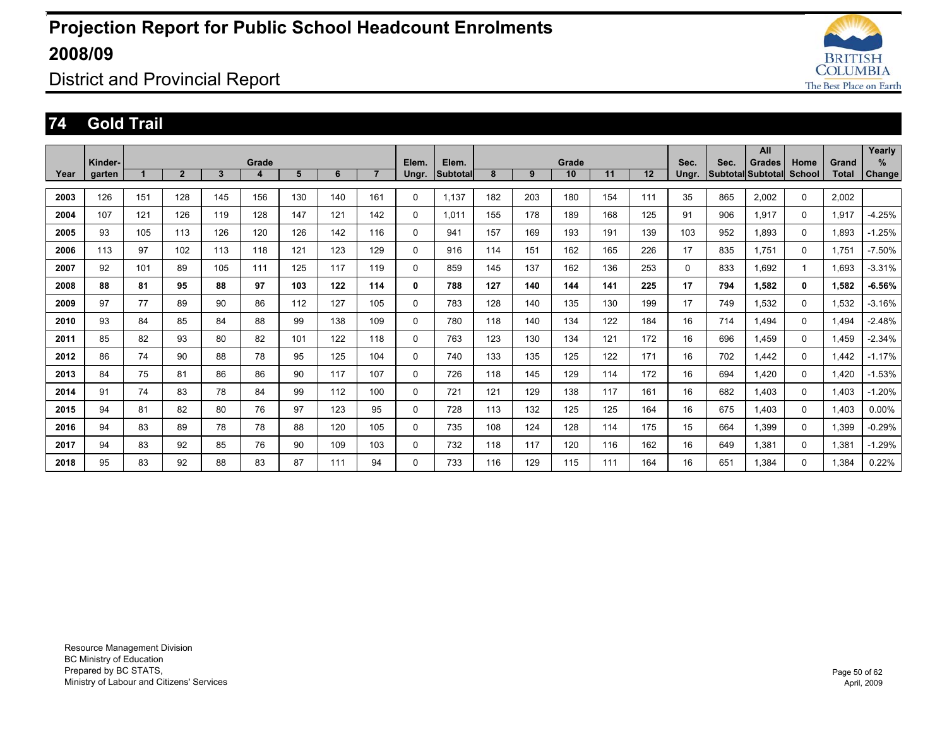

District and Provincial Report

#### **74 Gold Trail**

|      |         |     |                |     |       |     |     |                |          |          |     |     |       |     |     |       |      | All               |          |              | Yearly        |
|------|---------|-----|----------------|-----|-------|-----|-----|----------------|----------|----------|-----|-----|-------|-----|-----|-------|------|-------------------|----------|--------------|---------------|
|      | Kinder- |     |                |     | Grade |     |     |                | Elem.    | Elem.    |     |     | Grade |     |     | Sec.  | Sec. | <b>Grades</b>     | Home     | Grand        | ℅             |
| Year | garten  |     | $\overline{2}$ | 3   | 4     | 5   | 6   | $\overline{7}$ | Ungr.    | Subtotal | 8   | 9   | 10    | 11  | 12  | Ungr. |      | Subtotal Subtotal | School   | <b>Total</b> | <b>Change</b> |
|      |         |     |                |     |       |     |     |                |          |          |     |     |       |     |     |       |      |                   |          |              |               |
| 2003 | 126     | 151 | 128            | 145 | 156   | 130 | 140 | 161            | 0        | 1,137    | 182 | 203 | 180   | 154 | 111 | 35    | 865  | 2,002             | 0        | 2,002        |               |
| 2004 | 107     | 121 | 126            | 119 | 128   | 147 | 121 | 142            | 0        | 1,011    | 155 | 178 | 189   | 168 | 125 | 91    | 906  | 1,917             | 0        | 1,917        | $-4.25%$      |
| 2005 | 93      | 105 | 113            | 126 | 120   | 126 | 142 | 116            | 0        | 941      | 157 | 169 | 193   | 191 | 139 | 103   | 952  | 1,893             | 0        | 1,893        | $-1.25%$      |
| 2006 | 113     | 97  | 102            | 113 | 118   | 121 | 123 | 129            | 0        | 916      | 114 | 151 | 162   | 165 | 226 | 17    | 835  | 1.751             | 0        | 1.751        | $-7.50%$      |
| 2007 | 92      | 101 | 89             | 105 | 111   | 125 | 117 | 119            | 0        | 859      | 145 | 137 | 162   | 136 | 253 | 0     | 833  | 1.692             | 1        | 1.693        | $-3.31%$      |
| 2008 | 88      | 81  | 95             | 88  | 97    | 103 | 122 | 114            | 0        | 788      | 127 | 140 | 144   | 141 | 225 | 17    | 794  | 1,582             | 0        | 1,582        | $-6.56%$      |
| 2009 | 97      | 77  | 89             | 90  | 86    | 112 | 127 | 105            | 0        | 783      | 128 | 140 | 135   | 130 | 199 | 17    | 749  | 1.532             | 0        | 1.532        | $-3.16%$      |
| 2010 | 93      | 84  | 85             | 84  | 88    | 99  | 138 | 109            | $\Omega$ | 780      | 118 | 140 | 134   | 122 | 184 | 16    | 714  | 1.494             | $\Omega$ | 1.494        | $-2.48%$      |
| 2011 | 85      | 82  | 93             | 80  | 82    | 101 | 122 | 118            | 0        | 763      | 123 | 130 | 134   | 121 | 172 | 16    | 696  | 1.459             | $\Omega$ | 1,459        | $-2.34%$      |
| 2012 | 86      | 74  | 90             | 88  | 78    | 95  | 125 | 104            | 0        | 740      | 133 | 135 | 125   | 122 | 171 | 16    | 702  | 1,442             | 0        | 1.442        | $-1.17%$      |
| 2013 | 84      | 75  | 81             | 86  | 86    | 90  | 117 | 107            | 0        | 726      | 118 | 145 | 129   | 114 | 172 | 16    | 694  | 1.420             | $\Omega$ | 1,420        | $-1.53%$      |
| 2014 | 91      | 74  | 83             | 78  | 84    | 99  | 112 | 100            | 0        | 721      | 121 | 129 | 138   | 117 | 161 | 16    | 682  | 1.403             | $\Omega$ | 1.403        | $-1.20%$      |
| 2015 | 94      | 81  | 82             | 80  | 76    | 97  | 123 | 95             | 0        | 728      | 113 | 132 | 125   | 125 | 164 | 16    | 675  | 1.403             | 0        | 1.403        | $0.00\%$      |
| 2016 | 94      | 83  | 89             | 78  | 78    | 88  | 120 | 105            | 0        | 735      | 108 | 124 | 128   | 114 | 175 | 15    | 664  | 1,399             | $\Omega$ | 1,399        | $-0.29%$      |
| 2017 | 94      | 83  | 92             | 85  | 76    | 90  | 109 | 103            | 0        | 732      | 118 | 117 | 120   | 116 | 162 | 16    | 649  | 1,381             | $\Omega$ | 1,381        | $-1.29%$      |
| 2018 | 95      | 83  | 92             | 88  | 83    | 87  | 111 | 94             | 0        | 733      | 116 | 129 | 115   | 111 | 164 | 16    | 651  | 1.384             | 0        | 1.384        | 0.22%         |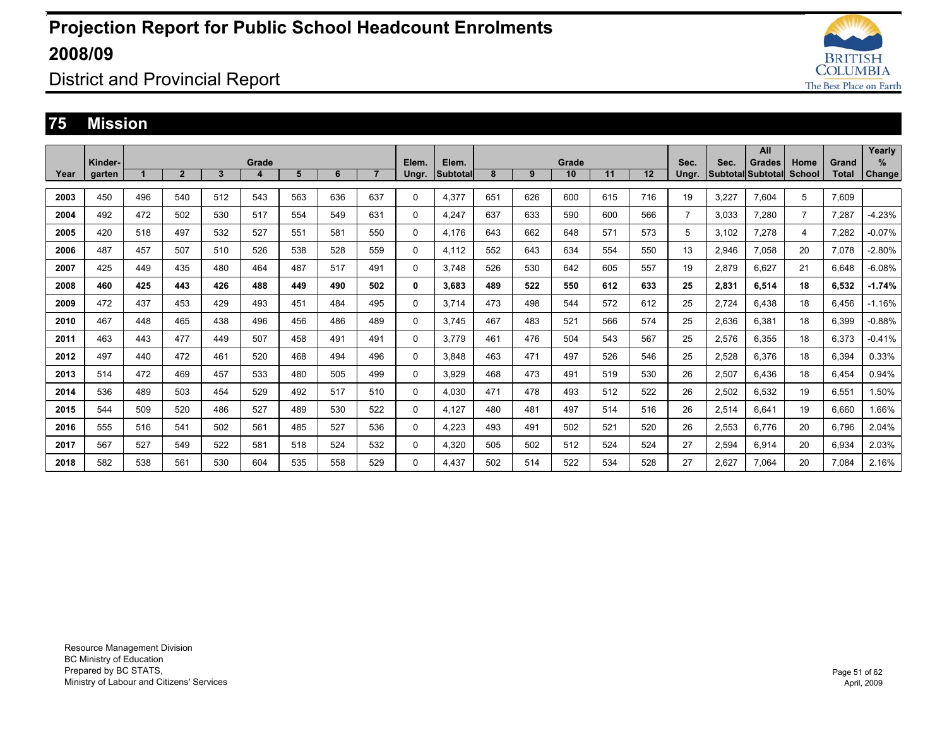

District and Provincial Report

#### **75 Mission**

|      |         |     |                |              |       |     |     |                |       |                 |     |     |       |     |     |                |       | All               |                |              | Yearly        |
|------|---------|-----|----------------|--------------|-------|-----|-----|----------------|-------|-----------------|-----|-----|-------|-----|-----|----------------|-------|-------------------|----------------|--------------|---------------|
|      | Kinder- |     |                |              | Grade |     |     |                | Elem. | Elem.           |     |     | Grade |     |     | Sec.           | Sec.  | <b>Grades</b>     | Home           | Grand        | $\%$          |
| Year | garten  |     | $\overline{2}$ | $\mathbf{3}$ | 4     | 5   | 6   | $\overline{7}$ | Ungr. | <b>Subtotal</b> | 8   | 9   | 10    | 11  | 12  | Ungr.          |       | Subtotal Subtotal | School         | <b>Total</b> | <b>Change</b> |
|      |         |     |                |              |       |     |     |                |       |                 |     |     |       |     |     |                |       |                   |                |              |               |
| 2003 | 450     | 496 | 540            | 512          | 543   | 563 | 636 | 637            | 0     | 4,377           | 651 | 626 | 600   | 615 | 716 | 19             | 3,227 | 7,604             | 5              | 7.609        |               |
| 2004 | 492     | 472 | 502            | 530          | 517   | 554 | 549 | 631            | 0     | 4,247           | 637 | 633 | 590   | 600 | 566 | $\overline{7}$ | 3,033 | 7,280             | $\overline{7}$ | 7,287        | $-4.23%$      |
| 2005 | 420     | 518 | 497            | 532          | 527   | 551 | 581 | 550            | 0     | 4,176           | 643 | 662 | 648   | 571 | 573 | 5              | 3,102 | 7,278             | 4              | 7,282        | $-0.07%$      |
| 2006 | 487     | 457 | 507            | 510          | 526   | 538 | 528 | 559            | 0     | 4.112           | 552 | 643 | 634   | 554 | 550 | 13             | 2,946 | 7,058             | 20             | 7.078        | $-2.80%$      |
| 2007 | 425     | 449 | 435            | 480          | 464   | 487 | 517 | 491            | 0     | 3.748           | 526 | 530 | 642   | 605 | 557 | 19             | 2,879 | 6.627             | 21             | 6.648        | $-6.08%$      |
| 2008 | 460     | 425 | 443            | 426          | 488   | 449 | 490 | 502            | 0     | 3.683           | 489 | 522 | 550   | 612 | 633 | 25             | 2,831 | 6,514             | 18             | 6.532        | $-1.74%$      |
| 2009 | 472     | 437 | 453            | 429          | 493   | 451 | 484 | 495            | 0     | 3.714           | 473 | 498 | 544   | 572 | 612 | 25             | 2.724 | 6.438             | 18             | 6.456        | $-1.16%$      |
| 2010 | 467     | 448 | 465            | 438          | 496   | 456 | 486 | 489            | 0     | 3.745           | 467 | 483 | 521   | 566 | 574 | 25             | 2.636 | 6.381             | 18             | 6.399        | $-0.88%$      |
| 2011 | 463     | 443 | 477            | 449          | 507   | 458 | 491 | 491            | 0     | 3.779           | 461 | 476 | 504   | 543 | 567 | 25             | 2,576 | 6.355             | 18             | 6.373        | $-0.41%$      |
| 2012 | 497     | 440 | 472            | 461          | 520   | 468 | 494 | 496            | 0     | 3.848           | 463 | 471 | 497   | 526 | 546 | 25             | 2,528 | 6,376             | 18             | 6,394        | 0.33%         |
| 2013 | 514     | 472 | 469            | 457          | 533   | 480 | 505 | 499            | 0     | 3.929           | 468 | 473 | 491   | 519 | 530 | 26             | 2,507 | 6.436             | 18             | 6,454        | 0.94%         |
| 2014 | 536     | 489 | 503            | 454          | 529   | 492 | 517 | 510            | 0     | 4.030           | 471 | 478 | 493   | 512 | 522 | 26             | 2,502 | 6.532             | 19             | 6,551        | 1.50%         |
| 2015 | 544     | 509 | 520            | 486          | 527   | 489 | 530 | 522            | 0     | 4.127           | 480 | 481 | 497   | 514 | 516 | 26             | 2,514 | 6.641             | 19             | 6.660        | 1.66%         |
| 2016 | 555     | 516 | 541            | 502          | 561   | 485 | 527 | 536            | 0     | 4.223           | 493 | 491 | 502   | 521 | 520 | 26             | 2,553 | 6.776             | 20             | 6.796        | 2.04%         |
| 2017 | 567     | 527 | 549            | 522          | 581   | 518 | 524 | 532            | 0     | 4.320           | 505 | 502 | 512   | 524 | 524 | 27             | 2,594 | 6.914             | 20             | 6.934        | 2.03%         |
| 2018 | 582     | 538 | 561            | 530          | 604   | 535 | 558 | 529            | 0     | 4.437           | 502 | 514 | 522   | 534 | 528 | 27             | 2,627 | 7.064             | 20             | 7.084        | 2.16%         |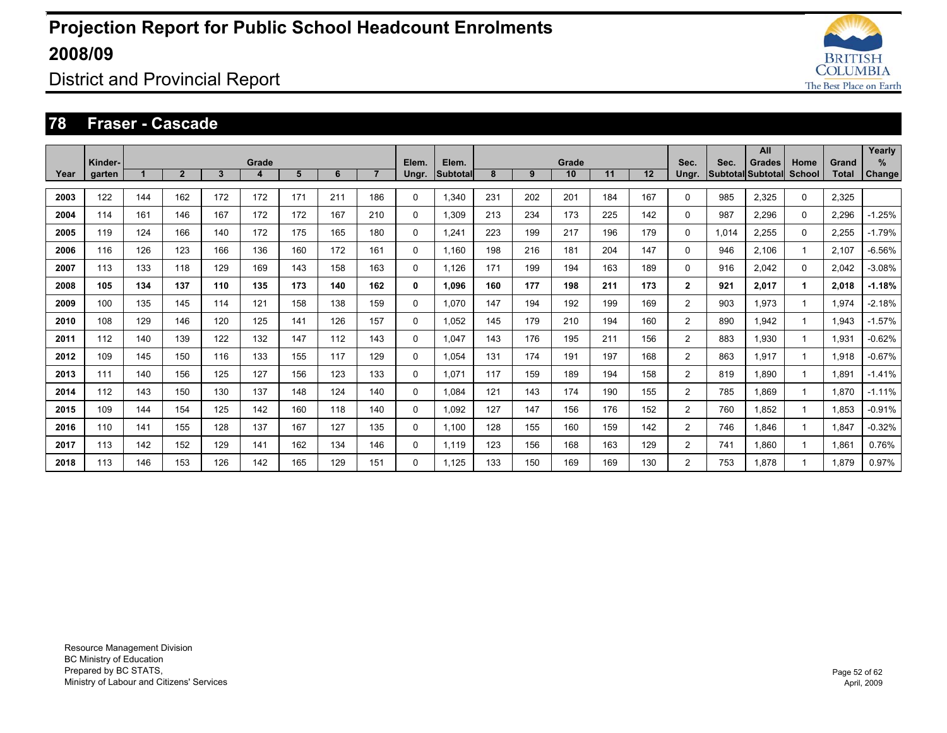

District and Provincial Report

#### **78 Fraser - Cascade**

|      | Kinder- |     |                |              | Grade |     |     |                | Elem.        | Elem.    |     |     | Grade |     |     | Sec.           | Sec.  | All<br><b>Grades</b>     | Home     | Grand        | Yearly<br>%   |
|------|---------|-----|----------------|--------------|-------|-----|-----|----------------|--------------|----------|-----|-----|-------|-----|-----|----------------|-------|--------------------------|----------|--------------|---------------|
| Year | garten  |     | $\overline{2}$ | $\mathbf{3}$ | 4     | 5   | 6   | $\overline{7}$ | Ungr.        | Subtotal | 8   | 9   | 10    | 11  | 12  | Ungr.          |       | <b>Subtotal Subtotal</b> | School   | <b>Total</b> | <b>Change</b> |
| 2003 | 122     | 144 | 162            | 172          | 172   | 171 | 211 | 186            | $\Omega$     | 1,340    | 231 | 202 | 201   | 184 | 167 | 0              | 985   | 2,325                    | $\Omega$ | 2,325        |               |
| 2004 | 114     | 161 | 146            | 167          | 172   | 172 | 167 | 210            | $\mathbf 0$  | 1.309    | 213 | 234 | 173   | 225 | 142 | 0              | 987   | 2,296                    | 0        | 2,296        | $-1.25%$      |
| 2005 | 119     | 124 | 166            | 140          | 172   | 175 | 165 | 180            | $\mathbf 0$  | 1.241    | 223 | 199 | 217   | 196 | 179 | 0              | 1.014 | 2,255                    | 0        | 2,255        | $-1.79%$      |
| 2006 | 116     | 126 | 123            | 166          | 136   | 160 | 172 | 161            | $\mathbf 0$  | 1.160    | 198 | 216 | 181   | 204 | 147 | 0              | 946   | 2.106                    |          | 2.107        | $-6.56%$      |
| 2007 | 113     | 133 | 118            | 129          | 169   | 143 | 158 | 163            | $\Omega$     | 1,126    | 171 | 199 | 194   | 163 | 189 | 0              | 916   | 2.042                    | $\Omega$ | 2,042        | $-3.08%$      |
| 2008 | 105     | 134 | 137            | 110          | 135   | 173 | 140 | 162            | 0            | 1.096    | 160 | 177 | 198   | 211 | 173 | $\overline{2}$ | 921   | 2,017                    | 1        | 2.018        | $-1.18%$      |
| 2009 | 100     | 135 | 145            | 114          | 121   | 158 | 138 | 159            | 0            | 1.070    | 147 | 194 | 192   | 199 | 169 | $\overline{2}$ | 903   | 1.973                    |          | 1,974        | $-2.18%$      |
| 2010 | 108     | 129 | 146            | 120          | 125   | 141 | 126 | 157            | $\mathbf 0$  | 1.052    | 145 | 179 | 210   | 194 | 160 | $\overline{2}$ | 890   | 1.942                    |          | 1.943        | $-1.57%$      |
| 2011 | 112     | 140 | 139            | 122          | 132   | 147 | 112 | 143            | 0            | 1.047    | 143 | 176 | 195   | 211 | 156 | $\overline{2}$ | 883   | 1.930                    |          | 1,931        | $-0.62%$      |
| 2012 | 109     | 145 | 150            | 116          | 133   | 155 | 117 | 129            | 0            | 1.054    | 131 | 174 | 191   | 197 | 168 | $\overline{2}$ | 863   | 1.917                    |          | 1.918        | $-0.67%$      |
| 2013 | 111     | 140 | 156            | 125          | 127   | 156 | 123 | 133            | $\Omega$     | 1.071    | 117 | 159 | 189   | 194 | 158 | $\overline{2}$ | 819   | 1.890                    |          | 1,891        | $-1.41%$      |
| 2014 | 112     | 143 | 150            | 130          | 137   | 148 | 124 | 140            | 0            | 1.084    | 121 | 143 | 174   | 190 | 155 | $\overline{2}$ | 785   | 1.869                    |          | 1,870        | $-1.11%$      |
| 2015 | 109     | 144 | 154            | 125          | 142   | 160 | 118 | 140            | 0            | 1.092    | 127 | 147 | 156   | 176 | 152 | $\overline{2}$ | 760   | 1.852                    |          | 1,853        | $-0.91%$      |
| 2016 | 110     | 141 | 155            | 128          | 137   | 167 | 127 | 135            | 0            | 1.100    | 128 | 155 | 160   | 159 | 142 | $\overline{2}$ | 746   | 1.846                    |          | 1,847        | $-0.32%$      |
| 2017 | 113     | 142 | 152            | 129          | 141   | 162 | 134 | 146            | $\mathbf{0}$ | 1,119    | 123 | 156 | 168   | 163 | 129 | $\overline{2}$ | 741   | 1,860                    |          | 1,861        | 0.76%         |
| 2018 | 113     | 146 | 153            | 126          | 142   | 165 | 129 | 151            | $\Omega$     | 1.125    | 133 | 150 | 169   | 169 | 130 | $\overline{2}$ | 753   | 1.878                    |          | 1.879        | 0.97%         |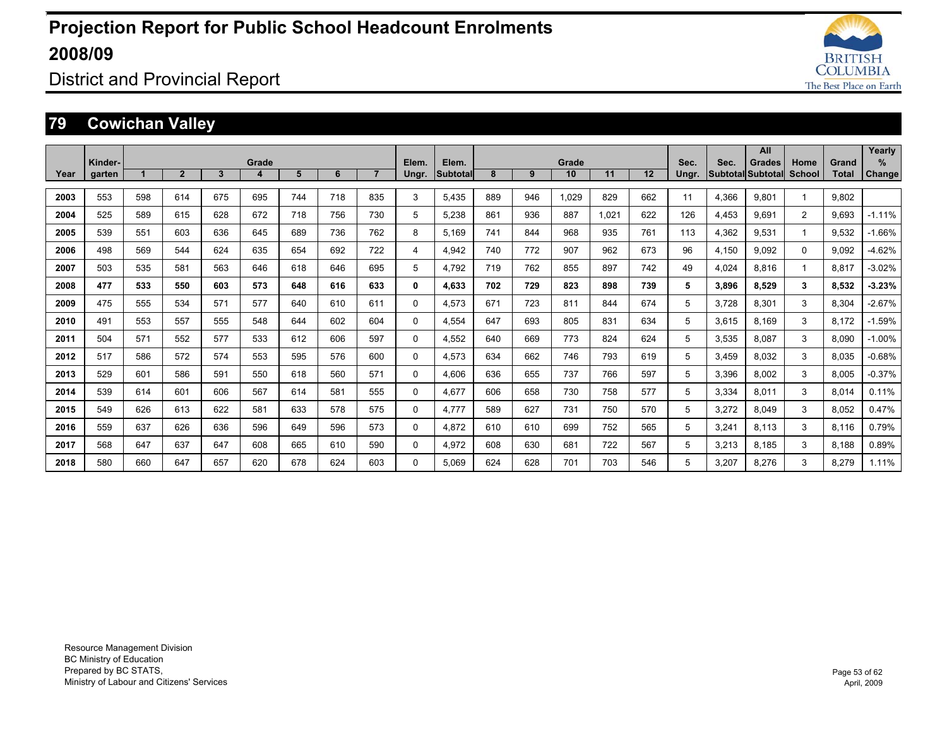

District and Provincial Report

### **79 Cowichan Valley**

|      |                   |     |                |              |            |     |     |                |                |                   |     |     |             |       |     |               |       | All                                       |                |                | Yearly             |
|------|-------------------|-----|----------------|--------------|------------|-----|-----|----------------|----------------|-------------------|-----|-----|-------------|-------|-----|---------------|-------|-------------------------------------------|----------------|----------------|--------------------|
| Year | Kinder-<br>garten |     | $\overline{2}$ | $\mathbf{3}$ | Grade<br>4 | 5   | 6   | $\overline{7}$ | Elem.<br>Ungr. | Elem.<br>Subtotal | 8   | 9   | Grade<br>10 | 11    | 12  | Sec.<br>Ungr. | Sec.  | <b>Grades</b><br><b>Subtotal Subtotal</b> | Home<br>School | Grand<br>Total | %<br><b>Change</b> |
| 2003 | 553               | 598 | 614            | 675          | 695        | 744 | 718 | 835            | 3              | 5.435             | 889 | 946 | 1,029       | 829   | 662 | 11            | 4,366 | 9,801                                     |                | 9.802          |                    |
| 2004 | 525               | 589 | 615            | 628          | 672        | 718 | 756 | 730            | 5              | 5,238             | 861 | 936 | 887         | 1.021 | 622 | 126           | 4.453 | 9.691                                     | 2              | 9.693          | $-1.11%$           |
| 2005 | 539               | 551 | 603            | 636          | 645        | 689 | 736 | 762            | 8              | 5.169             | 741 | 844 | 968         | 935   | 761 | 113           | 4,362 | 9.531                                     |                | 9.532          | $-1.66%$           |
| 2006 | 498               | 569 | 544            | 624          | 635        | 654 | 692 | 722            | 4              | 4.942             | 740 | 772 | 907         | 962   | 673 | 96            | 4,150 | 9.092                                     | $\Omega$       | 9.092          | $-4.62%$           |
| 2007 | 503               | 535 | 581            | 563          | 646        | 618 | 646 | 695            | 5              | 4.792             | 719 | 762 | 855         | 897   | 742 | 49            | 4,024 | 8.816                                     |                | 8.817          | $-3.02%$           |
| 2008 | 477               | 533 | 550            | 603          | 573        | 648 | 616 | 633            | 0              | 4.633             | 702 | 729 | 823         | 898   | 739 | 5             | 3,896 | 8.529                                     | 3              | 8,532          | $-3.23%$           |
| 2009 | 475               | 555 | 534            | 571          | 577        | 640 | 610 | 611            | 0              | 4,573             | 671 | 723 | 811         | 844   | 674 | 5             | 3.728 | 8.301                                     | 3              | 8,304          | $-2.67%$           |
| 2010 | 491               | 553 | 557            | 555          | 548        | 644 | 602 | 604            | 0              | 4.554             | 647 | 693 | 805         | 831   | 634 | 5             | 3,615 | 8.169                                     | 3              | 8.172          | $-1.59%$           |
| 2011 | 504               | 571 | 552            | 577          | 533        | 612 | 606 | 597            | $\Omega$       | 4,552             | 640 | 669 | 773         | 824   | 624 | 5             | 3,535 | 8.087                                     | 3              | 8.090          | $-1.00%$           |
| 2012 | 517               | 586 | 572            | 574          | 553        | 595 | 576 | 600            | $\Omega$       | 4.573             | 634 | 662 | 746         | 793   | 619 | 5             | 3.459 | 8.032                                     | 3              | 8.035          | $-0.68%$           |
| 2013 | 529               | 601 | 586            | 591          | 550        | 618 | 560 | 571            | $\mathbf{0}$   | 4,606             | 636 | 655 | 737         | 766   | 597 | 5             | 3,396 | 8,002                                     | 3              | 8,005          | $-0.37%$           |
| 2014 | 539               | 614 | 601            | 606          | 567        | 614 | 581 | 555            | $\Omega$       | 4.677             | 606 | 658 | 730         | 758   | 577 | 5             | 3,334 | 8.011                                     | 3              | 8,014          | 0.11%              |
| 2015 | 549               | 626 | 613            | 622          | 581        | 633 | 578 | 575            | 0              | 4.777             | 589 | 627 | 731         | 750   | 570 | 5             | 3,272 | 8.049                                     | 3              | 8,052          | 0.47%              |
| 2016 | 559               | 637 | 626            | 636          | 596        | 649 | 596 | 573            | 0              | 4.872             | 610 | 610 | 699         | 752   | 565 | 5             | 3,241 | 8.113                                     | 3              | 8.116          | 0.79%              |
| 2017 | 568               | 647 | 637            | 647          | 608        | 665 | 610 | 590            | $\Omega$       | 4.972             | 608 | 630 | 681         | 722   | 567 | 5             | 3,213 | 8.185                                     | 3              | 8,188          | 0.89%              |
| 2018 | 580               | 660 | 647            | 657          | 620        | 678 | 624 | 603            | $\Omega$       | 5.069             | 624 | 628 | 701         | 703   | 546 | 5             | 3.207 | 8.276                                     | 3              | 8.279          | 1.11%              |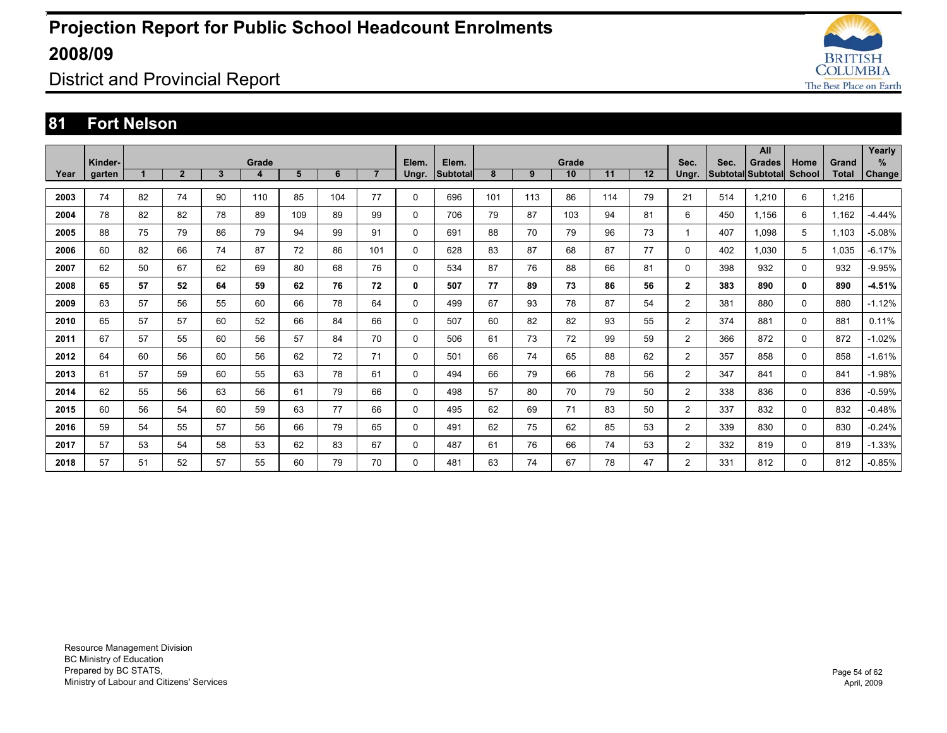

District and Provincial Report

#### **81 Fort Nelson**

|      | Kinder- |    |                |    | Grade |     |     |                | Elem.    | Elem.    |     |     | Grade |     |    | Sec.           | Sec. | All                                |                       |                       | Yearly<br>% |
|------|---------|----|----------------|----|-------|-----|-----|----------------|----------|----------|-----|-----|-------|-----|----|----------------|------|------------------------------------|-----------------------|-----------------------|-------------|
| Year | garten  |    | $\overline{2}$ | 3  | 4     | 5   | 6   | $\overline{7}$ | Ungr.    | Subtotal | 8   | 9   | 10    | 11  | 12 | Ungr.          |      | <b>Grades</b><br>Subtotal Subtotal | Home<br><b>School</b> | Grand<br><b>Total</b> | Change      |
| 2003 | 74      | 82 | 74             | 90 | 110   | 85  | 104 | 77             | 0        | 696      | 101 | 113 | 86    | 114 | 79 | 21             | 514  | 1.210                              | 6                     | 1.216                 |             |
| 2004 | 78      | 82 | 82             | 78 | 89    | 109 | 89  | 99             | $\Omega$ | 706      | 79  | 87  | 103   | 94  | 81 | 6              | 450  | 1.156                              | 6                     | 1.162                 | $-4.44%$    |
| 2005 | 88      | 75 | 79             | 86 | 79    | 94  | 99  | 91             | 0        | 691      | 88  | 70  | 79    | 96  | 73 | $\mathbf{1}$   | 407  | 1.098                              | 5                     | 1,103                 | $-5.08%$    |
| 2006 | 60      | 82 | 66             | 74 | 87    | 72  | 86  | 101            | 0        | 628      | 83  | 87  | 68    | 87  | 77 | $\Omega$       | 402  | 1.030                              | 5                     | 1.035                 | $-6.17%$    |
| 2007 | 62      | 50 | 67             | 62 | 69    | 80  | 68  | 76             | 0        | 534      | 87  | 76  | 88    | 66  | 81 | $\Omega$       | 398  | 932                                | $\Omega$              | 932                   | $-9.95%$    |
| 2008 | 65      | 57 | 52             | 64 | 59    | 62  | 76  | 72             | 0        | 507      | 77  | 89  | 73    | 86  | 56 | $\overline{2}$ | 383  | 890                                | 0                     | 890                   | $-4.51%$    |
| 2009 | 63      | 57 | 56             | 55 | 60    | 66  | 78  | 64             | 0        | 499      | 67  | 93  | 78    | 87  | 54 | $\overline{2}$ | 381  | 880                                | 0                     | 880                   | $-1.12%$    |
| 2010 | 65      | 57 | 57             | 60 | 52    | 66  | 84  | 66             | 0        | 507      | 60  | 82  | 82    | 93  | 55 | 2              | 374  | 881                                | $\Omega$              | 881                   | 0.11%       |
| 2011 | 67      | 57 | 55             | 60 | 56    | 57  | 84  | 70             | 0        | 506      | 61  | 73  | 72    | 99  | 59 | $\overline{2}$ | 366  | 872                                | $\Omega$              | 872                   | $-1.02%$    |
| 2012 | 64      | 60 | 56             | 60 | 56    | 62  | 72  | 71             | 0        | 501      | 66  | 74  | 65    | 88  | 62 | $\overline{2}$ | 357  | 858                                | $\mathbf 0$           | 858                   | $-1.61%$    |
| 2013 | 61      | 57 | 59             | 60 | 55    | 63  | 78  | 61             | 0        | 494      | 66  | 79  | 66    | 78  | 56 | $\overline{2}$ | 347  | 841                                | 0                     | 841                   | $-1.98%$    |
| 2014 | 62      | 55 | 56             | 63 | 56    | 61  | 79  | 66             | 0        | 498      | 57  | 80  | 70    | 79  | 50 | $\overline{2}$ | 338  | 836                                | $\mathbf 0$           | 836                   | $-0.59%$    |
| 2015 | 60      | 56 | 54             | 60 | 59    | 63  | 77  | 66             | 0        | 495      | 62  | 69  | 71    | 83  | 50 | 2              | 337  | 832                                | $\mathbf 0$           | 832                   | $-0.48%$    |
| 2016 | 59      | 54 | 55             | 57 | 56    | 66  | 79  | 65             | 0        | 491      | 62  | 75  | 62    | 85  | 53 | $\overline{2}$ | 339  | 830                                | $\mathbf 0$           | 830                   | $-0.24%$    |
| 2017 | 57      | 53 | 54             | 58 | 53    | 62  | 83  | 67             | 0        | 487      | 61  | 76  | 66    | 74  | 53 | $\overline{2}$ | 332  | 819                                | $\mathbf 0$           | 819                   | $-1.33%$    |
| 2018 | 57      | 51 | 52             | 57 | 55    | 60  | 79  | 70             | 0        | 481      | 63  | 74  | 67    | 78  | 47 | $\overline{2}$ | 331  | 812                                | 0                     | 812                   | $-0.85%$    |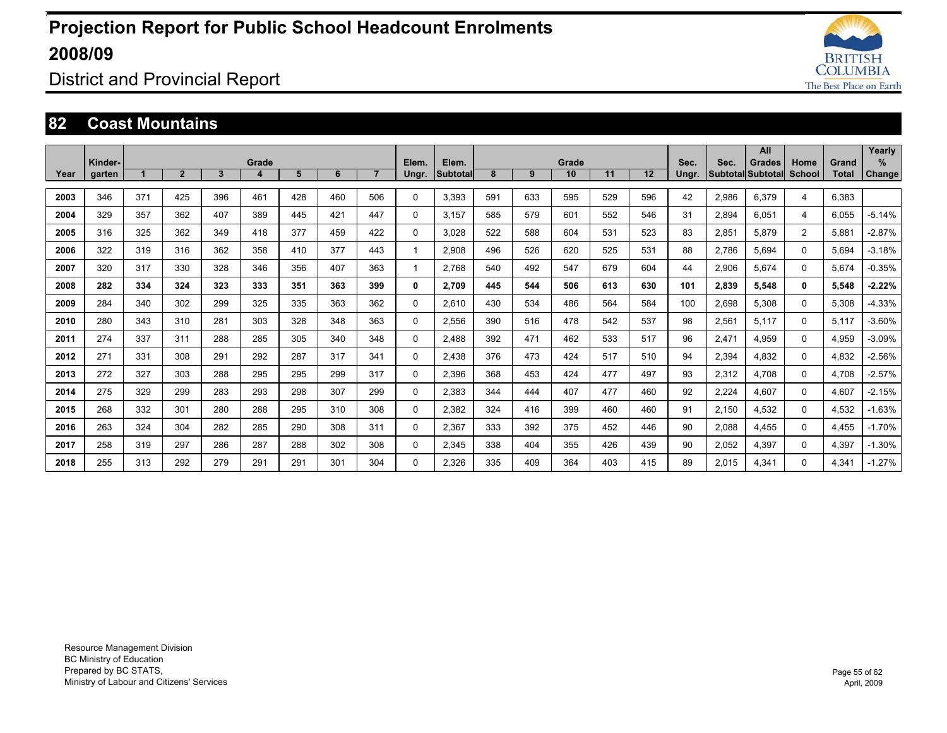

District and Provincial Report

#### **82 Coast Mountains**

|      |                   |     |                |              |            |     |     |                |                |                          |     |     |             |     |     |               |       | All                                |                |                       | Yearly      |
|------|-------------------|-----|----------------|--------------|------------|-----|-----|----------------|----------------|--------------------------|-----|-----|-------------|-----|-----|---------------|-------|------------------------------------|----------------|-----------------------|-------------|
| Year | Kinder-<br>garten |     | $\overline{2}$ | $\mathbf{3}$ | Grade<br>4 | 5   | 6   | $\overline{7}$ | Elem.<br>Ungr. | Elem.<br><b>Subtotal</b> | 8   | 9   | Grade<br>10 | 11  | 12  | Sec.<br>Ungr. | Sec.  | Grades<br>Subtotal Subtotal School | Home           | Grand<br><b>Total</b> | %<br>Change |
| 2003 | 346               | 371 | 425            | 396          | 461        | 428 | 460 | 506            | $\Omega$       | 3,393                    | 591 | 633 | 595         | 529 | 596 | 42            | 2,986 | 6,379                              | 4              | 6,383                 |             |
| 2004 | 329               | 357 | 362            | 407          | 389        | 445 | 421 | 447            | 0              | 3.157                    | 585 | 579 | 601         | 552 | 546 | 31            | 2.894 | 6.051                              | 4              | 6.055                 | $-5.14%$    |
| 2005 | 316               | 325 | 362            | 349          | 418        | 377 | 459 | 422            | 0              | 3.028                    | 522 | 588 | 604         | 531 | 523 | 83            | 2,851 | 5.879                              | $\overline{2}$ | 5.881                 | $-2.87%$    |
|      |                   |     |                |              |            |     |     |                |                |                          |     |     |             |     |     |               |       |                                    |                |                       |             |
| 2006 | 322               | 319 | 316            | 362          | 358        | 410 | 377 | 443            |                | 2.908                    | 496 | 526 | 620         | 525 | 531 | 88            | 2,786 | 5.694                              | 0              | 5.694                 | $-3.18%$    |
| 2007 | 320               | 317 | 330            | 328          | 346        | 356 | 407 | 363            |                | 2.768                    | 540 | 492 | 547         | 679 | 604 | 44            | 2,906 | 5.674                              | 0              | 5.674                 | $-0.35%$    |
| 2008 | 282               | 334 | 324            | 323          | 333        | 351 | 363 | 399            | 0              | 2.709                    | 445 | 544 | 506         | 613 | 630 | 101           | 2,839 | 5,548                              | 0              | 5,548                 | $-2.22%$    |
| 2009 | 284               | 340 | 302            | 299          | 325        | 335 | 363 | 362            | 0              | 2.610                    | 430 | 534 | 486         | 564 | 584 | 100           | 2,698 | 5,308                              | 0              | 5.308                 | $-4.33%$    |
| 2010 | 280               | 343 | 310            | 281          | 303        | 328 | 348 | 363            | 0              | 2.556                    | 390 | 516 | 478         | 542 | 537 | 98            | 2,561 | 5.117                              | 0              | 5.117                 | $-3.60%$    |
| 2011 | 274               | 337 | 311            | 288          | 285        | 305 | 340 | 348            | 0              | 2.488                    | 392 | 471 | 462         | 533 | 517 | 96            | 2,471 | 4.959                              | 0              | 4,959                 | $-3.09%$    |
| 2012 | 271               | 331 | 308            | 291          | 292        | 287 | 317 | 341            | 0              | 2.438                    | 376 | 473 | 424         | 517 | 510 | 94            | 2.394 | 4.832                              | 0              | 4.832                 | $-2.56%$    |
| 2013 | 272               | 327 | 303            | 288          | 295        | 295 | 299 | 317            | 0              | 2,396                    | 368 | 453 | 424         | 477 | 497 | 93            | 2,312 | 4.708                              | 0              | 4.708                 | $-2.57%$    |
| 2014 | 275               | 329 | 299            | 283          | 293        | 298 | 307 | 299            | 0              | 2,383                    | 344 | 444 | 407         | 477 | 460 | 92            | 2,224 | 4,607                              | 0              | 4,607                 | $-2.15%$    |
| 2015 | 268               | 332 | 301            | 280          | 288        | 295 | 310 | 308            | 0              | 2.382                    | 324 | 416 | 399         | 460 | 460 | 91            | 2,150 | 4,532                              | 0              | 4,532                 | $-1.63%$    |
| 2016 | 263               | 324 | 304            | 282          | 285        | 290 | 308 | 311            | 0              | 2,367                    | 333 | 392 | 375         | 452 | 446 | 90            | 2,088 | 4.455                              | 0              | 4.455                 | $-1.70%$    |
| 2017 | 258               | 319 | 297            | 286          | 287        | 288 | 302 | 308            | 0              | 2,345                    | 338 | 404 | 355         | 426 | 439 | 90            | 2,052 | 4,397                              | 0              | 4,397                 | $-1.30%$    |
| 2018 | 255               | 313 | 292            | 279          | 291        | 291 | 301 | 304            | 0              | 2.326                    | 335 | 409 | 364         | 403 | 415 | 89            | 2.015 | 4.341                              | 0              | 4.341                 | $-1.27%$    |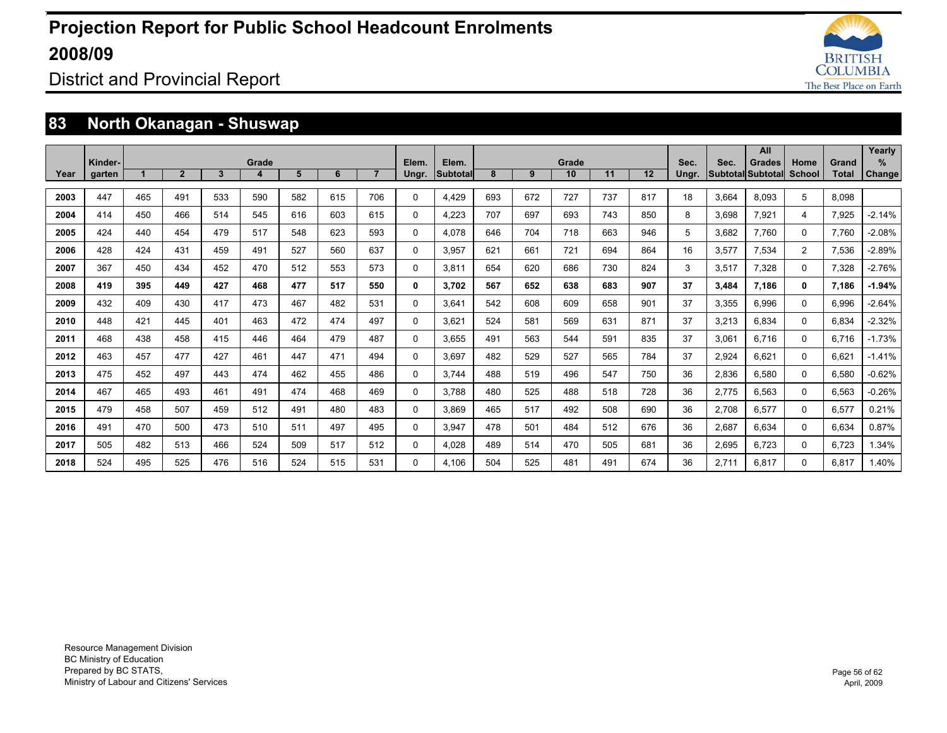

District and Provincial Report

### **83 North Okanagan - Shuswap**

|      |         |     |                |     |       |     |     |                |       |                 |     |     |       |     |     |       |       | All               |                |              | Yearly        |
|------|---------|-----|----------------|-----|-------|-----|-----|----------------|-------|-----------------|-----|-----|-------|-----|-----|-------|-------|-------------------|----------------|--------------|---------------|
|      | Kinder- |     |                |     | Grade |     |     |                | Elem. | Elem.           |     |     | Grade |     |     | Sec.  | Sec.  | <b>Grades</b>     | Home           | Grand        | %             |
| Year | garten  |     | $\overline{2}$ | 3   |       | 5   | 6   | $\overline{7}$ | Ungr. | <b>Subtotal</b> | 8   | 9   | 10    | 11  | 12  | Ungr. |       | Subtotal Subtotal | School         | <b>Total</b> | <b>Change</b> |
| 2003 | 447     | 465 | 491            | 533 | 590   | 582 | 615 | 706            | 0     | 4.429           | 693 | 672 | 727   | 737 | 817 | 18    | 3.664 | 8.093             | 5              | 8.098        |               |
| 2004 | 414     | 450 | 466            | 514 | 545   | 616 | 603 | 615            | 0     | 4,223           | 707 | 697 | 693   | 743 | 850 | 8     | 3,698 | 7,921             | 4              | 7,925        | $-2.14%$      |
| 2005 | 424     | 440 | 454            | 479 | 517   | 548 | 623 | 593            | 0     | 4.078           | 646 | 704 | 718   | 663 | 946 | 5     | 3,682 | 7.760             | $\Omega$       | 7.760        | $-2.08%$      |
| 2006 | 428     | 424 | 431            | 459 | 491   | 527 | 560 | 637            | 0     | 3.957           | 621 | 661 | 721   | 694 | 864 | 16    | 3,577 | 7.534             | $\overline{2}$ | 7,536        | $-2.89%$      |
| 2007 | 367     | 450 | 434            | 452 | 470   | 512 | 553 | 573            | 0     | 3,811           | 654 | 620 | 686   | 730 | 824 | 3     | 3,517 | 7,328             | $\Omega$       | 7,328        | $-2.76%$      |
| 2008 | 419     | 395 | 449            | 427 | 468   | 477 | 517 | 550            | 0     | 3.702           | 567 | 652 | 638   | 683 | 907 | 37    | 3.484 | 7.186             | $\mathbf{0}$   | 7.186        | $-1.94%$      |
| 2009 | 432     | 409 | 430            | 417 | 473   | 467 | 482 | 531            | 0     | 3.641           | 542 | 608 | 609   | 658 | 901 | 37    | 3,355 | 6,996             | $\Omega$       | 6,996        | $-2.64%$      |
| 2010 | 448     | 421 | 445            | 401 | 463   | 472 | 474 | 497            | 0     | 3,621           | 524 | 581 | 569   | 631 | 871 | 37    | 3,213 | 6.834             | $\Omega$       | 6,834        | $-2.32%$      |
| 2011 | 468     | 438 | 458            | 415 | 446   | 464 | 479 | 487            | 0     | 3.655           | 491 | 563 | 544   | 591 | 835 | 37    | 3.061 | 6.716             | $\Omega$       | 6.716        | $-1.73%$      |
| 2012 | 463     | 457 | 477            | 427 | 461   | 447 | 471 | 494            | 0     | 3.697           | 482 | 529 | 527   | 565 | 784 | 37    | 2,924 | 6.621             | $\Omega$       | 6.621        | $-1.41%$      |
| 2013 | 475     | 452 | 497            | 443 | 474   | 462 | 455 | 486            | 0     | 3.744           | 488 | 519 | 496   | 547 | 750 | 36    | 2,836 | 6.580             | $\Omega$       | 6.580        | $-0.62%$      |
| 2014 | 467     | 465 | 493            | 461 | 491   | 474 | 468 | 469            | 0     | 3.788           | 480 | 525 | 488   | 518 | 728 | 36    | 2,775 | 6.563             | $\Omega$       | 6.563        | $-0.26%$      |
| 2015 | 479     | 458 | 507            | 459 | 512   | 491 | 480 | 483            | 0     | 3,869           | 465 | 517 | 492   | 508 | 690 | 36    | 2,708 | 6,577             | $\Omega$       | 6,577        | 0.21%         |
| 2016 | 491     | 470 | 500            | 473 | 510   | 511 | 497 | 495            | 0     | 3.947           | 478 | 501 | 484   | 512 | 676 | 36    | 2,687 | 6.634             | $\Omega$       | 6.634        | 0.87%         |
| 2017 | 505     | 482 | 513            | 466 | 524   | 509 | 517 | 512            | 0     | 4.028           | 489 | 514 | 470   | 505 | 681 | 36    | 2,695 | 6.723             | $\Omega$       | 6.723        | 1.34%         |
| 2018 | 524     | 495 | 525            | 476 | 516   | 524 | 515 | 531            | 0     | 4.106           | 504 | 525 | 481   | 491 | 674 | 36    | 2.711 | 6.817             | $\Omega$       | 6.817        | 1.40%         |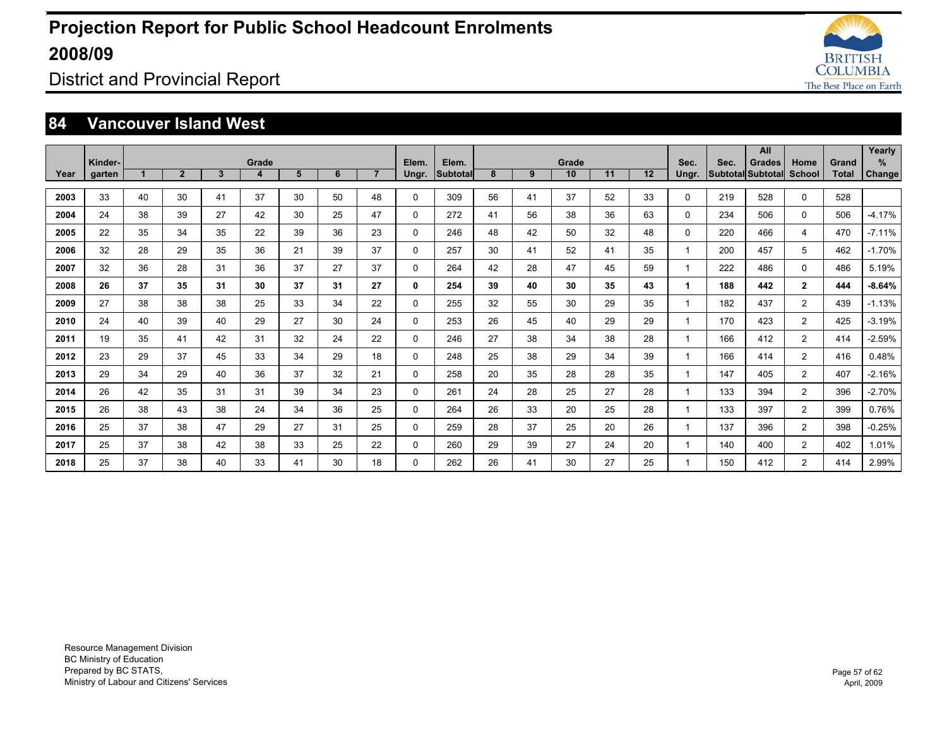

### District and Provincial Report

#### **84 Vancouver Island West**

|      | Kinder- |    |                |    | Grade |    |    |                | Elem.    | Elem.    |    |    | Grade |    |    | Sec.         | Sec. | All<br><b>Grades</b>     | Home           | Grand        | Yearly<br>% |
|------|---------|----|----------------|----|-------|----|----|----------------|----------|----------|----|----|-------|----|----|--------------|------|--------------------------|----------------|--------------|-------------|
| Year | garten  |    | $\overline{2}$ | 3  | 4     | 5  | 6  | $\overline{7}$ | Ungr.    | Subtotal | 8  | 9  | 10    | 11 | 12 | Ungr.        |      | <b>Subtotal Subtotal</b> | School         | <b>Total</b> | Change      |
| 2003 | 33      | 40 | 30             | 41 | 37    | 30 | 50 | 48             | 0        | 309      | 56 | 41 | 37    | 52 | 33 | 0            | 219  | 528                      | 0              | 528          |             |
| 2004 | 24      | 38 | 39             | 27 | 42    | 30 | 25 | 47             | $\Omega$ | 272      | 41 | 56 | 38    | 36 | 63 | 0            | 234  | 506                      | $\Omega$       | 506          | $-4.17%$    |
| 2005 | 22      | 35 | 34             | 35 | 22    | 39 | 36 | 23             | 0        | 246      | 48 | 42 | 50    | 32 | 48 | 0            | 220  | 466                      | 4              | 470          | $-7.11%$    |
| 2006 | 32      | 28 | 29             | 35 | 36    | 21 | 39 | 37             | 0        | 257      | 30 | 41 | 52    | 41 | 35 | $\mathbf{1}$ | 200  | 457                      | 5              | 462          | $-1.70%$    |
| 2007 | 32      | 36 | 28             | 31 | 36    | 37 | 27 | 37             | 0        | 264      | 42 | 28 | 47    | 45 | 59 | $\mathbf{1}$ | 222  | 486                      | $\Omega$       | 486          | 5.19%       |
| 2008 | 26      | 37 | 35             | 31 | 30    | 37 | 31 | 27             | 0        | 254      | 39 | 40 | 30    | 35 | 43 | 1            | 188  | 442                      | $\mathbf{2}$   | 444          | $-8.64%$    |
| 2009 | 27      | 38 | 38             | 38 | 25    | 33 | 34 | 22             | 0        | 255      | 32 | 55 | 30    | 29 | 35 | 1            | 182  | 437                      | $\overline{2}$ | 439          | $-1.13%$    |
| 2010 | 24      | 40 | 39             | 40 | 29    | 27 | 30 | 24             | $\Omega$ | 253      | 26 | 45 | 40    | 29 | 29 | $\mathbf{1}$ | 170  | 423                      | $\overline{2}$ | 425          | $-3.19%$    |
| 2011 | 19      | 35 | 41             | 42 | 31    | 32 | 24 | 22             | 0        | 246      | 27 | 38 | 34    | 38 | 28 | 1            | 166  | 412                      | $\overline{2}$ | 414          | $-2.59%$    |
| 2012 | 23      | 29 | 37             | 45 | 33    | 34 | 29 | 18             | 0        | 248      | 25 | 38 | 29    | 34 | 39 | 1            | 166  | 414                      | $\overline{2}$ | 416          | 0.48%       |
| 2013 | 29      | 34 | 29             | 40 | 36    | 37 | 32 | 21             | 0        | 258      | 20 | 35 | 28    | 28 | 35 | $\mathbf 1$  | 147  | 405                      | $\overline{2}$ | 407          | $-2.16%$    |
| 2014 | 26      | 42 | 35             | 31 | 31    | 39 | 34 | 23             | 0        | 261      | 24 | 28 | 25    | 27 | 28 |              | 133  | 394                      | $\overline{2}$ | 396          | $-2.70%$    |
| 2015 | 26      | 38 | 43             | 38 | 24    | 34 | 36 | 25             | 0        | 264      | 26 | 33 | 20    | 25 | 28 | 1            | 133  | 397                      | $\overline{2}$ | 399          | 0.76%       |
| 2016 | 25      | 37 | 38             | 47 | 29    | 27 | 31 | 25             | 0        | 259      | 28 | 37 | 25    | 20 | 26 | 1            | 137  | 396                      | $\overline{2}$ | 398          | $-0.25%$    |
| 2017 | 25      | 37 | 38             | 42 | 38    | 33 | 25 | 22             | 0        | 260      | 29 | 39 | 27    | 24 | 20 |              | 140  | 400                      | $\overline{2}$ | 402          | 1.01%       |
| 2018 | 25      | 37 | 38             | 40 | 33    | 41 | 30 | 18             | 0        | 262      | 26 | 41 | 30    | 27 | 25 |              | 150  | 412                      | 2              | 414          | 2.99%       |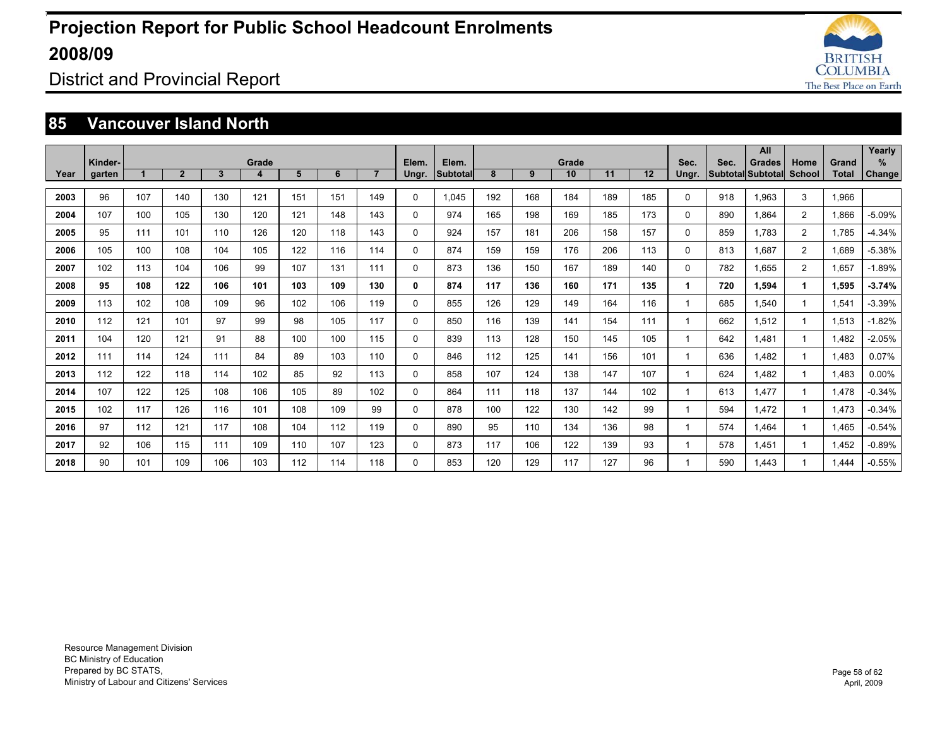

### District and Provincial Report

#### **85 Vancouver Island North**

|      |         |     |                |              |       |     |     |                |       |          |     |     |       |     |     |              |                          | All           |               |       | Yearly        |
|------|---------|-----|----------------|--------------|-------|-----|-----|----------------|-------|----------|-----|-----|-------|-----|-----|--------------|--------------------------|---------------|---------------|-------|---------------|
|      | Kinder- |     |                |              | Grade |     |     |                | Elem. | Elem.    |     |     | Grade |     |     | Sec.         | Sec.                     | <b>Grades</b> | Home          | Grand | %             |
| Year | garten  |     | $\overline{2}$ | $\mathbf{3}$ | 4     | 5   | 6   | $\overline{7}$ | Ungr. | Subtotal | 8   | 9   | 10    | 11  | 12  | Ungr.        | <b>Subtotal Subtotal</b> |               | <b>School</b> | Total | <b>Change</b> |
| 2003 | 96      | 107 | 140            | 130          | 121   | 151 | 151 | 149            | 0     | 1.045    | 192 | 168 | 184   | 189 | 185 | 0            | 918                      | 1.963         | 3             | 1,966 |               |
| 2004 | 107     | 100 | 105            | 130          | 120   | 121 | 148 | 143            | 0     | 974      | 165 | 198 | 169   | 185 | 173 | 0            | 890                      | 1.864         | 2             | 1.866 | $-5.09%$      |
| 2005 | 95      | 111 | 101            | 110          | 126   | 120 | 118 | 143            | 0     | 924      | 157 | 181 | 206   | 158 | 157 | 0            | 859                      | 1.783         | 2             | 1.785 | $-4.34%$      |
| 2006 | 105     | 100 | 108            | 104          | 105   | 122 | 116 | 114            | 0     | 874      | 159 | 159 | 176   | 206 | 113 | 0            | 813                      | 1.687         | 2             | 1.689 | $-5.38%$      |
| 2007 | 102     | 113 | 104            | 106          | 99    | 107 | 131 | 111            | 0     | 873      | 136 | 150 | 167   | 189 | 140 | 0            | 782                      | 1.655         | 2             | 1.657 | $-1.89%$      |
| 2008 | 95      | 108 | 122            | 106          | 101   | 103 | 109 | 130            | 0     | 874      | 117 | 136 | 160   | 171 | 135 | 1            | 720                      | 1.594         | 1             | 1.595 | $-3.74%$      |
| 2009 | 113     | 102 | 108            | 109          | 96    | 102 | 106 | 119            | 0     | 855      | 126 | 129 | 149   | 164 | 116 | 1            | 685                      | 1.540         |               | 1.541 | $-3.39%$      |
| 2010 | 112     | 121 | 101            | 97           | 99    | 98  | 105 | 117            | 0     | 850      | 116 | 139 | 141   | 154 | 111 | 1            | 662                      | 1.512         |               | 1,513 | $-1.82%$      |
| 2011 | 104     | 120 | 121            | 91           | 88    | 100 | 100 | 115            | 0     | 839      | 113 | 128 | 150   | 145 | 105 | 1            | 642                      | 1.481         |               | 1.482 | $-2.05%$      |
| 2012 | 111     | 114 | 124            | 111          | 84    | 89  | 103 | 110            | 0     | 846      | 112 | 125 | 141   | 156 | 101 | 1            | 636                      | 1.482         |               | 1.483 | 0.07%         |
| 2013 | 112     | 122 | 118            | 114          | 102   | 85  | 92  | 113            | 0     | 858      | 107 | 124 | 138   | 147 | 107 | $\mathbf{1}$ | 624                      | 1.482         |               | 1,483 | 0.00%         |
| 2014 | 107     | 122 | 125            | 108          | 106   | 105 | 89  | 102            | 0     | 864      | 111 | 118 | 137   | 144 | 102 | 1            | 613                      | 1.477         |               | 1.478 | $-0.34%$      |
| 2015 | 102     | 117 | 126            | 116          | 101   | 108 | 109 | 99             | 0     | 878      | 100 | 122 | 130   | 142 | 99  | 1            | 594                      | 1.472         |               | 1.473 | $-0.34%$      |
| 2016 | 97      | 112 | 121            | 117          | 108   | 104 | 112 | 119            | 0     | 890      | 95  | 110 | 134   | 136 | 98  | 1            | 574                      | 1.464         |               | 1.465 | $-0.54%$      |
| 2017 | 92      | 106 | 115            | 111          | 109   | 110 | 107 | 123            | 0     | 873      | 117 | 106 | 122   | 139 | 93  | 1            | 578                      | 1.451         |               | 1.452 | $-0.89%$      |
| 2018 | 90      | 101 | 109            | 106          | 103   | 112 | 114 | 118            | 0     | 853      | 120 | 129 | 117   | 127 | 96  |              | 590                      | 1.443         |               | .444  | $-0.55%$      |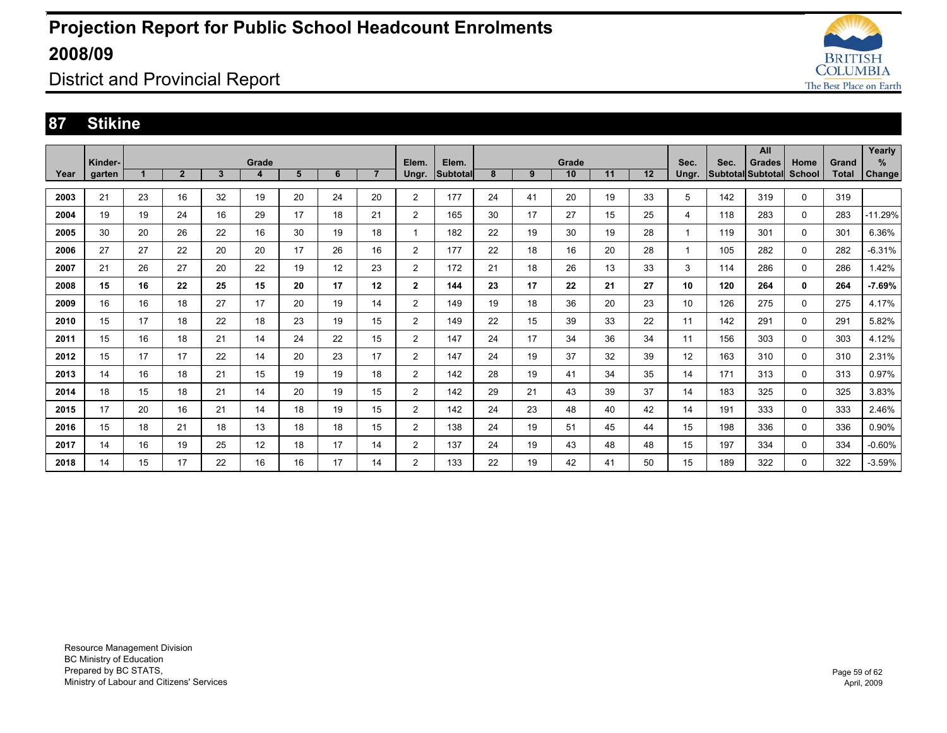

### District and Provincial Report

#### **87 Stikine**

|      |                   |    |                |                |            |    |    |                |                |                          |    |    |             |    |    |               |      | All                                |                       |                       | Yearly        |
|------|-------------------|----|----------------|----------------|------------|----|----|----------------|----------------|--------------------------|----|----|-------------|----|----|---------------|------|------------------------------------|-----------------------|-----------------------|---------------|
| Year | Kinder-<br>garten |    | $\overline{2}$ | $3\phantom{a}$ | Grade<br>4 | 5  | 6  | $\overline{7}$ | Elem.<br>Ungr. | Elem.<br><b>Subtotal</b> | 8  | 9  | Grade<br>10 | 11 | 12 | Sec.<br>Ungr. | Sec. | <b>Grades</b><br>Subtotal Subtotal | Home<br><b>School</b> | Grand<br><b>Total</b> | %             |
|      |                   |    |                |                |            |    |    |                |                |                          |    |    |             |    |    |               |      |                                    |                       |                       | <b>Change</b> |
| 2003 | 21                | 23 | 16             | 32             | 19         | 20 | 24 | 20             | $\overline{2}$ | 177                      | 24 | 41 | 20          | 19 | 33 | 5             | 142  | 319                                | $\mathbf 0$           | 319                   |               |
| 2004 | 19                | 19 | 24             | 16             | 29         | 17 | 18 | 21             | $\overline{2}$ | 165                      | 30 | 17 | 27          | 15 | 25 | 4             | 118  | 283                                | 0                     | 283                   | $-11.29%$     |
| 2005 | 30                | 20 | 26             | 22             | 16         | 30 | 19 | 18             |                | 182                      | 22 | 19 | 30          | 19 | 28 | $\mathbf{1}$  | 119  | 301                                | $\mathbf 0$           | 301                   | 6.36%         |
| 2006 | 27                | 27 | 22             | 20             | 20         | 17 | 26 | 16             | 2              | 177                      | 22 | 18 | 16          | 20 | 28 | 1             | 105  | 282                                | 0                     | 282                   | $-6.31%$      |
| 2007 | 21                | 26 | 27             | 20             | 22         | 19 | 12 | 23             | 2              | 172                      | 21 | 18 | 26          | 13 | 33 | 3             | 114  | 286                                | 0                     | 286                   | 1.42%         |
| 2008 | 15                | 16 | 22             | 25             | 15         | 20 | 17 | 12             | $\overline{2}$ | 144                      | 23 | 17 | 22          | 21 | 27 | 10            | 120  | 264                                | 0                     | 264                   | $-7.69%$      |
| 2009 | 16                | 16 | 18             | 27             | 17         | 20 | 19 | 14             | $\overline{2}$ | 149                      | 19 | 18 | 36          | 20 | 23 | 10            | 126  | 275                                | 0                     | 275                   | 4.17%         |
| 2010 | 15                | 17 | 18             | 22             | 18         | 23 | 19 | 15             | 2              | 149                      | 22 | 15 | 39          | 33 | 22 | 11            | 142  | 291                                | 0                     | 291                   | 5.82%         |
| 2011 | 15                | 16 | 18             | 21             | 14         | 24 | 22 | 15             | 2              | 147                      | 24 | 17 | 34          | 36 | 34 | 11            | 156  | 303                                | 0                     | 303                   | 4.12%         |
| 2012 | 15                | 17 | 17             | 22             | 14         | 20 | 23 | 17             | 2              | 147                      | 24 | 19 | 37          | 32 | 39 | 12            | 163  | 310                                | 0                     | 310                   | 2.31%         |
| 2013 | 14                | 16 | 18             | 21             | 15         | 19 | 19 | 18             | $\overline{2}$ | 142                      | 28 | 19 | 41          | 34 | 35 | 14            | 171  | 313                                | 0                     | 313                   | 0.97%         |
| 2014 | 18                | 15 | 18             | 21             | 14         | 20 | 19 | 15             | $\overline{2}$ | 142                      | 29 | 21 | 43          | 39 | 37 | 14            | 183  | 325                                | 0                     | 325                   | 3.83%         |
| 2015 | 17                | 20 | 16             | 21             | 14         | 18 | 19 | 15             | $\overline{2}$ | 142                      | 24 | 23 | 48          | 40 | 42 | 14            | 191  | 333                                | 0                     | 333                   | 2.46%         |
| 2016 | 15                | 18 | 21             | 18             | 13         | 18 | 18 | 15             | $\overline{2}$ | 138                      | 24 | 19 | 51          | 45 | 44 | 15            | 198  | 336                                | 0                     | 336                   | 0.90%         |
| 2017 | 14                | 16 | 19             | 25             | 12         | 18 | 17 | 14             | $\overline{2}$ | 137                      | 24 | 19 | 43          | 48 | 48 | 15            | 197  | 334                                | 0                     | 334                   | $-0.60%$      |
| 2018 | 14                | 15 | 17             | 22             | 16         | 16 | 17 | 14             | $\overline{2}$ | 133                      | 22 | 19 | 42          | 41 | 50 | 15            | 189  | 322                                | $\Omega$              | 322                   | $-3.59%$      |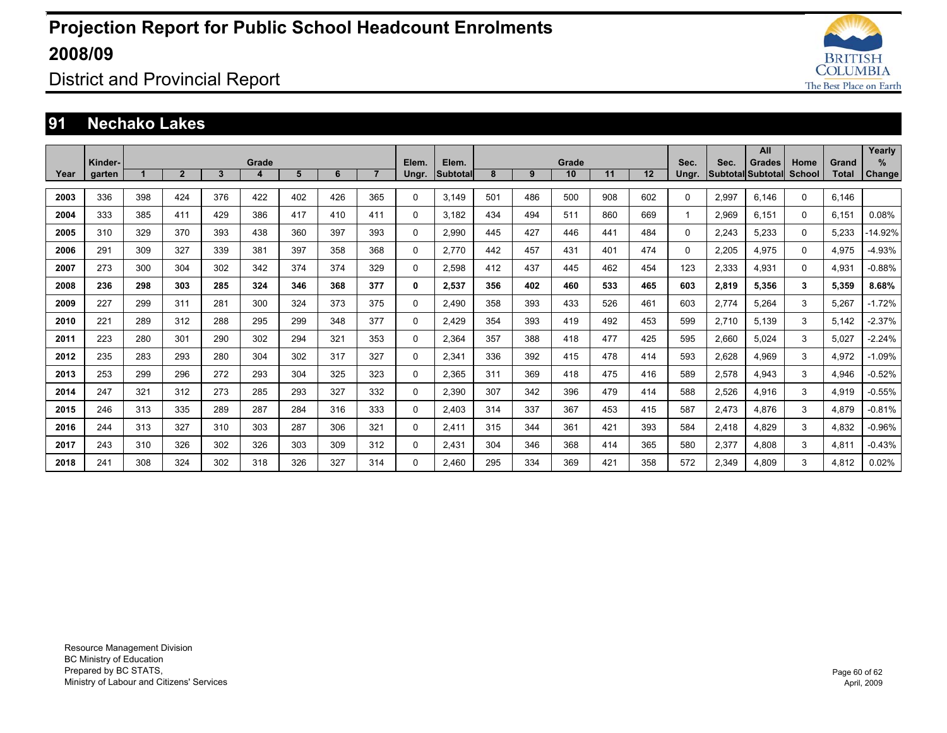

District and Provincial Report

#### **91 Nechako Lakes**

|      |         |       |                |     |     |     |     |                |          |          |     |     |       |     |     |          |       | All                      |          |              | Yearly        |
|------|---------|-------|----------------|-----|-----|-----|-----|----------------|----------|----------|-----|-----|-------|-----|-----|----------|-------|--------------------------|----------|--------------|---------------|
|      | Kinder- | Grade |                |     |     |     |     |                |          | Elem.    |     |     | Grade |     |     | Sec.     | Sec.  | <b>Grades</b>            | Home     | Grand        | %             |
| Year | garten  |       | 2 <sup>1</sup> | 3   | 4   | 5   | 6   | $\overline{7}$ | Ungr.    | Subtotal | 8   | 9   | 10    | 11  | 12  | Ungr.    |       | <b>Subtotal Subtotal</b> | School   | <b>Total</b> | <b>Change</b> |
| 2003 | 336     | 398   | 424            | 376 | 422 | 402 | 426 | 365            | $\Omega$ | 3.149    | 501 | 486 | 500   | 908 | 602 | $\Omega$ | 2.997 | 6.146                    | $\Omega$ | 6.146        |               |
| 2004 | 333     | 385   | 411            | 429 | 386 | 417 | 410 | 411            | $\Omega$ | 3.182    | 434 | 494 | 511   | 860 | 669 | 1        | 2,969 | 6.151                    | $\Omega$ | 6,151        | 0.08%         |
| 2005 | 310     | 329   | 370            | 393 | 438 | 360 | 397 | 393            | $\Omega$ | 2.990    | 445 | 427 | 446   | 441 | 484 | $\Omega$ | 2,243 | 5,233                    | $\Omega$ | 5,233        | -14.92%       |
| 2006 | 291     | 309   | 327            | 339 | 381 | 397 | 358 | 368            | 0        | 2.770    | 442 | 457 | 431   | 401 | 474 | 0        | 2.205 | 4.975                    | $\Omega$ | 4.975        | $-4.93%$      |
| 2007 | 273     | 300   | 304            | 302 | 342 | 374 | 374 | 329            | 0        | 2,598    | 412 | 437 | 445   | 462 | 454 | 123      | 2,333 | 4,931                    | $\Omega$ | 4,931        | $-0.88%$      |
| 2008 | 236     | 298   | 303            | 285 | 324 | 346 | 368 | 377            | 0        | 2.537    | 356 | 402 | 460   | 533 | 465 | 603      | 2,819 | 5.356                    | 3        | 5.359        | 8.68%         |
| 2009 | 227     | 299   | 311            | 281 | 300 | 324 | 373 | 375            | 0        | 2.490    | 358 | 393 | 433   | 526 | 461 | 603      | 2,774 | 5,264                    | 3        | 5,267        | $-1.72%$      |
| 2010 | 221     | 289   | 312            | 288 | 295 | 299 | 348 | 377            | 0        | 2.429    | 354 | 393 | 419   | 492 | 453 | 599      | 2,710 | 5.139                    | 3        | 5,142        | $-2.37%$      |
| 2011 | 223     | 280   | 301            | 290 | 302 | 294 | 321 | 353            | 0        | 2.364    | 357 | 388 | 418   | 477 | 425 | 595      | 2,660 | 5.024                    | 3        | 5.027        | $-2.24%$      |
| 2012 | 235     | 283   | 293            | 280 | 304 | 302 | 317 | 327            | 0        | 2,341    | 336 | 392 | 415   | 478 | 414 | 593      | 2,628 | 4,969                    | 3        | 4,972        | $-1.09%$      |
| 2013 | 253     | 299   | 296            | 272 | 293 | 304 | 325 | 323            | 0        | 2.365    | 311 | 369 | 418   | 475 | 416 | 589      | 2,578 | 4.943                    | 3        | 4.946        | $-0.52%$      |
| 2014 | 247     | 321   | 312            | 273 | 285 | 293 | 327 | 332            | 0        | 2.390    | 307 | 342 | 396   | 479 | 414 | 588      | 2,526 | 4.916                    | 3        | 4.919        | $-0.55%$      |
| 2015 | 246     | 313   | 335            | 289 | 287 | 284 | 316 | 333            | 0        | 2,403    | 314 | 337 | 367   | 453 | 415 | 587      | 2,473 | 4.876                    | 3        | 4,879        | $-0.81%$      |
| 2016 | 244     | 313   | 327            | 310 | 303 | 287 | 306 | 321            | $\Omega$ | 2.411    | 315 | 344 | 361   | 421 | 393 | 584      | 2,418 | 4.829                    | 3        | 4.832        | $-0.96%$      |
| 2017 | 243     | 310   | 326            | 302 | 326 | 303 | 309 | 312            | $\Omega$ | 2.431    | 304 | 346 | 368   | 414 | 365 | 580      | 2,377 | 4.808                    | 3        | 4.811        | $-0.43%$      |
| 2018 | 241     | 308   | 324            | 302 | 318 | 326 | 327 | 314            | $\Omega$ | 2.460    | 295 | 334 | 369   | 421 | 358 | 572      | 2.349 | 4.809                    | 3        | 4.812        | 0.02%         |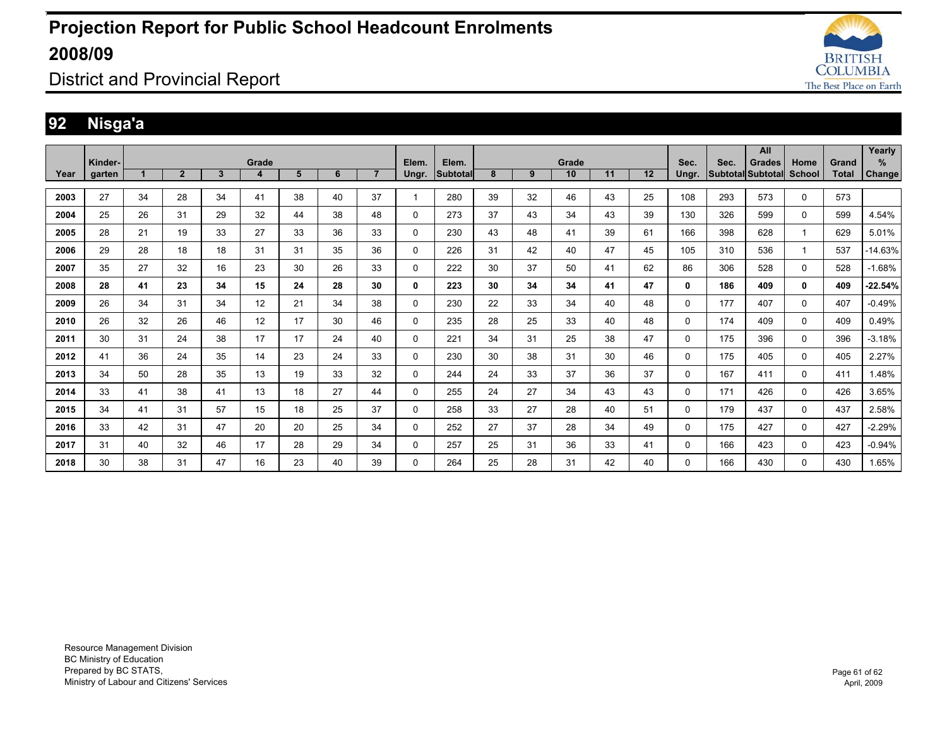

District and Provincial Report

### **92 Nisga'a**

|      |         |    |                |    |       |    |    |                |       |                 |    |    |       |    |    |              |      | All                      |             |              | Yearly        |
|------|---------|----|----------------|----|-------|----|----|----------------|-------|-----------------|----|----|-------|----|----|--------------|------|--------------------------|-------------|--------------|---------------|
|      | Kinder- |    |                |    | Grade |    |    |                | Elem. | Elem.           |    |    | Grade |    |    | Sec.         | Sec. | <b>Grades</b>            | Home        | Grand        | %             |
| Year | garten  |    | $\overline{2}$ | 3  | 4     | 5  | 6  | $\overline{7}$ | Ungr. | <b>Subtotal</b> | 8  | 9  | 10    | 11 | 12 | Ungr.        |      | <b>Subtotal Subtotal</b> | School      | <b>Total</b> | <b>Change</b> |
| 2003 | 27      | 34 | 28             | 34 | 41    | 38 | 40 | 37             |       | 280             | 39 | 32 | 46    | 43 | 25 | 108          | 293  | 573                      | 0           | 573          |               |
| 2004 | 25      | 26 | 31             | 29 | 32    | 44 | 38 | 48             | 0     | 273             | 37 | 43 | 34    | 43 | 39 | 130          | 326  | 599                      | $\mathbf 0$ | 599          | 4.54%         |
| 2005 | 28      | 21 | 19             | 33 | 27    | 33 | 36 | 33             | 0     | 230             | 43 | 48 | 41    | 39 | 61 | 166          | 398  | 628                      | 1           | 629          | 5.01%         |
| 2006 | 29      | 28 | 18             | 18 | 31    | 31 | 35 | 36             | 0     | 226             | 31 | 42 | 40    | 47 | 45 | 105          | 310  | 536                      | 1           | 537          | $-14.63%$     |
| 2007 | 35      | 27 | 32             | 16 | 23    | 30 | 26 | 33             | 0     | 222             | 30 | 37 | 50    | 41 | 62 | 86           | 306  | 528                      | 0           | 528          | $-1.68%$      |
| 2008 | 28      | 41 | 23             | 34 | 15    | 24 | 28 | 30             | 0     | 223             | 30 | 34 | 34    | 41 | 47 | 0            | 186  | 409                      | 0           | 409          | $-22.54%$     |
| 2009 | 26      | 34 | 31             | 34 | 12    | 21 | 34 | 38             | 0     | 230             | 22 | 33 | 34    | 40 | 48 | 0            | 177  | 407                      | 0           | 407          | $-0.49%$      |
| 2010 | 26      | 32 | 26             | 46 | 12    | 17 | 30 | 46             | 0     | 235             | 28 | 25 | 33    | 40 | 48 | 0            | 174  | 409                      | 0           | 409          | 0.49%         |
| 2011 | 30      | 31 | 24             | 38 | 17    | 17 | 24 | 40             | 0     | 221             | 34 | 31 | 25    | 38 | 47 | 0            | 175  | 396                      | 0           | 396          | $-3.18%$      |
| 2012 | 41      | 36 | 24             | 35 | 14    | 23 | 24 | 33             | 0     | 230             | 30 | 38 | 31    | 30 | 46 | $\mathbf{0}$ | 175  | 405                      | 0           | 405          | 2.27%         |
| 2013 | 34      | 50 | 28             | 35 | 13    | 19 | 33 | 32             | 0     | 244             | 24 | 33 | 37    | 36 | 37 | 0            | 167  | 411                      | 0           | 411          | 1.48%         |
| 2014 | 33      | 41 | 38             | 41 | 13    | 18 | 27 | 44             | 0     | 255             | 24 | 27 | 34    | 43 | 43 | 0            | 171  | 426                      | $\mathbf 0$ | 426          | 3.65%         |
| 2015 | 34      | 41 | 31             | 57 | 15    | 18 | 25 | 37             | 0     | 258             | 33 | 27 | 28    | 40 | 51 | 0            | 179  | 437                      | 0           | 437          | 2.58%         |
| 2016 | 33      | 42 | 31             | 47 | 20    | 20 | 25 | 34             | 0     | 252             | 27 | 37 | 28    | 34 | 49 | $\Omega$     | 175  | 427                      | 0           | 427          | $-2.29%$      |
| 2017 | 31      | 40 | 32             | 46 | 17    | 28 | 29 | 34             | 0     | 257             | 25 | 31 | 36    | 33 | 41 | 0            | 166  | 423                      | 0           | 423          | $-0.94%$      |
| 2018 | 30      | 38 | 31             | 47 | 16    | 23 | 40 | 39             | 0     | 264             | 25 | 28 | 31    | 42 | 40 | 0            | 166  | 430                      | 0           | 430          | 1.65%         |